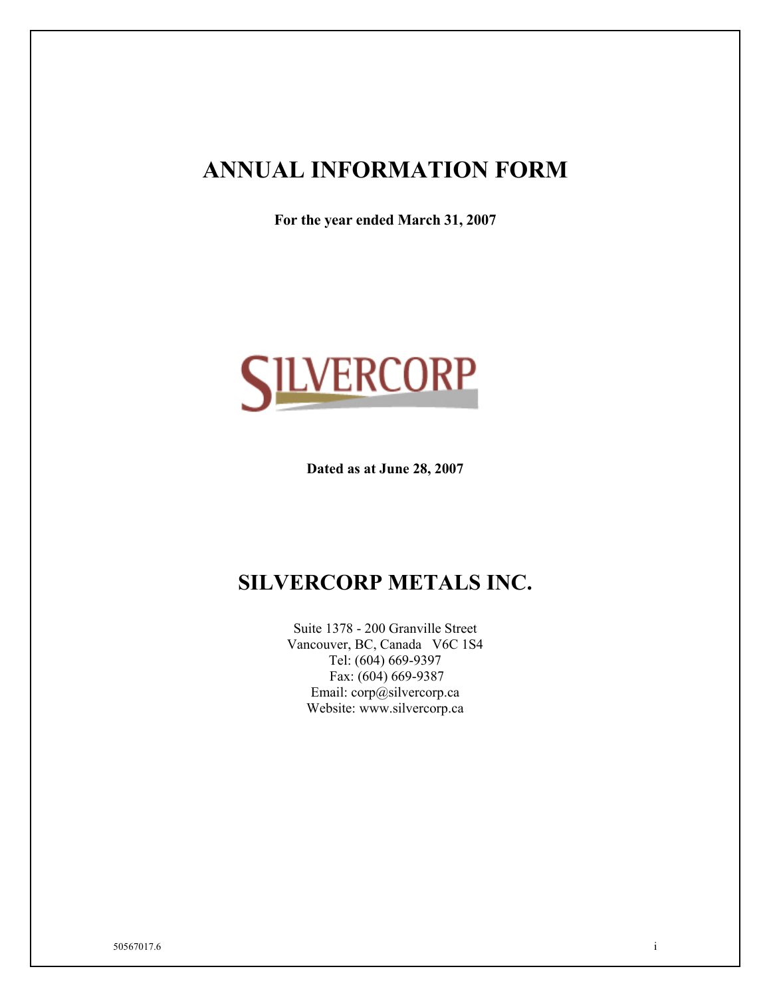# **ANNUAL INFORMATION FORM**

**For the year ended March 31, 2007** 



**Dated as at June 28, 2007** 

# **SILVERCORP METALS INC.**

Suite 1378 - 200 Granville Street Vancouver, BC, Canada V6C 1S4 Tel: (604) 669-9397 Fax: (604) 669-9387 Email: corp@silvercorp.ca Website: www.silvercorp.ca

50567017.6 i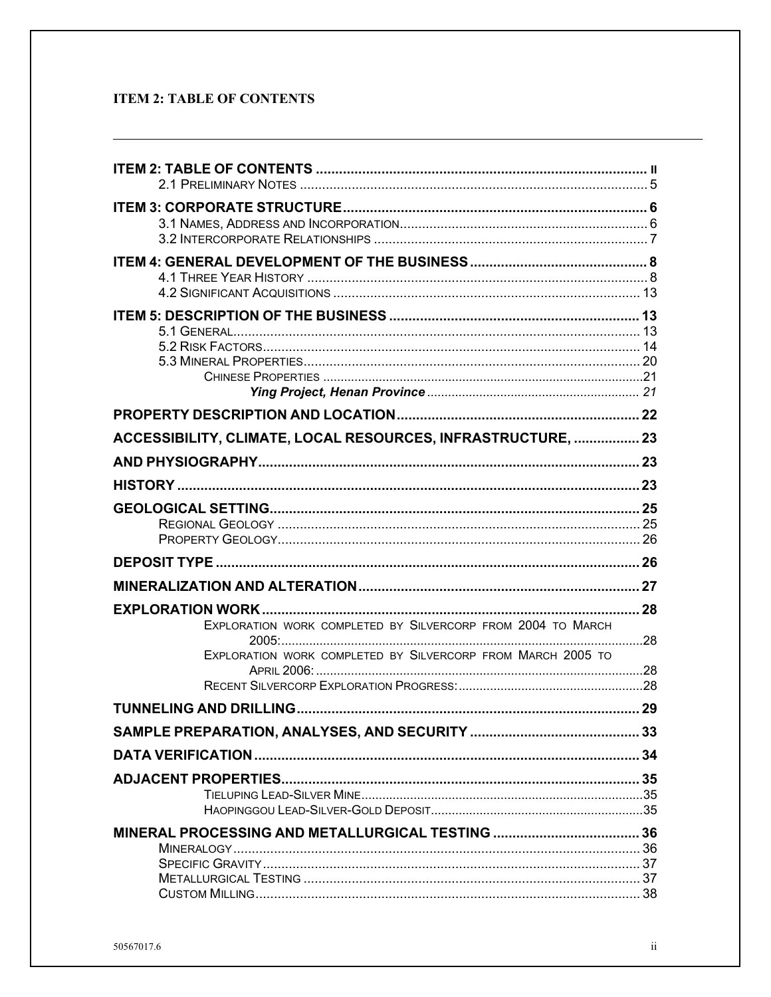# **ITEM 2: TABLE OF CONTENTS**

| ACCESSIBILITY, CLIMATE, LOCAL RESOURCES, INFRASTRUCTURE,  23                                                               |  |
|----------------------------------------------------------------------------------------------------------------------------|--|
|                                                                                                                            |  |
|                                                                                                                            |  |
|                                                                                                                            |  |
|                                                                                                                            |  |
|                                                                                                                            |  |
|                                                                                                                            |  |
| EXPLORATION WORK COMPLETED BY SILVERCORP FROM 2004 TO MARCH<br>EXPLORATION WORK COMPLETED BY SILVERCORP FROM MARCH 2005 TO |  |
|                                                                                                                            |  |
|                                                                                                                            |  |
|                                                                                                                            |  |
|                                                                                                                            |  |
|                                                                                                                            |  |
|                                                                                                                            |  |
|                                                                                                                            |  |
|                                                                                                                            |  |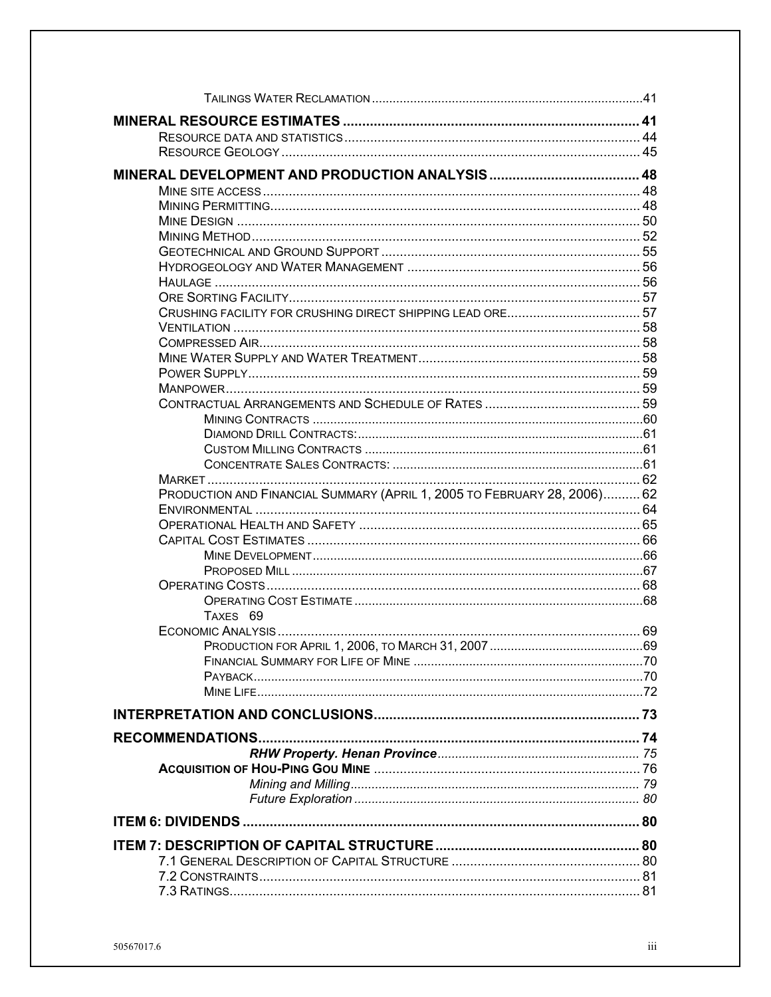| PRODUCTION AND FINANCIAL SUMMARY (APRIL 1, 2005 TO FEBRUARY 28, 2006) 62 |  |
|--------------------------------------------------------------------------|--|
|                                                                          |  |
|                                                                          |  |
|                                                                          |  |
|                                                                          |  |
|                                                                          |  |
|                                                                          |  |
|                                                                          |  |
| TAXES 69                                                                 |  |
|                                                                          |  |
|                                                                          |  |
|                                                                          |  |
|                                                                          |  |
|                                                                          |  |
|                                                                          |  |
|                                                                          |  |
|                                                                          |  |
|                                                                          |  |
|                                                                          |  |
|                                                                          |  |
|                                                                          |  |
|                                                                          |  |
|                                                                          |  |
|                                                                          |  |
|                                                                          |  |
|                                                                          |  |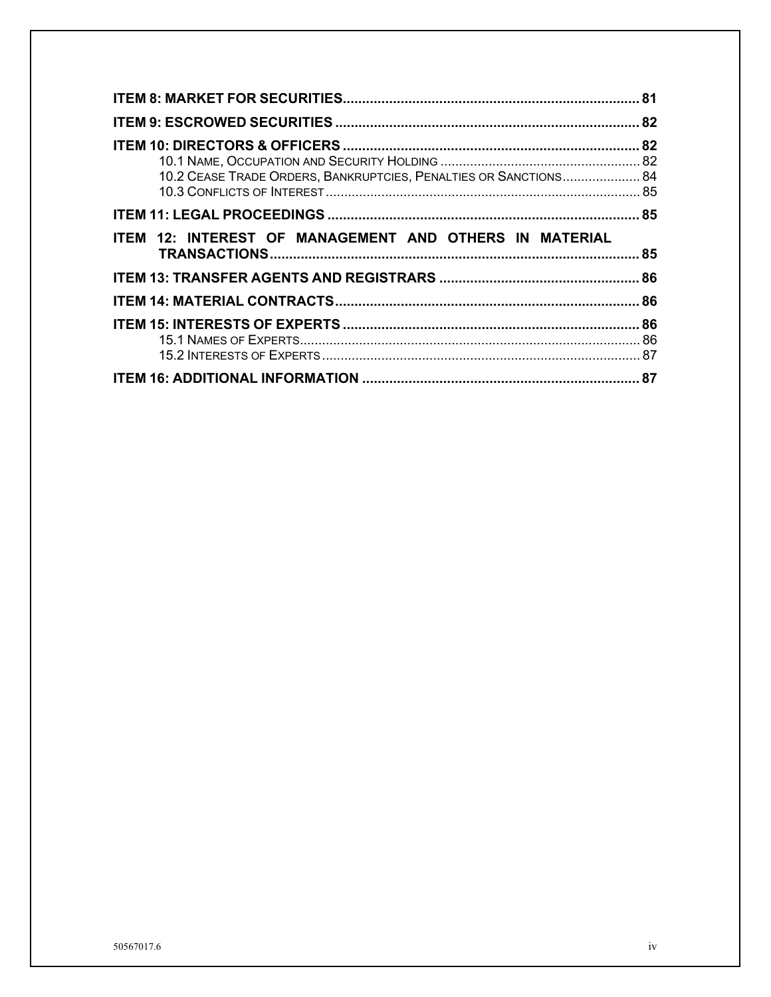| 10.2 CEASE TRADE ORDERS, BANKRUPTCIES, PENALTIES OR SANCTIONS 84 |  |
|------------------------------------------------------------------|--|
|                                                                  |  |
| ITEM 12: INTEREST OF MANAGEMENT AND OTHERS IN MATERIAL           |  |
|                                                                  |  |
|                                                                  |  |
|                                                                  |  |
|                                                                  |  |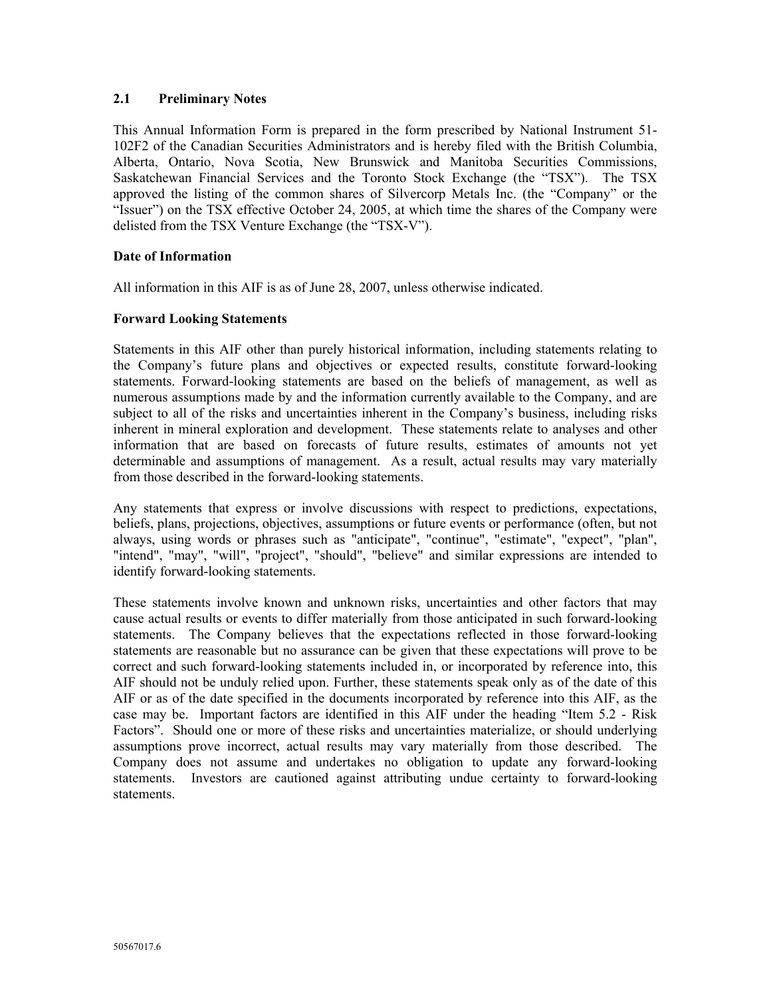## **2.1 Preliminary Notes**

This Annual Information Form is prepared in the form prescribed by National Instrument 51- 102F2 of the Canadian Securities Administrators and is hereby filed with the British Columbia, Alberta, Ontario, Nova Scotia, New Brunswick and Manitoba Securities Commissions, Saskatchewan Financial Services and the Toronto Stock Exchange (the "TSX"). The TSX approved the listing of the common shares of Silvercorp Metals Inc. (the "Company" or the "Issuer") on the TSX effective October 24, 2005, at which time the shares of the Company were delisted from the TSX Venture Exchange (the "TSX-V").

#### **Date of Information**

All information in this AIF is as of June 28, 2007, unless otherwise indicated.

#### **Forward Looking Statements**

Statements in this AIF other than purely historical information, including statements relating to the Company's future plans and objectives or expected results, constitute forward-looking statements. Forward-looking statements are based on the beliefs of management, as well as numerous assumptions made by and the information currently available to the Company, and are subject to all of the risks and uncertainties inherent in the Company's business, including risks inherent in mineral exploration and development. These statements relate to analyses and other information that are based on forecasts of future results, estimates of amounts not yet determinable and assumptions of management. As a result, actual results may vary materially from those described in the forward-looking statements.

Any statements that express or involve discussions with respect to predictions, expectations, beliefs, plans, projections, objectives, assumptions or future events or performance (often, but not always, using words or phrases such as "anticipate", "continue", "estimate", "expect", "plan", "intend", "may", "will", "project", "should", "believe" and similar expressions are intended to identify forward-looking statements.

These statements involve known and unknown risks, uncertainties and other factors that may cause actual results or events to differ materially from those anticipated in such forward-looking statements. The Company believes that the expectations reflected in those forward-looking statements are reasonable but no assurance can be given that these expectations will prove to be correct and such forward-looking statements included in, or incorporated by reference into, this AIF should not be unduly relied upon. Further, these statements speak only as of the date of this AIF or as of the date specified in the documents incorporated by reference into this AIF, as the case may be. Important factors are identified in this AIF under the heading "Item 5.2 - Risk Factors". Should one or more of these risks and uncertainties materialize, or should underlying assumptions prove incorrect, actual results may vary materially from those described. The Company does not assume and undertakes no obligation to update any forward-looking statements. Investors are cautioned against attributing undue certainty to forward-looking statements.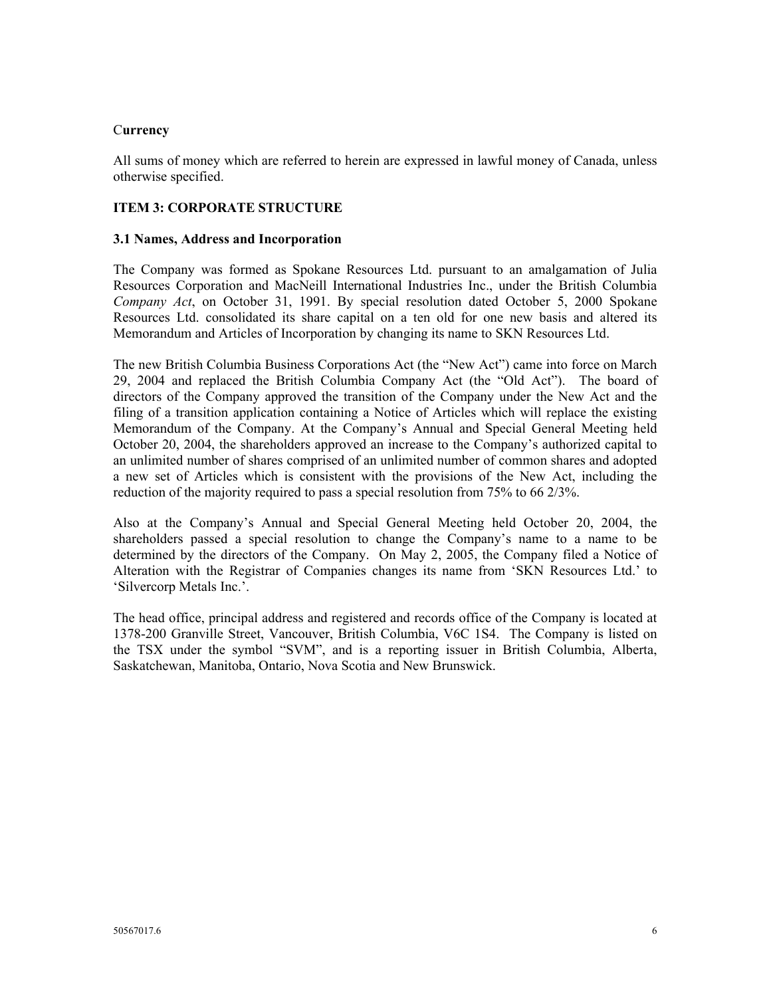#### C**urrency**

All sums of money which are referred to herein are expressed in lawful money of Canada, unless otherwise specified.

## **ITEM 3: CORPORATE STRUCTURE**

#### **3.1 Names, Address and Incorporation**

The Company was formed as Spokane Resources Ltd. pursuant to an amalgamation of Julia Resources Corporation and MacNeill International Industries Inc., under the British Columbia *Company Act*, on October 31, 1991. By special resolution dated October 5, 2000 Spokane Resources Ltd. consolidated its share capital on a ten old for one new basis and altered its Memorandum and Articles of Incorporation by changing its name to SKN Resources Ltd.

The new British Columbia Business Corporations Act (the "New Act") came into force on March 29, 2004 and replaced the British Columbia Company Act (the "Old Act"). The board of directors of the Company approved the transition of the Company under the New Act and the filing of a transition application containing a Notice of Articles which will replace the existing Memorandum of the Company. At the Company's Annual and Special General Meeting held October 20, 2004, the shareholders approved an increase to the Company's authorized capital to an unlimited number of shares comprised of an unlimited number of common shares and adopted a new set of Articles which is consistent with the provisions of the New Act, including the reduction of the majority required to pass a special resolution from 75% to 66 2/3%.

Also at the Company's Annual and Special General Meeting held October 20, 2004, the shareholders passed a special resolution to change the Company's name to a name to be determined by the directors of the Company. On May 2, 2005, the Company filed a Notice of Alteration with the Registrar of Companies changes its name from 'SKN Resources Ltd.' to 'Silvercorp Metals Inc.'.

The head office, principal address and registered and records office of the Company is located at 1378-200 Granville Street, Vancouver, British Columbia, V6C 1S4. The Company is listed on the TSX under the symbol "SVM", and is a reporting issuer in British Columbia, Alberta, Saskatchewan, Manitoba, Ontario, Nova Scotia and New Brunswick.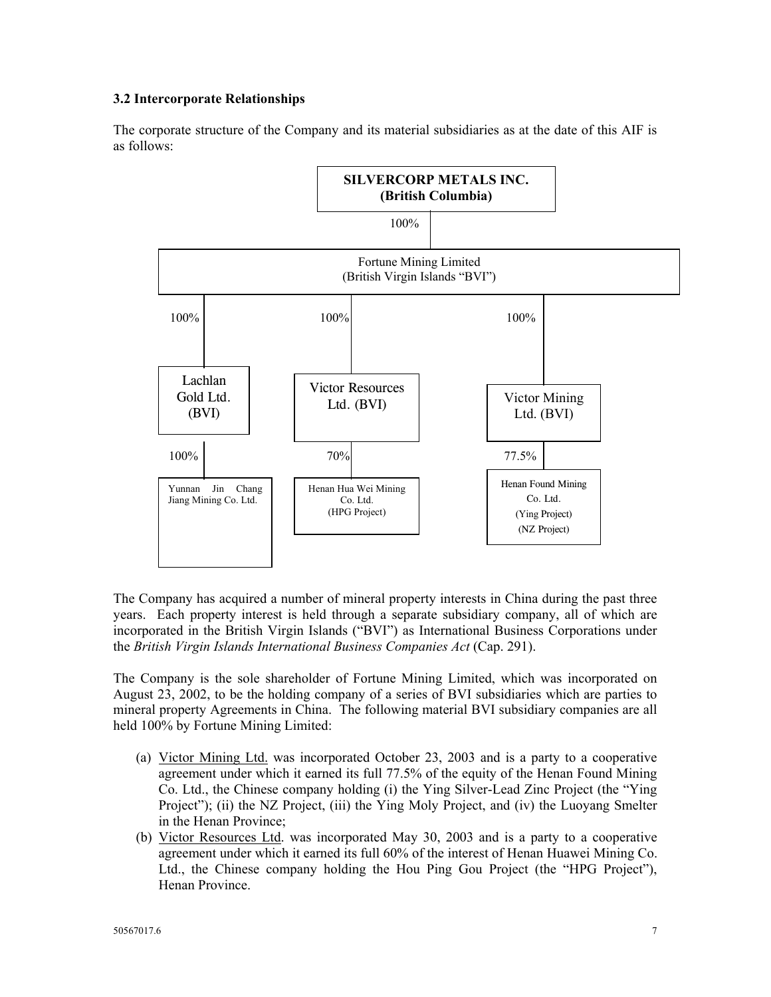# **3.2 Intercorporate Relationships**

The corporate structure of the Company and its material subsidiaries as at the date of this AIF is as follows:



The Company has acquired a number of mineral property interests in China during the past three years. Each property interest is held through a separate subsidiary company, all of which are incorporated in the British Virgin Islands ("BVI") as International Business Corporations under the *British Virgin Islands International Business Companies Act* (Cap. 291).

The Company is the sole shareholder of Fortune Mining Limited, which was incorporated on August 23, 2002, to be the holding company of a series of BVI subsidiaries which are parties to mineral property Agreements in China. The following material BVI subsidiary companies are all held 100% by Fortune Mining Limited:

- (a) Victor Mining Ltd. was incorporated October 23, 2003 and is a party to a cooperative agreement under which it earned its full 77.5% of the equity of the Henan Found Mining Co. Ltd., the Chinese company holding (i) the Ying Silver-Lead Zinc Project (the "Ying Project"); (ii) the NZ Project, (iii) the Ying Moly Project, and (iv) the Luoyang Smelter in the Henan Province;
- (b) Victor Resources Ltd. was incorporated May 30, 2003 and is a party to a cooperative agreement under which it earned its full 60% of the interest of Henan Huawei Mining Co. Ltd., the Chinese company holding the Hou Ping Gou Project (the "HPG Project"), Henan Province.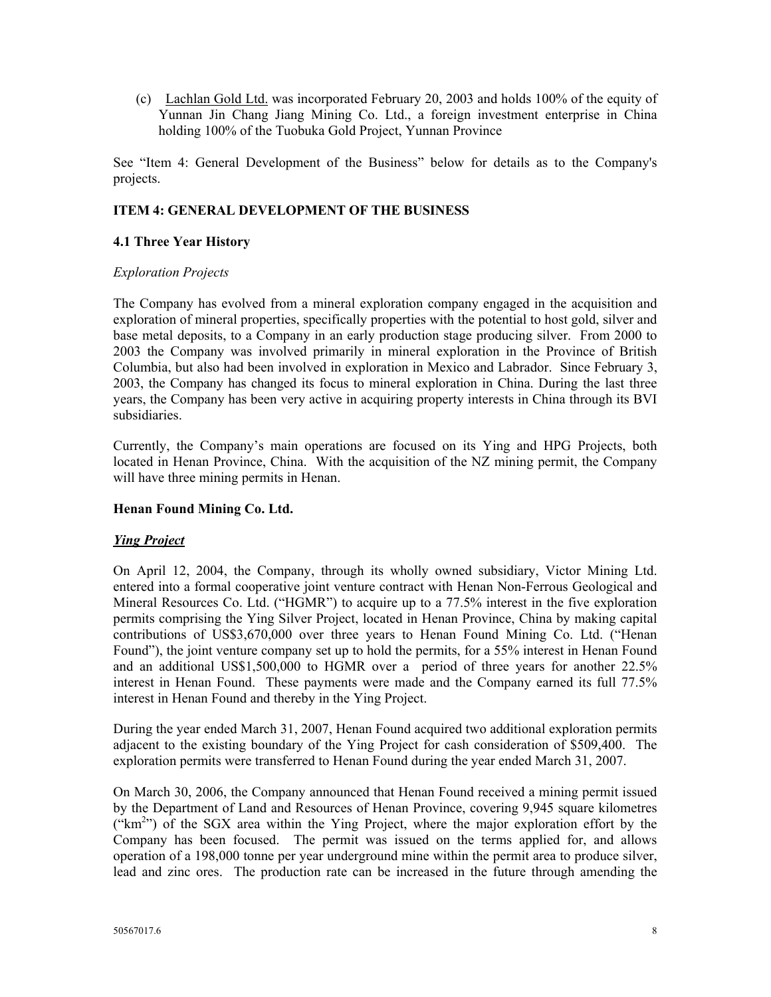(c) Lachlan Gold Ltd. was incorporated February 20, 2003 and holds 100% of the equity of Yunnan Jin Chang Jiang Mining Co. Ltd., a foreign investment enterprise in China holding 100% of the Tuobuka Gold Project, Yunnan Province

See "Item 4: General Development of the Business" below for details as to the Company's projects.

# **ITEM 4: GENERAL DEVELOPMENT OF THE BUSINESS**

## **4.1 Three Year History**

## *Exploration Projects*

The Company has evolved from a mineral exploration company engaged in the acquisition and exploration of mineral properties, specifically properties with the potential to host gold, silver and base metal deposits, to a Company in an early production stage producing silver. From 2000 to 2003 the Company was involved primarily in mineral exploration in the Province of British Columbia, but also had been involved in exploration in Mexico and Labrador. Since February 3, 2003, the Company has changed its focus to mineral exploration in China. During the last three years, the Company has been very active in acquiring property interests in China through its BVI subsidiaries.

Currently, the Company's main operations are focused on its Ying and HPG Projects, both located in Henan Province, China. With the acquisition of the NZ mining permit, the Company will have three mining permits in Henan.

## **Henan Found Mining Co. Ltd.**

## *Ying Project*

On April 12, 2004, the Company, through its wholly owned subsidiary, Victor Mining Ltd. entered into a formal cooperative joint venture contract with Henan Non-Ferrous Geological and Mineral Resources Co. Ltd. ("HGMR") to acquire up to a 77.5% interest in the five exploration permits comprising the Ying Silver Project, located in Henan Province, China by making capital contributions of US\$3,670,000 over three years to Henan Found Mining Co. Ltd. ("Henan Found"), the joint venture company set up to hold the permits, for a 55% interest in Henan Found and an additional US\$1,500,000 to HGMR over a period of three years for another 22.5% interest in Henan Found. These payments were made and the Company earned its full 77.5% interest in Henan Found and thereby in the Ying Project.

During the year ended March 31, 2007, Henan Found acquired two additional exploration permits adjacent to the existing boundary of the Ying Project for cash consideration of \$509,400. The exploration permits were transferred to Henan Found during the year ended March 31, 2007.

On March 30, 2006, the Company announced that Henan Found received a mining permit issued by the Department of Land and Resources of Henan Province, covering 9,945 square kilometres ("km2 ") of the SGX area within the Ying Project, where the major exploration effort by the Company has been focused. The permit was issued on the terms applied for, and allows operation of a 198,000 tonne per year underground mine within the permit area to produce silver, lead and zinc ores. The production rate can be increased in the future through amending the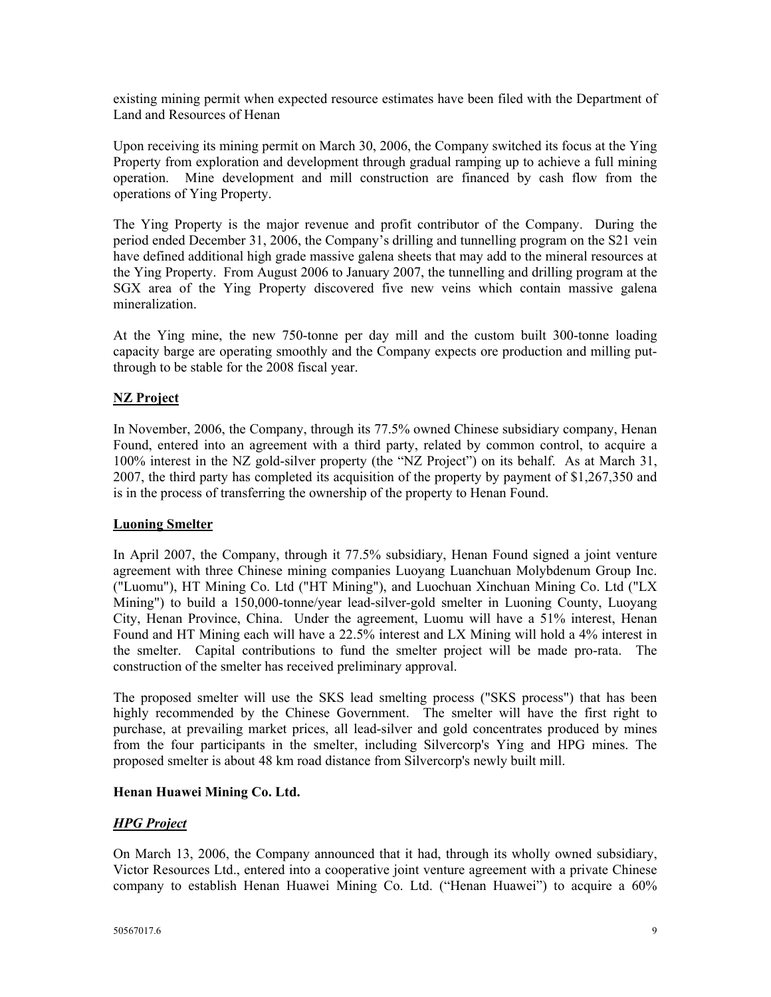existing mining permit when expected resource estimates have been filed with the Department of Land and Resources of Henan

Upon receiving its mining permit on March 30, 2006, the Company switched its focus at the Ying Property from exploration and development through gradual ramping up to achieve a full mining operation. Mine development and mill construction are financed by cash flow from the operations of Ying Property.

The Ying Property is the major revenue and profit contributor of the Company. During the period ended December 31, 2006, the Company's drilling and tunnelling program on the S21 vein have defined additional high grade massive galena sheets that may add to the mineral resources at the Ying Property. From August 2006 to January 2007, the tunnelling and drilling program at the SGX area of the Ying Property discovered five new veins which contain massive galena mineralization.

At the Ying mine, the new 750-tonne per day mill and the custom built 300-tonne loading capacity barge are operating smoothly and the Company expects ore production and milling putthrough to be stable for the 2008 fiscal year.

# **NZ Project**

In November, 2006, the Company, through its 77.5% owned Chinese subsidiary company, Henan Found, entered into an agreement with a third party, related by common control, to acquire a 100% interest in the NZ gold-silver property (the "NZ Project") on its behalf. As at March 31, 2007, the third party has completed its acquisition of the property by payment of \$1,267,350 and is in the process of transferring the ownership of the property to Henan Found.

## **Luoning Smelter**

In April 2007, the Company, through it 77.5% subsidiary, Henan Found signed a joint venture agreement with three Chinese mining companies Luoyang Luanchuan Molybdenum Group Inc. ("Luomu"), HT Mining Co. Ltd ("HT Mining"), and Luochuan Xinchuan Mining Co. Ltd ("LX Mining") to build a 150,000-tonne/year lead-silver-gold smelter in Luoning County, Luoyang City, Henan Province, China. Under the agreement, Luomu will have a 51% interest, Henan Found and HT Mining each will have a 22.5% interest and LX Mining will hold a 4% interest in the smelter. Capital contributions to fund the smelter project will be made pro-rata. The construction of the smelter has received preliminary approval.

The proposed smelter will use the SKS lead smelting process ("SKS process") that has been highly recommended by the Chinese Government. The smelter will have the first right to purchase, at prevailing market prices, all lead-silver and gold concentrates produced by mines from the four participants in the smelter, including Silvercorp's Ying and HPG mines. The proposed smelter is about 48 km road distance from Silvercorp's newly built mill.

## **Henan Huawei Mining Co. Ltd.**

## *HPG Project*

On March 13, 2006, the Company announced that it had, through its wholly owned subsidiary, Victor Resources Ltd., entered into a cooperative joint venture agreement with a private Chinese company to establish Henan Huawei Mining Co. Ltd. ("Henan Huawei") to acquire a 60%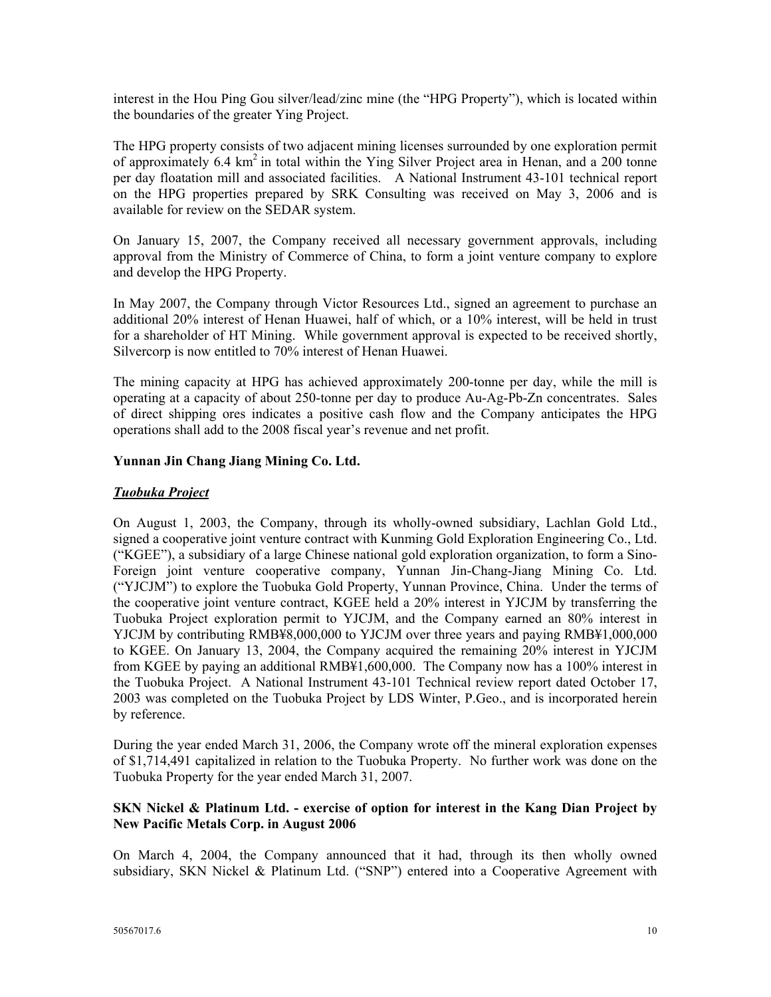interest in the Hou Ping Gou silver/lead/zinc mine (the "HPG Property"), which is located within the boundaries of the greater Ying Project.

The HPG property consists of two adjacent mining licenses surrounded by one exploration permit of approximately 6.4 km<sup>2</sup> in total within the Ying Silver Project area in Henan, and a 200 tonne per day floatation mill and associated facilities. A National Instrument 43-101 technical report on the HPG properties prepared by SRK Consulting was received on May 3, 2006 and is available for review on the SEDAR system.

On January 15, 2007, the Company received all necessary government approvals, including approval from the Ministry of Commerce of China, to form a joint venture company to explore and develop the HPG Property.

In May 2007, the Company through Victor Resources Ltd., signed an agreement to purchase an additional 20% interest of Henan Huawei, half of which, or a 10% interest, will be held in trust for a shareholder of HT Mining. While government approval is expected to be received shortly, Silvercorp is now entitled to 70% interest of Henan Huawei.

The mining capacity at HPG has achieved approximately 200-tonne per day, while the mill is operating at a capacity of about 250-tonne per day to produce Au-Ag-Pb-Zn concentrates. Sales of direct shipping ores indicates a positive cash flow and the Company anticipates the HPG operations shall add to the 2008 fiscal year's revenue and net profit.

## **Yunnan Jin Chang Jiang Mining Co. Ltd.**

## *Tuobuka Project*

On August 1, 2003, the Company, through its wholly-owned subsidiary, Lachlan Gold Ltd., signed a cooperative joint venture contract with Kunming Gold Exploration Engineering Co., Ltd. ("KGEE"), a subsidiary of a large Chinese national gold exploration organization, to form a Sino-Foreign joint venture cooperative company, Yunnan Jin-Chang-Jiang Mining Co. Ltd. ("YJCJM") to explore the Tuobuka Gold Property, Yunnan Province, China. Under the terms of the cooperative joint venture contract, KGEE held a 20% interest in YJCJM by transferring the Tuobuka Project exploration permit to YJCJM, and the Company earned an 80% interest in YJCJM by contributing RMB¥8,000,000 to YJCJM over three years and paying RMB¥1,000,000 to KGEE. On January 13, 2004, the Company acquired the remaining 20% interest in YJCJM from KGEE by paying an additional RMB¥1,600,000. The Company now has a 100% interest in the Tuobuka Project. A National Instrument 43-101 Technical review report dated October 17, 2003 was completed on the Tuobuka Project by LDS Winter, P.Geo., and is incorporated herein by reference.

During the year ended March 31, 2006, the Company wrote off the mineral exploration expenses of \$1,714,491 capitalized in relation to the Tuobuka Property. No further work was done on the Tuobuka Property for the year ended March 31, 2007.

#### **SKN Nickel & Platinum Ltd. - exercise of option for interest in the Kang Dian Project by New Pacific Metals Corp. in August 2006**

On March 4, 2004, the Company announced that it had, through its then wholly owned subsidiary, SKN Nickel & Platinum Ltd. ("SNP") entered into a Cooperative Agreement with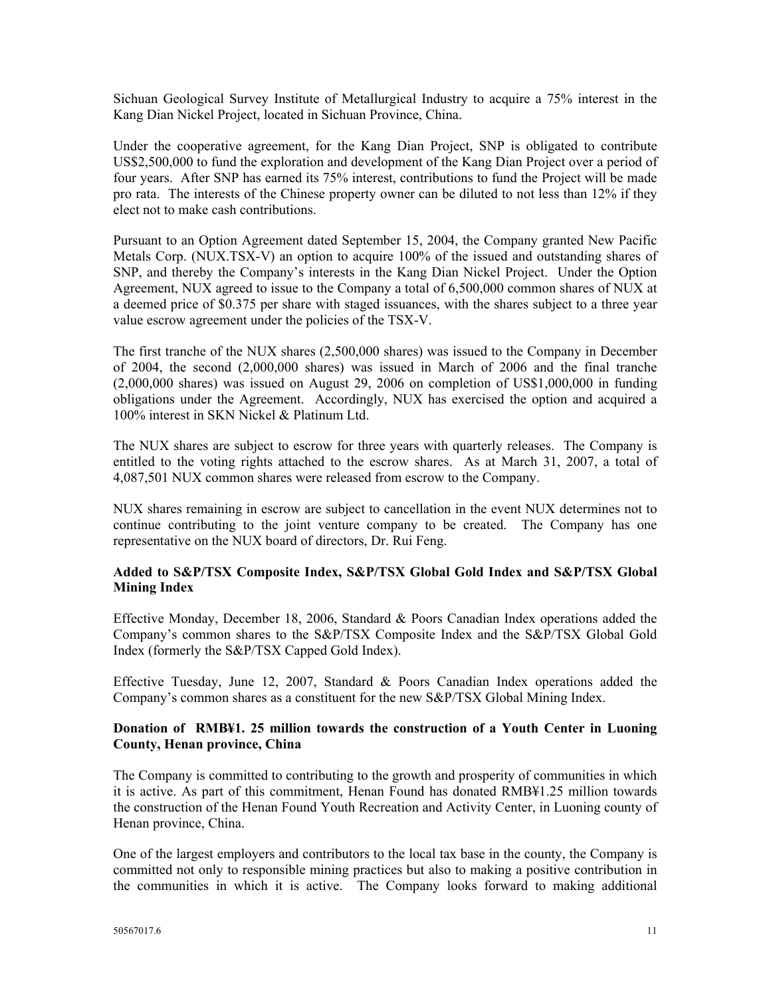Sichuan Geological Survey Institute of Metallurgical Industry to acquire a 75% interest in the Kang Dian Nickel Project, located in Sichuan Province, China.

Under the cooperative agreement, for the Kang Dian Project, SNP is obligated to contribute US\$2,500,000 to fund the exploration and development of the Kang Dian Project over a period of four years. After SNP has earned its 75% interest, contributions to fund the Project will be made pro rata. The interests of the Chinese property owner can be diluted to not less than 12% if they elect not to make cash contributions.

Pursuant to an Option Agreement dated September 15, 2004, the Company granted New Pacific Metals Corp. (NUX.TSX-V) an option to acquire 100% of the issued and outstanding shares of SNP, and thereby the Company's interests in the Kang Dian Nickel Project. Under the Option Agreement, NUX agreed to issue to the Company a total of 6,500,000 common shares of NUX at a deemed price of \$0.375 per share with staged issuances, with the shares subject to a three year value escrow agreement under the policies of the TSX-V.

The first tranche of the NUX shares (2,500,000 shares) was issued to the Company in December of 2004, the second (2,000,000 shares) was issued in March of 2006 and the final tranche (2,000,000 shares) was issued on August 29, 2006 on completion of US\$1,000,000 in funding obligations under the Agreement. Accordingly, NUX has exercised the option and acquired a 100% interest in SKN Nickel & Platinum Ltd.

The NUX shares are subject to escrow for three years with quarterly releases. The Company is entitled to the voting rights attached to the escrow shares. As at March 31, 2007, a total of 4,087,501 NUX common shares were released from escrow to the Company.

NUX shares remaining in escrow are subject to cancellation in the event NUX determines not to continue contributing to the joint venture company to be created. The Company has one representative on the NUX board of directors, Dr. Rui Feng.

## **Added to S&P/TSX Composite Index, S&P/TSX Global Gold Index and S&P/TSX Global Mining Index**

Effective Monday, December 18, 2006, Standard & Poors Canadian Index operations added the Company's common shares to the S&P/TSX Composite Index and the S&P/TSX Global Gold Index (formerly the S&P/TSX Capped Gold Index).

Effective Tuesday, June 12, 2007, Standard & Poors Canadian Index operations added the Company's common shares as a constituent for the new S&P/TSX Global Mining Index.

## **Donation of RMB¥1. 25 million towards the construction of a Youth Center in Luoning County, Henan province, China**

The Company is committed to contributing to the growth and prosperity of communities in which it is active. As part of this commitment, Henan Found has donated RMB¥1.25 million towards the construction of the Henan Found Youth Recreation and Activity Center, in Luoning county of Henan province, China.

One of the largest employers and contributors to the local tax base in the county, the Company is committed not only to responsible mining practices but also to making a positive contribution in the communities in which it is active. The Company looks forward to making additional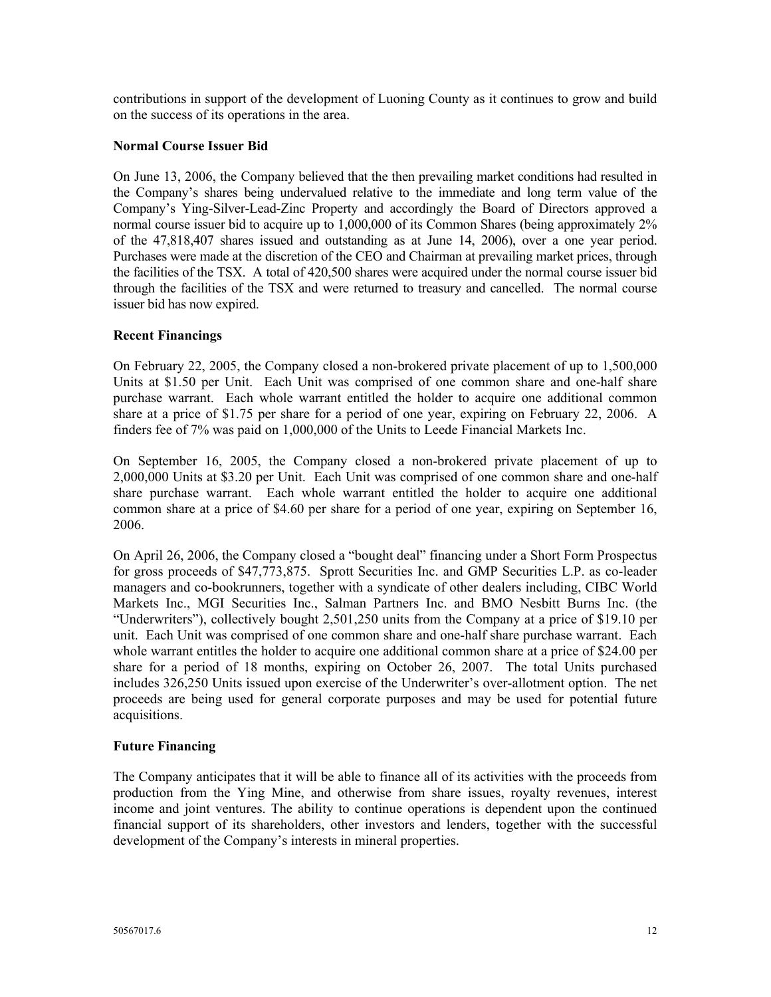contributions in support of the development of Luoning County as it continues to grow and build on the success of its operations in the area.

## **Normal Course Issuer Bid**

On June 13, 2006, the Company believed that the then prevailing market conditions had resulted in the Company's shares being undervalued relative to the immediate and long term value of the Company's Ying-Silver-Lead-Zinc Property and accordingly the Board of Directors approved a normal course issuer bid to acquire up to 1,000,000 of its Common Shares (being approximately 2% of the 47,818,407 shares issued and outstanding as at June 14, 2006), over a one year period. Purchases were made at the discretion of the CEO and Chairman at prevailing market prices, through the facilities of the TSX. A total of 420,500 shares were acquired under the normal course issuer bid through the facilities of the TSX and were returned to treasury and cancelled. The normal course issuer bid has now expired.

#### **Recent Financings**

On February 22, 2005, the Company closed a non-brokered private placement of up to 1,500,000 Units at \$1.50 per Unit. Each Unit was comprised of one common share and one-half share purchase warrant. Each whole warrant entitled the holder to acquire one additional common share at a price of \$1.75 per share for a period of one year, expiring on February 22, 2006. A finders fee of 7% was paid on 1,000,000 of the Units to Leede Financial Markets Inc.

On September 16, 2005, the Company closed a non-brokered private placement of up to 2,000,000 Units at \$3.20 per Unit. Each Unit was comprised of one common share and one-half share purchase warrant. Each whole warrant entitled the holder to acquire one additional common share at a price of \$4.60 per share for a period of one year, expiring on September 16, 2006.

On April 26, 2006, the Company closed a "bought deal" financing under a Short Form Prospectus for gross proceeds of \$47,773,875. Sprott Securities Inc. and GMP Securities L.P. as co-leader managers and co-bookrunners, together with a syndicate of other dealers including, CIBC World Markets Inc., MGI Securities Inc., Salman Partners Inc. and BMO Nesbitt Burns Inc. (the "Underwriters"), collectively bought 2,501,250 units from the Company at a price of \$19.10 per unit. Each Unit was comprised of one common share and one-half share purchase warrant. Each whole warrant entitles the holder to acquire one additional common share at a price of \$24.00 per share for a period of 18 months, expiring on October 26, 2007. The total Units purchased includes 326,250 Units issued upon exercise of the Underwriter's over-allotment option. The net proceeds are being used for general corporate purposes and may be used for potential future acquisitions.

#### **Future Financing**

The Company anticipates that it will be able to finance all of its activities with the proceeds from production from the Ying Mine, and otherwise from share issues, royalty revenues, interest income and joint ventures. The ability to continue operations is dependent upon the continued financial support of its shareholders, other investors and lenders, together with the successful development of the Company's interests in mineral properties.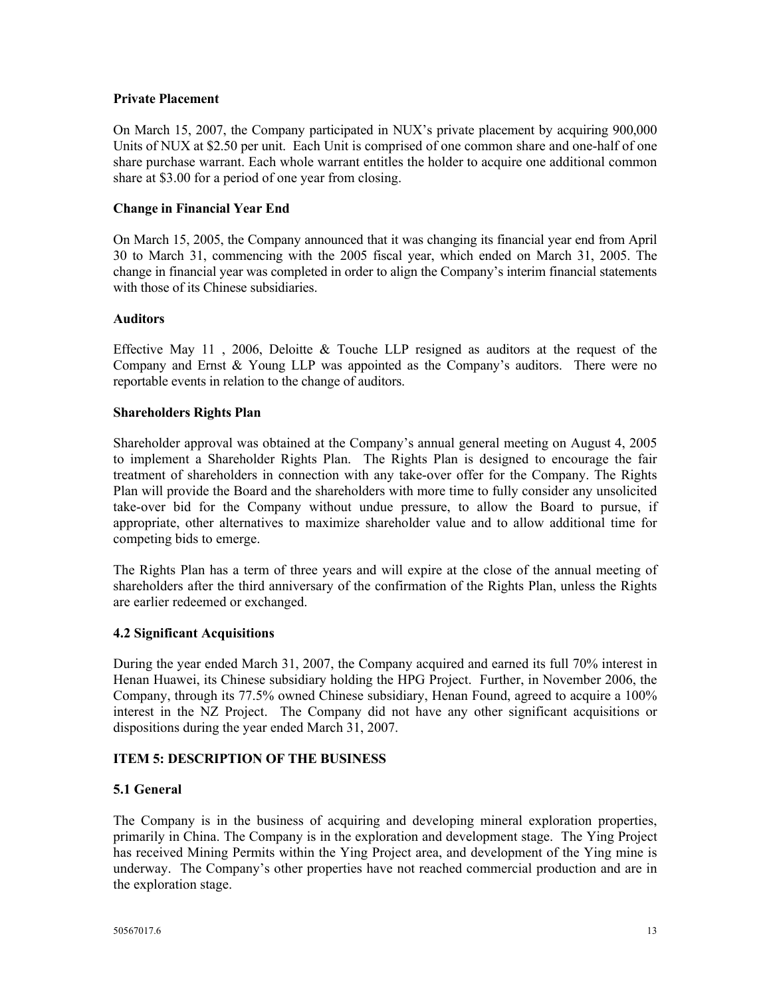#### **Private Placement**

On March 15, 2007, the Company participated in NUX's private placement by acquiring 900,000 Units of NUX at \$2.50 per unit. Each Unit is comprised of one common share and one-half of one share purchase warrant. Each whole warrant entitles the holder to acquire one additional common share at \$3.00 for a period of one year from closing.

#### **Change in Financial Year End**

On March 15, 2005, the Company announced that it was changing its financial year end from April 30 to March 31, commencing with the 2005 fiscal year, which ended on March 31, 2005. The change in financial year was completed in order to align the Company's interim financial statements with those of its Chinese subsidiaries.

#### **Auditors**

Effective May 11, 2006, Deloitte & Touche LLP resigned as auditors at the request of the Company and Ernst & Young LLP was appointed as the Company's auditors. There were no reportable events in relation to the change of auditors.

#### **Shareholders Rights Plan**

Shareholder approval was obtained at the Company's annual general meeting on August 4, 2005 to implement a Shareholder Rights Plan. The Rights Plan is designed to encourage the fair treatment of shareholders in connection with any take-over offer for the Company. The Rights Plan will provide the Board and the shareholders with more time to fully consider any unsolicited take-over bid for the Company without undue pressure, to allow the Board to pursue, if appropriate, other alternatives to maximize shareholder value and to allow additional time for competing bids to emerge.

The Rights Plan has a term of three years and will expire at the close of the annual meeting of shareholders after the third anniversary of the confirmation of the Rights Plan, unless the Rights are earlier redeemed or exchanged.

## **4.2 Significant Acquisitions**

During the year ended March 31, 2007, the Company acquired and earned its full 70% interest in Henan Huawei, its Chinese subsidiary holding the HPG Project. Further, in November 2006, the Company, through its 77.5% owned Chinese subsidiary, Henan Found, agreed to acquire a 100% interest in the NZ Project. The Company did not have any other significant acquisitions or dispositions during the year ended March 31, 2007.

## **ITEM 5: DESCRIPTION OF THE BUSINESS**

## **5.1 General**

The Company is in the business of acquiring and developing mineral exploration properties, primarily in China. The Company is in the exploration and development stage. The Ying Project has received Mining Permits within the Ying Project area, and development of the Ying mine is underway. The Company's other properties have not reached commercial production and are in the exploration stage.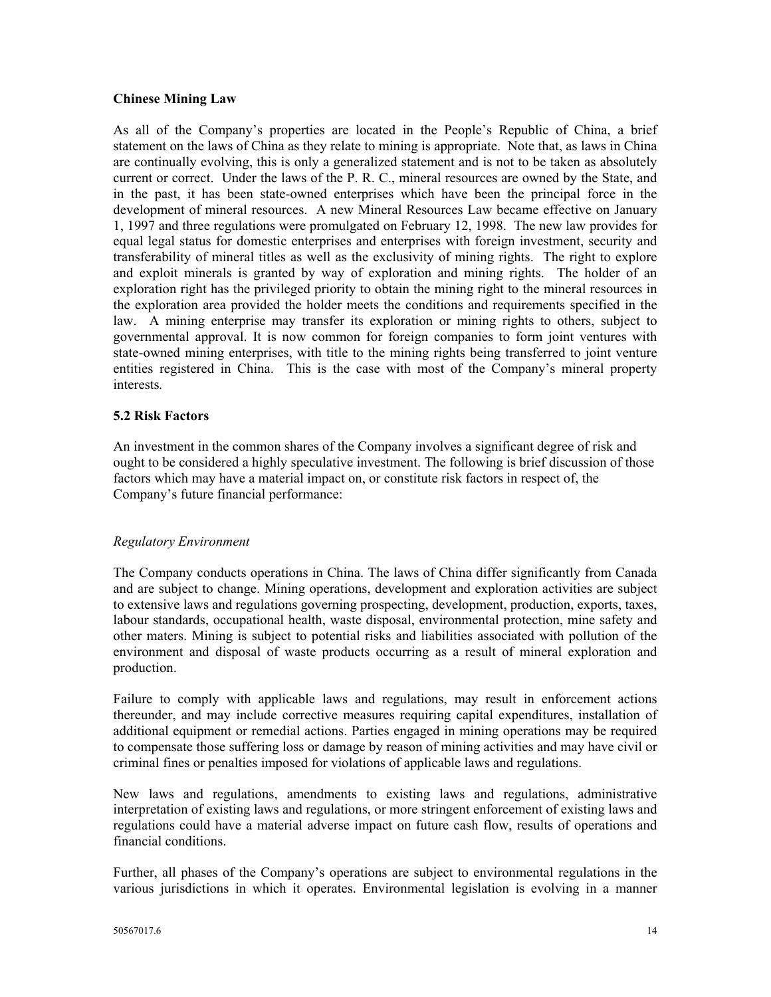#### **Chinese Mining Law**

As all of the Company's properties are located in the People's Republic of China, a brief statement on the laws of China as they relate to mining is appropriate. Note that, as laws in China are continually evolving, this is only a generalized statement and is not to be taken as absolutely current or correct. Under the laws of the P. R. C., mineral resources are owned by the State, and in the past, it has been state-owned enterprises which have been the principal force in the development of mineral resources. A new Mineral Resources Law became effective on January 1, 1997 and three regulations were promulgated on February 12, 1998. The new law provides for equal legal status for domestic enterprises and enterprises with foreign investment, security and transferability of mineral titles as well as the exclusivity of mining rights. The right to explore and exploit minerals is granted by way of exploration and mining rights. The holder of an exploration right has the privileged priority to obtain the mining right to the mineral resources in the exploration area provided the holder meets the conditions and requirements specified in the law. A mining enterprise may transfer its exploration or mining rights to others, subject to governmental approval. It is now common for foreign companies to form joint ventures with state-owned mining enterprises, with title to the mining rights being transferred to joint venture entities registered in China. This is the case with most of the Company's mineral property interests*.* 

## **5.2 Risk Factors**

An investment in the common shares of the Company involves a significant degree of risk and ought to be considered a highly speculative investment. The following is brief discussion of those factors which may have a material impact on, or constitute risk factors in respect of, the Company's future financial performance:

#### *Regulatory Environment*

The Company conducts operations in China. The laws of China differ significantly from Canada and are subject to change. Mining operations, development and exploration activities are subject to extensive laws and regulations governing prospecting, development, production, exports, taxes, labour standards, occupational health, waste disposal, environmental protection, mine safety and other maters. Mining is subject to potential risks and liabilities associated with pollution of the environment and disposal of waste products occurring as a result of mineral exploration and production.

Failure to comply with applicable laws and regulations, may result in enforcement actions thereunder, and may include corrective measures requiring capital expenditures, installation of additional equipment or remedial actions. Parties engaged in mining operations may be required to compensate those suffering loss or damage by reason of mining activities and may have civil or criminal fines or penalties imposed for violations of applicable laws and regulations.

New laws and regulations, amendments to existing laws and regulations, administrative interpretation of existing laws and regulations, or more stringent enforcement of existing laws and regulations could have a material adverse impact on future cash flow, results of operations and financial conditions.

Further, all phases of the Company's operations are subject to environmental regulations in the various jurisdictions in which it operates. Environmental legislation is evolving in a manner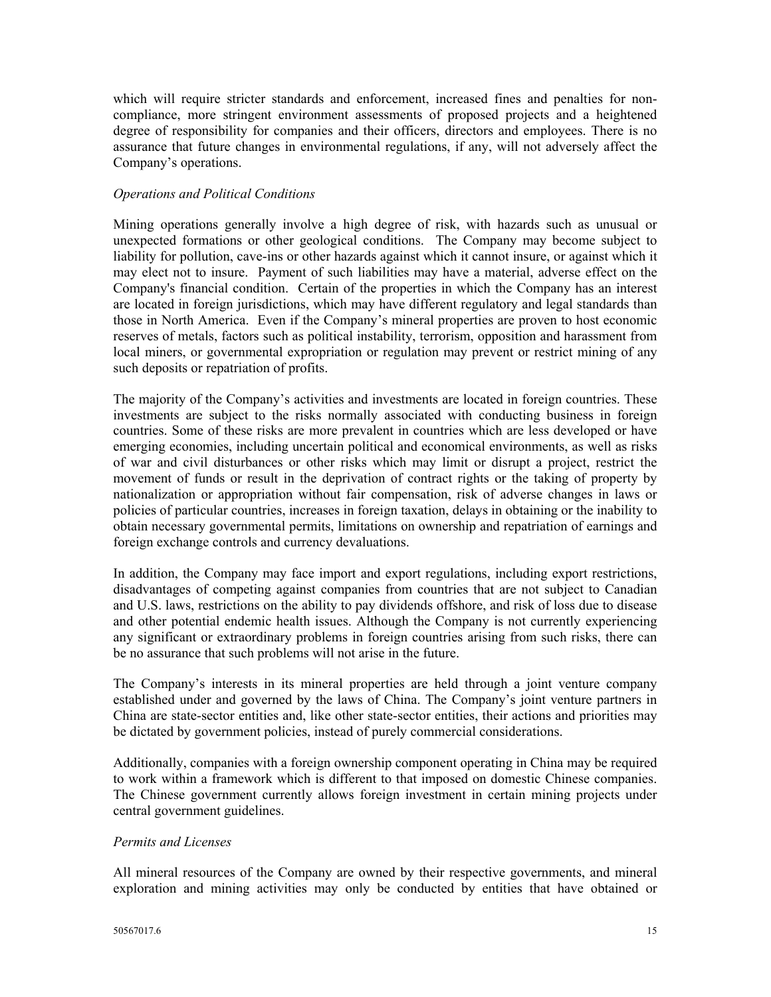which will require stricter standards and enforcement, increased fines and penalties for noncompliance, more stringent environment assessments of proposed projects and a heightened degree of responsibility for companies and their officers, directors and employees. There is no assurance that future changes in environmental regulations, if any, will not adversely affect the Company's operations.

#### *Operations and Political Conditions*

Mining operations generally involve a high degree of risk, with hazards such as unusual or unexpected formations or other geological conditions. The Company may become subject to liability for pollution, cave-ins or other hazards against which it cannot insure, or against which it may elect not to insure. Payment of such liabilities may have a material, adverse effect on the Company's financial condition. Certain of the properties in which the Company has an interest are located in foreign jurisdictions, which may have different regulatory and legal standards than those in North America. Even if the Company's mineral properties are proven to host economic reserves of metals, factors such as political instability, terrorism, opposition and harassment from local miners, or governmental expropriation or regulation may prevent or restrict mining of any such deposits or repatriation of profits.

The majority of the Company's activities and investments are located in foreign countries. These investments are subject to the risks normally associated with conducting business in foreign countries. Some of these risks are more prevalent in countries which are less developed or have emerging economies, including uncertain political and economical environments, as well as risks of war and civil disturbances or other risks which may limit or disrupt a project, restrict the movement of funds or result in the deprivation of contract rights or the taking of property by nationalization or appropriation without fair compensation, risk of adverse changes in laws or policies of particular countries, increases in foreign taxation, delays in obtaining or the inability to obtain necessary governmental permits, limitations on ownership and repatriation of earnings and foreign exchange controls and currency devaluations.

In addition, the Company may face import and export regulations, including export restrictions, disadvantages of competing against companies from countries that are not subject to Canadian and U.S. laws, restrictions on the ability to pay dividends offshore, and risk of loss due to disease and other potential endemic health issues. Although the Company is not currently experiencing any significant or extraordinary problems in foreign countries arising from such risks, there can be no assurance that such problems will not arise in the future.

The Company's interests in its mineral properties are held through a joint venture company established under and governed by the laws of China. The Company's joint venture partners in China are state-sector entities and, like other state-sector entities, their actions and priorities may be dictated by government policies, instead of purely commercial considerations.

Additionally, companies with a foreign ownership component operating in China may be required to work within a framework which is different to that imposed on domestic Chinese companies. The Chinese government currently allows foreign investment in certain mining projects under central government guidelines.

## *Permits and Licenses*

All mineral resources of the Company are owned by their respective governments, and mineral exploration and mining activities may only be conducted by entities that have obtained or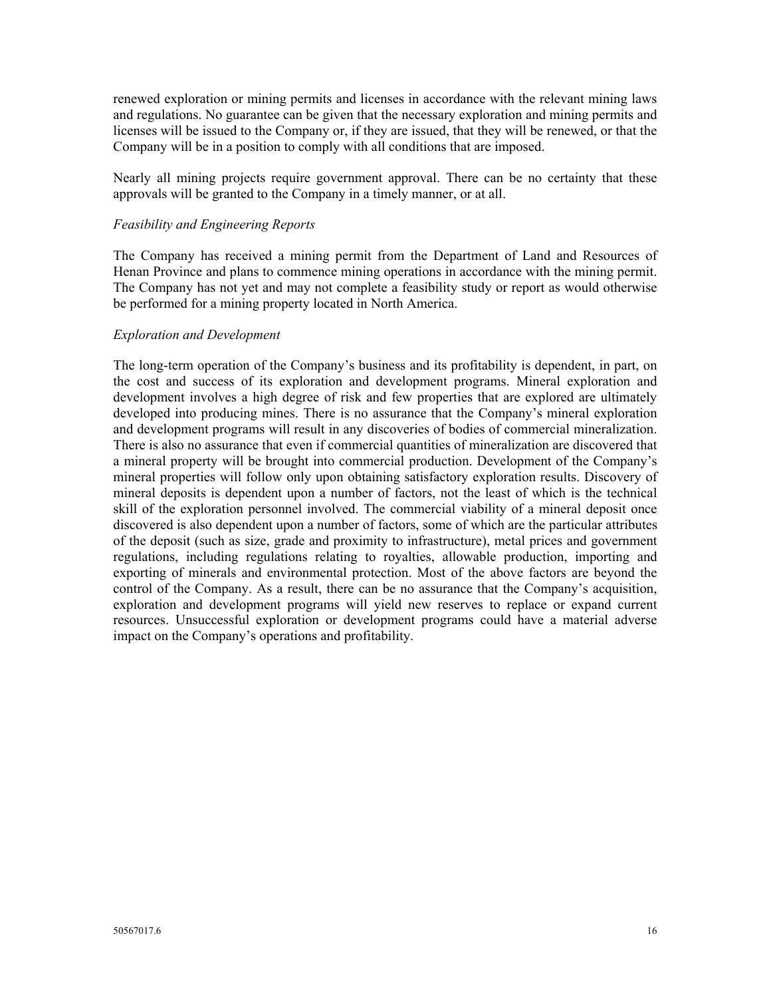renewed exploration or mining permits and licenses in accordance with the relevant mining laws and regulations. No guarantee can be given that the necessary exploration and mining permits and licenses will be issued to the Company or, if they are issued, that they will be renewed, or that the Company will be in a position to comply with all conditions that are imposed.

Nearly all mining projects require government approval. There can be no certainty that these approvals will be granted to the Company in a timely manner, or at all.

#### *Feasibility and Engineering Reports*

The Company has received a mining permit from the Department of Land and Resources of Henan Province and plans to commence mining operations in accordance with the mining permit. The Company has not yet and may not complete a feasibility study or report as would otherwise be performed for a mining property located in North America.

#### *Exploration and Development*

The long-term operation of the Company's business and its profitability is dependent, in part, on the cost and success of its exploration and development programs. Mineral exploration and development involves a high degree of risk and few properties that are explored are ultimately developed into producing mines. There is no assurance that the Company's mineral exploration and development programs will result in any discoveries of bodies of commercial mineralization. There is also no assurance that even if commercial quantities of mineralization are discovered that a mineral property will be brought into commercial production. Development of the Company's mineral properties will follow only upon obtaining satisfactory exploration results. Discovery of mineral deposits is dependent upon a number of factors, not the least of which is the technical skill of the exploration personnel involved. The commercial viability of a mineral deposit once discovered is also dependent upon a number of factors, some of which are the particular attributes of the deposit (such as size, grade and proximity to infrastructure), metal prices and government regulations, including regulations relating to royalties, allowable production, importing and exporting of minerals and environmental protection. Most of the above factors are beyond the control of the Company. As a result, there can be no assurance that the Company's acquisition, exploration and development programs will yield new reserves to replace or expand current resources. Unsuccessful exploration or development programs could have a material adverse impact on the Company's operations and profitability.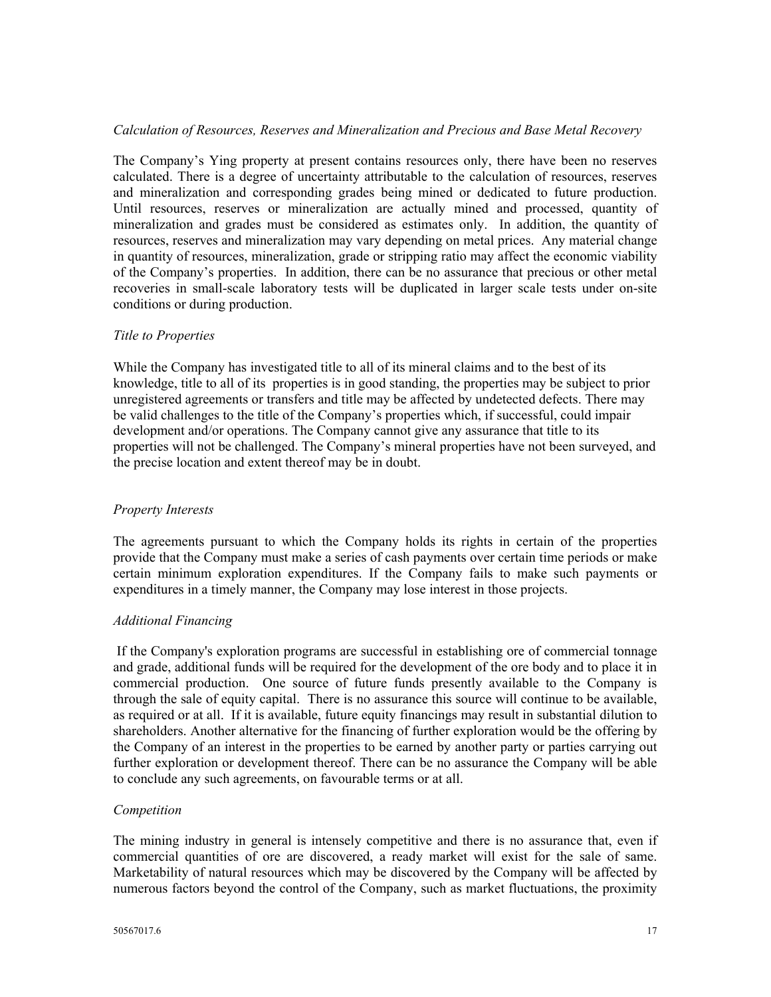## *Calculation of Resources, Reserves and Mineralization and Precious and Base Metal Recovery*

The Company's Ying property at present contains resources only, there have been no reserves calculated. There is a degree of uncertainty attributable to the calculation of resources, reserves and mineralization and corresponding grades being mined or dedicated to future production. Until resources, reserves or mineralization are actually mined and processed, quantity of mineralization and grades must be considered as estimates only. In addition, the quantity of resources, reserves and mineralization may vary depending on metal prices. Any material change in quantity of resources, mineralization, grade or stripping ratio may affect the economic viability of the Company's properties. In addition, there can be no assurance that precious or other metal recoveries in small-scale laboratory tests will be duplicated in larger scale tests under on-site conditions or during production.

## *Title to Properties*

While the Company has investigated title to all of its mineral claims and to the best of its knowledge, title to all of its properties is in good standing, the properties may be subject to prior unregistered agreements or transfers and title may be affected by undetected defects. There may be valid challenges to the title of the Company's properties which, if successful, could impair development and/or operations. The Company cannot give any assurance that title to its properties will not be challenged. The Company's mineral properties have not been surveyed, and the precise location and extent thereof may be in doubt.

## *Property Interests*

The agreements pursuant to which the Company holds its rights in certain of the properties provide that the Company must make a series of cash payments over certain time periods or make certain minimum exploration expenditures. If the Company fails to make such payments or expenditures in a timely manner, the Company may lose interest in those projects.

## *Additional Financing*

If the Company's exploration programs are successful in establishing ore of commercial tonnage and grade, additional funds will be required for the development of the ore body and to place it in commercial production. One source of future funds presently available to the Company is through the sale of equity capital. There is no assurance this source will continue to be available, as required or at all. If it is available, future equity financings may result in substantial dilution to shareholders. Another alternative for the financing of further exploration would be the offering by the Company of an interest in the properties to be earned by another party or parties carrying out further exploration or development thereof. There can be no assurance the Company will be able to conclude any such agreements, on favourable terms or at all.

## *Competition*

The mining industry in general is intensely competitive and there is no assurance that, even if commercial quantities of ore are discovered, a ready market will exist for the sale of same. Marketability of natural resources which may be discovered by the Company will be affected by numerous factors beyond the control of the Company, such as market fluctuations, the proximity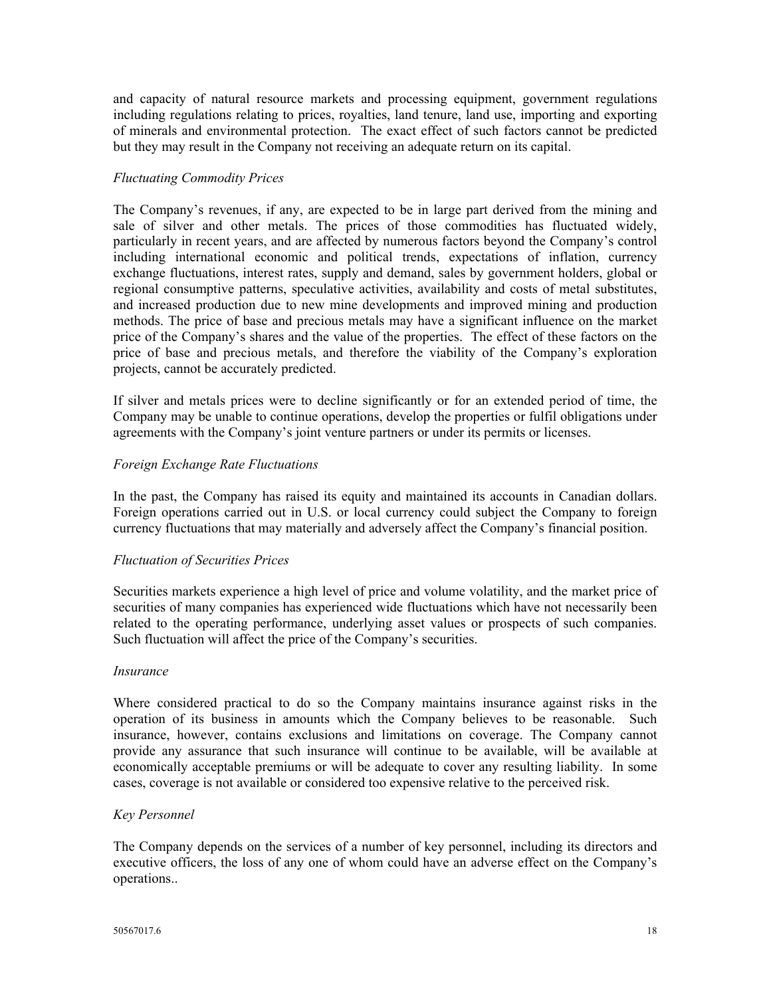and capacity of natural resource markets and processing equipment, government regulations including regulations relating to prices, royalties, land tenure, land use, importing and exporting of minerals and environmental protection. The exact effect of such factors cannot be predicted but they may result in the Company not receiving an adequate return on its capital.

#### *Fluctuating Commodity Prices*

The Company's revenues, if any, are expected to be in large part derived from the mining and sale of silver and other metals. The prices of those commodities has fluctuated widely, particularly in recent years, and are affected by numerous factors beyond the Company's control including international economic and political trends, expectations of inflation, currency exchange fluctuations, interest rates, supply and demand, sales by government holders, global or regional consumptive patterns, speculative activities, availability and costs of metal substitutes, and increased production due to new mine developments and improved mining and production methods. The price of base and precious metals may have a significant influence on the market price of the Company's shares and the value of the properties. The effect of these factors on the price of base and precious metals, and therefore the viability of the Company's exploration projects, cannot be accurately predicted.

If silver and metals prices were to decline significantly or for an extended period of time, the Company may be unable to continue operations, develop the properties or fulfil obligations under agreements with the Company's joint venture partners or under its permits or licenses.

#### *Foreign Exchange Rate Fluctuations*

In the past, the Company has raised its equity and maintained its accounts in Canadian dollars. Foreign operations carried out in U.S. or local currency could subject the Company to foreign currency fluctuations that may materially and adversely affect the Company's financial position.

## *Fluctuation of Securities Prices*

Securities markets experience a high level of price and volume volatility, and the market price of securities of many companies has experienced wide fluctuations which have not necessarily been related to the operating performance, underlying asset values or prospects of such companies. Such fluctuation will affect the price of the Company's securities.

#### *Insurance*

Where considered practical to do so the Company maintains insurance against risks in the operation of its business in amounts which the Company believes to be reasonable. Such insurance, however, contains exclusions and limitations on coverage. The Company cannot provide any assurance that such insurance will continue to be available, will be available at economically acceptable premiums or will be adequate to cover any resulting liability. In some cases, coverage is not available or considered too expensive relative to the perceived risk.

#### *Key Personnel*

The Company depends on the services of a number of key personnel, including its directors and executive officers, the loss of any one of whom could have an adverse effect on the Company's operations..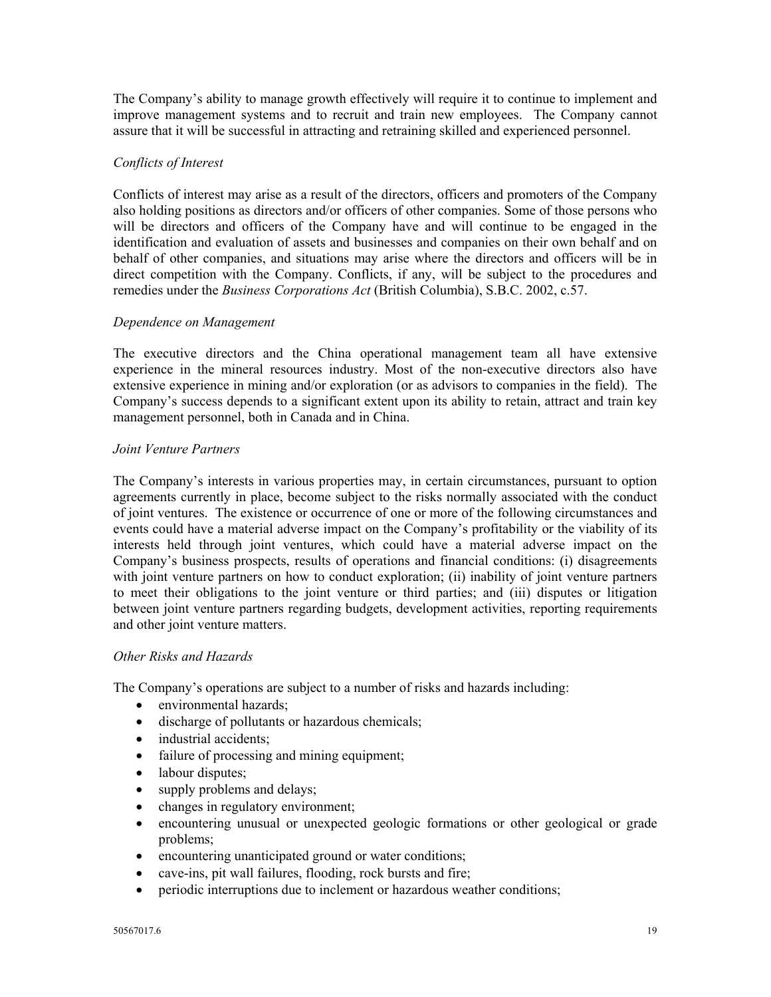The Company's ability to manage growth effectively will require it to continue to implement and improve management systems and to recruit and train new employees. The Company cannot assure that it will be successful in attracting and retraining skilled and experienced personnel.

# *Conflicts of Interest*

Conflicts of interest may arise as a result of the directors, officers and promoters of the Company also holding positions as directors and/or officers of other companies. Some of those persons who will be directors and officers of the Company have and will continue to be engaged in the identification and evaluation of assets and businesses and companies on their own behalf and on behalf of other companies, and situations may arise where the directors and officers will be in direct competition with the Company. Conflicts, if any, will be subject to the procedures and remedies under the *Business Corporations Act* (British Columbia), S.B.C. 2002, c.57.

## *Dependence on Management*

The executive directors and the China operational management team all have extensive experience in the mineral resources industry. Most of the non-executive directors also have extensive experience in mining and/or exploration (or as advisors to companies in the field). The Company's success depends to a significant extent upon its ability to retain, attract and train key management personnel, both in Canada and in China.

## *Joint Venture Partners*

The Company's interests in various properties may, in certain circumstances, pursuant to option agreements currently in place, become subject to the risks normally associated with the conduct of joint ventures. The existence or occurrence of one or more of the following circumstances and events could have a material adverse impact on the Company's profitability or the viability of its interests held through joint ventures, which could have a material adverse impact on the Company's business prospects, results of operations and financial conditions: (i) disagreements with joint venture partners on how to conduct exploration; (ii) inability of joint venture partners to meet their obligations to the joint venture or third parties; and (iii) disputes or litigation between joint venture partners regarding budgets, development activities, reporting requirements and other joint venture matters.

#### *Other Risks and Hazards*

The Company's operations are subject to a number of risks and hazards including:

- environmental hazards;
- discharge of pollutants or hazardous chemicals;
- industrial accidents;
- failure of processing and mining equipment;
- labour disputes;
- supply problems and delays;
- changes in regulatory environment;
- encountering unusual or unexpected geologic formations or other geological or grade problems;
- encountering unanticipated ground or water conditions;
- cave-ins, pit wall failures, flooding, rock bursts and fire;
- periodic interruptions due to inclement or hazardous weather conditions;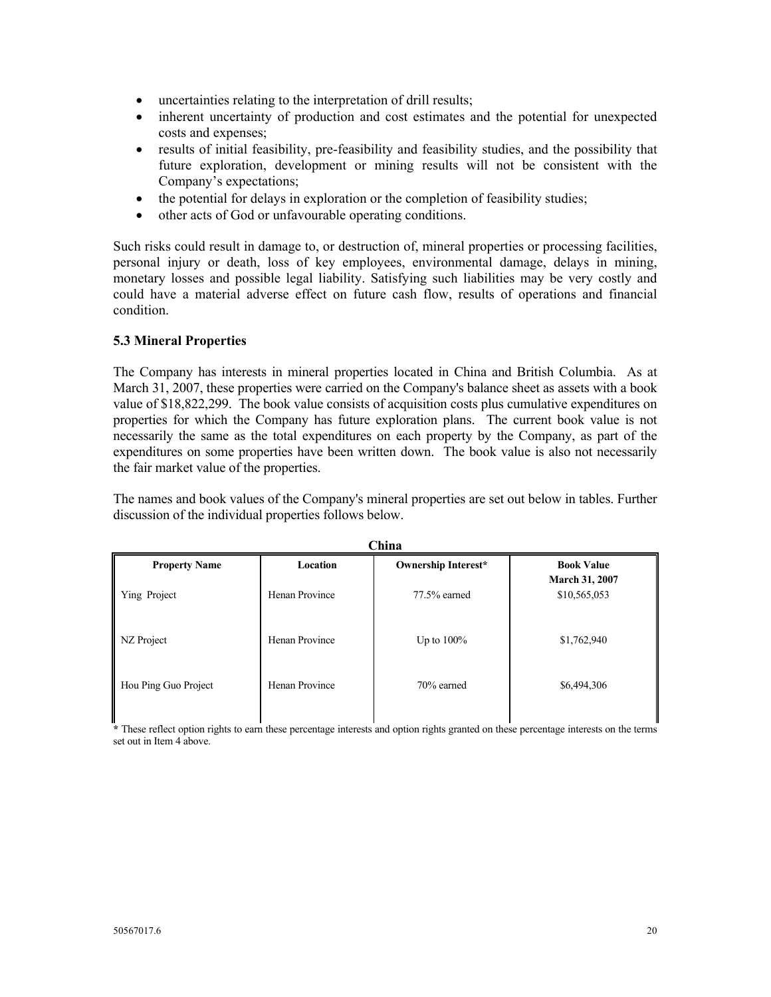- uncertainties relating to the interpretation of drill results;
- inherent uncertainty of production and cost estimates and the potential for unexpected costs and expenses;
- results of initial feasibility, pre-feasibility and feasibility studies, and the possibility that future exploration, development or mining results will not be consistent with the Company's expectations;
- the potential for delays in exploration or the completion of feasibility studies;
- other acts of God or unfavourable operating conditions.

Such risks could result in damage to, or destruction of, mineral properties or processing facilities, personal injury or death, loss of key employees, environmental damage, delays in mining, monetary losses and possible legal liability. Satisfying such liabilities may be very costly and could have a material adverse effect on future cash flow, results of operations and financial condition.

## **5.3 Mineral Properties**

The Company has interests in mineral properties located in China and British Columbia. As at March 31, 2007, these properties were carried on the Company's balance sheet as assets with a book value of \$18,822,299. The book value consists of acquisition costs plus cumulative expenditures on properties for which the Company has future exploration plans. The current book value is not necessarily the same as the total expenditures on each property by the Company, as part of the expenditures on some properties have been written down. The book value is also not necessarily the fair market value of the properties.

The names and book values of the Company's mineral properties are set out below in tables. Further discussion of the individual properties follows below.

| China                |                |                            |                                       |  |  |
|----------------------|----------------|----------------------------|---------------------------------------|--|--|
| <b>Property Name</b> | Location       | <b>Ownership Interest*</b> | <b>Book Value</b>                     |  |  |
| Ying Project         | Henan Province | 77.5% earned               | <b>March 31, 2007</b><br>\$10,565,053 |  |  |
| NZ Project           | Henan Province | Up to $100\%$              | \$1,762,940                           |  |  |
| Hou Ping Guo Project | Henan Province | 70% earned                 | \$6,494,306                           |  |  |

**\*** These reflect option rights to earn these percentage interests and option rights granted on these percentage interests on the terms set out in Item 4 above.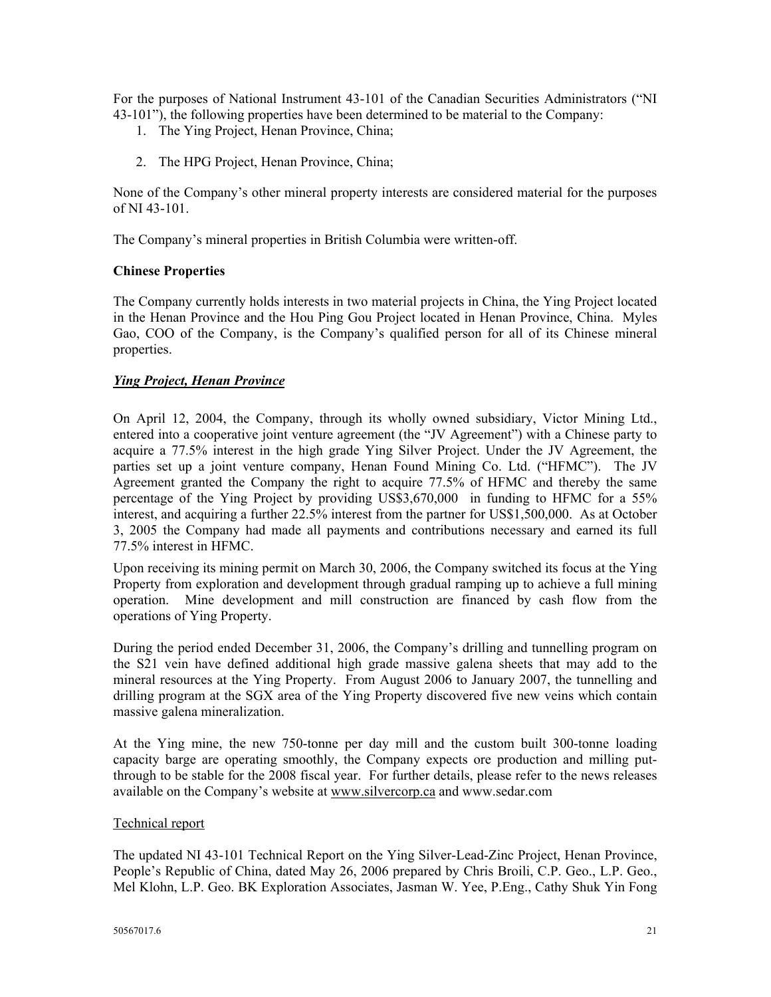For the purposes of National Instrument 43-101 of the Canadian Securities Administrators ("NI 43-101"), the following properties have been determined to be material to the Company:

- 1. The Ying Project, Henan Province, China;
- 2. The HPG Project, Henan Province, China;

None of the Company's other mineral property interests are considered material for the purposes of NI 43-101.

The Company's mineral properties in British Columbia were written-off.

#### **Chinese Properties**

The Company currently holds interests in two material projects in China, the Ying Project located in the Henan Province and the Hou Ping Gou Project located in Henan Province, China. Myles Gao, COO of the Company, is the Company's qualified person for all of its Chinese mineral properties.

## *Ying Project, Henan Province*

On April 12, 2004, the Company, through its wholly owned subsidiary, Victor Mining Ltd., entered into a cooperative joint venture agreement (the "JV Agreement") with a Chinese party to acquire a 77.5% interest in the high grade Ying Silver Project. Under the JV Agreement, the parties set up a joint venture company, Henan Found Mining Co. Ltd. ("HFMC"). The JV Agreement granted the Company the right to acquire 77.5% of HFMC and thereby the same percentage of the Ying Project by providing US\$3,670,000 in funding to HFMC for a 55% interest, and acquiring a further 22.5% interest from the partner for US\$1,500,000. As at October 3, 2005 the Company had made all payments and contributions necessary and earned its full 77.5% interest in HFMC.

Upon receiving its mining permit on March 30, 2006, the Company switched its focus at the Ying Property from exploration and development through gradual ramping up to achieve a full mining operation. Mine development and mill construction are financed by cash flow from the operations of Ying Property.

During the period ended December 31, 2006, the Company's drilling and tunnelling program on the S21 vein have defined additional high grade massive galena sheets that may add to the mineral resources at the Ying Property. From August 2006 to January 2007, the tunnelling and drilling program at the SGX area of the Ying Property discovered five new veins which contain massive galena mineralization.

At the Ying mine, the new 750-tonne per day mill and the custom built 300-tonne loading capacity barge are operating smoothly, the Company expects ore production and milling putthrough to be stable for the 2008 fiscal year. For further details, please refer to the news releases available on the Company's website at www.silvercorp.ca and www.sedar.com

#### Technical report

The updated NI 43-101 Technical Report on the Ying Silver-Lead-Zinc Project, Henan Province, People's Republic of China, dated May 26, 2006 prepared by Chris Broili, C.P. Geo., L.P. Geo., Mel Klohn, L.P. Geo. BK Exploration Associates, Jasman W. Yee, P.Eng., Cathy Shuk Yin Fong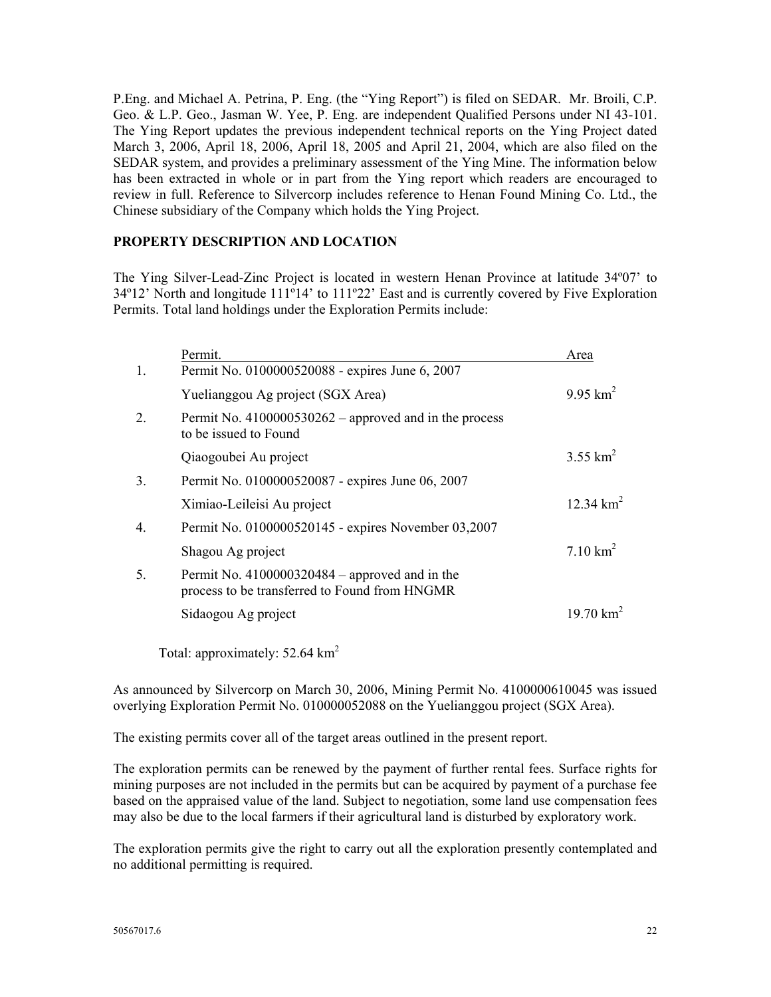P.Eng. and Michael A. Petrina, P. Eng. (the "Ying Report") is filed on SEDAR. Mr. Broili, C.P. Geo. & L.P. Geo., Jasman W. Yee, P. Eng. are independent Qualified Persons under NI 43-101. The Ying Report updates the previous independent technical reports on the Ying Project dated March 3, 2006, April 18, 2006, April 18, 2005 and April 21, 2004, which are also filed on the SEDAR system, and provides a preliminary assessment of the Ying Mine. The information below has been extracted in whole or in part from the Ying report which readers are encouraged to review in full. Reference to Silvercorp includes reference to Henan Found Mining Co. Ltd., the Chinese subsidiary of the Company which holds the Ying Project.

## **PROPERTY DESCRIPTION AND LOCATION**

The Ying Silver-Lead-Zinc Project is located in western Henan Province at latitude 34º07' to 34º12' North and longitude 111º14' to 111º22' East and is currently covered by Five Exploration Permits. Total land holdings under the Exploration Permits include:

|         | Permit.                                                                                           | Area                |
|---------|---------------------------------------------------------------------------------------------------|---------------------|
| 1.      | Permit No. 0100000520088 - expires June 6, 2007                                                   |                     |
|         | Yuelianggou Ag project (SGX Area)                                                                 | $9.95 \text{ km}^2$ |
| $2_{-}$ | Permit No. $4100000530262$ – approved and in the process<br>to be issued to Found                 |                     |
|         | Qiaogoubei Au project                                                                             | 3.55 $km^2$         |
| 3.      | Permit No. 0100000520087 - expires June 06, 2007                                                  |                     |
|         | Ximiao-Leileisi Au project                                                                        | 12.34 $km^2$        |
| 4.      | Permit No. 0100000520145 - expires November 03,2007                                               |                     |
|         | Shagou Ag project                                                                                 | $7.10 \text{ km}^2$ |
| 5.      | Permit No. $4100000320484$ – approved and in the<br>process to be transferred to Found from HNGMR |                     |
|         | Sidaogou Ag project                                                                               | 19.70 $km^2$        |
|         |                                                                                                   |                     |

Total: approximately: 52.64 km<sup>2</sup>

As announced by Silvercorp on March 30, 2006, Mining Permit No. 4100000610045 was issued overlying Exploration Permit No. 010000052088 on the Yuelianggou project (SGX Area).

The existing permits cover all of the target areas outlined in the present report.

The exploration permits can be renewed by the payment of further rental fees. Surface rights for mining purposes are not included in the permits but can be acquired by payment of a purchase fee based on the appraised value of the land. Subject to negotiation, some land use compensation fees may also be due to the local farmers if their agricultural land is disturbed by exploratory work.

The exploration permits give the right to carry out all the exploration presently contemplated and no additional permitting is required.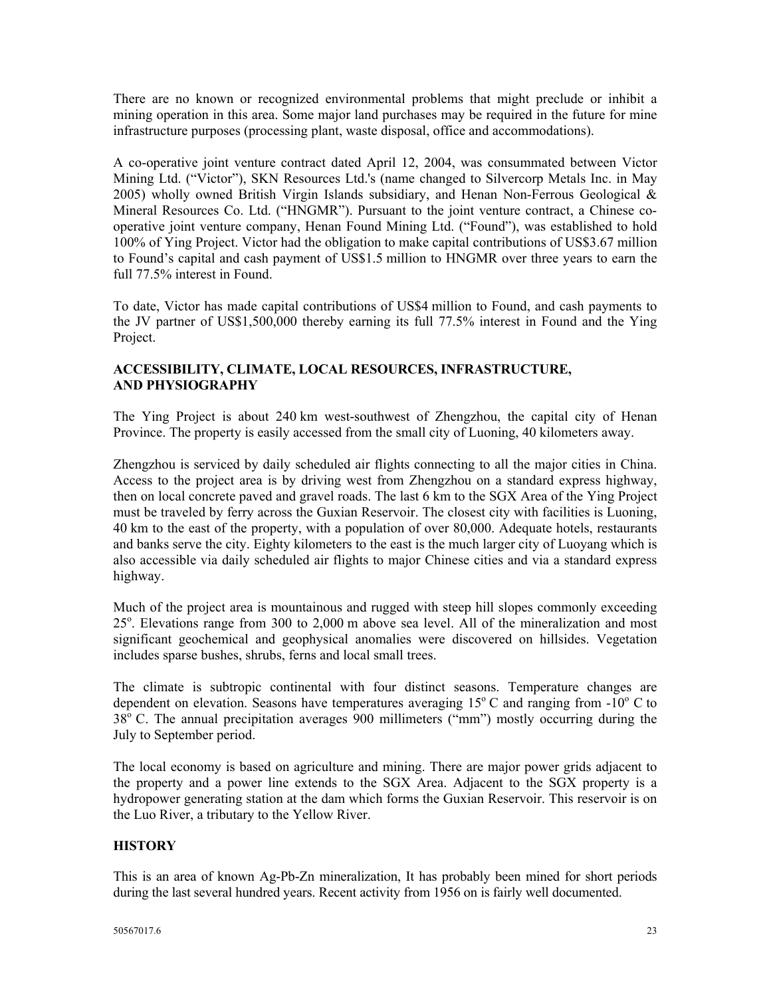There are no known or recognized environmental problems that might preclude or inhibit a mining operation in this area. Some major land purchases may be required in the future for mine infrastructure purposes (processing plant, waste disposal, office and accommodations).

A co-operative joint venture contract dated April 12, 2004, was consummated between Victor Mining Ltd. ("Victor"), SKN Resources Ltd.'s (name changed to Silvercorp Metals Inc. in May 2005) wholly owned British Virgin Islands subsidiary, and Henan Non-Ferrous Geological & Mineral Resources Co. Ltd. ("HNGMR"). Pursuant to the joint venture contract, a Chinese cooperative joint venture company, Henan Found Mining Ltd. ("Found"), was established to hold 100% of Ying Project. Victor had the obligation to make capital contributions of US\$3.67 million to Found's capital and cash payment of US\$1.5 million to HNGMR over three years to earn the full 77.5% interest in Found.

To date, Victor has made capital contributions of US\$4 million to Found, and cash payments to the JV partner of US\$1,500,000 thereby earning its full 77.5% interest in Found and the Ying Project.

# **ACCESSIBILITY, CLIMATE, LOCAL RESOURCES, INFRASTRUCTURE, AND PHYSIOGRAPHY**

The Ying Project is about 240 km west-southwest of Zhengzhou, the capital city of Henan Province. The property is easily accessed from the small city of Luoning, 40 kilometers away.

Zhengzhou is serviced by daily scheduled air flights connecting to all the major cities in China. Access to the project area is by driving west from Zhengzhou on a standard express highway, then on local concrete paved and gravel roads. The last 6 km to the SGX Area of the Ying Project must be traveled by ferry across the Guxian Reservoir. The closest city with facilities is Luoning, 40 km to the east of the property, with a population of over 80,000. Adequate hotels, restaurants and banks serve the city. Eighty kilometers to the east is the much larger city of Luoyang which is also accessible via daily scheduled air flights to major Chinese cities and via a standard express highway.

Much of the project area is mountainous and rugged with steep hill slopes commonly exceeding 25°. Elevations range from 300 to 2,000 m above sea level. All of the mineralization and most significant geochemical and geophysical anomalies were discovered on hillsides. Vegetation includes sparse bushes, shrubs, ferns and local small trees.

The climate is subtropic continental with four distinct seasons. Temperature changes are dependent on elevation. Seasons have temperatures averaging  $15^{\circ}$  C and ranging from  $-10^{\circ}$  C to 38<sup>°</sup> C. The annual precipitation averages 900 millimeters ("mm") mostly occurring during the July to September period.

The local economy is based on agriculture and mining. There are major power grids adjacent to the property and a power line extends to the SGX Area. Adjacent to the SGX property is a hydropower generating station at the dam which forms the Guxian Reservoir. This reservoir is on the Luo River, a tributary to the Yellow River.

# **HISTORY**

This is an area of known Ag-Pb-Zn mineralization, It has probably been mined for short periods during the last several hundred years. Recent activity from 1956 on is fairly well documented.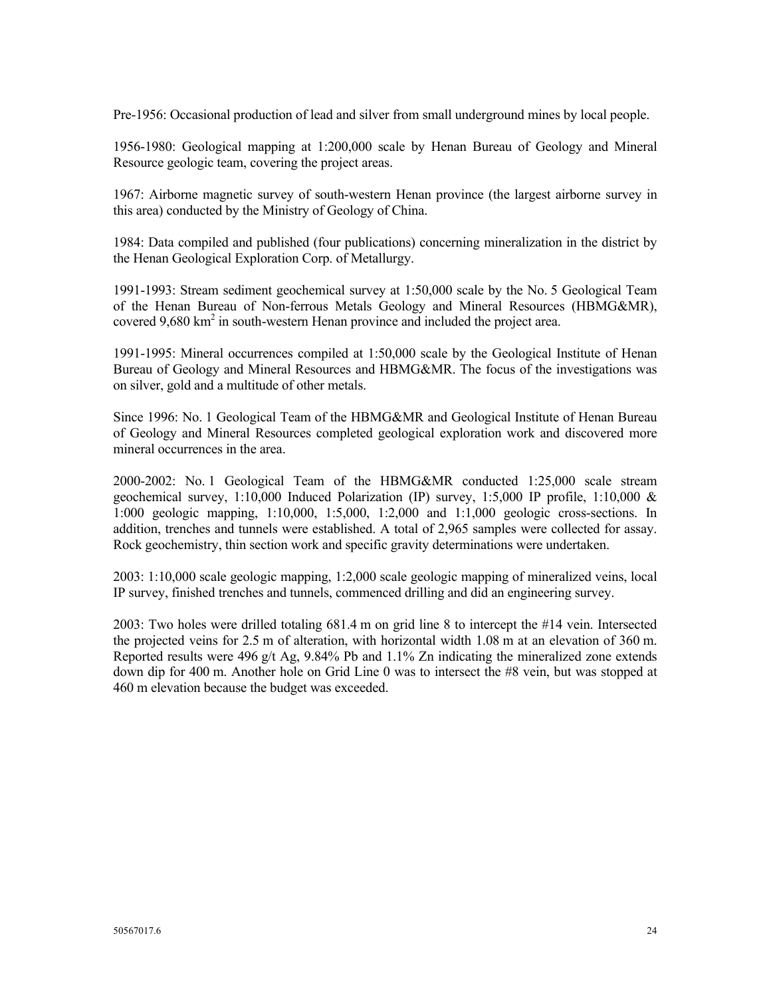Pre-1956: Occasional production of lead and silver from small underground mines by local people.

1956-1980: Geological mapping at 1:200,000 scale by Henan Bureau of Geology and Mineral Resource geologic team, covering the project areas.

1967: Airborne magnetic survey of south-western Henan province (the largest airborne survey in this area) conducted by the Ministry of Geology of China.

1984: Data compiled and published (four publications) concerning mineralization in the district by the Henan Geological Exploration Corp. of Metallurgy.

1991-1993: Stream sediment geochemical survey at 1:50,000 scale by the No. 5 Geological Team of the Henan Bureau of Non-ferrous Metals Geology and Mineral Resources (HBMG&MR), covered 9,680 km<sup>2</sup> in south-western Henan province and included the project area.

1991-1995: Mineral occurrences compiled at 1:50,000 scale by the Geological Institute of Henan Bureau of Geology and Mineral Resources and HBMG&MR. The focus of the investigations was on silver, gold and a multitude of other metals.

Since 1996: No. 1 Geological Team of the HBMG&MR and Geological Institute of Henan Bureau of Geology and Mineral Resources completed geological exploration work and discovered more mineral occurrences in the area.

2000-2002: No. 1 Geological Team of the HBMG&MR conducted 1:25,000 scale stream geochemical survey, 1:10,000 Induced Polarization (IP) survey, 1:5,000 IP profile, 1:10,000 & 1:000 geologic mapping, 1:10,000, 1:5,000, 1:2,000 and 1:1,000 geologic cross-sections. In addition, trenches and tunnels were established. A total of 2,965 samples were collected for assay. Rock geochemistry, thin section work and specific gravity determinations were undertaken.

2003: 1:10,000 scale geologic mapping, 1:2,000 scale geologic mapping of mineralized veins, local IP survey, finished trenches and tunnels, commenced drilling and did an engineering survey.

2003: Two holes were drilled totaling 681.4 m on grid line 8 to intercept the #14 vein. Intersected the projected veins for 2.5 m of alteration, with horizontal width 1.08 m at an elevation of 360 m. Reported results were 496 g/t Ag, 9.84% Pb and 1.1% Zn indicating the mineralized zone extends down dip for 400 m. Another hole on Grid Line 0 was to intersect the #8 vein, but was stopped at 460 m elevation because the budget was exceeded.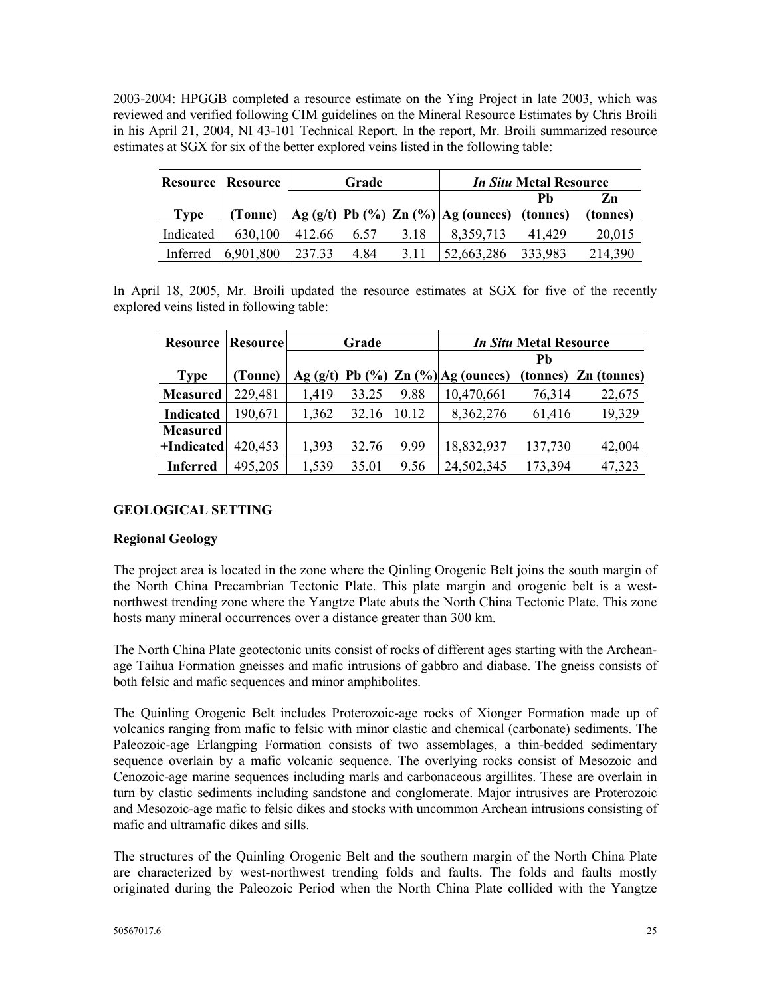2003-2004: HPGGB completed a resource estimate on the Ying Project in late 2003, which was reviewed and verified following CIM guidelines on the Mineral Resource Estimates by Chris Broili in his April 21, 2004, NI 43-101 Technical Report. In the report, Mr. Broili summarized resource estimates at SGX for six of the better explored veins listed in the following table:

|             | <b>Resource Resource</b> | Grade  |      |      |                                                                                            | <i>In Situ</i> Metal Resource |          |
|-------------|--------------------------|--------|------|------|--------------------------------------------------------------------------------------------|-------------------------------|----------|
|             |                          |        |      |      |                                                                                            | Ph                            | Zn       |
| <b>Type</b> | (Tonne)                  |        |      |      | $\left  \text{Ag (g/t)} \text{ Pb (%) Zn (%)} \right  \text{Ag (ounces)} \text{ (tonnes)}$ |                               | (tonnes) |
| Indicated   | 630,100                  | 412.66 | 6.57 | 3.18 | 8,359,713                                                                                  | 41.429                        | 20,015   |
| Inferred    | 6,901,800                | 237.33 | 4.84 | 3.11 | 52,663,286                                                                                 | 333,983                       | 214,390  |

In April 18, 2005, Mr. Broili updated the resource estimates at SGX for five of the recently explored veins listed in following table:

| <b>Resource</b>  | <b>Resource</b> | Grade |       |       |                                            | <i>In Situ</i> Metal Resource |                      |
|------------------|-----------------|-------|-------|-------|--------------------------------------------|-------------------------------|----------------------|
|                  |                 |       |       |       |                                            | Ph                            |                      |
| <b>Type</b>      | (Tonne)         |       |       |       | Ag $(g/t)$ Pb $(\%)$ Zn $(\%)$ Ag (ounces) |                               | (tonnes) Zn (tonnes) |
| <b>Measured</b>  | 229,481         | 1,419 | 33.25 | 9.88  | 10,470,661                                 | 76,314                        | 22,675               |
| <b>Indicated</b> | 190,671         | 1,362 | 32.16 | 10.12 | 8,362,276                                  | 61,416                        | 19,329               |
| <b>Measured</b>  |                 |       |       |       |                                            |                               |                      |
| +Indicated       | 420,453         | 1,393 | 32.76 | 9.99  | 18,832,937                                 | 137,730                       | 42,004               |
| <b>Inferred</b>  | 495,205         | 1,539 | 35.01 | 9.56  | 24,502,345                                 | 173,394                       | 47,323               |

## **GEOLOGICAL SETTING**

## **Regional Geology**

The project area is located in the zone where the Qinling Orogenic Belt joins the south margin of the North China Precambrian Tectonic Plate. This plate margin and orogenic belt is a westnorthwest trending zone where the Yangtze Plate abuts the North China Tectonic Plate. This zone hosts many mineral occurrences over a distance greater than 300 km.

The North China Plate geotectonic units consist of rocks of different ages starting with the Archeanage Taihua Formation gneisses and mafic intrusions of gabbro and diabase. The gneiss consists of both felsic and mafic sequences and minor amphibolites.

The Quinling Orogenic Belt includes Proterozoic-age rocks of Xionger Formation made up of volcanics ranging from mafic to felsic with minor clastic and chemical (carbonate) sediments. The Paleozoic-age Erlangping Formation consists of two assemblages, a thin-bedded sedimentary sequence overlain by a mafic volcanic sequence. The overlying rocks consist of Mesozoic and Cenozoic-age marine sequences including marls and carbonaceous argillites. These are overlain in turn by clastic sediments including sandstone and conglomerate. Major intrusives are Proterozoic and Mesozoic-age mafic to felsic dikes and stocks with uncommon Archean intrusions consisting of mafic and ultramafic dikes and sills.

The structures of the Quinling Orogenic Belt and the southern margin of the North China Plate are characterized by west-northwest trending folds and faults. The folds and faults mostly originated during the Paleozoic Period when the North China Plate collided with the Yangtze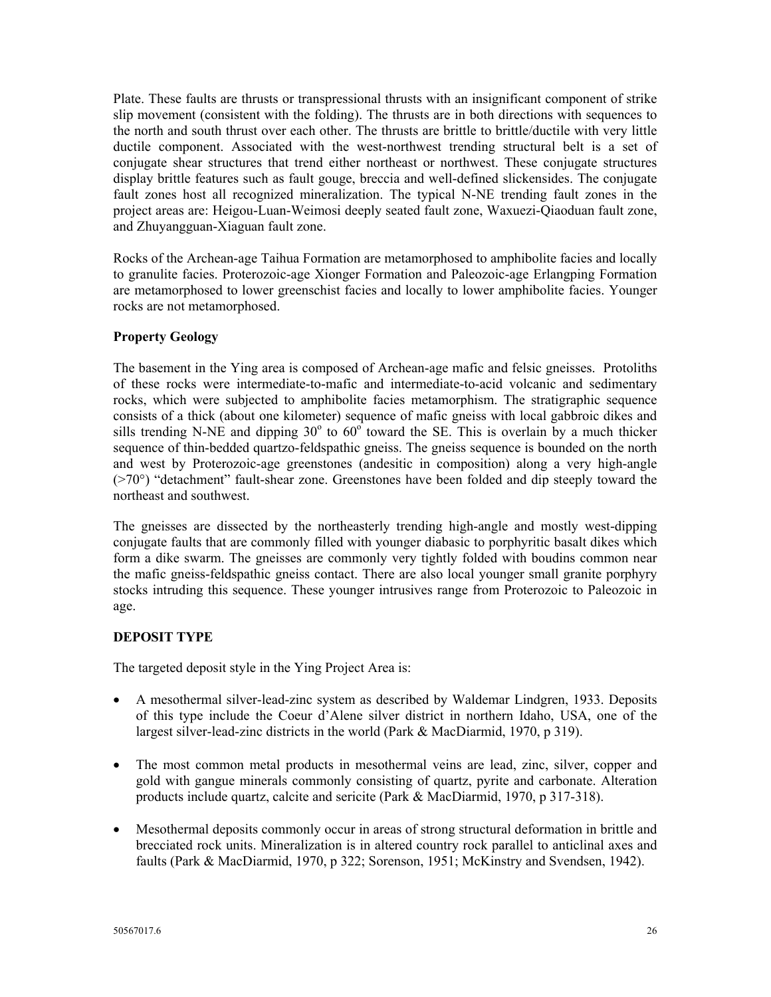Plate. These faults are thrusts or transpressional thrusts with an insignificant component of strike slip movement (consistent with the folding). The thrusts are in both directions with sequences to the north and south thrust over each other. The thrusts are brittle to brittle/ductile with very little ductile component. Associated with the west-northwest trending structural belt is a set of conjugate shear structures that trend either northeast or northwest. These conjugate structures display brittle features such as fault gouge, breccia and well-defined slickensides. The conjugate fault zones host all recognized mineralization. The typical N-NE trending fault zones in the project areas are: Heigou-Luan-Weimosi deeply seated fault zone, Waxuezi-Qiaoduan fault zone, and Zhuyangguan-Xiaguan fault zone.

Rocks of the Archean-age Taihua Formation are metamorphosed to amphibolite facies and locally to granulite facies. Proterozoic-age Xionger Formation and Paleozoic-age Erlangping Formation are metamorphosed to lower greenschist facies and locally to lower amphibolite facies. Younger rocks are not metamorphosed.

# **Property Geology**

The basement in the Ying area is composed of Archean-age mafic and felsic gneisses. Protoliths of these rocks were intermediate-to-mafic and intermediate-to-acid volcanic and sedimentary rocks, which were subjected to amphibolite facies metamorphism. The stratigraphic sequence consists of a thick (about one kilometer) sequence of mafic gneiss with local gabbroic dikes and sills trending N-NE and dipping  $30^{\circ}$  to  $60^{\circ}$  toward the SE. This is overlain by a much thicker sequence of thin-bedded quartzo-feldspathic gneiss. The gneiss sequence is bounded on the north and west by Proterozoic-age greenstones (andesitic in composition) along a very high-angle (>70°) "detachment" fault-shear zone. Greenstones have been folded and dip steeply toward the northeast and southwest.

The gneisses are dissected by the northeasterly trending high-angle and mostly west-dipping conjugate faults that are commonly filled with younger diabasic to porphyritic basalt dikes which form a dike swarm. The gneisses are commonly very tightly folded with boudins common near the mafic gneiss-feldspathic gneiss contact. There are also local younger small granite porphyry stocks intruding this sequence. These younger intrusives range from Proterozoic to Paleozoic in age.

# **DEPOSIT TYPE**

The targeted deposit style in the Ying Project Area is:

- A mesothermal silver-lead-zinc system as described by Waldemar Lindgren, 1933. Deposits of this type include the Coeur d'Alene silver district in northern Idaho, USA, one of the largest silver-lead-zinc districts in the world (Park & MacDiarmid, 1970, p 319).
- The most common metal products in mesothermal veins are lead, zinc, silver, copper and gold with gangue minerals commonly consisting of quartz, pyrite and carbonate. Alteration products include quartz, calcite and sericite (Park & MacDiarmid, 1970, p 317-318).
- Mesothermal deposits commonly occur in areas of strong structural deformation in brittle and brecciated rock units. Mineralization is in altered country rock parallel to anticlinal axes and faults (Park & MacDiarmid, 1970, p 322; Sorenson, 1951; McKinstry and Svendsen, 1942).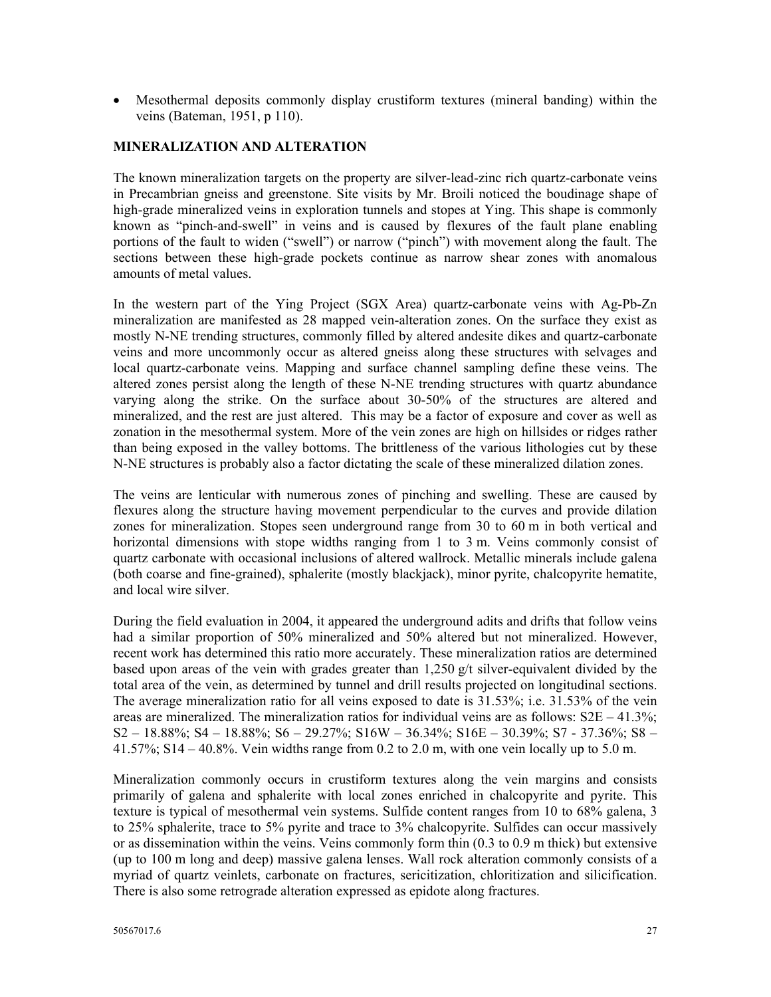• Mesothermal deposits commonly display crustiform textures (mineral banding) within the veins (Bateman, 1951, p 110).

## **MINERALIZATION AND ALTERATION**

The known mineralization targets on the property are silver-lead-zinc rich quartz-carbonate veins in Precambrian gneiss and greenstone. Site visits by Mr. Broili noticed the boudinage shape of high-grade mineralized veins in exploration tunnels and stopes at Ying. This shape is commonly known as "pinch-and-swell" in veins and is caused by flexures of the fault plane enabling portions of the fault to widen ("swell") or narrow ("pinch") with movement along the fault. The sections between these high-grade pockets continue as narrow shear zones with anomalous amounts of metal values.

In the western part of the Ying Project (SGX Area) quartz-carbonate veins with Ag-Pb-Zn mineralization are manifested as 28 mapped vein-alteration zones. On the surface they exist as mostly N-NE trending structures, commonly filled by altered andesite dikes and quartz-carbonate veins and more uncommonly occur as altered gneiss along these structures with selvages and local quartz-carbonate veins. Mapping and surface channel sampling define these veins. The altered zones persist along the length of these N-NE trending structures with quartz abundance varying along the strike. On the surface about 30-50% of the structures are altered and mineralized, and the rest are just altered. This may be a factor of exposure and cover as well as zonation in the mesothermal system. More of the vein zones are high on hillsides or ridges rather than being exposed in the valley bottoms. The brittleness of the various lithologies cut by these N-NE structures is probably also a factor dictating the scale of these mineralized dilation zones.

The veins are lenticular with numerous zones of pinching and swelling. These are caused by flexures along the structure having movement perpendicular to the curves and provide dilation zones for mineralization. Stopes seen underground range from 30 to 60 m in both vertical and horizontal dimensions with stope widths ranging from 1 to 3 m. Veins commonly consist of quartz carbonate with occasional inclusions of altered wallrock. Metallic minerals include galena (both coarse and fine-grained), sphalerite (mostly blackjack), minor pyrite, chalcopyrite hematite, and local wire silver.

During the field evaluation in 2004, it appeared the underground adits and drifts that follow veins had a similar proportion of 50% mineralized and 50% altered but not mineralized. However, recent work has determined this ratio more accurately. These mineralization ratios are determined based upon areas of the vein with grades greater than  $1,250$  g/t silver-equivalent divided by the total area of the vein, as determined by tunnel and drill results projected on longitudinal sections. The average mineralization ratio for all veins exposed to date is 31.53%; i.e. 31.53% of the vein areas are mineralized. The mineralization ratios for individual veins are as follows:  $S2E - 41.3\%$ ; S2 – 18.88%; S4 – 18.88%; S6 – 29.27%; S16W – 36.34%; S16E – 30.39%; S7 - 37.36%; S8 – 41.57%;  $S14 - 40.8$ %. Vein widths range from 0.2 to 2.0 m, with one vein locally up to 5.0 m.

Mineralization commonly occurs in crustiform textures along the vein margins and consists primarily of galena and sphalerite with local zones enriched in chalcopyrite and pyrite. This texture is typical of mesothermal vein systems. Sulfide content ranges from 10 to 68% galena, 3 to 25% sphalerite, trace to 5% pyrite and trace to 3% chalcopyrite. Sulfides can occur massively or as dissemination within the veins. Veins commonly form thin (0.3 to 0.9 m thick) but extensive (up to 100 m long and deep) massive galena lenses. Wall rock alteration commonly consists of a myriad of quartz veinlets, carbonate on fractures, sericitization, chloritization and silicification. There is also some retrograde alteration expressed as epidote along fractures.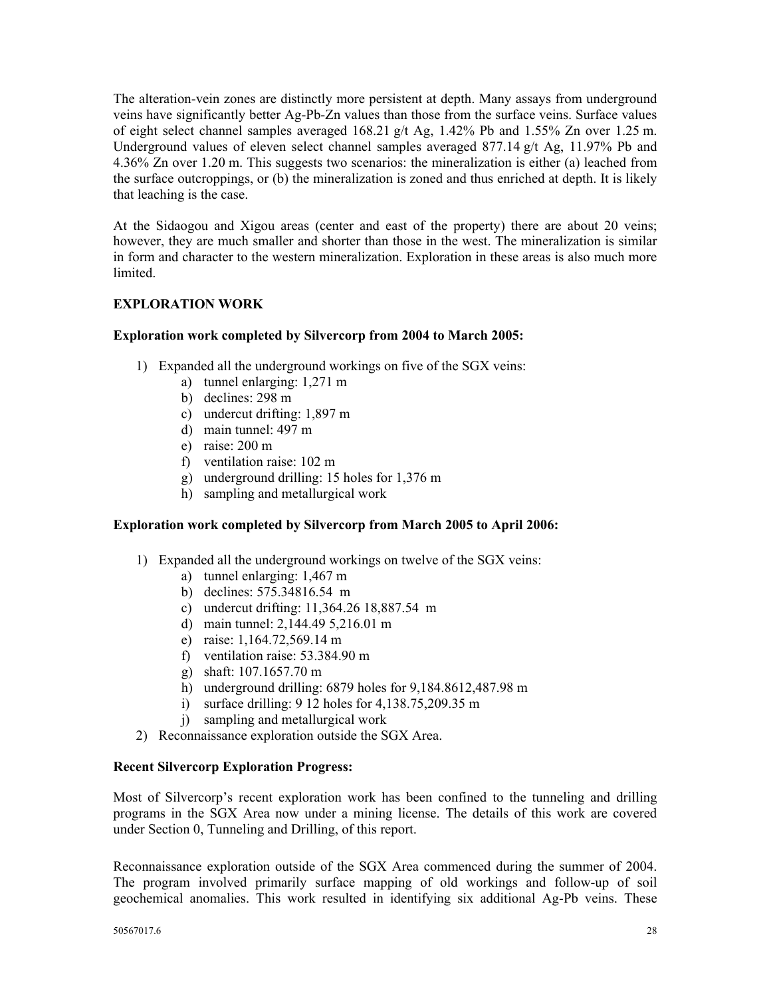The alteration-vein zones are distinctly more persistent at depth. Many assays from underground veins have significantly better Ag-Pb-Zn values than those from the surface veins. Surface values of eight select channel samples averaged 168.21 g/t Ag, 1.42% Pb and 1.55% Zn over 1.25 m. Underground values of eleven select channel samples averaged 877.14 g/t Ag, 11.97% Pb and 4.36% Zn over 1.20 m. This suggests two scenarios: the mineralization is either (a) leached from the surface outcroppings, or (b) the mineralization is zoned and thus enriched at depth. It is likely that leaching is the case.

At the Sidaogou and Xigou areas (center and east of the property) there are about 20 veins; however, they are much smaller and shorter than those in the west. The mineralization is similar in form and character to the western mineralization. Exploration in these areas is also much more **limited** 

# **EXPLORATION WORK**

## **Exploration work completed by Silvercorp from 2004 to March 2005:**

- 1) Expanded all the underground workings on five of the SGX veins:
	- a) tunnel enlarging: 1,271 m
	- b) declines: 298 m
	- c) undercut drifting: 1,897 m
	- d) main tunnel: 497 m
	- e) raise: 200 m
	- f) ventilation raise: 102 m
	- g) underground drilling: 15 holes for 1,376 m
	- h) sampling and metallurgical work

## **Exploration work completed by Silvercorp from March 2005 to April 2006:**

- 1) Expanded all the underground workings on twelve of the SGX veins:
	- a) tunnel enlarging: 1,467 m
	- b) declines: 575.34816.54 m
	- c) undercut drifting: 11,364.26 18,887.54 m
	- d) main tunnel: 2,144.49 5,216.01 m
	- e) raise: 1,164.72,569.14 m
	- f) ventilation raise: 53.384.90 m
	- g) shaft: 107.1657.70 m
	- h) underground drilling: 6879 holes for 9,184.8612,487.98 m
	- i) surface drilling: 9 12 holes for 4,138.75,209.35 m
	- j) sampling and metallurgical work
- 2) Reconnaissance exploration outside the SGX Area.

#### **Recent Silvercorp Exploration Progress:**

Most of Silvercorp's recent exploration work has been confined to the tunneling and drilling programs in the SGX Area now under a mining license. The details of this work are covered under Section 0, Tunneling and Drilling, of this report.

Reconnaissance exploration outside of the SGX Area commenced during the summer of 2004. The program involved primarily surface mapping of old workings and follow-up of soil geochemical anomalies. This work resulted in identifying six additional Ag-Pb veins. These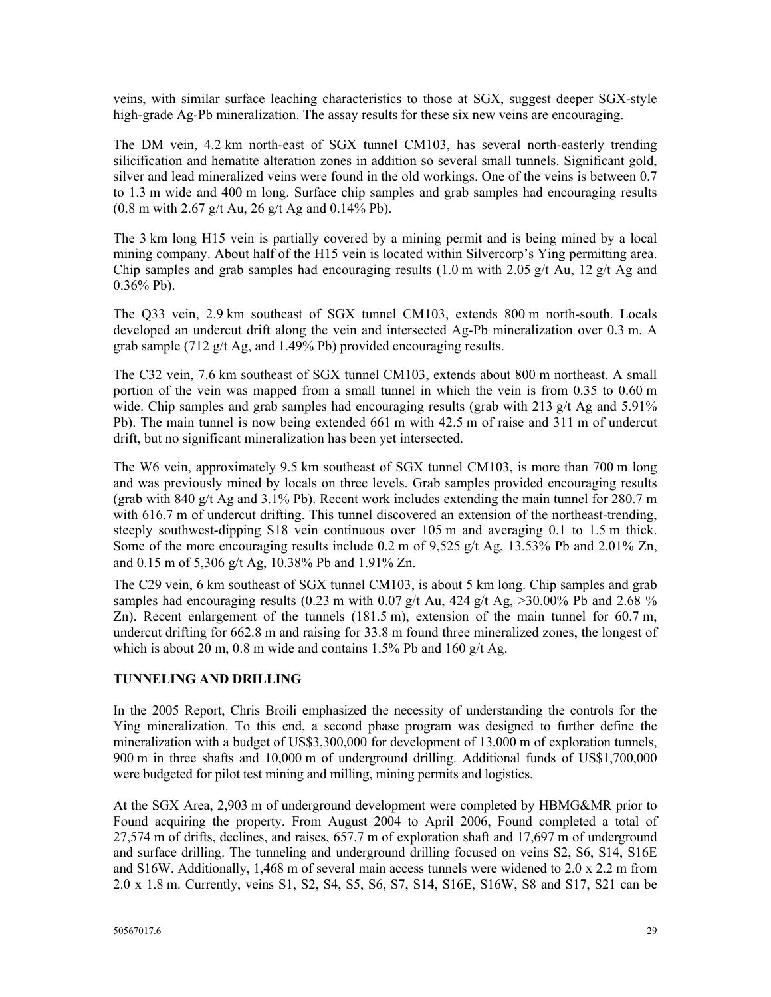veins, with similar surface leaching characteristics to those at SGX, suggest deeper SGX-style high-grade Ag-Pb mineralization. The assay results for these six new veins are encouraging.

The DM vein, 4.2 km north-east of SGX tunnel CM103, has several north-easterly trending silicification and hematite alteration zones in addition so several small tunnels. Significant gold, silver and lead mineralized veins were found in the old workings. One of the veins is between 0.7 to 1.3 m wide and 400 m long. Surface chip samples and grab samples had encouraging results (0.8 m with 2.67 g/t Au, 26 g/t Ag and 0.14% Pb).

The 3 km long H15 vein is partially covered by a mining permit and is being mined by a local mining company. About half of the H15 vein is located within Silvercorp's Ying permitting area. Chip samples and grab samples had encouraging results  $(1.0 \text{ m with } 2.05 \text{ g/t}$  Au,  $12 \text{ g/t}$  Ag and  $0.36\%$  Pb).

The Q33 vein, 2.9 km southeast of SGX tunnel CM103, extends 800 m north-south. Locals developed an undercut drift along the vein and intersected Ag-Pb mineralization over 0.3 m. A grab sample (712 g/t Ag, and 1.49% Pb) provided encouraging results.

The C32 vein, 7.6 km southeast of SGX tunnel CM103, extends about 800 m northeast. A small portion of the vein was mapped from a small tunnel in which the vein is from 0.35 to 0.60 m wide. Chip samples and grab samples had encouraging results (grab with 213  $g/t$  Ag and 5.91%) Pb). The main tunnel is now being extended 661 m with 42.5 m of raise and 311 m of undercut drift, but no significant mineralization has been yet intersected.

The W6 vein, approximately 9.5 km southeast of SGX tunnel CM103, is more than 700 m long and was previously mined by locals on three levels. Grab samples provided encouraging results (grab with 840 g/t Ag and  $3.1\%$  Pb). Recent work includes extending the main tunnel for 280.7 m with 616.7 m of undercut drifting. This tunnel discovered an extension of the northeast-trending, steeply southwest-dipping S18 vein continuous over 105 m and averaging 0.1 to 1.5 m thick. Some of the more encouraging results include 0.2 m of 9,525 g/t Ag, 13.53% Pb and 2.01% Zn, and 0.15 m of 5,306 g/t Ag, 10.38% Pb and 1.91% Zn.

The C29 vein, 6 km southeast of SGX tunnel CM103, is about 5 km long. Chip samples and grab samples had encouraging results (0.23 m with 0.07 g/t Au, 424 g/t Ag,  $>30.00\%$  Pb and 2.68 % Zn). Recent enlargement of the tunnels (181.5 m), extension of the main tunnel for 60.7 m, undercut drifting for 662.8 m and raising for 33.8 m found three mineralized zones, the longest of which is about 20 m, 0.8 m wide and contains  $1.5\%$  Pb and 160 g/t Ag.

# **TUNNELING AND DRILLING**

In the 2005 Report, Chris Broili emphasized the necessity of understanding the controls for the Ying mineralization. To this end, a second phase program was designed to further define the mineralization with a budget of US\$3,300,000 for development of 13,000 m of exploration tunnels, 900 m in three shafts and 10,000 m of underground drilling. Additional funds of US\$1,700,000 were budgeted for pilot test mining and milling, mining permits and logistics.

At the SGX Area, 2,903 m of underground development were completed by HBMG&MR prior to Found acquiring the property. From August 2004 to April 2006, Found completed a total of 27,574 m of drifts, declines, and raises, 657.7 m of exploration shaft and 17,697 m of underground and surface drilling. The tunneling and underground drilling focused on veins S2, S6, S14, S16E and S16W. Additionally, 1,468 m of several main access tunnels were widened to 2.0 x 2.2 m from 2.0 x 1.8 m. Currently, veins S1, S2, S4, S5, S6, S7, S14, S16E, S16W, S8 and S17, S21 can be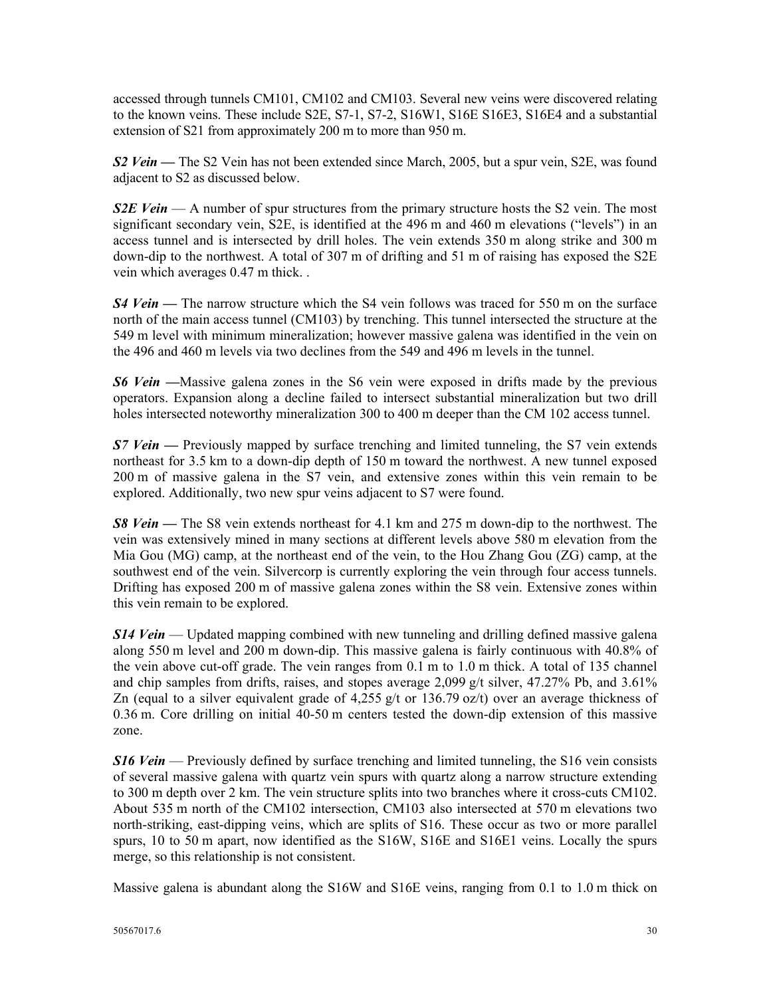accessed through tunnels CM101, CM102 and CM103. Several new veins were discovered relating to the known veins. These include S2E, S7-1, S7-2, S16W1, S16E S16E3, S16E4 and a substantial extension of S21 from approximately 200 m to more than 950 m.

*S2 Vein* **—** The S2 Vein has not been extended since March, 2005, but a spur vein, S2E, was found adjacent to S2 as discussed below.

*S2E Vein* — A number of spur structures from the primary structure hosts the S2 vein. The most significant secondary vein, S2E, is identified at the 496 m and 460 m elevations ("levels") in an access tunnel and is intersected by drill holes. The vein extends 350 m along strike and 300 m down-dip to the northwest. A total of 307 m of drifting and 51 m of raising has exposed the S2E vein which averages 0.47 m thick. .

*S4 Vein* **—** The narrow structure which the S4 vein follows was traced for 550 m on the surface north of the main access tunnel (CM103) by trenching. This tunnel intersected the structure at the 549 m level with minimum mineralization; however massive galena was identified in the vein on the 496 and 460 m levels via two declines from the 549 and 496 m levels in the tunnel.

*S6 Vein* **—**Massive galena zones in the S6 vein were exposed in drifts made by the previous operators. Expansion along a decline failed to intersect substantial mineralization but two drill holes intersected noteworthy mineralization 300 to 400 m deeper than the CM 102 access tunnel.

*S7 Vein* **—** Previously mapped by surface trenching and limited tunneling, the S7 vein extends northeast for 3.5 km to a down-dip depth of 150 m toward the northwest. A new tunnel exposed 200 m of massive galena in the S7 vein, and extensive zones within this vein remain to be explored. Additionally, two new spur veins adjacent to S7 were found.

*S8 Vein* — The S8 vein extends northeast for 4.1 km and 275 m down-dip to the northwest. The vein was extensively mined in many sections at different levels above 580 m elevation from the Mia Gou (MG) camp, at the northeast end of the vein, to the Hou Zhang Gou (ZG) camp, at the southwest end of the vein. Silvercorp is currently exploring the vein through four access tunnels. Drifting has exposed 200 m of massive galena zones within the S8 vein. Extensive zones within this vein remain to be explored.

*S14 Vein* — Updated mapping combined with new tunneling and drilling defined massive galena along 550 m level and 200 m down-dip. This massive galena is fairly continuous with 40.8% of the vein above cut-off grade. The vein ranges from 0.1 m to 1.0 m thick. A total of 135 channel and chip samples from drifts, raises, and stopes average 2,099  $g/t$  silver, 47.27% Pb, and 3.61% Zn (equal to a silver equivalent grade of 4,255 g/t or 136.79 oz/t) over an average thickness of 0.36 m. Core drilling on initial 40-50 m centers tested the down-dip extension of this massive zone.

*S16 Vein* — Previously defined by surface trenching and limited tunneling, the S16 vein consists of several massive galena with quartz vein spurs with quartz along a narrow structure extending to 300 m depth over 2 km. The vein structure splits into two branches where it cross-cuts CM102. About 535 m north of the CM102 intersection, CM103 also intersected at 570 m elevations two north-striking, east-dipping veins, which are splits of S16. These occur as two or more parallel spurs, 10 to 50 m apart, now identified as the S16W, S16E and S16E1 veins. Locally the spurs merge, so this relationship is not consistent.

Massive galena is abundant along the S16W and S16E veins, ranging from 0.1 to 1.0 m thick on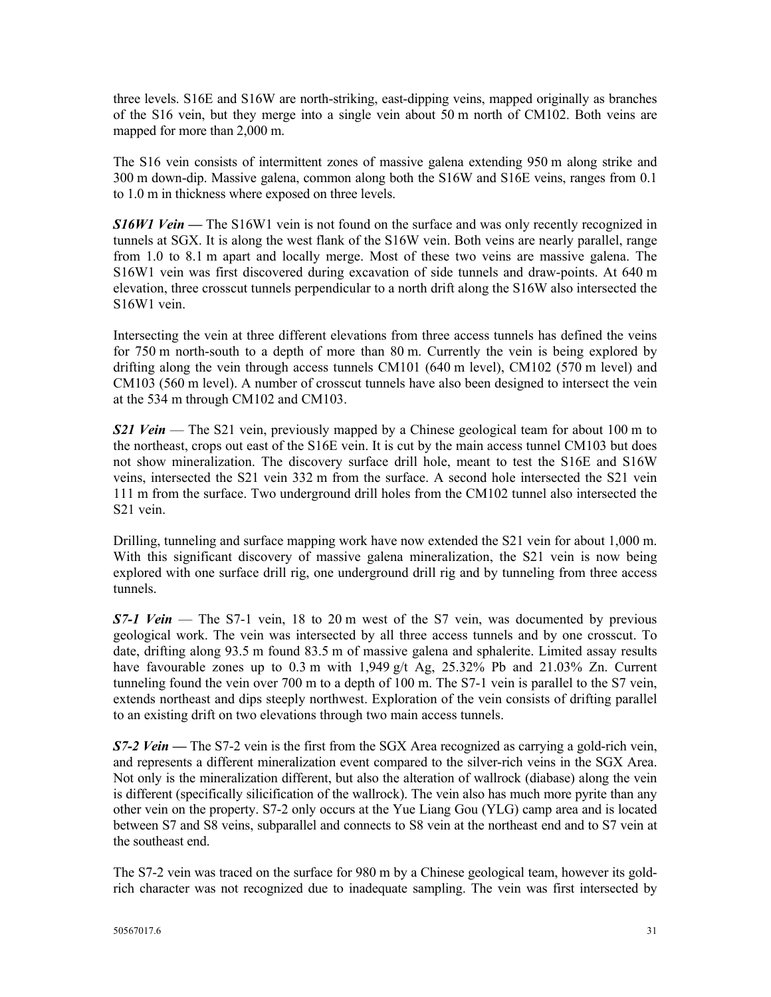three levels. S16E and S16W are north-striking, east-dipping veins, mapped originally as branches of the S16 vein, but they merge into a single vein about 50 m north of CM102. Both veins are mapped for more than 2,000 m.

The S16 vein consists of intermittent zones of massive galena extending 950 m along strike and 300 m down-dip. Massive galena, common along both the S16W and S16E veins, ranges from 0.1 to 1.0 m in thickness where exposed on three levels.

*S16W1 Vein* — The S16W1 vein is not found on the surface and was only recently recognized in tunnels at SGX. It is along the west flank of the S16W vein. Both veins are nearly parallel, range from 1.0 to 8.1 m apart and locally merge. Most of these two veins are massive galena. The S16W1 vein was first discovered during excavation of side tunnels and draw-points. At 640 m elevation, three crosscut tunnels perpendicular to a north drift along the S16W also intersected the S16W1 vein.

Intersecting the vein at three different elevations from three access tunnels has defined the veins for 750 m north-south to a depth of more than 80 m. Currently the vein is being explored by drifting along the vein through access tunnels CM101 (640 m level), CM102 (570 m level) and CM103 (560 m level). A number of crosscut tunnels have also been designed to intersect the vein at the 534 m through CM102 and CM103.

*S21 Vein* — The S21 vein, previously mapped by a Chinese geological team for about 100 m to the northeast, crops out east of the S16E vein. It is cut by the main access tunnel CM103 but does not show mineralization. The discovery surface drill hole, meant to test the S16E and S16W veins, intersected the S21 vein 332 m from the surface. A second hole intersected the S21 vein 111 m from the surface. Two underground drill holes from the CM102 tunnel also intersected the S21 vein.

Drilling, tunneling and surface mapping work have now extended the S21 vein for about 1,000 m. With this significant discovery of massive galena mineralization, the S21 vein is now being explored with one surface drill rig, one underground drill rig and by tunneling from three access tunnels.

**S7-1 Vein** — The S7-1 vein, 18 to 20 m west of the S7 vein, was documented by previous geological work. The vein was intersected by all three access tunnels and by one crosscut. To date, drifting along 93.5 m found 83.5 m of massive galena and sphalerite. Limited assay results have favourable zones up to 0.3 m with 1,949 g/t Ag, 25.32% Pb and 21.03% Zn. Current tunneling found the vein over 700 m to a depth of 100 m. The S7-1 vein is parallel to the S7 vein, extends northeast and dips steeply northwest. Exploration of the vein consists of drifting parallel to an existing drift on two elevations through two main access tunnels.

*S7-2 Vein* — The S7-2 vein is the first from the SGX Area recognized as carrying a gold-rich vein, and represents a different mineralization event compared to the silver-rich veins in the SGX Area. Not only is the mineralization different, but also the alteration of wallrock (diabase) along the vein is different (specifically silicification of the wallrock). The vein also has much more pyrite than any other vein on the property. S7-2 only occurs at the Yue Liang Gou (YLG) camp area and is located between S7 and S8 veins, subparallel and connects to S8 vein at the northeast end and to S7 vein at the southeast end.

The S7-2 vein was traced on the surface for 980 m by a Chinese geological team, however its goldrich character was not recognized due to inadequate sampling. The vein was first intersected by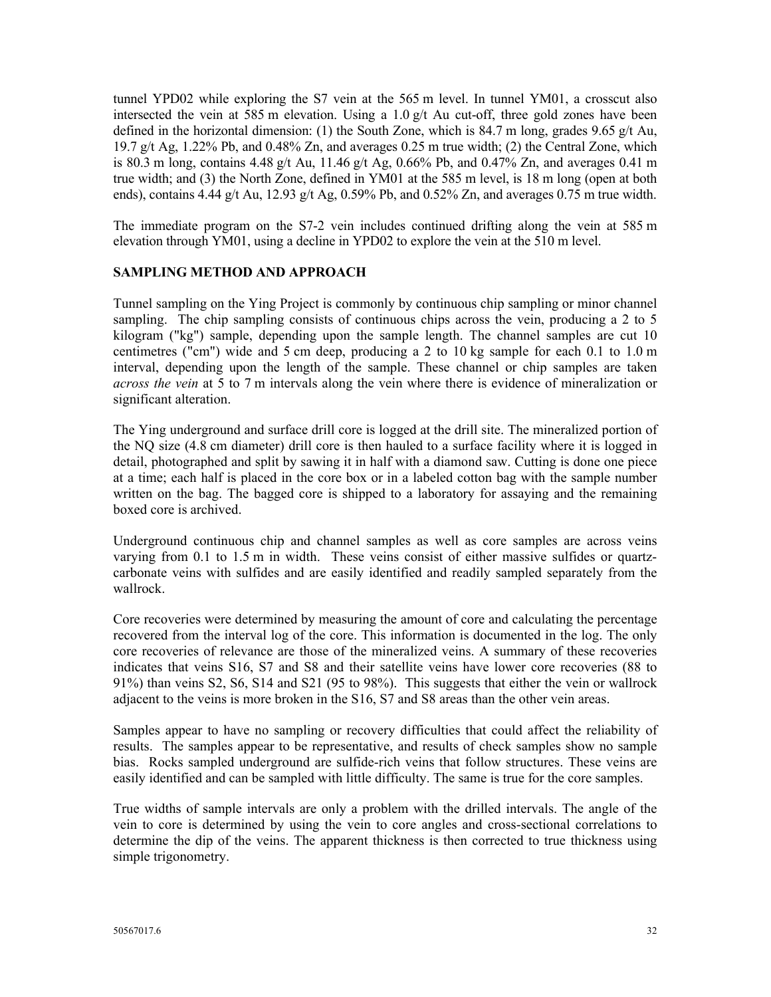tunnel YPD02 while exploring the S7 vein at the 565 m level. In tunnel YM01, a crosscut also intersected the vein at 585 m elevation. Using a  $1.0 \text{ g/t}$  Au cut-off, three gold zones have been defined in the horizontal dimension: (1) the South Zone, which is 84.7 m long, grades 9.65 g/t Au, 19.7 g/t Ag, 1.22% Pb, and 0.48% Zn, and averages 0.25 m true width; (2) the Central Zone, which is 80.3 m long, contains 4.48 g/t Au, 11.46 g/t Ag, 0.66% Pb, and 0.47% Zn, and averages 0.41 m true width; and (3) the North Zone, defined in YM01 at the 585 m level, is 18 m long (open at both ends), contains 4.44 g/t Au, 12.93 g/t Ag,  $0.59\%$  Pb, and  $0.52\%$  Zn, and averages  $0.75$  m true width.

The immediate program on the S7-2 vein includes continued drifting along the vein at 585 m elevation through YM01, using a decline in YPD02 to explore the vein at the 510 m level.

## **SAMPLING METHOD AND APPROACH**

Tunnel sampling on the Ying Project is commonly by continuous chip sampling or minor channel sampling. The chip sampling consists of continuous chips across the vein, producing a 2 to 5 kilogram ("kg") sample, depending upon the sample length. The channel samples are cut 10 centimetres ("cm") wide and 5 cm deep, producing a 2 to 10 kg sample for each 0.1 to 1.0 m interval, depending upon the length of the sample. These channel or chip samples are taken *across the vein* at 5 to 7 m intervals along the vein where there is evidence of mineralization or significant alteration.

The Ying underground and surface drill core is logged at the drill site. The mineralized portion of the NQ size (4.8 cm diameter) drill core is then hauled to a surface facility where it is logged in detail, photographed and split by sawing it in half with a diamond saw. Cutting is done one piece at a time; each half is placed in the core box or in a labeled cotton bag with the sample number written on the bag. The bagged core is shipped to a laboratory for assaying and the remaining boxed core is archived.

Underground continuous chip and channel samples as well as core samples are across veins varying from 0.1 to 1.5 m in width. These veins consist of either massive sulfides or quartzcarbonate veins with sulfides and are easily identified and readily sampled separately from the wallrock.

Core recoveries were determined by measuring the amount of core and calculating the percentage recovered from the interval log of the core. This information is documented in the log. The only core recoveries of relevance are those of the mineralized veins. A summary of these recoveries indicates that veins S16, S7 and S8 and their satellite veins have lower core recoveries (88 to 91%) than veins S2, S6, S14 and S21 (95 to 98%). This suggests that either the vein or wallrock adjacent to the veins is more broken in the S16, S7 and S8 areas than the other vein areas.

Samples appear to have no sampling or recovery difficulties that could affect the reliability of results. The samples appear to be representative, and results of check samples show no sample bias. Rocks sampled underground are sulfide-rich veins that follow structures. These veins are easily identified and can be sampled with little difficulty. The same is true for the core samples.

True widths of sample intervals are only a problem with the drilled intervals. The angle of the vein to core is determined by using the vein to core angles and cross-sectional correlations to determine the dip of the veins. The apparent thickness is then corrected to true thickness using simple trigonometry.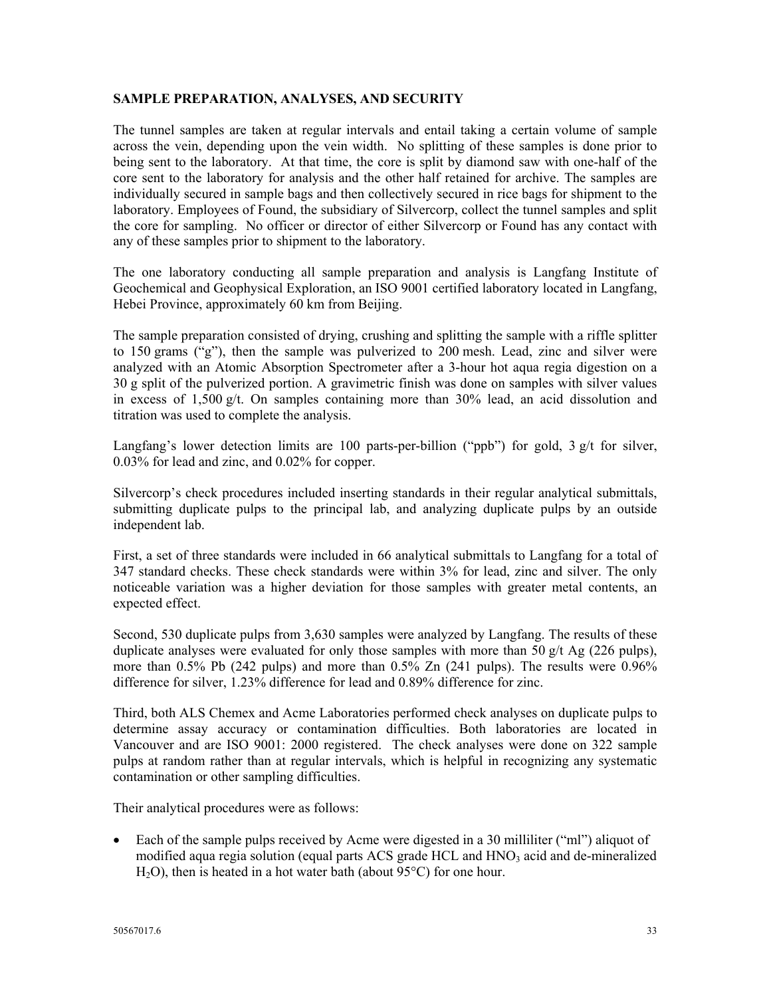#### **SAMPLE PREPARATION, ANALYSES, AND SECURITY**

The tunnel samples are taken at regular intervals and entail taking a certain volume of sample across the vein, depending upon the vein width. No splitting of these samples is done prior to being sent to the laboratory. At that time, the core is split by diamond saw with one-half of the core sent to the laboratory for analysis and the other half retained for archive. The samples are individually secured in sample bags and then collectively secured in rice bags for shipment to the laboratory. Employees of Found, the subsidiary of Silvercorp, collect the tunnel samples and split the core for sampling. No officer or director of either Silvercorp or Found has any contact with any of these samples prior to shipment to the laboratory.

The one laboratory conducting all sample preparation and analysis is Langfang Institute of Geochemical and Geophysical Exploration, an ISO 9001 certified laboratory located in Langfang, Hebei Province, approximately 60 km from Beijing.

The sample preparation consisted of drying, crushing and splitting the sample with a riffle splitter to 150 grams ("g"), then the sample was pulverized to 200 mesh. Lead, zinc and silver were analyzed with an Atomic Absorption Spectrometer after a 3-hour hot aqua regia digestion on a 30 g split of the pulverized portion. A gravimetric finish was done on samples with silver values in excess of 1,500  $g/t$ . On samples containing more than 30% lead, an acid dissolution and titration was used to complete the analysis.

Langfang's lower detection limits are 100 parts-per-billion ("ppb") for gold,  $3 \frac{g}{t}$  for silver, 0.03% for lead and zinc, and 0.02% for copper.

Silvercorp's check procedures included inserting standards in their regular analytical submittals, submitting duplicate pulps to the principal lab, and analyzing duplicate pulps by an outside independent lab.

First, a set of three standards were included in 66 analytical submittals to Langfang for a total of 347 standard checks. These check standards were within 3% for lead, zinc and silver. The only noticeable variation was a higher deviation for those samples with greater metal contents, an expected effect.

Second, 530 duplicate pulps from 3,630 samples were analyzed by Langfang. The results of these duplicate analyses were evaluated for only those samples with more than 50  $g/t$  Ag (226 pulps), more than 0.5% Pb (242 pulps) and more than 0.5% Zn (241 pulps). The results were 0.96% difference for silver, 1.23% difference for lead and 0.89% difference for zinc.

Third, both ALS Chemex and Acme Laboratories performed check analyses on duplicate pulps to determine assay accuracy or contamination difficulties. Both laboratories are located in Vancouver and are ISO 9001: 2000 registered. The check analyses were done on 322 sample pulps at random rather than at regular intervals, which is helpful in recognizing any systematic contamination or other sampling difficulties.

Their analytical procedures were as follows:

Each of the sample pulps received by Acme were digested in a 30 milliliter ("ml") aliquot of modified aqua regia solution (equal parts ACS grade HCL and  $HNO<sub>3</sub>$  acid and de-mineralized H2O), then is heated in a hot water bath (about 95°C) for one hour.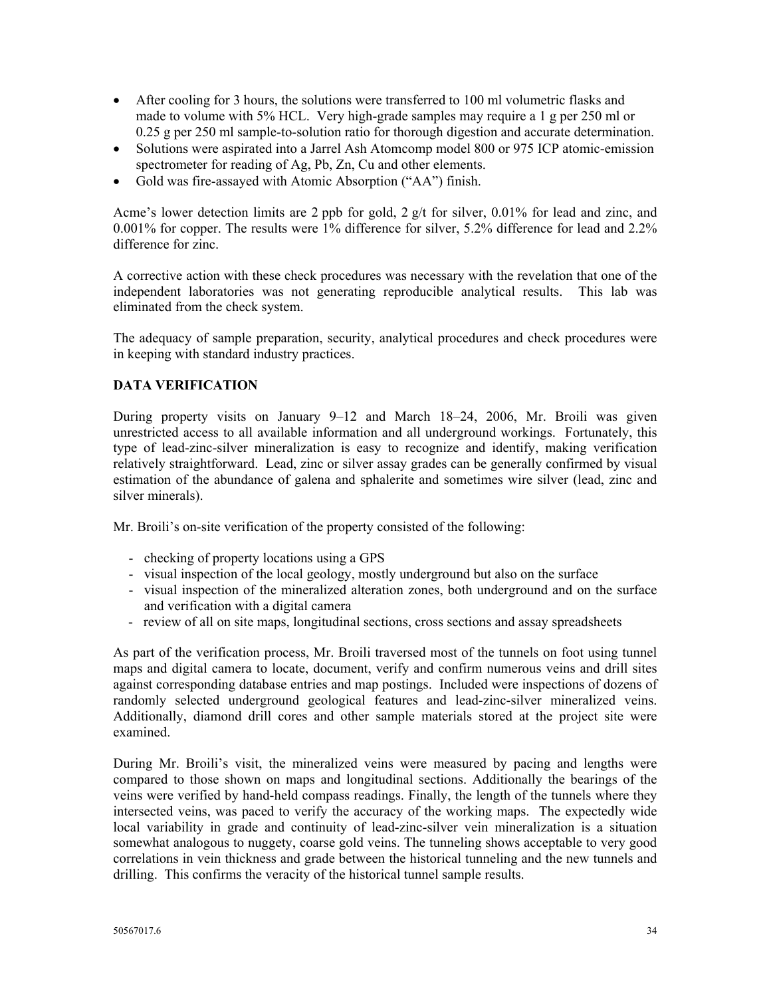- After cooling for 3 hours, the solutions were transferred to 100 ml volumetric flasks and made to volume with 5% HCL. Very high-grade samples may require a 1 g per 250 ml or 0.25 g per 250 ml sample-to-solution ratio for thorough digestion and accurate determination.
- Solutions were aspirated into a Jarrel Ash Atomcomp model 800 or 975 ICP atomic-emission spectrometer for reading of Ag, Pb, Zn, Cu and other elements.
- Gold was fire-assayed with Atomic Absorption ("AA") finish.

Acme's lower detection limits are 2 ppb for gold,  $2 \frac{g}{t}$  for silver, 0.01% for lead and zinc, and 0.001% for copper. The results were 1% difference for silver, 5.2% difference for lead and 2.2% difference for zinc.

A corrective action with these check procedures was necessary with the revelation that one of the independent laboratories was not generating reproducible analytical results. This lab was eliminated from the check system.

The adequacy of sample preparation, security, analytical procedures and check procedures were in keeping with standard industry practices.

# **DATA VERIFICATION**

During property visits on January 9–12 and March 18–24, 2006, Mr. Broili was given unrestricted access to all available information and all underground workings. Fortunately, this type of lead-zinc-silver mineralization is easy to recognize and identify, making verification relatively straightforward. Lead, zinc or silver assay grades can be generally confirmed by visual estimation of the abundance of galena and sphalerite and sometimes wire silver (lead, zinc and silver minerals).

Mr. Broili's on-site verification of the property consisted of the following:

- checking of property locations using a GPS
- visual inspection of the local geology, mostly underground but also on the surface
- visual inspection of the mineralized alteration zones, both underground and on the surface and verification with a digital camera
- review of all on site maps, longitudinal sections, cross sections and assay spreadsheets

As part of the verification process, Mr. Broili traversed most of the tunnels on foot using tunnel maps and digital camera to locate, document, verify and confirm numerous veins and drill sites against corresponding database entries and map postings. Included were inspections of dozens of randomly selected underground geological features and lead-zinc-silver mineralized veins. Additionally, diamond drill cores and other sample materials stored at the project site were examined.

During Mr. Broili's visit, the mineralized veins were measured by pacing and lengths were compared to those shown on maps and longitudinal sections. Additionally the bearings of the veins were verified by hand-held compass readings. Finally, the length of the tunnels where they intersected veins, was paced to verify the accuracy of the working maps. The expectedly wide local variability in grade and continuity of lead-zinc-silver vein mineralization is a situation somewhat analogous to nuggety, coarse gold veins. The tunneling shows acceptable to very good correlations in vein thickness and grade between the historical tunneling and the new tunnels and drilling. This confirms the veracity of the historical tunnel sample results.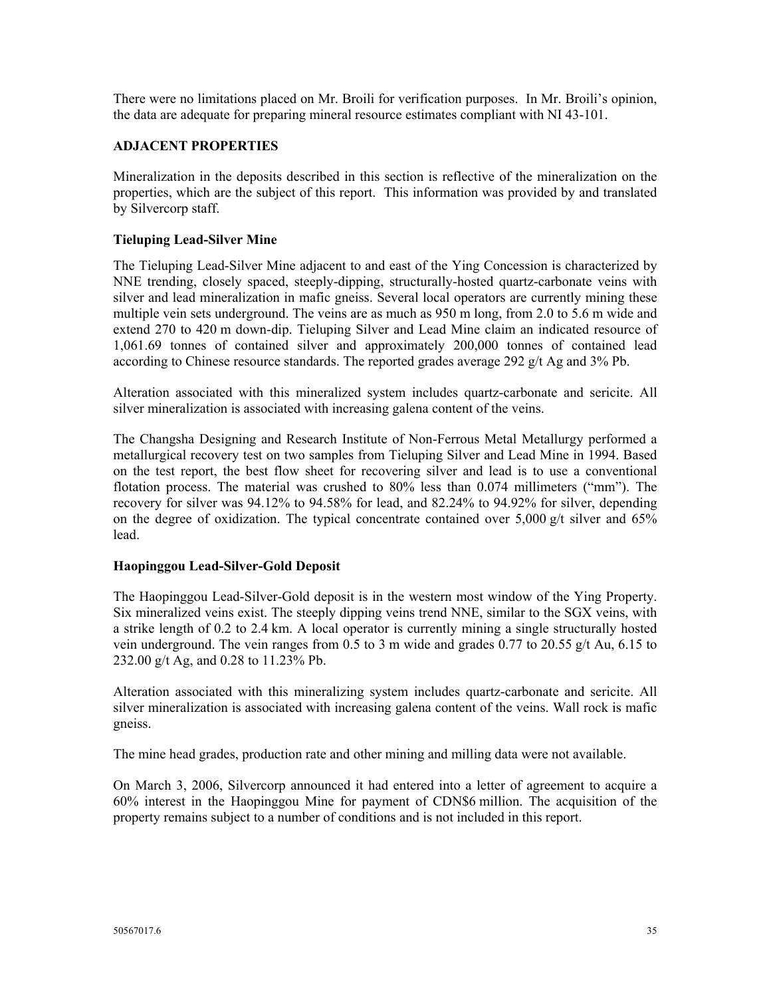There were no limitations placed on Mr. Broili for verification purposes. In Mr. Broili's opinion, the data are adequate for preparing mineral resource estimates compliant with NI 43-101.

## **ADJACENT PROPERTIES**

Mineralization in the deposits described in this section is reflective of the mineralization on the properties, which are the subject of this report. This information was provided by and translated by Silvercorp staff.

## **Tieluping Lead-Silver Mine**

The Tieluping Lead-Silver Mine adjacent to and east of the Ying Concession is characterized by NNE trending, closely spaced, steeply-dipping, structurally-hosted quartz-carbonate veins with silver and lead mineralization in mafic gneiss. Several local operators are currently mining these multiple vein sets underground. The veins are as much as 950 m long, from 2.0 to 5.6 m wide and extend 270 to 420 m down-dip. Tieluping Silver and Lead Mine claim an indicated resource of 1,061.69 tonnes of contained silver and approximately 200,000 tonnes of contained lead according to Chinese resource standards. The reported grades average 292 g/t Ag and 3% Pb.

Alteration associated with this mineralized system includes quartz-carbonate and sericite. All silver mineralization is associated with increasing galena content of the veins.

The Changsha Designing and Research Institute of Non-Ferrous Metal Metallurgy performed a metallurgical recovery test on two samples from Tieluping Silver and Lead Mine in 1994. Based on the test report, the best flow sheet for recovering silver and lead is to use a conventional flotation process. The material was crushed to 80% less than 0.074 millimeters ("mm"). The recovery for silver was 94.12% to 94.58% for lead, and 82.24% to 94.92% for silver, depending on the degree of oxidization. The typical concentrate contained over 5,000 g/t silver and 65% lead.

## **Haopinggou Lead-Silver-Gold Deposit**

The Haopinggou Lead-Silver-Gold deposit is in the western most window of the Ying Property. Six mineralized veins exist. The steeply dipping veins trend NNE, similar to the SGX veins, with a strike length of 0.2 to 2.4 km. A local operator is currently mining a single structurally hosted vein underground. The vein ranges from 0.5 to 3 m wide and grades 0.77 to 20.55 g/t Au, 6.15 to 232.00 g/t Ag, and 0.28 to 11.23% Pb.

Alteration associated with this mineralizing system includes quartz-carbonate and sericite. All silver mineralization is associated with increasing galena content of the veins. Wall rock is mafic gneiss.

The mine head grades, production rate and other mining and milling data were not available.

On March 3, 2006, Silvercorp announced it had entered into a letter of agreement to acquire a 60% interest in the Haopinggou Mine for payment of CDN\$6 million. The acquisition of the property remains subject to a number of conditions and is not included in this report.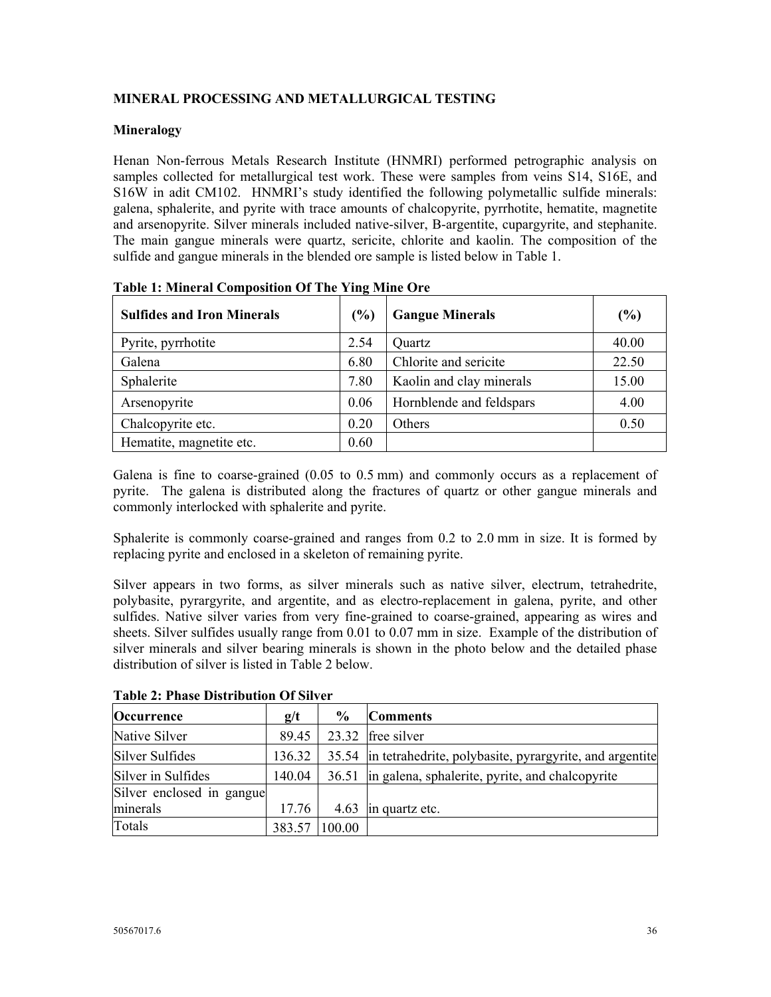# **MINERAL PROCESSING AND METALLURGICAL TESTING**

## **Mineralogy**

Henan Non-ferrous Metals Research Institute (HNMRI) performed petrographic analysis on samples collected for metallurgical test work. These were samples from veins S14, S16E, and S16W in adit CM102. HNMRI's study identified the following polymetallic sulfide minerals: galena, sphalerite, and pyrite with trace amounts of chalcopyrite, pyrrhotite, hematite, magnetite and arsenopyrite. Silver minerals included native-silver, B-argentite, cupargyrite, and stephanite. The main gangue minerals were quartz, sericite, chlorite and kaolin. The composition of the sulfide and gangue minerals in the blended ore sample is listed below in Table 1.

| <b>Sulfides and Iron Minerals</b> | (%)  | <b>Gangue Minerals</b>   | $(\%)$ |
|-----------------------------------|------|--------------------------|--------|
| Pyrite, pyrrhotite                | 2.54 | Quartz                   | 40.00  |
| Galena                            | 6.80 | Chlorite and sericite    | 22.50  |
| Sphalerite                        | 7.80 | Kaolin and clay minerals | 15.00  |
| Arsenopyrite                      | 0.06 | Hornblende and feldspars | 4.00   |
| Chalcopyrite etc.                 | 0.20 | Others                   | 0.50   |
| Hematite, magnetite etc.          | 0.60 |                          |        |

**Table 1: Mineral Composition Of The Ying Mine Ore** 

Galena is fine to coarse-grained (0.05 to 0.5 mm) and commonly occurs as a replacement of pyrite. The galena is distributed along the fractures of quartz or other gangue minerals and commonly interlocked with sphalerite and pyrite.

Sphalerite is commonly coarse-grained and ranges from 0.2 to 2.0 mm in size. It is formed by replacing pyrite and enclosed in a skeleton of remaining pyrite.

Silver appears in two forms, as silver minerals such as native silver, electrum, tetrahedrite, polybasite, pyrargyrite, and argentite, and as electro-replacement in galena, pyrite, and other sulfides. Native silver varies from very fine-grained to coarse-grained, appearing as wires and sheets. Silver sulfides usually range from 0.01 to 0.07 mm in size. Example of the distribution of silver minerals and silver bearing minerals is shown in the photo below and the detailed phase distribution of silver is listed in Table 2 below.

| Occurrence                | g/t    | $\frac{6}{9}$ | <b>Comments</b>                                               |
|---------------------------|--------|---------------|---------------------------------------------------------------|
| Native Silver             | 89.45  | 23.32         | free silver                                                   |
| Silver Sulfides           | 136.32 |               | 35.54 in tetrahedrite, polybasite, pyrargyrite, and argentite |
| Silver in Sulfides        | 140.04 |               | 36.51 lin galena, sphalerite, pyrite, and chalcopyrite        |
| Silver enclosed in gangue |        |               |                                                               |
| minerals                  | 17.76  | 4.63          | in quartz etc.                                                |
| Totals                    | 383.57 | 100.00        |                                                               |

**Table 2: Phase Distribution Of Silver**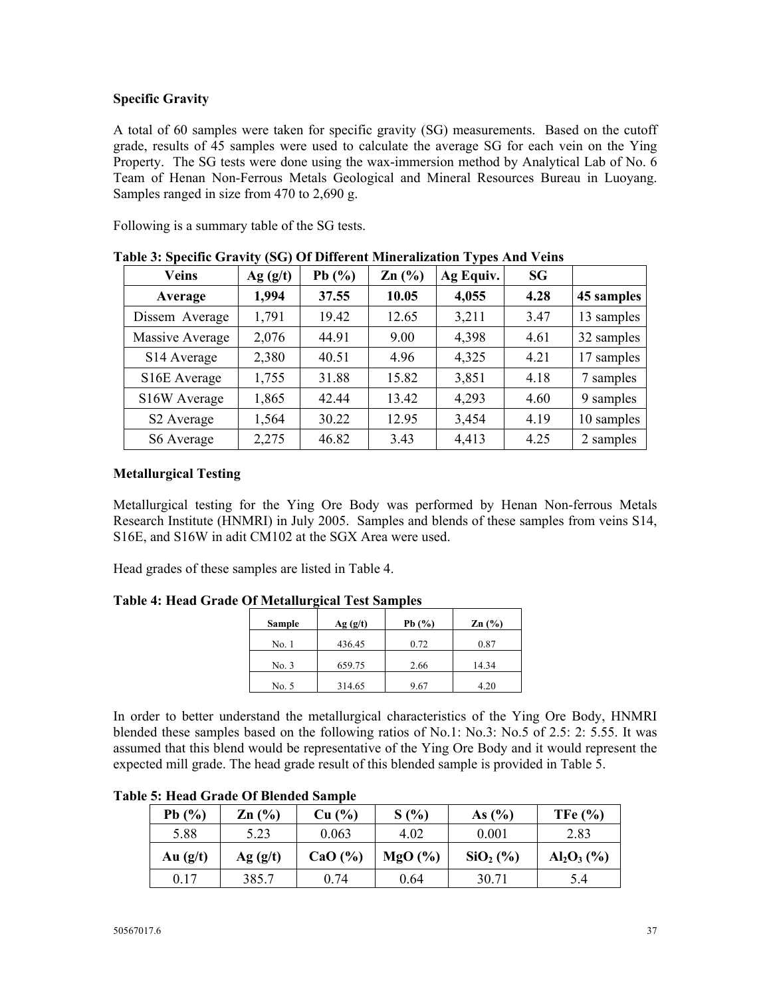# **Specific Gravity**

A total of 60 samples were taken for specific gravity (SG) measurements. Based on the cutoff grade, results of 45 samples were used to calculate the average SG for each vein on the Ying Property. The SG tests were done using the wax-immersion method by Analytical Lab of No. 6 Team of Henan Non-Ferrous Metals Geological and Mineral Resources Bureau in Luoyang. Samples ranged in size from 470 to 2,690 g.

Following is a summary table of the SG tests.

| <b>Veins</b>            | Ag(g/t) | Pb $(\% )$ | $Zn$ $(\%)$ | Ag Equiv. | <b>SG</b> |            |
|-------------------------|---------|------------|-------------|-----------|-----------|------------|
| Average                 | 1,994   | 37.55      | 10.05       | 4,055     | 4.28      | 45 samples |
| Dissem Average          | 1,791   | 19.42      | 12.65       | 3,211     | 3.47      | 13 samples |
| Massive Average         | 2,076   | 44.91      | 9.00        | 4,398     | 4.61      | 32 samples |
| S <sub>14</sub> Average | 2,380   | 40.51      | 4.96        | 4,325     | 4.21      | 17 samples |
| S16E Average            | 1,755   | 31.88      | 15.82       | 3,851     | 4.18      | 7 samples  |
| S16W Average            | 1,865   | 42.44      | 13.42       | 4,293     | 4.60      | 9 samples  |
| S <sub>2</sub> Average  | 1,564   | 30.22      | 12.95       | 3,454     | 4.19      | 10 samples |
| S6 Average              | 2,275   | 46.82      | 3.43        | 4,413     | 4.25      | 2 samples  |

**Table 3: Specific Gravity (SG) Of Different Mineralization Types And Veins** 

# **Metallurgical Testing**

Metallurgical testing for the Ying Ore Body was performed by Henan Non-ferrous Metals Research Institute (HNMRI) in July 2005. Samples and blends of these samples from veins S14, S16E, and S16W in adit CM102 at the SGX Area were used.

Head grades of these samples are listed in Table 4.

**Table 4: Head Grade Of Metallurgical Test Samples** 

| Sample | Ag(g/t) | Pb $(\% )$ | $\mathbf{Zn}$ (%) |
|--------|---------|------------|-------------------|
| No. 1  | 436.45  | 0.72       | 0.87              |
| No. 3  | 659.75  | 2.66       | 14.34             |
| No. 5  | 314.65  | 9.67       | 4.20              |

In order to better understand the metallurgical characteristics of the Ying Ore Body, HNMRI blended these samples based on the following ratios of No.1: No.3: No.5 of 2.5: 2: 5.55. It was assumed that this blend would be representative of the Ying Ore Body and it would represent the expected mill grade. The head grade result of this blended sample is provided in Table 5.

| Pb $(%$    | $\text{Zn}$ $\left(\frac{9}{6}\right)$ | Cu (%)      | S(%)   | As $(\% )$ | TFe $\left(\frac{6}{6}\right)$ |
|------------|----------------------------------------|-------------|--------|------------|--------------------------------|
| 5.88       | 5.23                                   | 0.063       | 4.02   | 0.001      | 2.83                           |
| Au $(g/t)$ | Ag(g/t)                                | CaO $(\% )$ | MgO(%) | $SiO2(\%)$ | $Al_2O_3$ (%)                  |
| 0.17       | 385.7                                  | 0.74        | 0.64   | 30.71      | 5.4                            |

**Table 5: Head Grade Of Blended Sample**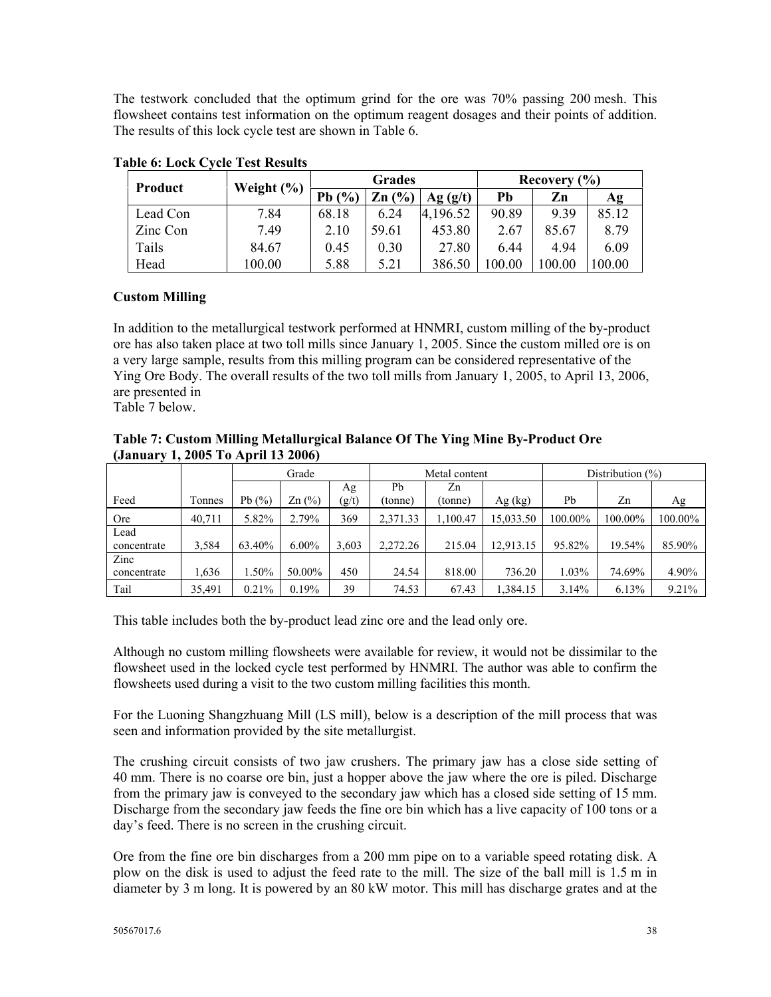The testwork concluded that the optimum grind for the ore was 70% passing 200 mesh. This flowsheet contains test information on the optimum reagent dosages and their points of addition. The results of this lock cycle test are shown in Table 6.

| Product  | Weight $(\% )$ | <b>Grades</b> |                             |          | Recovery $(\% )$ |       |        |
|----------|----------------|---------------|-----------------------------|----------|------------------|-------|--------|
|          |                | Pb $(%$       | $\mathbb{Z} \mathbf{n}$ (%) | Ag(g/t)  | Pb               | Zn    | Ag     |
| Lead Con | 7.84           | 68.18         | 6.24                        | 4,196.52 | 90.89            | 9.39  | 85.12  |
| Zinc Con | 7.49           | 2.10          | 59.61                       | 453.80   | 2.67             | 85.67 | 8.79   |
| Tails    | 84.67          | 0.45          | 0.30                        | 27.80    | 6.44             | 4 9 4 | 6.09   |
| Head     | 100.00         | 5.88          | 5.21                        | 386.50   | .00.00           | 00.00 | 100.00 |

**Table 6: Lock Cycle Test Results** 

# **Custom Milling**

In addition to the metallurgical testwork performed at HNMRI, custom milling of the by-product ore has also taken place at two toll mills since January 1, 2005. Since the custom milled ore is on a very large sample, results from this milling program can be considered representative of the Ying Ore Body. The overall results of the two toll mills from January 1, 2005, to April 13, 2006, are presented in

Table 7 below.

**Table 7: Custom Milling Metallurgical Balance Of The Ying Mine By-Product Ore (January 1, 2005 To April 13 2006)** 

|             |        |            | Grade<br>Metal content                 |       |          | Distribution $(\%)$ |           |         |         |         |
|-------------|--------|------------|----------------------------------------|-------|----------|---------------------|-----------|---------|---------|---------|
|             |        |            |                                        | Ag    | Pb       | Zn                  |           |         |         |         |
| Feed        | Tonnes | Pb $(\% )$ | $\text{Zn}$ $\left(\frac{9}{6}\right)$ | (g/t) | (tonne)  | (tonne)             | Ag (kg)   | Pb      | Zn      | Ag      |
| Ore         | 40.711 | 5.82%      | 2.79%                                  | 369   | 2,371.33 | 1.100.47            | 15,033.50 | 100.00% | 100.00% | 100.00% |
| Lead        |        |            |                                        |       |          |                     |           |         |         |         |
| concentrate | 3,584  | 63.40%     | $6.00\%$                               | 3.603 | 2,272.26 | 215.04              | 12,913.15 | 95.82%  | 19.54%  | 85.90%  |
| Zinc        |        |            |                                        |       |          |                     |           |         |         |         |
| concentrate | 1.636  | $1.50\%$   | 50.00%                                 | 450   | 24.54    | 818.00              | 736.20    | 1.03%   | 74.69%  | 4.90%   |
| Tail        | 35,491 | 0.21%      | 0.19%                                  | 39    | 74.53    | 67.43               | 1,384.15  | 3.14%   | 6.13%   | 9.21%   |

This table includes both the by-product lead zinc ore and the lead only ore.

Although no custom milling flowsheets were available for review, it would not be dissimilar to the flowsheet used in the locked cycle test performed by HNMRI. The author was able to confirm the flowsheets used during a visit to the two custom milling facilities this month.

For the Luoning Shangzhuang Mill (LS mill), below is a description of the mill process that was seen and information provided by the site metallurgist.

The crushing circuit consists of two jaw crushers. The primary jaw has a close side setting of 40 mm. There is no coarse ore bin, just a hopper above the jaw where the ore is piled. Discharge from the primary jaw is conveyed to the secondary jaw which has a closed side setting of 15 mm. Discharge from the secondary jaw feeds the fine ore bin which has a live capacity of 100 tons or a day's feed. There is no screen in the crushing circuit.

Ore from the fine ore bin discharges from a 200 mm pipe on to a variable speed rotating disk. A plow on the disk is used to adjust the feed rate to the mill. The size of the ball mill is 1.5 m in diameter by 3 m long. It is powered by an 80 kW motor. This mill has discharge grates and at the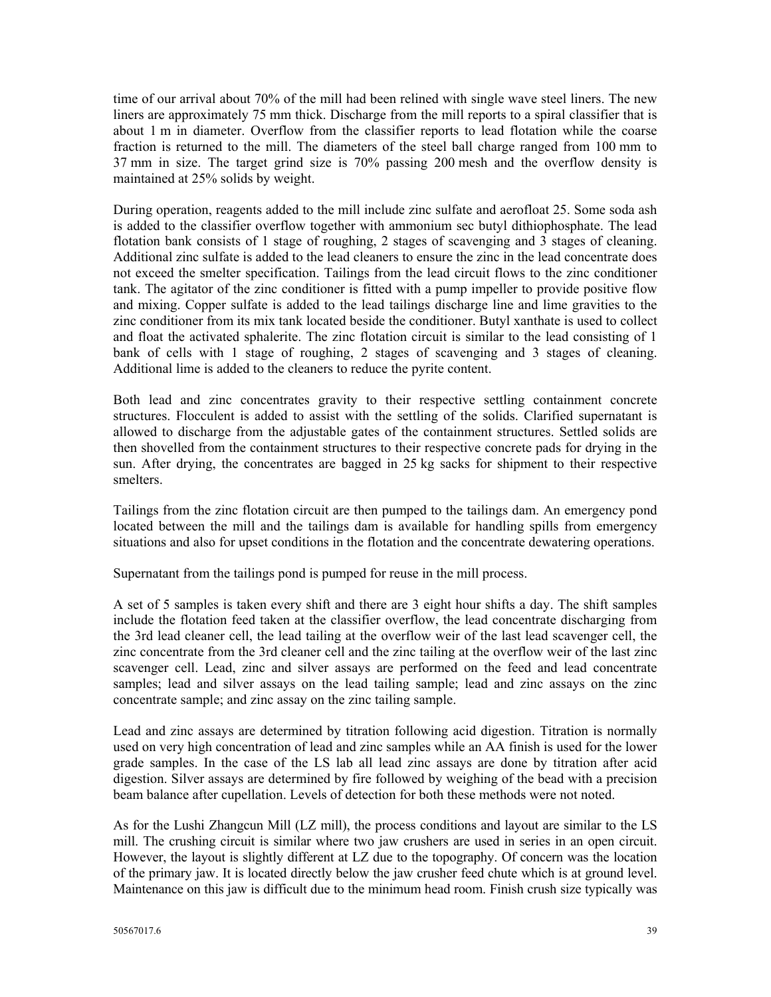time of our arrival about 70% of the mill had been relined with single wave steel liners. The new liners are approximately 75 mm thick. Discharge from the mill reports to a spiral classifier that is about 1 m in diameter. Overflow from the classifier reports to lead flotation while the coarse fraction is returned to the mill. The diameters of the steel ball charge ranged from 100 mm to 37 mm in size. The target grind size is 70% passing 200 mesh and the overflow density is maintained at 25% solids by weight.

During operation, reagents added to the mill include zinc sulfate and aerofloat 25. Some soda ash is added to the classifier overflow together with ammonium sec butyl dithiophosphate. The lead flotation bank consists of 1 stage of roughing, 2 stages of scavenging and 3 stages of cleaning. Additional zinc sulfate is added to the lead cleaners to ensure the zinc in the lead concentrate does not exceed the smelter specification. Tailings from the lead circuit flows to the zinc conditioner tank. The agitator of the zinc conditioner is fitted with a pump impeller to provide positive flow and mixing. Copper sulfate is added to the lead tailings discharge line and lime gravities to the zinc conditioner from its mix tank located beside the conditioner. Butyl xanthate is used to collect and float the activated sphalerite. The zinc flotation circuit is similar to the lead consisting of 1 bank of cells with 1 stage of roughing, 2 stages of scavenging and 3 stages of cleaning. Additional lime is added to the cleaners to reduce the pyrite content.

Both lead and zinc concentrates gravity to their respective settling containment concrete structures. Flocculent is added to assist with the settling of the solids. Clarified supernatant is allowed to discharge from the adjustable gates of the containment structures. Settled solids are then shovelled from the containment structures to their respective concrete pads for drying in the sun. After drying, the concentrates are bagged in 25 kg sacks for shipment to their respective smelters.

Tailings from the zinc flotation circuit are then pumped to the tailings dam. An emergency pond located between the mill and the tailings dam is available for handling spills from emergency situations and also for upset conditions in the flotation and the concentrate dewatering operations.

Supernatant from the tailings pond is pumped for reuse in the mill process.

A set of 5 samples is taken every shift and there are 3 eight hour shifts a day. The shift samples include the flotation feed taken at the classifier overflow, the lead concentrate discharging from the 3rd lead cleaner cell, the lead tailing at the overflow weir of the last lead scavenger cell, the zinc concentrate from the 3rd cleaner cell and the zinc tailing at the overflow weir of the last zinc scavenger cell. Lead, zinc and silver assays are performed on the feed and lead concentrate samples; lead and silver assays on the lead tailing sample; lead and zinc assays on the zinc concentrate sample; and zinc assay on the zinc tailing sample.

Lead and zinc assays are determined by titration following acid digestion. Titration is normally used on very high concentration of lead and zinc samples while an AA finish is used for the lower grade samples. In the case of the LS lab all lead zinc assays are done by titration after acid digestion. Silver assays are determined by fire followed by weighing of the bead with a precision beam balance after cupellation. Levels of detection for both these methods were not noted.

As for the Lushi Zhangcun Mill (LZ mill), the process conditions and layout are similar to the LS mill. The crushing circuit is similar where two jaw crushers are used in series in an open circuit. However, the layout is slightly different at LZ due to the topography. Of concern was the location of the primary jaw. It is located directly below the jaw crusher feed chute which is at ground level. Maintenance on this jaw is difficult due to the minimum head room. Finish crush size typically was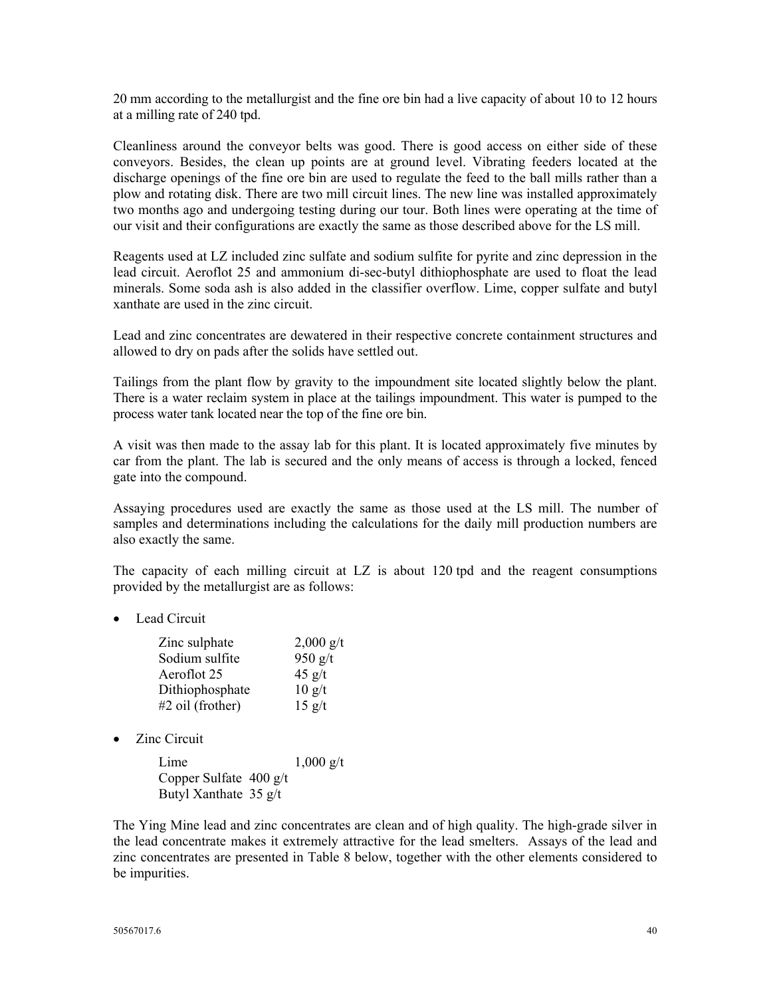20 mm according to the metallurgist and the fine ore bin had a live capacity of about 10 to 12 hours at a milling rate of 240 tpd.

Cleanliness around the conveyor belts was good. There is good access on either side of these conveyors. Besides, the clean up points are at ground level. Vibrating feeders located at the discharge openings of the fine ore bin are used to regulate the feed to the ball mills rather than a plow and rotating disk. There are two mill circuit lines. The new line was installed approximately two months ago and undergoing testing during our tour. Both lines were operating at the time of our visit and their configurations are exactly the same as those described above for the LS mill.

Reagents used at LZ included zinc sulfate and sodium sulfite for pyrite and zinc depression in the lead circuit. Aeroflot 25 and ammonium di-sec-butyl dithiophosphate are used to float the lead minerals. Some soda ash is also added in the classifier overflow. Lime, copper sulfate and butyl xanthate are used in the zinc circuit.

Lead and zinc concentrates are dewatered in their respective concrete containment structures and allowed to dry on pads after the solids have settled out.

Tailings from the plant flow by gravity to the impoundment site located slightly below the plant. There is a water reclaim system in place at the tailings impoundment. This water is pumped to the process water tank located near the top of the fine ore bin.

A visit was then made to the assay lab for this plant. It is located approximately five minutes by car from the plant. The lab is secured and the only means of access is through a locked, fenced gate into the compound.

Assaying procedures used are exactly the same as those used at the LS mill. The number of samples and determinations including the calculations for the daily mill production numbers are also exactly the same.

The capacity of each milling circuit at LZ is about 120 tpd and the reagent consumptions provided by the metallurgist are as follows:

• Lead Circuit

| Zinc sulphate      | $2,000 \text{ g/t}$            |
|--------------------|--------------------------------|
| Sodium sulfite     | 950 $g/t$                      |
| Aeroflot 25        | $45$ g/t                       |
| Dithiophosphate    | $10 \frac{g}{t}$               |
| $#2$ oil (frother) | $15 \frac{\text{g}}{\text{t}}$ |

• Zinc Circuit

| Lime                             | $1,000 \text{ g/t}$ |
|----------------------------------|---------------------|
| Copper Sulfate $400 \frac{g}{t}$ |                     |
| Butyl Xanthate 35 g/t            |                     |

The Ying Mine lead and zinc concentrates are clean and of high quality. The high-grade silver in the lead concentrate makes it extremely attractive for the lead smelters. Assays of the lead and zinc concentrates are presented in Table 8 below, together with the other elements considered to be impurities.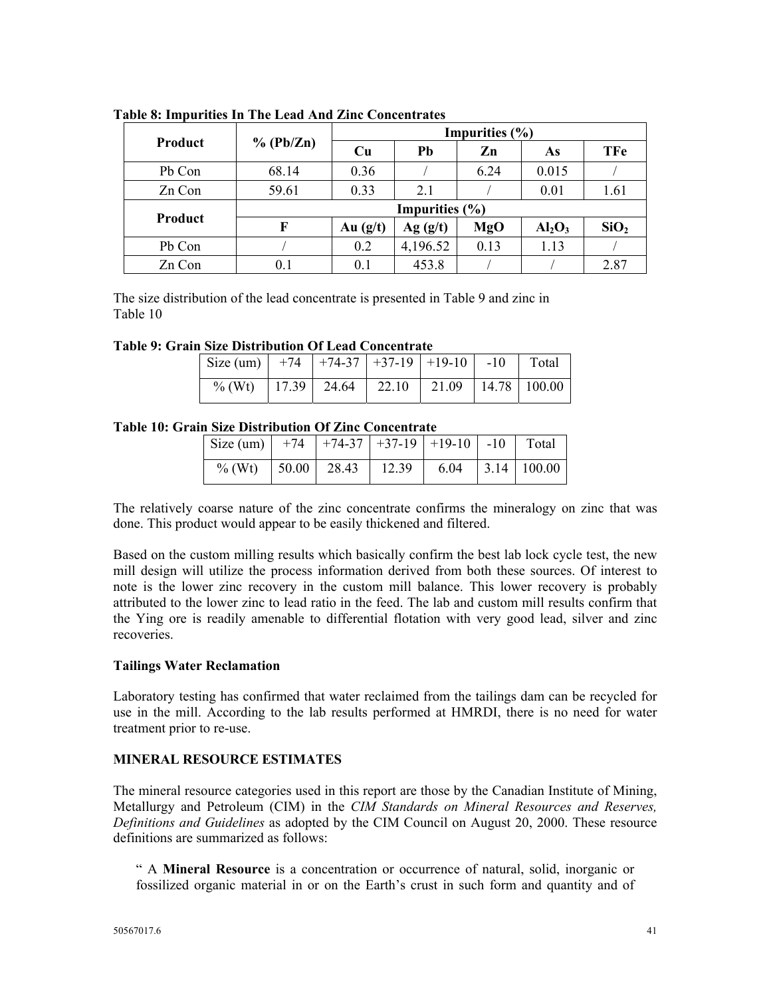|         |                    | Impurities $(\% )$ |          |      |           |                  |  |
|---------|--------------------|--------------------|----------|------|-----------|------------------|--|
| Product | % (Pb/Zn)          | Cu                 | Pb       | Zn   | As        | <b>TFe</b>       |  |
| Pb Con  | 68.14              | 0.36               |          | 6.24 | 0.015     |                  |  |
| Zn Con  | 59.61              | 0.33               | 2.1      |      | 0.01      | 1.61             |  |
|         | Impurities $(\% )$ |                    |          |      |           |                  |  |
| Product | F                  | Au $(g/t)$         | Ag (g/t) | MgO  | $Al_2O_3$ | SiO <sub>2</sub> |  |
| Pb Con  |                    | 0.2                | 4,196.52 | 0.13 | 1.13      |                  |  |
| Zn Con  | 0.1                | 0.1                | 453.8    |      |           | 2.87             |  |

**Table 8: Impurities In The Lead And Zinc Concentrates** 

The size distribution of the lead concentrate is presented in Table 9 and zinc in Table 10

**Table 9: Grain Size Distribution Of Lead Concentrate** 

| $\vert$ Size (um) $\vert$ +74 $\vert$ +74-37 $\vert$ +37-19 $\vert$ +19-10 $\vert$ -10 $\vert$ Total |  |  |  |
|------------------------------------------------------------------------------------------------------|--|--|--|
| % (Wt)   17.39   24.64   22.10   21.09   14.78   100.00                                              |  |  |  |

## **Table 10: Grain Size Distribution Of Zinc Concentrate**

| $\vert$ Size (um) $\vert$ +74 $\vert$ +74-37 $\vert$ +37-19 $\vert$ +19-10 $\vert$ -10 $\vert$ Total |  |  |  |
|------------------------------------------------------------------------------------------------------|--|--|--|
| % (Wt)   50.00   28.43   12.39   6.04   3.14   100.00                                                |  |  |  |

The relatively coarse nature of the zinc concentrate confirms the mineralogy on zinc that was done. This product would appear to be easily thickened and filtered.

Based on the custom milling results which basically confirm the best lab lock cycle test, the new mill design will utilize the process information derived from both these sources. Of interest to note is the lower zinc recovery in the custom mill balance. This lower recovery is probably attributed to the lower zinc to lead ratio in the feed. The lab and custom mill results confirm that the Ying ore is readily amenable to differential flotation with very good lead, silver and zinc **recoveries** 

## **Tailings Water Reclamation**

Laboratory testing has confirmed that water reclaimed from the tailings dam can be recycled for use in the mill. According to the lab results performed at HMRDI, there is no need for water treatment prior to re-use.

## **MINERAL RESOURCE ESTIMATES**

The mineral resource categories used in this report are those by the Canadian Institute of Mining, Metallurgy and Petroleum (CIM) in the *CIM Standards on Mineral Resources and Reserves, Definitions and Guidelines* as adopted by the CIM Council on August 20, 2000. These resource definitions are summarized as follows:

" A **Mineral Resource** is a concentration or occurrence of natural, solid, inorganic or fossilized organic material in or on the Earth's crust in such form and quantity and of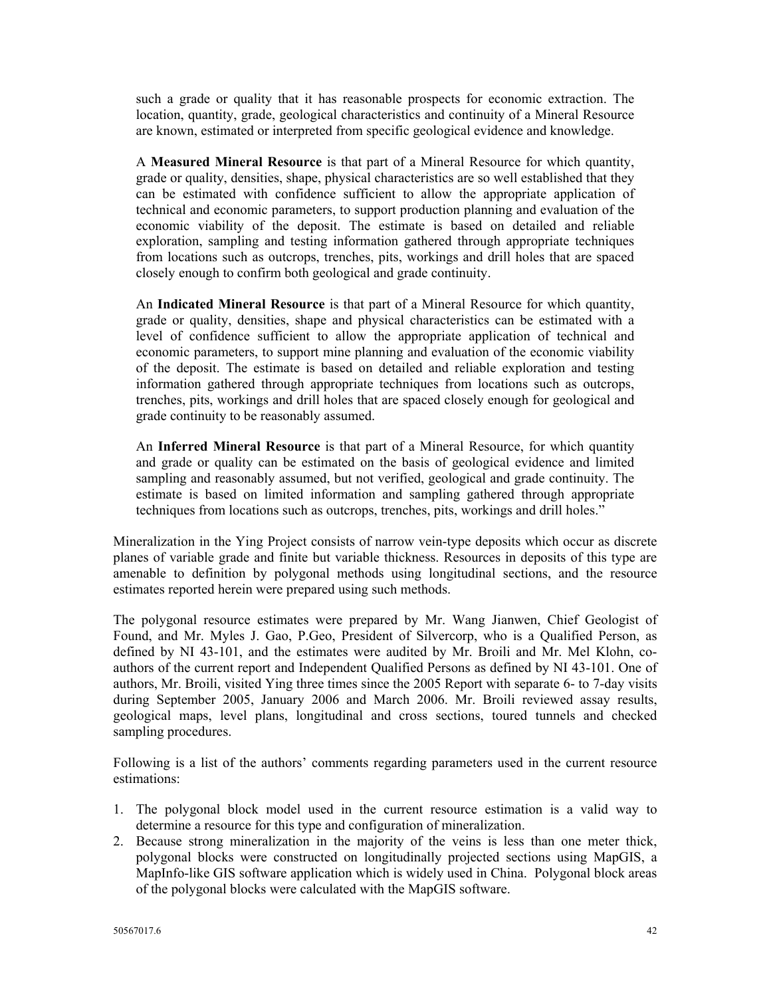such a grade or quality that it has reasonable prospects for economic extraction. The location, quantity, grade, geological characteristics and continuity of a Mineral Resource are known, estimated or interpreted from specific geological evidence and knowledge.

A **Measured Mineral Resource** is that part of a Mineral Resource for which quantity, grade or quality, densities, shape, physical characteristics are so well established that they can be estimated with confidence sufficient to allow the appropriate application of technical and economic parameters, to support production planning and evaluation of the economic viability of the deposit. The estimate is based on detailed and reliable exploration, sampling and testing information gathered through appropriate techniques from locations such as outcrops, trenches, pits, workings and drill holes that are spaced closely enough to confirm both geological and grade continuity.

An **Indicated Mineral Resource** is that part of a Mineral Resource for which quantity, grade or quality, densities, shape and physical characteristics can be estimated with a level of confidence sufficient to allow the appropriate application of technical and economic parameters, to support mine planning and evaluation of the economic viability of the deposit. The estimate is based on detailed and reliable exploration and testing information gathered through appropriate techniques from locations such as outcrops, trenches, pits, workings and drill holes that are spaced closely enough for geological and grade continuity to be reasonably assumed.

An **Inferred Mineral Resource** is that part of a Mineral Resource, for which quantity and grade or quality can be estimated on the basis of geological evidence and limited sampling and reasonably assumed, but not verified, geological and grade continuity. The estimate is based on limited information and sampling gathered through appropriate techniques from locations such as outcrops, trenches, pits, workings and drill holes."

Mineralization in the Ying Project consists of narrow vein-type deposits which occur as discrete planes of variable grade and finite but variable thickness. Resources in deposits of this type are amenable to definition by polygonal methods using longitudinal sections, and the resource estimates reported herein were prepared using such methods.

The polygonal resource estimates were prepared by Mr. Wang Jianwen, Chief Geologist of Found, and Mr. Myles J. Gao, P.Geo, President of Silvercorp, who is a Qualified Person, as defined by NI 43-101, and the estimates were audited by Mr. Broili and Mr. Mel Klohn, coauthors of the current report and Independent Qualified Persons as defined by NI 43-101. One of authors, Mr. Broili, visited Ying three times since the 2005 Report with separate 6- to 7-day visits during September 2005, January 2006 and March 2006. Mr. Broili reviewed assay results, geological maps, level plans, longitudinal and cross sections, toured tunnels and checked sampling procedures.

Following is a list of the authors' comments regarding parameters used in the current resource estimations:

- 1. The polygonal block model used in the current resource estimation is a valid way to determine a resource for this type and configuration of mineralization.
- 2. Because strong mineralization in the majority of the veins is less than one meter thick, polygonal blocks were constructed on longitudinally projected sections using MapGIS, a MapInfo-like GIS software application which is widely used in China. Polygonal block areas of the polygonal blocks were calculated with the MapGIS software.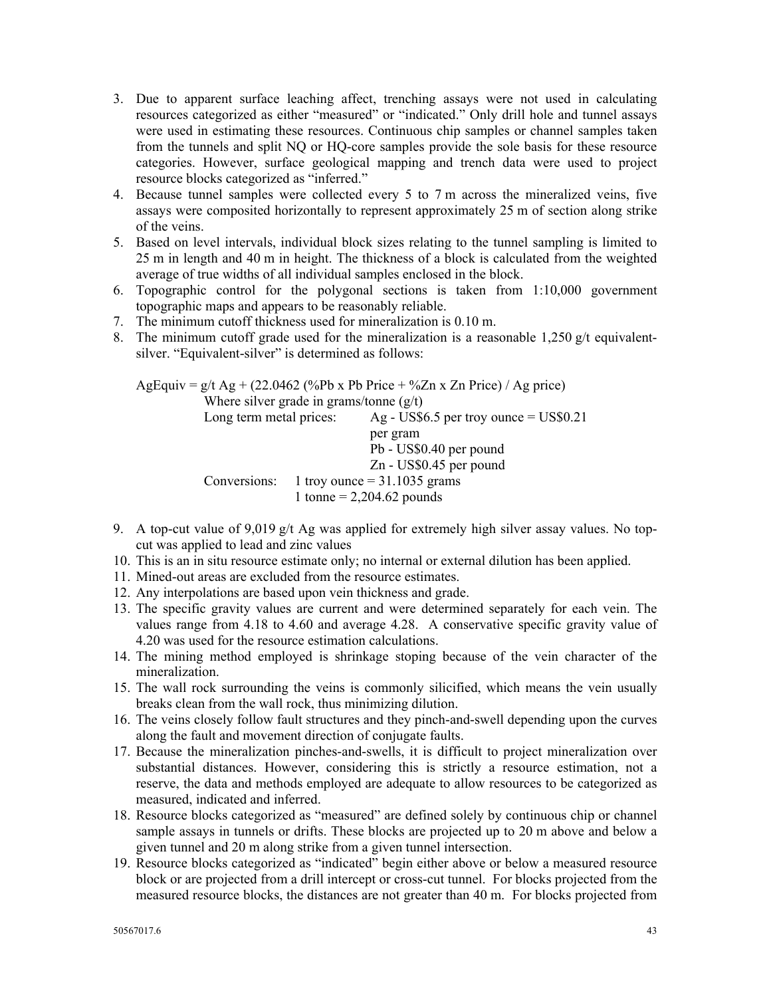- 3. Due to apparent surface leaching affect, trenching assays were not used in calculating resources categorized as either "measured" or "indicated." Only drill hole and tunnel assays were used in estimating these resources. Continuous chip samples or channel samples taken from the tunnels and split NQ or HQ-core samples provide the sole basis for these resource categories. However, surface geological mapping and trench data were used to project resource blocks categorized as "inferred."
- 4. Because tunnel samples were collected every 5 to 7 m across the mineralized veins, five assays were composited horizontally to represent approximately 25 m of section along strike of the veins.
- 5. Based on level intervals, individual block sizes relating to the tunnel sampling is limited to 25 m in length and 40 m in height. The thickness of a block is calculated from the weighted average of true widths of all individual samples enclosed in the block.
- 6. Topographic control for the polygonal sections is taken from 1:10,000 government topographic maps and appears to be reasonably reliable.
- 7. The minimum cutoff thickness used for mineralization is 0.10 m.
- 8. The minimum cutoff grade used for the mineralization is a reasonable 1,250  $g/t$  equivalentsilver. "Equivalent-silver" is determined as follows:

AgEquiv = g/t Ag + (22.0462 (%Pb x Pb Price + %Zn x Zn Price) / Ag price) Where silver grade in grams/tonne  $(g/t)$ Long term metal prices:  $\text{Ag} - \text{US$6.5 per}$  troy ounce  $= \text{US$0.21}$  per gram Pb - US\$0.40 per pound Zn - US\$0.45 per pound Conversions: 1 troy ounce  $= 31.1035$  grams 1 tonne =  $2,204.62$  pounds

- 9. A top-cut value of 9,019 g/t Ag was applied for extremely high silver assay values. No topcut was applied to lead and zinc values
- 10. This is an in situ resource estimate only; no internal or external dilution has been applied.
- 11. Mined-out areas are excluded from the resource estimates.
- 12. Any interpolations are based upon vein thickness and grade.
- 13. The specific gravity values are current and were determined separately for each vein. The values range from 4.18 to 4.60 and average 4.28. A conservative specific gravity value of 4.20 was used for the resource estimation calculations.
- 14. The mining method employed is shrinkage stoping because of the vein character of the mineralization.
- 15. The wall rock surrounding the veins is commonly silicified, which means the vein usually breaks clean from the wall rock, thus minimizing dilution.
- 16. The veins closely follow fault structures and they pinch-and-swell depending upon the curves along the fault and movement direction of conjugate faults.
- 17. Because the mineralization pinches-and-swells, it is difficult to project mineralization over substantial distances. However, considering this is strictly a resource estimation, not a reserve, the data and methods employed are adequate to allow resources to be categorized as measured, indicated and inferred.
- 18. Resource blocks categorized as "measured" are defined solely by continuous chip or channel sample assays in tunnels or drifts. These blocks are projected up to 20 m above and below a given tunnel and 20 m along strike from a given tunnel intersection.
- 19. Resource blocks categorized as "indicated" begin either above or below a measured resource block or are projected from a drill intercept or cross-cut tunnel. For blocks projected from the measured resource blocks, the distances are not greater than 40 m. For blocks projected from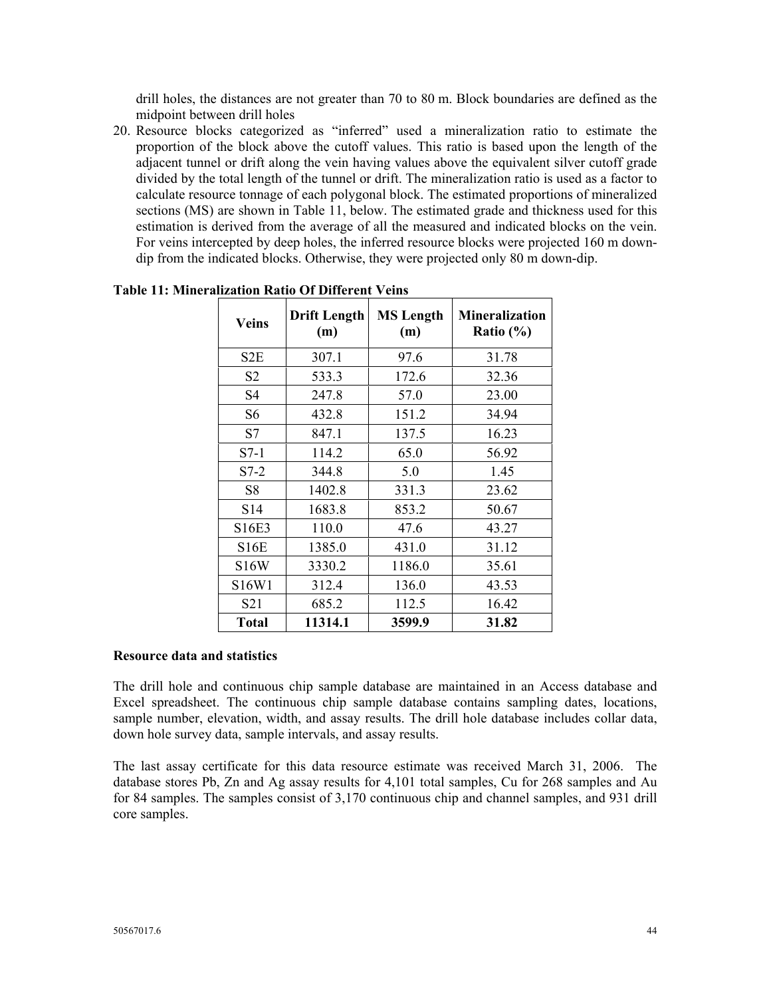drill holes, the distances are not greater than 70 to 80 m. Block boundaries are defined as the midpoint between drill holes

20. Resource blocks categorized as "inferred" used a mineralization ratio to estimate the proportion of the block above the cutoff values. This ratio is based upon the length of the adjacent tunnel or drift along the vein having values above the equivalent silver cutoff grade divided by the total length of the tunnel or drift. The mineralization ratio is used as a factor to calculate resource tonnage of each polygonal block. The estimated proportions of mineralized sections (MS) are shown in Table 11, below. The estimated grade and thickness used for this estimation is derived from the average of all the measured and indicated blocks on the vein. For veins intercepted by deep holes, the inferred resource blocks were projected 160 m downdip from the indicated blocks. Otherwise, they were projected only 80 m down-dip.

| <b>Veins</b>      | <b>Drift Length</b><br>(m) | <b>MS</b> Length<br>(m) | <b>Mineralization</b><br>Ratio $(\% )$ |
|-------------------|----------------------------|-------------------------|----------------------------------------|
| S2E               | 307.1                      | 97.6                    | 31.78                                  |
| S <sub>2</sub>    | 533.3                      | 172.6                   | 32.36                                  |
| S <sub>4</sub>    | 247.8                      | 57.0                    | 23.00                                  |
| S <sub>6</sub>    | 432.8                      | 151.2                   | 34.94                                  |
| S7                | 847.1                      | 137.5                   | 16.23                                  |
| $S7-1$            | 114.2                      | 65.0                    | 56.92                                  |
| $S7-2$            | 344.8                      | 5.0                     | 1.45                                   |
| S8                | 1402.8                     | 331.3                   | 23.62                                  |
| S <sub>14</sub>   | 1683.8                     | 853.2                   | 50.67                                  |
| S16E3             | 110.0                      | 47.6                    | 43.27                                  |
| <b>S16E</b>       | 1385.0                     | 431.0                   | 31.12                                  |
| S <sub>16</sub> W | 3330.2                     | 1186.0                  | 35.61                                  |
| S16W1             | 312.4                      | 136.0                   | 43.53                                  |
| S <sub>21</sub>   | 685.2                      | 112.5                   | 16.42                                  |
| <b>Total</b>      | 11314.1                    | 3599.9                  | 31.82                                  |

**Table 11: Mineralization Ratio Of Different Veins** 

#### **Resource data and statistics**

The drill hole and continuous chip sample database are maintained in an Access database and Excel spreadsheet. The continuous chip sample database contains sampling dates, locations, sample number, elevation, width, and assay results. The drill hole database includes collar data, down hole survey data, sample intervals, and assay results.

The last assay certificate for this data resource estimate was received March 31, 2006. The database stores Pb, Zn and Ag assay results for 4,101 total samples, Cu for 268 samples and Au for 84 samples. The samples consist of 3,170 continuous chip and channel samples, and 931 drill core samples.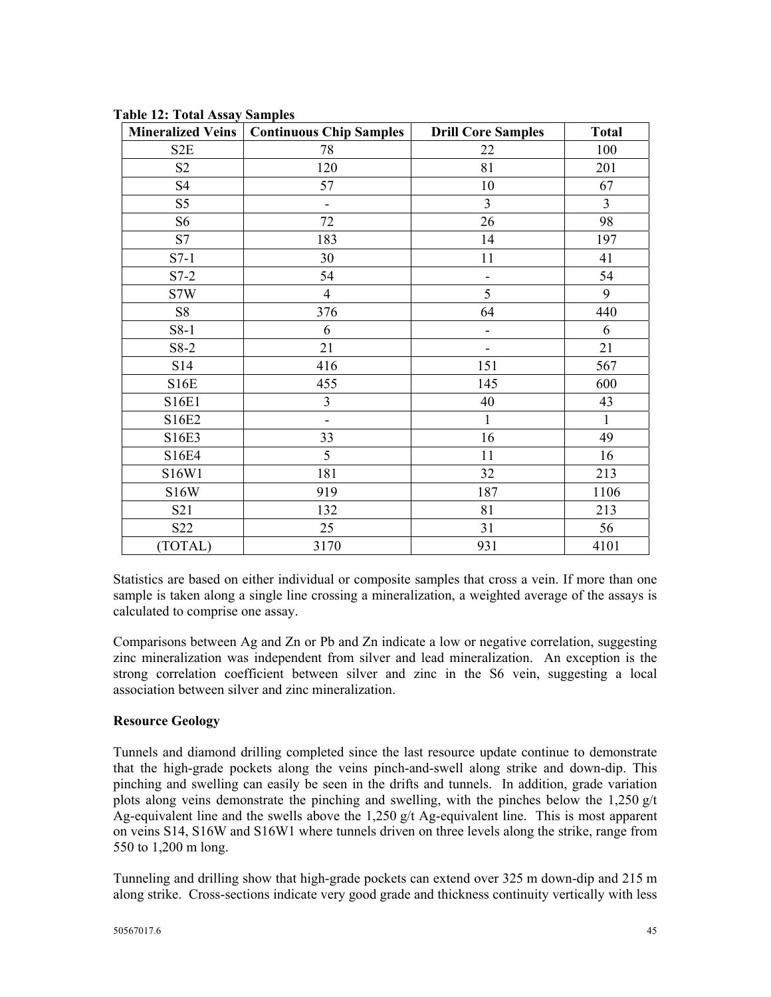|                  | Mineralized Veins   Continuous Chip Samples | <b>Drill Core Samples</b>    | <b>Total</b>   |
|------------------|---------------------------------------------|------------------------------|----------------|
| S <sub>2</sub> E | 78                                          | 22                           | 100            |
| S <sub>2</sub>   | 120                                         | 81                           | 201            |
| <b>S4</b>        | 57                                          | 10                           | 67             |
| S <sub>5</sub>   |                                             | $\overline{3}$               | $\overline{3}$ |
| S <sub>6</sub>   | 72                                          | 26                           | 98             |
| S7               | 183                                         | 14                           | 197            |
| $S7-1$           | 30                                          | 11                           | 41             |
| $S7-2$           | 54                                          |                              | 54             |
| S7W              | $\overline{4}$                              | 5                            | 9              |
| S8               | 376                                         | 64                           | 440            |
| S8-1             | 6                                           | -                            | 6              |
| $S8-2$           | 21                                          | $\qquad \qquad \blacksquare$ | 21             |
| S14              | 416                                         | 151                          | 567            |
| <b>S16E</b>      | 455                                         | 145                          | 600            |
| S16E1            | 3                                           | 40                           | 43             |
| S16E2            | $\overline{\phantom{a}}$                    | 1                            | $\mathbf{1}$   |
| S16E3            | 33                                          | 16                           | 49             |
| S16E4            | 5                                           | 11                           | 16             |
| S16W1            | 181                                         | 32                           | 213            |
| <b>S16W</b>      | 919                                         | 187                          | 1106           |
| S <sub>21</sub>  | 132                                         | 81                           | 213            |
| S <sub>22</sub>  | 25                                          | 31                           | 56             |
| (TOTAL)          | 3170                                        | 931                          | 4101           |

**Table 12: Total Assay Samples** 

Statistics are based on either individual or composite samples that cross a vein. If more than one sample is taken along a single line crossing a mineralization, a weighted average of the assays is calculated to comprise one assay.

Comparisons between Ag and Zn or Pb and Zn indicate a low or negative correlation, suggesting zinc mineralization was independent from silver and lead mineralization. An exception is the strong correlation coefficient between silver and zinc in the S6 vein, suggesting a local association between silver and zinc mineralization.

## **Resource Geology**

Tunnels and diamond drilling completed since the last resource update continue to demonstrate that the high-grade pockets along the veins pinch-and-swell along strike and down-dip. This pinching and swelling can easily be seen in the drifts and tunnels. In addition, grade variation plots along veins demonstrate the pinching and swelling, with the pinches below the 1,250  $g/t$ Ag-equivalent line and the swells above the 1,250 g/t Ag-equivalent line. This is most apparent on veins S14, S16W and S16W1 where tunnels driven on three levels along the strike, range from 550 to 1,200 m long.

Tunneling and drilling show that high-grade pockets can extend over 325 m down-dip and 215 m along strike. Cross-sections indicate very good grade and thickness continuity vertically with less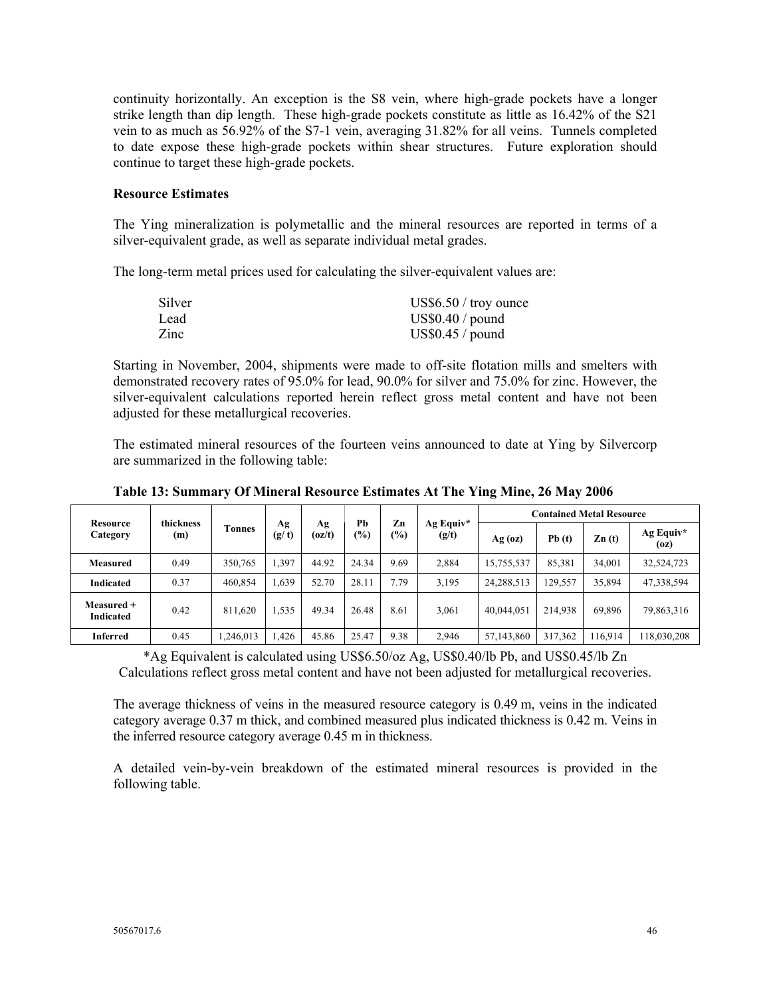continuity horizontally. An exception is the S8 vein, where high-grade pockets have a longer strike length than dip length. These high-grade pockets constitute as little as 16.42% of the S21 vein to as much as 56.92% of the S7-1 vein, averaging 31.82% for all veins. Tunnels completed to date expose these high-grade pockets within shear structures. Future exploration should continue to target these high-grade pockets.

#### **Resource Estimates**

The Ying mineralization is polymetallic and the mineral resources are reported in terms of a silver-equivalent grade, as well as separate individual metal grades.

The long-term metal prices used for calculating the silver-equivalent values are:

| Silver | $US$6.50 /$ troy ounce |
|--------|------------------------|
| Lead   | US\$0.40 / pound       |
| Zinc   | US\$0.45 / pound       |

Starting in November, 2004, shipments were made to off-site flotation mills and smelters with demonstrated recovery rates of 95.0% for lead, 90.0% for silver and 75.0% for zinc. However, the silver-equivalent calculations reported herein reflect gross metal content and have not been adjusted for these metallurgical recoveries.

The estimated mineral resources of the fourteen veins announced to date at Ying by Silvercorp are summarized in the following table:

| <b>Resource</b>         | thickness<br>(m) | Tonnes   | Ag<br>(g/t)   |              | Pb                     | Zn            | Ag Equiv*    | <b>Contained Metal Resource</b> |         |                   |                   |  |  |
|-------------------------|------------------|----------|---------------|--------------|------------------------|---------------|--------------|---------------------------------|---------|-------------------|-------------------|--|--|
| Category                |                  |          |               | Ag<br>(oz/t) | (%)                    | $\frac{1}{2}$ | (g/t)        | $Ag$ (oz)                       | Pb(t)   | $\mathbf{Zn}$ (t) | Ag Equiv*<br>(oz) |  |  |
| Measured                | 0.49             | 350,765  | .397          | 44.92        | 24.34                  | 9.69          | 2.884        | 85,381<br>34.001<br>15,755,537  |         | 32,524,723        |                   |  |  |
| Indicated               | 0.37             | 460,854  | 1,639         | 52.70        | 28.11<br>7.79<br>3,195 |               | 24, 288, 513 | 129,557                         | 35,894  | 47,338,594        |                   |  |  |
| Measured +<br>Indicated | 0.42             | 811,620  | .535<br>49.34 |              | 26.48                  | 8.61          | 3,061        | 40.044.051                      | 214,938 | 69,896            | 79,863,316        |  |  |
| <b>Inferred</b>         | 0.45             | ,246,013 | .426          | 45.86        | 25.47                  | 9.38          | 2,946        | 57,143,860                      | 317,362 | 116,914           | 118,030,208       |  |  |

**Table 13: Summary Of Mineral Resource Estimates At The Ying Mine, 26 May 2006** 

\*Ag Equivalent is calculated using US\$6.50/oz Ag, US\$0.40/lb Pb, and US\$0.45/lb Zn Calculations reflect gross metal content and have not been adjusted for metallurgical recoveries.

The average thickness of veins in the measured resource category is 0.49 m, veins in the indicated category average 0.37 m thick, and combined measured plus indicated thickness is 0.42 m. Veins in the inferred resource category average 0.45 m in thickness.

A detailed vein-by-vein breakdown of the estimated mineral resources is provided in the following table.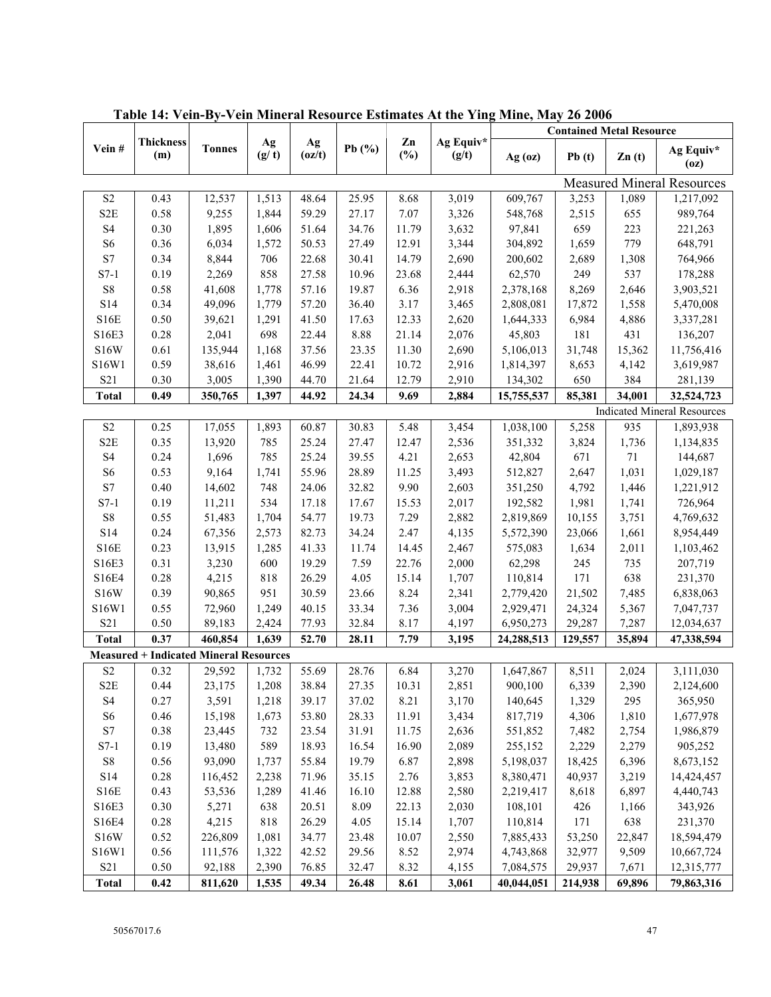|                            |                                               |               |             |              |           |              |                    |                                   |         | <b>Contained Metal Resource</b> |                                    |  |
|----------------------------|-----------------------------------------------|---------------|-------------|--------------|-----------|--------------|--------------------|-----------------------------------|---------|---------------------------------|------------------------------------|--|
| Vein#                      | <b>Thickness</b><br>(m)                       | <b>Tonnes</b> | Ag<br>(g/t) | Ag<br>(oz/t) | Pb $(\%)$ | Zn<br>$(\%)$ | Ag Equiv*<br>(g/t) | $Ag$ (oz)                         | Pb(t)   | $\mathbf{Zn}$ (t)               | Ag Equiv*<br>(oz)                  |  |
|                            |                                               |               |             |              |           |              |                    | <b>Measured Mineral Resources</b> |         |                                 |                                    |  |
| $\ensuremath{\mathrm{S2}}$ | 0.43                                          | 12,537        | 1,513       | 48.64        | 25.95     | 8.68         | 3,019              | 609,767                           | 3,253   | 1,089                           | 1,217,092                          |  |
| S <sub>2</sub> E           | 0.58                                          | 9,255         | 1,844       | 59.29        | 27.17     | 7.07         | 3,326              | 548,768                           | 2,515   | 655                             | 989,764                            |  |
| $\ensuremath{\mathrm{S}}4$ | 0.30                                          | 1,895         | 1,606       | 51.64        | 34.76     | 11.79        | 3,632              | 97,841                            | 659     | 223                             | 221,263                            |  |
| S <sub>6</sub>             | 0.36                                          | 6,034         | 1,572       | 50.53        | 27.49     | 12.91        | 3,344              | 304,892                           | 1,659   | 779                             | 648,791                            |  |
| $\mathbf{S}7$              | 0.34                                          | 8,844         | 706         | 22.68        | 30.41     | 14.79        | 2,690              | 200,602                           | 2,689   | 1,308                           | 764,966                            |  |
| $S7-1$                     | 0.19                                          | 2,269         | 858         | 27.58        | 10.96     | 23.68        | 2,444              | 62,570                            | 249     | 537                             | 178,288                            |  |
| ${\rm S}8$                 | 0.58                                          | 41,608        | 1,778       | 57.16        | 19.87     | 6.36         | 2,918              | 2,378,168                         | 8,269   | 2,646                           | 3,903,521                          |  |
| S14                        | 0.34                                          | 49,096        | 1,779       | 57.20        | 36.40     | 3.17         | 3,465              | 2,808,081                         | 17,872  | 1,558                           | 5,470,008                          |  |
| S16E                       | $0.50\,$                                      | 39,621        | 1,291       | 41.50        | 17.63     | 12.33        | 2,620              | 1,644,333                         | 6,984   | 4,886                           | 3,337,281                          |  |
| S16E3                      | $0.28\,$                                      | 2,041         | 698         | 22.44        | 8.88      | 21.14        | 2,076              | 45,803                            | 181     | 431                             | 136,207                            |  |
| <b>S16W</b>                | 0.61                                          | 135,944       | 1,168       | 37.56        | 23.35     | 11.30        | 2,690              | 5,106,013                         | 31,748  | 15,362                          | 11,756,416                         |  |
| S16W1                      | 0.59                                          | 38,616        | 1,461       | 46.99        | 22.41     | 10.72        | 2,916              | 1,814,397                         | 8,653   | 4,142                           | 3,619,987                          |  |
| S21                        | $0.30\,$                                      | 3,005         | 1,390       | 44.70        | 21.64     | 12.79        | 2,910              | 134,302                           | 650     | 384                             | 281,139                            |  |
| <b>Total</b>               | 0.49                                          | 350,765       | 1,397       | 44.92        | 24.34     | 9.69         | 2,884              | 15,755,537                        | 85,381  | 34,001                          | 32,524,723                         |  |
|                            |                                               |               |             |              |           |              |                    |                                   |         |                                 | <b>Indicated Mineral Resources</b> |  |
| $\ensuremath{\mathrm{S2}}$ | 0.25                                          | 17,055        | 1,893       | 60.87        | 30.83     | 5.48         | 3,454              | 1,038,100                         | 5,258   | 935                             | 1,893,938                          |  |
| S2E                        | 0.35                                          | 13,920        | 785         | 25.24        | 27.47     | 12.47        | 2,536              | 351,332                           | 3,824   | 1,736                           | 1,134,835                          |  |
| $\ensuremath{\mathrm{S}}4$ | 0.24                                          | 1,696         | 785         | 25.24        | 39.55     | 4.21         | 2,653              | 42,804                            | 671     | 71                              | 144,687                            |  |
| S <sub>6</sub>             | 0.53                                          | 9,164         | 1,741       | 55.96        | 28.89     | 11.25        | 3,493              | 512,827                           | 2,647   | 1,031                           | 1,029,187                          |  |
| $\mathbf{S}7$              | 0.40                                          | 14,602        | 748         | 24.06        | 32.82     | 9.90         | 2,603              | 351,250                           | 4,792   | 1,446                           | 1,221,912                          |  |
| $S7-1$                     | 0.19                                          | 11,211        | 534         | 17.18        | 17.67     | 15.53        | 2,017              | 192,582                           | 1,981   | 1,741                           | 726,964                            |  |
| ${\bf S8}$                 | 0.55                                          | 51,483        | 1,704       | 54.77        | 19.73     | 7.29         | 2,882              | 2,819,869                         | 10,155  | 3,751                           | 4,769,632                          |  |
| S14                        | 0.24                                          | 67,356        | 2,573       | 82.73        | 34.24     | 2.47         | 4,135              | 5,572,390                         | 23,066  | 1,661                           | 8,954,449                          |  |
| S16E                       | 0.23                                          | 13,915        | 1,285       | 41.33        | 11.74     | 14.45        | 2,467              | 575,083                           | 1,634   | 2,011                           | 1,103,462                          |  |
| S16E3                      | 0.31                                          | 3,230         | 600         | 19.29        | 7.59      | 22.76        | 2,000              | 62,298                            | 245     | 735                             | 207,719                            |  |
| S16E4                      | $0.28\,$                                      | 4,215         | 818         | 26.29        | 4.05      | 15.14        | 1,707              | 110,814                           | 171     | 638                             | 231,370                            |  |
| S16W                       | 0.39                                          | 90,865        | 951         | 30.59        | 23.66     | 8.24         | 2,341              | 2,779,420                         | 21,502  | 7,485                           | 6,838,063                          |  |
| S16W1                      | 0.55                                          | 72,960        | 1,249       | 40.15        | 33.34     | 7.36         | 3,004              | 2,929,471                         | 24,324  | 5,367                           | 7,047,737                          |  |
| S <sub>21</sub>            | 0.50                                          | 89,183        | 2,424       | 77.93        | 32.84     | 8.17         | 4,197              | 6,950,273                         | 29,287  | 7,287                           | 12,034,637                         |  |
| <b>Total</b>               | 0.37                                          | 460,854       | 1,639       | 52.70        | 28.11     | 7.79         | 3,195              | 24,288,513                        | 129,557 | 35,894                          | 47,338,594                         |  |
|                            | <b>Measured + Indicated Mineral Resources</b> |               |             |              |           |              |                    |                                   |         |                                 |                                    |  |
| $\ensuremath{\mathrm{S2}}$ | 0.32                                          | 29,592        | 1,732       | 55.69        | 28.76     | 6.84         | 3,270              | 1,647,867                         | 8,511   | 2,024                           | 3,111,030                          |  |
| S <sub>2</sub> E           | 0.44                                          | 23,175        | 1,208       | 38.84        | 27.35     | 10.31        | 2,851              | 900,100                           | 6,339   | 2,390                           | 2,124,600                          |  |
| S <sub>4</sub>             | 0.27                                          | 3,591         | 1,218       | 39.17        | 37.02     | 8.21         | 3,170              | 140,645                           | 1,329   | 295                             | 365,950                            |  |
| S <sub>6</sub>             | 0.46                                          | 15,198        | 1,673       | 53.80        | 28.33     | 11.91        | 3,434              | 817,719                           | 4,306   | 1,810                           | 1,677,978                          |  |
| $\mathbf{S}7$              | 0.38                                          | 23,445        | 732         | 23.54        | 31.91     | 11.75        | 2,636              | 551,852                           | 7,482   | 2,754                           | 1,986,879                          |  |
| $S7-1$                     | 0.19                                          | 13,480        | 589         | 18.93        | 16.54     | 16.90        | 2,089              | 255,152                           | 2,229   | 2,279                           | 905,252                            |  |
| ${\bf S8}$                 | 0.56                                          | 93,090        | 1,737       | 55.84        | 19.79     | 6.87         | 2,898              | 5,198,037                         | 18,425  | 6,396                           | 8,673,152                          |  |
| $\rm S14$                  | 0.28                                          | 116,452       | 2,238       | 71.96        | 35.15     | 2.76         | 3,853              | 8,380,471                         | 40,937  | 3,219                           | 14,424,457                         |  |
| S16E                       | 0.43                                          | 53,536        | 1,289       | 41.46        | 16.10     | 12.88        | 2,580              | 2,219,417                         | 8,618   | 6,897                           | 4,440,743                          |  |
|                            | $0.30\,$                                      | 5,271         | 638         | 20.51        | 8.09      | 22.13        |                    | 108,101                           | 426     |                                 | 343,926                            |  |
| S16E3                      |                                               |               |             |              |           |              | 2,030              |                                   |         | 1,166                           |                                    |  |
| S16E4                      | $0.28\,$                                      | 4,215         | 818         | 26.29        | 4.05      | 15.14        | 1,707              | 110,814                           | 171     | 638                             | 231,370                            |  |
| <b>S16W</b>                | 0.52                                          | 226,809       | 1,081       | 34.77        | 23.48     | 10.07        | 2,550              | 7,885,433                         | 53,250  | 22,847                          | 18,594,479                         |  |
| S16W1                      | 0.56                                          | 111,576       | 1,322       | 42.52        | 29.56     | 8.52         | 2,974              | 4,743,868                         | 32,977  | 9,509                           | 10,667,724                         |  |
| S21                        | $0.50\,$                                      | 92,188        | 2,390       | 76.85        | 32.47     | 8.32         | 4,155              | 7,084,575                         | 29,937  | 7,671                           | 12,315,777                         |  |
| <b>Total</b>               | 0.42                                          | 811,620       | 1,535       | 49.34        | 26.48     | 8.61         | 3,061              | 40,044,051                        | 214,938 | 69,896                          | 79,863,316                         |  |

**Table 14: Vein-By-Vein Mineral Resource Estimates At the Ying Mine, May 26 2006**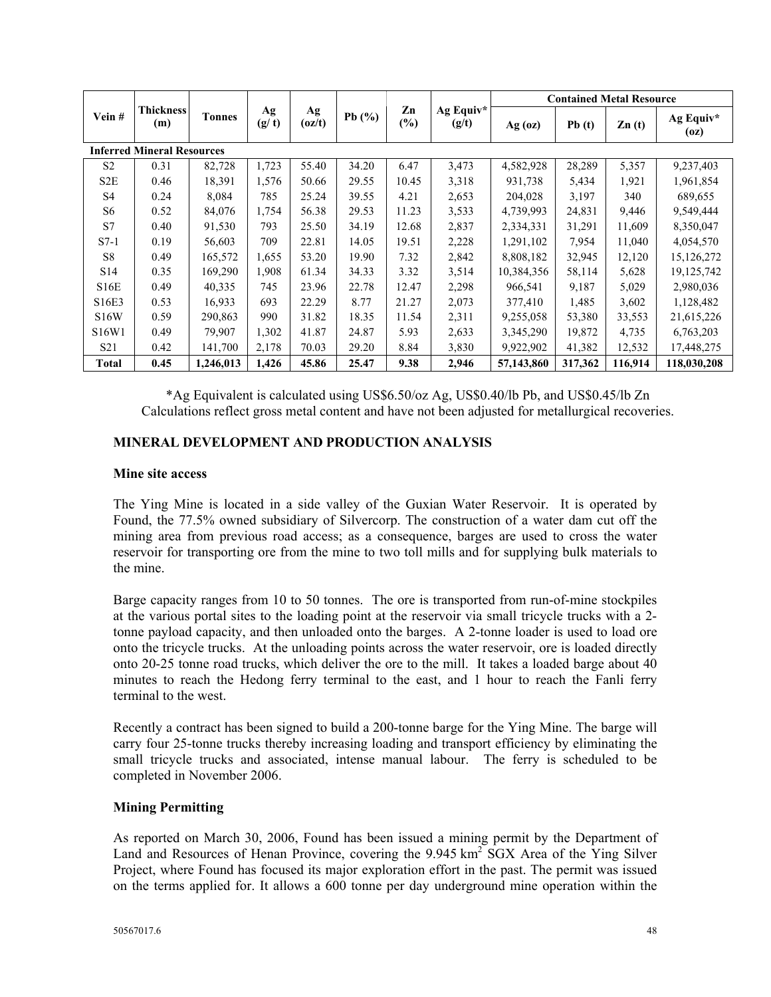|                                   |                         |               |             |              |            |              |                    |                               |         | <b>Contained Metal Resource</b> |                   |
|-----------------------------------|-------------------------|---------------|-------------|--------------|------------|--------------|--------------------|-------------------------------|---------|---------------------------------|-------------------|
| Vein#                             | <b>Thickness</b><br>(m) | <b>Tonnes</b> | Ag<br>(g/t) | Ag<br>(oz/t) | Pb $(\% )$ | Zn<br>$(\%)$ | Ag Equiv*<br>(g/t) | $Ag$ (oz)                     | Pb(t)   | $\mathbf{Zn}$ (t)               | Ag Equiv*<br>(oz) |
| <b>Inferred Mineral Resources</b> |                         |               |             |              |            |              |                    |                               |         |                                 |                   |
| S <sub>2</sub>                    | 0.31                    | 82,728        | 1,723       | 55.40        | 34.20      | 6.47         | 3,473              | 4,582,928                     | 28,289  | 5,357                           | 9,237,403         |
| S <sub>2</sub> E                  | 0.46                    | 18,391        | 1,576       | 50.66        | 29.55      | 10.45        | 3,318              | 931,738                       | 5,434   | 1,921                           | 1,961,854         |
| S <sub>4</sub>                    | 0.24                    | 8,084         | 785         | 25.24        | 39.55      | 4.21         | 2,653              | 204,028                       | 3,197   | 340                             | 689,655           |
| S6                                | 0.52                    | 84,076        | 1,754       | 56.38        | 29.53      | 11.23        | 3,533              | 4,739,993                     | 24,831  | 9,446                           | 9,549,444         |
| S7                                | 0.40                    | 91,530        | 793         | 25.50        | 34.19      | 12.68        | 2,837              | 2,334,331                     | 31,291  | 11,609                          | 8,350,047         |
| $S7-1$                            | 0.19                    | 56,603        | 709         | 22.81        | 14.05      | 19.51        | 2,228              | 1,291,102                     | 7,954   | 11,040                          | 4,054,570         |
| S <sub>8</sub>                    | 0.49                    | 165,572       | 1,655       | 53.20        | 19.90      | 7.32         | 2,842              | 8,808,182                     | 32,945  | 12,120                          | 15,126,272        |
| S <sub>14</sub>                   | 0.35                    | 169,290       | 1,908       | 61.34        | 34.33      | 3.32         | 3,514              | 10,384,356                    | 58,114  | 5,628                           | 19, 125, 742      |
| S16E                              | 0.49                    | 40,335        | 745         | 23.96        | 22.78      | 12.47        | 2,298              | 966,541                       | 9,187   | 5,029                           | 2,980,036         |
| S16E3                             | 0.53                    | 16,933        | 693         | 22.29        | 8.77       | 21.27        | 2,073              | 377,410                       | 1,485   | 3,602                           | 1,128,482         |
| <b>S16W</b>                       | 0.59                    | 290,863       | 990         | 31.82        | 18.35      | 11.54        | 2,311              | 9,255,058                     | 53,380  | 33,553                          | 21,615,226        |
| S16W1                             | 0.49                    | 79,907        | 1,302       | 41.87        | 24.87      | 5.93         | 2,633              | 3,345,290<br>19,872<br>4,735  |         | 6,763,203                       |                   |
| S <sub>21</sub>                   | 0.42                    | 141,700       | 2,178       | 70.03        | 29.20      | 8.84         | 3,830              | 9,922,902<br>12,532<br>41,382 |         | 17,448,275                      |                   |
| <b>Total</b>                      | 0.45                    | 1,246,013     | 1,426       | 45.86        | 25.47      | 9.38         | 2,946              | 57,143,860                    | 317,362 | 116,914                         | 118,030,208       |

\*Ag Equivalent is calculated using US\$6.50/oz Ag, US\$0.40/lb Pb, and US\$0.45/lb Zn Calculations reflect gross metal content and have not been adjusted for metallurgical recoveries.

## **MINERAL DEVELOPMENT AND PRODUCTION ANALYSIS**

#### **Mine site access**

The Ying Mine is located in a side valley of the Guxian Water Reservoir. It is operated by Found, the 77.5% owned subsidiary of Silvercorp. The construction of a water dam cut off the mining area from previous road access; as a consequence, barges are used to cross the water reservoir for transporting ore from the mine to two toll mills and for supplying bulk materials to the mine.

Barge capacity ranges from 10 to 50 tonnes. The ore is transported from run-of-mine stockpiles at the various portal sites to the loading point at the reservoir via small tricycle trucks with a 2 tonne payload capacity, and then unloaded onto the barges. A 2-tonne loader is used to load ore onto the tricycle trucks. At the unloading points across the water reservoir, ore is loaded directly onto 20-25 tonne road trucks, which deliver the ore to the mill. It takes a loaded barge about 40 minutes to reach the Hedong ferry terminal to the east, and 1 hour to reach the Fanli ferry terminal to the west.

Recently a contract has been signed to build a 200-tonne barge for the Ying Mine. The barge will carry four 25-tonne trucks thereby increasing loading and transport efficiency by eliminating the small tricycle trucks and associated, intense manual labour. The ferry is scheduled to be completed in November 2006.

## **Mining Permitting**

As reported on March 30, 2006, Found has been issued a mining permit by the Department of Land and Resources of Henan Province, covering the  $9.945 \text{ km}^2$  SGX Area of the Ying Silver Project, where Found has focused its major exploration effort in the past. The permit was issued on the terms applied for. It allows a 600 tonne per day underground mine operation within the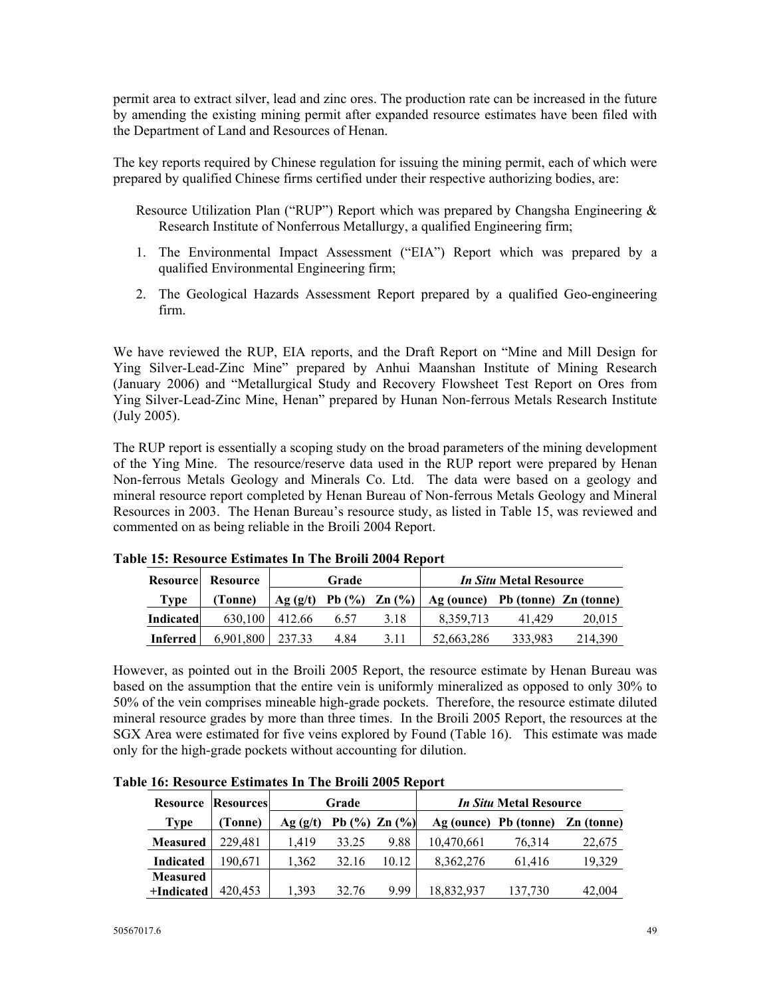permit area to extract silver, lead and zinc ores. The production rate can be increased in the future by amending the existing mining permit after expanded resource estimates have been filed with the Department of Land and Resources of Henan.

The key reports required by Chinese regulation for issuing the mining permit, each of which were prepared by qualified Chinese firms certified under their respective authorizing bodies, are:

- Resource Utilization Plan ("RUP") Report which was prepared by Changsha Engineering & Research Institute of Nonferrous Metallurgy, a qualified Engineering firm;
- 1. The Environmental Impact Assessment ("EIA") Report which was prepared by a qualified Environmental Engineering firm;
- 2. The Geological Hazards Assessment Report prepared by a qualified Geo-engineering firm.

We have reviewed the RUP, EIA reports, and the Draft Report on "Mine and Mill Design for Ying Silver-Lead-Zinc Mine" prepared by Anhui Maanshan Institute of Mining Research (January 2006) and "Metallurgical Study and Recovery Flowsheet Test Report on Ores from Ying Silver-Lead-Zinc Mine, Henan" prepared by Hunan Non-ferrous Metals Research Institute (July 2005).

The RUP report is essentially a scoping study on the broad parameters of the mining development of the Ying Mine. The resource/reserve data used in the RUP report were prepared by Henan Non-ferrous Metals Geology and Minerals Co. Ltd. The data were based on a geology and mineral resource report completed by Henan Bureau of Non-ferrous Metals Geology and Mineral Resources in 2003. The Henan Bureau's resource study, as listed in Table 15, was reviewed and commented on as being reliable in the Broili 2004 Report.

|                  | Resource Resource |         | Grade |                     | <i>In Situ</i> Metal Resource    |         |         |  |  |
|------------------|-------------------|---------|-------|---------------------|----------------------------------|---------|---------|--|--|
| Type             | (Tonne)           | Ag(g/t) |       | Pb $(\%)$ Zn $(\%)$ | Ag (ounce) Pb (tonne) Zn (tonne) |         |         |  |  |
| <b>Indicated</b> | 630,100           | 412.66  | 6.57  | 3.18                | 8.359.713                        | 41.429  | 20,015  |  |  |
| <b>Inferred</b>  | 6,901,800         | 237.33  | 4.84  | 3.11                | 52,663,286                       | 333,983 | 214,390 |  |  |

**Table 15: Resource Estimates In The Broili 2004 Report** 

However, as pointed out in the Broili 2005 Report, the resource estimate by Henan Bureau was based on the assumption that the entire vein is uniformly mineralized as opposed to only 30% to 50% of the vein comprises mineable high-grade pockets. Therefore, the resource estimate diluted mineral resource grades by more than three times. In the Broili 2005 Report, the resources at the SGX Area were estimated for five veins explored by Found (Table 16). This estimate was made only for the high-grade pockets without accounting for dilution.

|                  | <b>Resource Resources</b> |         | Grade |                     | <i>In Situ</i> Metal Resource |                                  |        |  |  |  |  |
|------------------|---------------------------|---------|-------|---------------------|-------------------------------|----------------------------------|--------|--|--|--|--|
| Type             | (Tonne)                   | Ag(g/t) |       | Pb $(\%)$ Zn $(\%)$ |                               | Ag (ounce) Pb (tonne) Zn (tonne) |        |  |  |  |  |
| <b>Measured</b>  | 229.481                   | 1.419   | 33.25 | 9.88                | 10,470,661                    | 76,314                           | 22,675 |  |  |  |  |
| <b>Indicated</b> | 190.671                   | 1.362   | 32.16 | 10.12               | 8,362,276                     | 61,416                           | 19,329 |  |  |  |  |
| <b>Measured</b>  |                           |         |       |                     |                               |                                  |        |  |  |  |  |
| +Indicated       | 420,453                   | 1.393   | 32.76 | 9.99                | 18,832,937                    | 137,730                          | 42,004 |  |  |  |  |

**Table 16: Resource Estimates In The Broili 2005 Report**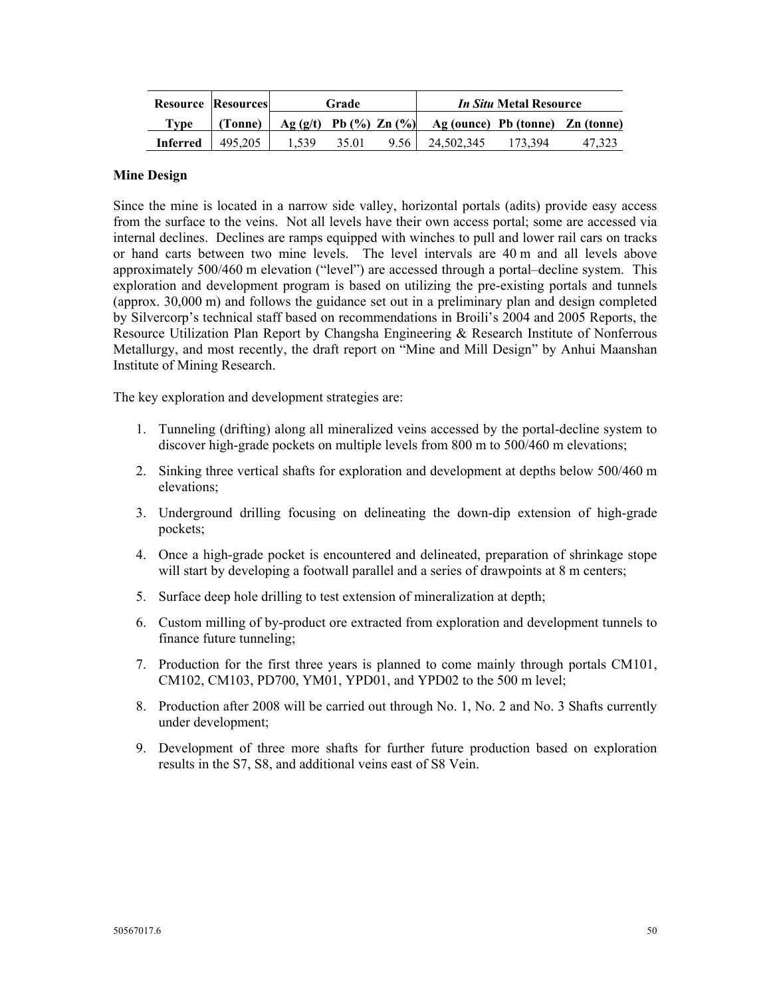|                 | <b>Resource Resources</b> |                                | Grade |      | <i>In Situ</i> Metal Resource    |         |  |  |  |
|-----------------|---------------------------|--------------------------------|-------|------|----------------------------------|---------|--|--|--|
| Type            | (Tonne)                   | Ag $(g/t)$ Pb $(\%)$ Zn $(\%)$ |       |      | Ag (ounce) Pb (tonne) Zn (tonne) |         |  |  |  |
| <b>Inferred</b> | 495.205                   | .539                           | 35.01 | 9.56 | 24.502.345                       | 173.394 |  |  |  |

#### **Mine Design**

Since the mine is located in a narrow side valley, horizontal portals (adits) provide easy access from the surface to the veins. Not all levels have their own access portal; some are accessed via internal declines. Declines are ramps equipped with winches to pull and lower rail cars on tracks or hand carts between two mine levels. The level intervals are 40 m and all levels above approximately 500/460 m elevation ("level") are accessed through a portal–decline system. This exploration and development program is based on utilizing the pre-existing portals and tunnels (approx. 30,000 m) and follows the guidance set out in a preliminary plan and design completed by Silvercorp's technical staff based on recommendations in Broili's 2004 and 2005 Reports, the Resource Utilization Plan Report by Changsha Engineering & Research Institute of Nonferrous Metallurgy, and most recently, the draft report on "Mine and Mill Design" by Anhui Maanshan Institute of Mining Research.

The key exploration and development strategies are:

- 1. Tunneling (drifting) along all mineralized veins accessed by the portal-decline system to discover high-grade pockets on multiple levels from 800 m to 500/460 m elevations;
- 2. Sinking three vertical shafts for exploration and development at depths below 500/460 m elevations;
- 3. Underground drilling focusing on delineating the down-dip extension of high-grade pockets;
- 4. Once a high-grade pocket is encountered and delineated, preparation of shrinkage stope will start by developing a footwall parallel and a series of drawpoints at 8 m centers;
- 5. Surface deep hole drilling to test extension of mineralization at depth;
- 6. Custom milling of by-product ore extracted from exploration and development tunnels to finance future tunneling;
- 7. Production for the first three years is planned to come mainly through portals CM101, CM102, CM103, PD700, YM01, YPD01, and YPD02 to the 500 m level;
- 8. Production after 2008 will be carried out through No. 1, No. 2 and No. 3 Shafts currently under development;
- 9. Development of three more shafts for further future production based on exploration results in the S7, S8, and additional veins east of S8 Vein.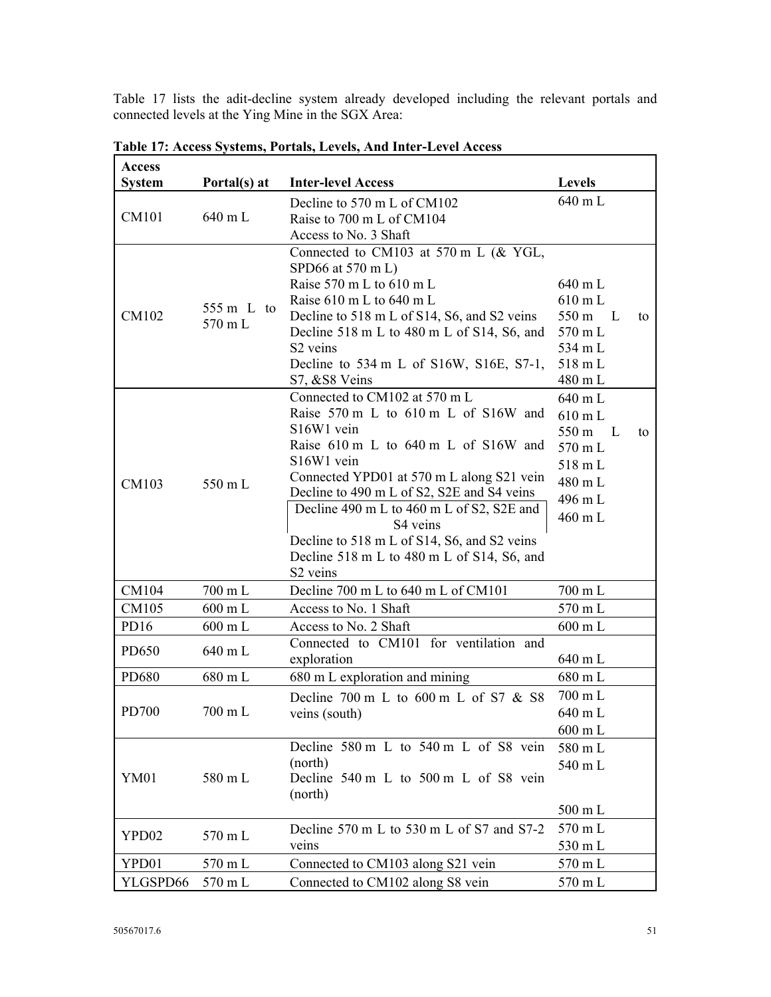Table 17 lists the adit-decline system already developed including the relevant portals and connected levels at the Ying Mine in the SGX Area:

| <b>Access</b>    |                   |                                                      |                              |    |
|------------------|-------------------|------------------------------------------------------|------------------------------|----|
| <b>System</b>    | Portal(s) at      | <b>Inter-level Access</b>                            | <b>Levels</b>                |    |
|                  |                   | Decline to 570 m L of CM102                          | 640 m L                      |    |
| CM101            | 640 mL            | Raise to 700 m L of CM104                            |                              |    |
|                  |                   | Access to No. 3 Shaft                                |                              |    |
|                  |                   | Connected to CM103 at 570 m L (& YGL,                |                              |    |
|                  |                   | SPD66 at 570 m L)                                    |                              |    |
|                  |                   | Raise 570 m L to 610 m L<br>Raise 610 m L to 640 m L | 640 m L<br>$610 \text{ m L}$ |    |
| CM102            | 555 m L to        | Decline to 518 m L of S14, S6, and S2 veins          | 550 m<br>$\mathbf{L}$        | to |
|                  | 570 mL            | Decline 518 m L to 480 m L of S14, S6, and           | 570 m L                      |    |
|                  |                   | S <sub>2</sub> veins                                 | 534 m L                      |    |
|                  |                   | Decline to $534 \text{ m}$ L of S16W, S16E, S7-1,    | 518 mL                       |    |
|                  |                   | S7, &S8 Veins                                        | 480 mL                       |    |
|                  |                   | Connected to CM102 at 570 m L                        | 640 m L                      |    |
|                  |                   | Raise 570 m L to 610 m L of S16W and                 | 610 mL                       |    |
|                  |                   | S <sub>16</sub> W <sub>1</sub> vein                  | 550 m L                      | to |
|                  |                   | Raise 610 m L to 640 m L of S16W and                 | 570 mL                       |    |
|                  |                   | S16W1 vein                                           | 518 mL                       |    |
| CM103            | 550 mL            | Connected YPD01 at 570 m L along S21 vein            | 480 mL                       |    |
|                  |                   | Decline to 490 m L of S2, S2E and S4 veins           | 496 m L                      |    |
|                  |                   | Decline 490 m L to 460 m L of S2, S2E and            | 460 mL                       |    |
|                  |                   | S4 veins                                             |                              |    |
|                  |                   | Decline to 518 m L of S14, S6, and S2 veins          |                              |    |
|                  |                   | Decline 518 m L to 480 m L of S14, S6, and           |                              |    |
|                  |                   | S <sub>2</sub> veins                                 |                              |    |
| CM104            | 700 mL            | Decline 700 m L to 640 m L of CM101                  | 700 m L                      |    |
| CM105            | 600 mL            | Access to No. 1 Shaft                                | 570 mL                       |    |
| PD <sub>16</sub> | 600 mL            | Access to No. 2 Shaft                                | 600 mL                       |    |
| PD650            | 640 mL            | Connected to CM101 for ventilation and               |                              |    |
|                  |                   | exploration                                          | 640 mL                       |    |
| PD680            | 680 mL            | 680 m L exploration and mining                       | 680 mL                       |    |
|                  |                   | Decline 700 m L to 600 m L of S7 $&$ S8              | $700 \text{ m L}$            |    |
| PD700            | $700 \text{ m L}$ | veins (south)                                        | 640 m L                      |    |
|                  |                   |                                                      | 600 mL                       |    |
|                  |                   | Decline 580 m L to 540 m L of S8 vein                | 580 mL                       |    |
| <b>YM01</b>      | 580 m L           | (north)                                              | 540 mL                       |    |
|                  |                   | Decline 540 m L to 500 m L of S8 vein                |                              |    |
|                  |                   | (north)                                              | 500 mL                       |    |
|                  |                   |                                                      | 570 mL                       |    |
| YPD02            | 570 mL            | Decline 570 m L to 530 m L of S7 and S7-2<br>veins   |                              |    |
|                  | 570 mL            |                                                      | 530 m L                      |    |
| YPD01            |                   | Connected to CM103 along S21 vein                    | 570 mL                       |    |
| YLGSPD66         | 570 mL            | Connected to CM102 along S8 vein                     | 570 m L                      |    |

**Table 17: Access Systems, Portals, Levels, And Inter-Level Access** 

7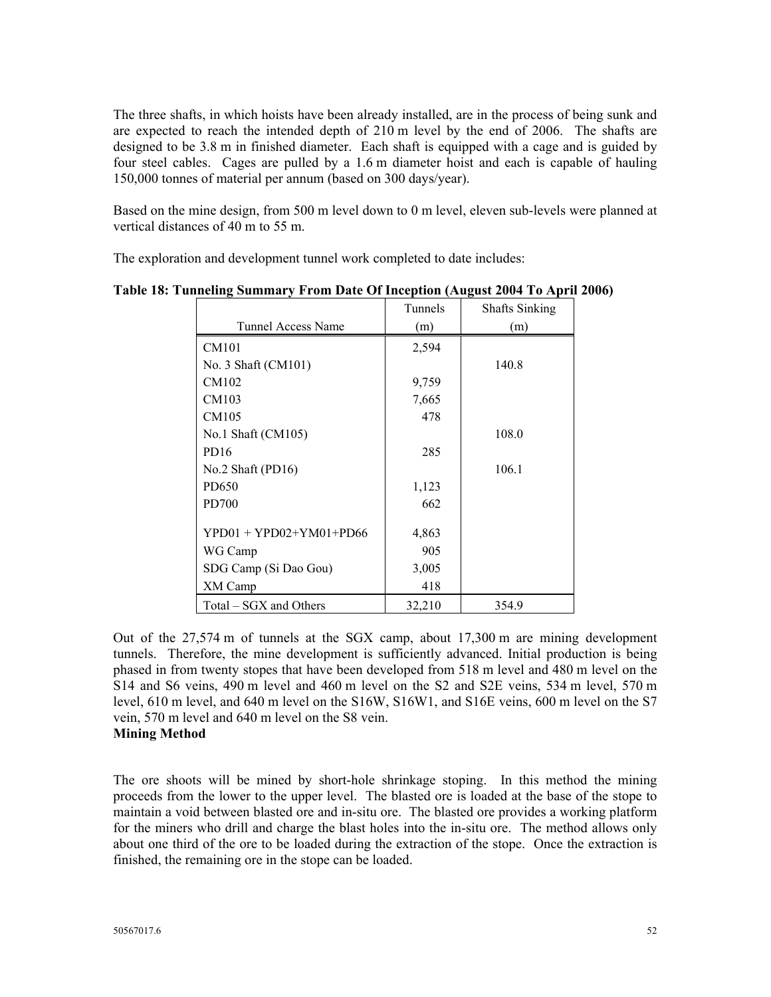The three shafts, in which hoists have been already installed, are in the process of being sunk and are expected to reach the intended depth of 210 m level by the end of 2006. The shafts are designed to be 3.8 m in finished diameter. Each shaft is equipped with a cage and is guided by four steel cables. Cages are pulled by a 1.6 m diameter hoist and each is capable of hauling 150,000 tonnes of material per annum (based on 300 days/year).

Based on the mine design, from 500 m level down to 0 m level, eleven sub-levels were planned at vertical distances of 40 m to 55 m.

The exploration and development tunnel work completed to date includes:

|                           | Tunnels | <b>Shafts Sinking</b> |
|---------------------------|---------|-----------------------|
| <b>Tunnel Access Name</b> | (m)     | (m)                   |
| <b>CM101</b>              | 2,594   |                       |
| No. 3 Shaft (CM101)       |         | 140.8                 |
| CM102                     | 9,759   |                       |
| CM103                     | 7,665   |                       |
| CM105                     | 478     |                       |
| No.1 Shaft (CM105)        |         | 108.0                 |
| PD <sub>16</sub>          | 285     |                       |
| No.2 Shaft (PD16)         |         | 106.1                 |
| PD650                     | 1,123   |                       |
| PD700                     | 662     |                       |
| $YPD01 + YPD02+YM01+PD66$ | 4,863   |                       |
| WG Camp                   | 905     |                       |
| SDG Camp (Si Dao Gou)     | 3,005   |                       |
| XM Camp                   | 418     |                       |
| Total – SGX and Others    | 32,210  | 354.9                 |

**Table 18: Tunneling Summary From Date Of Inception (August 2004 To April 2006)** 

Out of the 27,574 m of tunnels at the SGX camp, about 17,300 m are mining development tunnels. Therefore, the mine development is sufficiently advanced. Initial production is being phased in from twenty stopes that have been developed from 518 m level and 480 m level on the S14 and S6 veins, 490 m level and 460 m level on the S2 and S2E veins, 534 m level, 570 m level, 610 m level, and 640 m level on the S16W, S16W1, and S16E veins, 600 m level on the S7 vein, 570 m level and 640 m level on the S8 vein.

# **Mining Method**

The ore shoots will be mined by short-hole shrinkage stoping. In this method the mining proceeds from the lower to the upper level. The blasted ore is loaded at the base of the stope to maintain a void between blasted ore and in-situ ore. The blasted ore provides a working platform for the miners who drill and charge the blast holes into the in-situ ore. The method allows only about one third of the ore to be loaded during the extraction of the stope. Once the extraction is finished, the remaining ore in the stope can be loaded.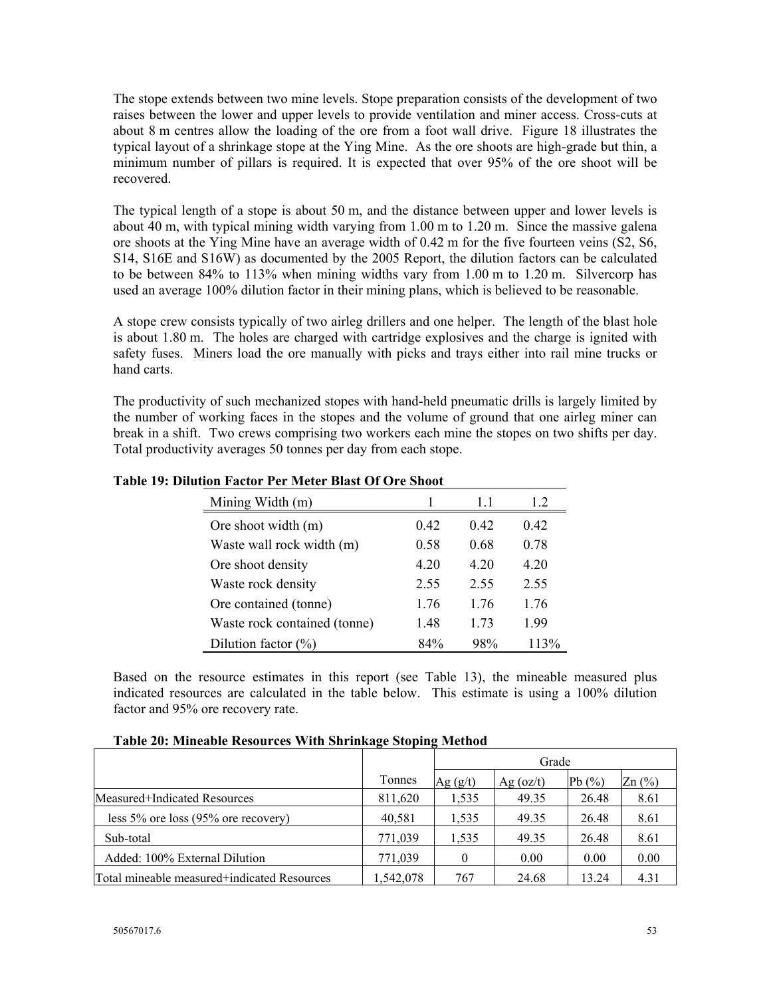The stope extends between two mine levels. Stope preparation consists of the development of two raises between the lower and upper levels to provide ventilation and miner access. Cross-cuts at about 8 m centres allow the loading of the ore from a foot wall drive. Figure 18 illustrates the typical layout of a shrinkage stope at the Ying Mine. As the ore shoots are high-grade but thin, a minimum number of pillars is required. It is expected that over 95% of the ore shoot will be recovered.

The typical length of a stope is about 50 m, and the distance between upper and lower levels is about 40 m, with typical mining width varying from 1.00 m to 1.20 m. Since the massive galena ore shoots at the Ying Mine have an average width of 0.42 m for the five fourteen veins (S2, S6, S14, S16E and S16W) as documented by the 2005 Report, the dilution factors can be calculated to be between 84% to 113% when mining widths vary from 1.00 m to 1.20 m. Silvercorp has used an average 100% dilution factor in their mining plans, which is believed to be reasonable.

A stope crew consists typically of two airleg drillers and one helper. The length of the blast hole is about 1.80 m. The holes are charged with cartridge explosives and the charge is ignited with safety fuses. Miners load the ore manually with picks and trays either into rail mine trucks or hand carts.

The productivity of such mechanized stopes with hand-held pneumatic drills is largely limited by the number of working faces in the stopes and the volume of ground that one airleg miner can break in a shift. Two crews comprising two workers each mine the stopes on two shifts per day. Total productivity averages 50 tonnes per day from each stope.

| Mining Width (m)             |      | 11   | 12   |
|------------------------------|------|------|------|
| Ore shoot width (m)          | 0.42 | 0.42 | 0.42 |
| Waste wall rock width (m)    | 0.58 | 0.68 | 0.78 |
| Ore shoot density            | 4.20 | 4 20 | 4 20 |
| Waste rock density           | 2.55 | 2.55 | 2.55 |
| Ore contained (tonne)        | 1 76 | 1 76 | 1 76 |
| Waste rock contained (tonne) | 1.48 | 1 73 | 199  |
| Dilution factor $(\%)$       | 84%  | 98%  | 113% |

## **Table 19: Dilution Factor Per Meter Blast Of Ore Shoot**

Based on the resource estimates in this report (see Table 13), the mineable measured plus indicated resources are calculated in the table below. This estimate is using a 100% dilution factor and 95% ore recovery rate.

|                                             | $\overline{\phantom{a}}$ |          |                                        |           |                                 |  |  |  |
|---------------------------------------------|--------------------------|----------|----------------------------------------|-----------|---------------------------------|--|--|--|
|                                             |                          | Grade    |                                        |           |                                 |  |  |  |
|                                             | Tonnes                   | Ag (g/t) | Ag $\left( \frac{\alpha z}{t} \right)$ | Pb $(\%)$ | $Zn$ $\left(\frac{9}{6}\right)$ |  |  |  |
| Measured+Indicated Resources                | 811,620                  | 1,535    | 49.35                                  | 26.48     | 8.61                            |  |  |  |
| less $5\%$ ore loss $(95\%$ ore recovery)   | 40.581                   | 1,535    | 49.35                                  | 26.48     | 8.61                            |  |  |  |
| Sub-total                                   | 771.039                  | 1,535    | 49.35                                  | 26.48     | 8.61                            |  |  |  |
| Added: 100% External Dilution               | 771,039                  |          | 0.00                                   | 0.00      | 0.00                            |  |  |  |
| Total mineable measured+indicated Resources | 1,542,078                | 767      | 24.68                                  | 13.24     | 4.31                            |  |  |  |

**Table 20: Mineable Resources With Shrinkage Stoping Method**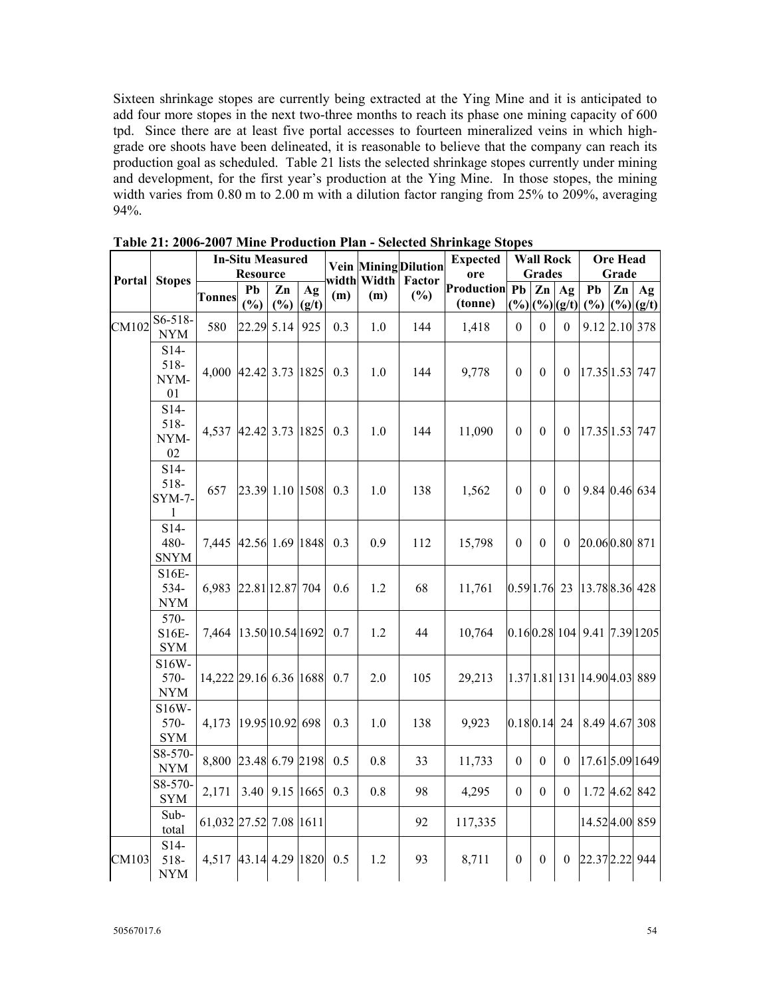Sixteen shrinkage stopes are currently being extracted at the Ying Mine and it is anticipated to add four more stopes in the next two-three months to reach its phase one mining capacity of 600 tpd. Since there are at least five portal accesses to fourteen mineralized veins in which highgrade ore shoots have been delineated, it is reasonable to believe that the company can reach its production goal as scheduled. Table 21 lists the selected shrinkage stopes currently under mining and development, for the first year's production at the Ying Mine. In those stopes, the mining width varies from 0.80 m to 2.00 m with a dilution factor ranging from 25% to 209%, averaging 94%.

|        | <b>Stopes</b>                            | <b>In-Situ Measured</b><br><b>Resource</b> |                  |                | width Width |     | <b>Expected</b><br><b>Vein Mining Dilution</b><br>ore<br>Factor | <b>Wall Rock</b><br><b>Grades</b> |                          |                  | <b>Ore Head</b><br>Grade |                   |                                    |               |                   |
|--------|------------------------------------------|--------------------------------------------|------------------|----------------|-------------|-----|-----------------------------------------------------------------|-----------------------------------|--------------------------|------------------|--------------------------|-------------------|------------------------------------|---------------|-------------------|
| Portal |                                          | <b>Tonnes</b>                              | Pb<br>(%)        | Zn<br>(%)      | Ag<br>(g/t) | (m) | (m)                                                             | (%)                               | Production Pb<br>(tonne) | (%)              | Zn                       | Ag<br>$(\%)(g/t)$ | P <sub>b</sub><br>(%)              | $\mathbf{Zn}$ | Ag<br>$(*) (g/t)$ |
| CM102  | $S6 - 518 -$<br><b>NYM</b>               | 580                                        | 22.29 5.14       |                | 925         | 0.3 | 1.0                                                             | 144                               | 1,418                    | $\theta$         | $\overline{0}$           | $\boldsymbol{0}$  | 9.12 2.10 378                      |               |                   |
|        | $S14-$<br>518-<br>NYM-<br>01             | 4,000                                      | 42.42 3.73 1825  |                |             | 0.3 | 1.0                                                             | 144                               | 9,778                    | $\theta$         | $\theta$                 | $\theta$          | 17.35 1.53 747                     |               |                   |
|        | $S14-$<br>518-<br>NYM-<br>02             | 4,537                                      | 42.42 3.73 1825  |                |             | 0.3 | 1.0                                                             | 144                               | 11,090                   | $\mathbf{0}$     | $\theta$                 | $\theta$          | 17.35 1.53 747                     |               |                   |
|        | $S14-$<br>518-<br>SYM-7-<br>$\mathbf{1}$ | 657                                        | 23.39 1.10 1508  |                |             | 0.3 | 1.0                                                             | 138                               | 1,562                    | $\theta$         | $\theta$                 | $\theta$          | 9.84 0.46 634                      |               |                   |
|        | $S14-$<br>480-<br><b>SNYM</b>            | 7,445                                      | 42.56 1.69 1848  |                |             | 0.3 | 0.9                                                             | 112                               | 15,798                   | $\theta$         | $\theta$                 | $\theta$          | 20.060.80 871                      |               |                   |
|        | S16E-<br>534-<br><b>NYM</b>              | 6,983                                      | 22.81 12.87 704  |                |             | 0.6 | 1.2                                                             | 68                                | 11,761                   |                  | 0.59 1.76 23             |                   | 13.78 8.36 428                     |               |                   |
|        | 570-<br>S16E-<br><b>SYM</b>              | 7.464                                      | 13.50 10.54 1692 |                |             | 0.7 | 1.2                                                             | 44                                | 10,764                   |                  |                          |                   | 0.160.28110419.417.391205          |               |                   |
|        | S16W-<br>570-<br><b>NYM</b>              | 14,222 29.16 6.36 1688                     |                  |                |             | 0.7 | 2.0                                                             | 105                               | 29,213                   |                  |                          |                   | $[1.37]1.81]131$ $[14.90]4.03]889$ |               |                   |
|        | $S16W -$<br>570-<br><b>SYM</b>           | 4,173                                      | 19.95 10.92 698  |                |             | 0.3 | 1.0                                                             | 138                               | 9,923                    |                  | $0.180.14$ 24            |                   | 8.49 4.67 308                      |               |                   |
|        | S8-570-<br><b>NYM</b>                    | 8,800                                      | 23.48 6.79 2198  |                |             | 0.5 | 0.8                                                             | 33                                | 11,733                   | $\boldsymbol{0}$ | $\theta$                 | $\mathbf{0}$      | 17.61 5.09 1649                    |               |                   |
|        | S8-570-<br><b>SYM</b>                    | 2,171                                      |                  | 3.40 9.15 1665 |             | 0.3 | 0.8                                                             | 98                                | 4,295                    | $\theta$         | $\boldsymbol{0}$         | $\boldsymbol{0}$  | 1.72 4.62 842                      |               |                   |
|        | Sub-<br>total                            | 61,032 27.52 7.08 1611                     |                  |                |             |     |                                                                 | 92                                | 117,335                  |                  |                          |                   | 14.524.00 859                      |               |                   |
| CM103  | $S14-$<br>518-<br><b>NYM</b>             | 4,517                                      | 43.14 4.29 1820  |                |             | 0.5 | 1.2                                                             | 93                                | 8,711                    | $\mathbf{0}$     | $\theta$                 | $\theta$          | 22.37 2.22 944                     |               |                   |

**Table 21: 2006-2007 Mine Production Plan - Selected Shrinkage Stopes**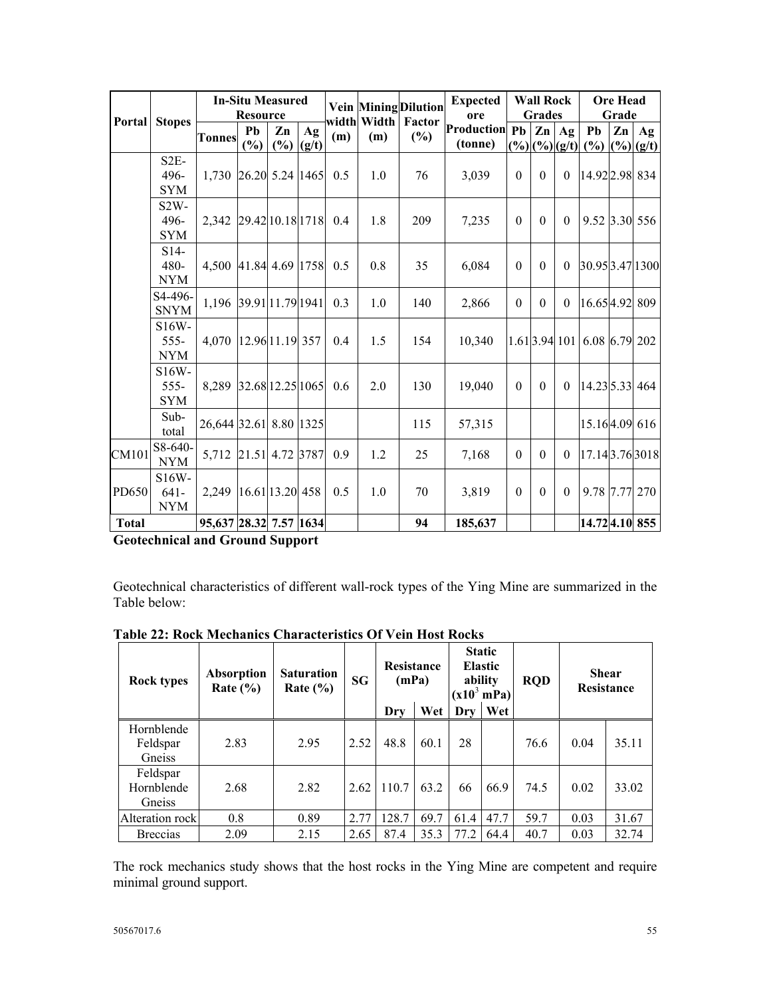|              | <b>Stopes</b>                  | <b>In-Situ Measured</b><br><b>Resource</b> |                 |           |             |     | <b>Vein Mining Dilution</b> | <b>Expected</b><br>ore | <b>Wall Rock</b><br><b>Grades</b> |          |                                         | <b>Ore Head</b><br>Grade |                                                                   |    |                             |
|--------------|--------------------------------|--------------------------------------------|-----------------|-----------|-------------|-----|-----------------------------|------------------------|-----------------------------------|----------|-----------------------------------------|--------------------------|-------------------------------------------------------------------|----|-----------------------------|
| Portal       |                                | <b>Tonnes</b>                              | Pb<br>(%)       | Zn<br>(%) | Ag<br>(g/t) | (m) | width Width<br>(m)          | Factor<br>$(\%)$       | <b>Production Pb</b><br>(tonne)   |          | Zn<br>$(\frac{9}{6})(\frac{6}{6})(g/t)$ | Ag                       | Pb<br>(%)                                                         | Zn | Ag<br>$(\frac{9}{6})$ (g/t) |
|              | $S2E-$<br>496-<br><b>SYM</b>   | 1,730 26.20 5.24 1465                      |                 |           |             | 0.5 | 1.0                         | 76                     | 3,039                             | $\theta$ | $\theta$                                | $\theta$                 | 14.922.98 834                                                     |    |                             |
|              | $S2W -$<br>496-<br><b>SYM</b>  | 2,342 29.42 10.18 1718 0.4                 |                 |           |             |     | 1.8                         | 209                    | 7,235                             | $\theta$ | $\theta$                                | $\theta$                 | 9.52 3.30 556                                                     |    |                             |
|              | $S14-$<br>480-<br><b>NYM</b>   | 4,500 41.84 4.69 1758 0.5                  |                 |           |             |     | $0.8\,$                     | 35                     | 6,084                             | $\theta$ | $\theta$                                | $\theta$                 | 30.95 3.47 1300                                                   |    |                             |
|              | S4-496-<br><b>SNYM</b>         | 1,196 39.91 11.79 1941                     |                 |           |             | 0.3 | 1.0                         | 140                    | 2,866                             | $\theta$ | $\theta$                                | $\theta$                 | 16.654.92 809                                                     |    |                             |
|              | S16W-<br>$555 -$<br><b>NYM</b> | 4,070 12.96 11.19 357                      |                 |           |             | 0.4 | 1.5                         | 154                    | 10,340                            |          |                                         |                          | $\vert 1.61 \vert 3.94 \vert 101 \vert 6.08 \vert 6.79 \vert 202$ |    |                             |
|              | S16W-<br>$555 -$<br><b>SYM</b> | 8,289 32.68 12.25 1065                     |                 |           |             | 0.6 | 2.0                         | 130                    | 19,040                            | $\theta$ | $\theta$                                | $\theta$                 | 14.23 5.33 464                                                    |    |                             |
|              | $Sub-$<br>total                | 26,644 32.61 8.80 1325                     |                 |           |             |     |                             | 115                    | 57,315                            |          |                                         |                          | 15.164.09 616                                                     |    |                             |
| CM101        | $S8-640-$<br><b>NYM</b>        | 5,712                                      | 21.51 4.72 3787 |           |             | 0.9 | 1.2                         | 25                     | 7,168                             | $\theta$ | $\theta$                                | $\theta$                 | 17.14 3.76 3018                                                   |    |                             |
| PD650        | S16W-<br>$641-$<br><b>NYM</b>  | 2,249                                      | 16.61 13.20 458 |           |             | 0.5 | 1.0                         | 70                     | 3,819                             | $\theta$ | $\theta$                                | $\theta$                 | 9.78 7.77 270                                                     |    |                             |
| <b>Total</b> |                                | 95,637 28.32 7.57 1634                     |                 |           |             |     |                             | 94                     | 185,637                           |          |                                         |                          | 14.72 4.10 855                                                    |    |                             |

**Geotechnical and Ground Support** 

Geotechnical characteristics of different wall-rock types of the Ying Mine are summarized in the Table below:

| <b>Rock types</b>                | <b>Absorption</b><br>Rate $(\% )$ | <b>Saturation</b><br>Rate $(\% )$ |      | <b>Resistance</b><br>(mPa) |      | <b>Static</b><br>Elastic<br>ability<br>$(x10^3 \text{ mPa})$ |      | <b>RQD</b> | <b>Shear</b><br><b>Resistance</b> |       |  |
|----------------------------------|-----------------------------------|-----------------------------------|------|----------------------------|------|--------------------------------------------------------------|------|------------|-----------------------------------|-------|--|
|                                  |                                   |                                   |      | Drv                        | Wet  | Drv                                                          | Wet  |            |                                   |       |  |
| Hornblende<br>Feldspar<br>Gneiss | 2.83                              | 2.95                              | 2.52 | 48.8                       | 60.1 | 28                                                           |      | 76.6       | 0.04                              | 35.11 |  |
| Feldspar<br>Hornblende<br>Gneiss | 2.68                              | 2.82                              | 2.62 | 110.7                      | 63.2 | 66                                                           | 66.9 | 74.5       | 0.02                              | 33.02 |  |
| Alteration rock                  | 0.8                               | 0.89                              | 2.77 | 128.7                      | 69.7 | 61.4                                                         | 47.7 | 59.7       | 0.03                              | 31.67 |  |
| <b>Breccias</b>                  | 2.09                              | 2.15                              | 2.65 | 87.4                       | 35.3 | 77.2                                                         | 64.4 | 40.7       | 0.03                              | 32.74 |  |

**Table 22: Rock Mechanics Characteristics Of Vein Host Rocks** 

The rock mechanics study shows that the host rocks in the Ying Mine are competent and require minimal ground support.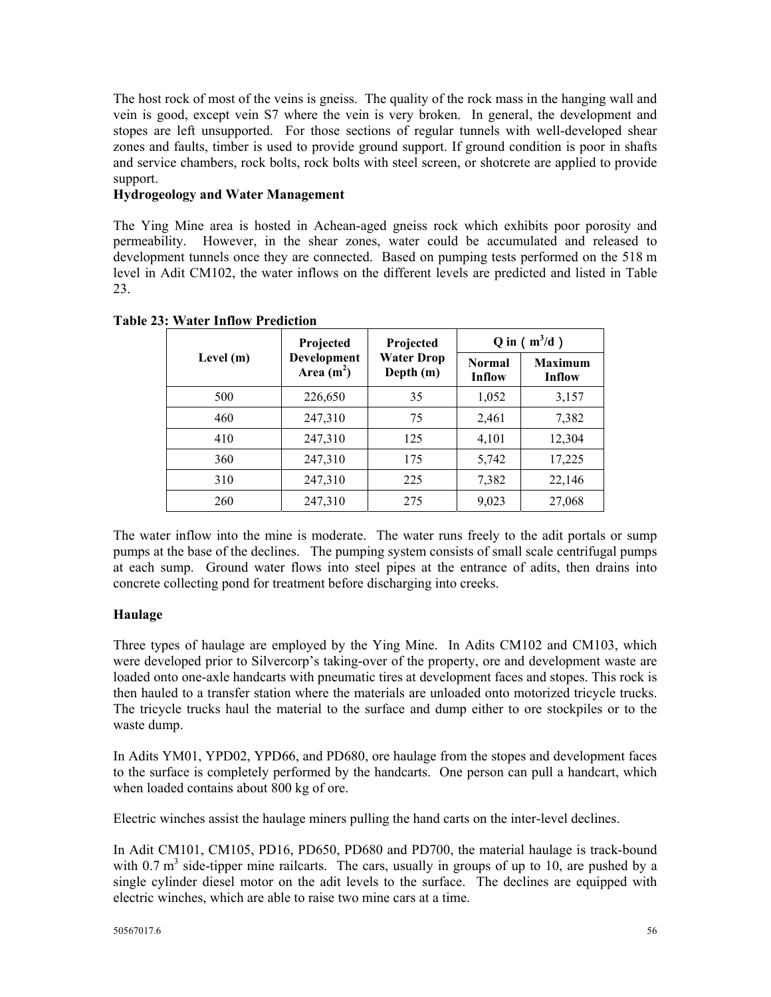The host rock of most of the veins is gneiss. The quality of the rock mass in the hanging wall and vein is good, except vein S7 where the vein is very broken. In general, the development and stopes are left unsupported. For those sections of regular tunnels with well-developed shear zones and faults, timber is used to provide ground support. If ground condition is poor in shafts and service chambers, rock bolts, rock bolts with steel screen, or shotcrete are applied to provide support.

## **Hydrogeology and Water Management**

The Ying Mine area is hosted in Achean-aged gneiss rock which exhibits poor porosity and permeability. However, in the shear zones, water could be accumulated and released to development tunnels once they are connected. Based on pumping tests performed on the 518 m level in Adit CM102, the water inflows on the different levels are predicted and listed in Table 23.

|             | Projected                  | Projected                        | $Q$ in $(m^3/d)$               |                          |  |
|-------------|----------------------------|----------------------------------|--------------------------------|--------------------------|--|
| Level $(m)$ | Development<br>Area $(m2)$ | <b>Water Drop</b><br>Depth $(m)$ | <b>Normal</b><br><b>Inflow</b> | <b>Maximum</b><br>Inflow |  |
| 500         | 226,650                    | 35                               | 1,052                          | 3,157                    |  |
| 460         | 247,310                    | 75                               | 2,461                          | 7,382                    |  |
| 410         | 247,310                    | 125                              | 4,101                          | 12,304                   |  |
| 360         | 247,310                    | 175                              | 5,742                          | 17,225                   |  |
| 310         | 247,310                    | 225                              | 7,382                          | 22,146                   |  |
| 260         | 247,310                    | 275                              | 9,023                          | 27,068                   |  |

**Table 23: Water Inflow Prediction**

The water inflow into the mine is moderate. The water runs freely to the adit portals or sump pumps at the base of the declines. The pumping system consists of small scale centrifugal pumps at each sump. Ground water flows into steel pipes at the entrance of adits, then drains into concrete collecting pond for treatment before discharging into creeks.

# **Haulage**

Three types of haulage are employed by the Ying Mine. In Adits CM102 and CM103, which were developed prior to Silvercorp's taking-over of the property, ore and development waste are loaded onto one-axle handcarts with pneumatic tires at development faces and stopes. This rock is then hauled to a transfer station where the materials are unloaded onto motorized tricycle trucks. The tricycle trucks haul the material to the surface and dump either to ore stockpiles or to the waste dump.

In Adits YM01, YPD02, YPD66, and PD680, ore haulage from the stopes and development faces to the surface is completely performed by the handcarts. One person can pull a handcart, which when loaded contains about 800 kg of ore.

Electric winches assist the haulage miners pulling the hand carts on the inter-level declines.

In Adit CM101, CM105, PD16, PD650, PD680 and PD700, the material haulage is track-bound with  $0.7 \text{ m}^3$  side-tipper mine railcarts. The cars, usually in groups of up to 10, are pushed by a single cylinder diesel motor on the adit levels to the surface. The declines are equipped with electric winches, which are able to raise two mine cars at a time.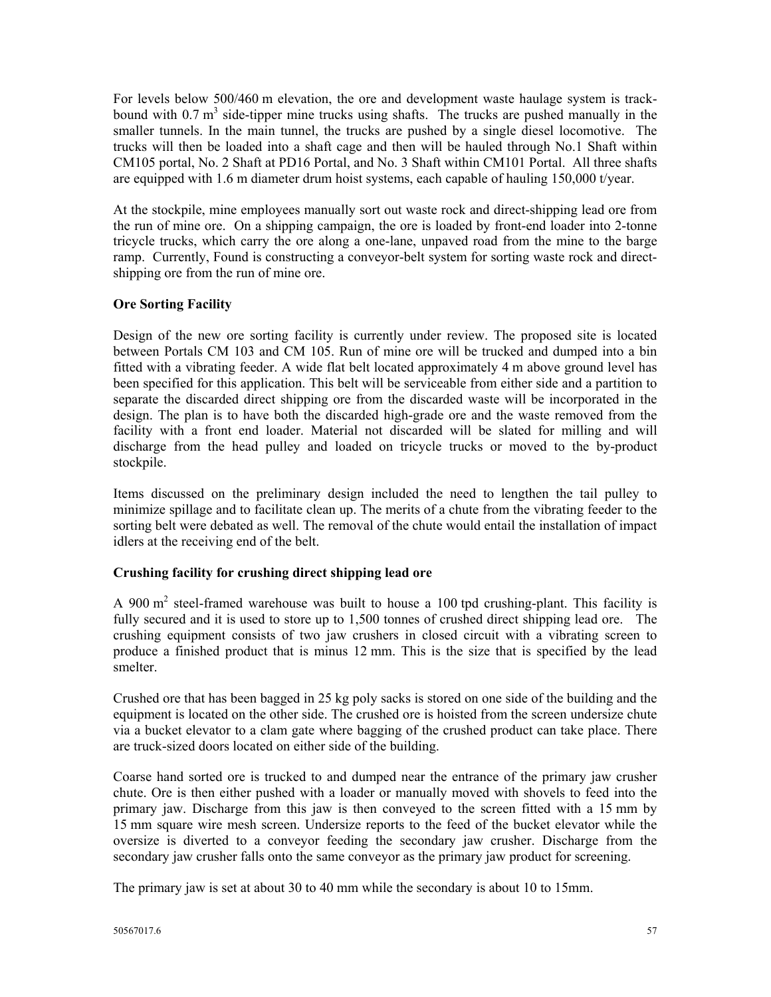For levels below 500/460 m elevation, the ore and development waste haulage system is trackbound with  $0.7 \text{ m}^3$  side-tipper mine trucks using shafts. The trucks are pushed manually in the smaller tunnels. In the main tunnel, the trucks are pushed by a single diesel locomotive. The trucks will then be loaded into a shaft cage and then will be hauled through No.1 Shaft within CM105 portal, No. 2 Shaft at PD16 Portal, and No. 3 Shaft within CM101 Portal. All three shafts are equipped with 1.6 m diameter drum hoist systems, each capable of hauling 150,000 t/year.

At the stockpile, mine employees manually sort out waste rock and direct-shipping lead ore from the run of mine ore. On a shipping campaign, the ore is loaded by front-end loader into 2-tonne tricycle trucks, which carry the ore along a one-lane, unpaved road from the mine to the barge ramp. Currently, Found is constructing a conveyor-belt system for sorting waste rock and directshipping ore from the run of mine ore.

## **Ore Sorting Facility**

Design of the new ore sorting facility is currently under review. The proposed site is located between Portals CM 103 and CM 105. Run of mine ore will be trucked and dumped into a bin fitted with a vibrating feeder. A wide flat belt located approximately 4 m above ground level has been specified for this application. This belt will be serviceable from either side and a partition to separate the discarded direct shipping ore from the discarded waste will be incorporated in the design. The plan is to have both the discarded high-grade ore and the waste removed from the facility with a front end loader. Material not discarded will be slated for milling and will discharge from the head pulley and loaded on tricycle trucks or moved to the by-product stockpile.

Items discussed on the preliminary design included the need to lengthen the tail pulley to minimize spillage and to facilitate clean up. The merits of a chute from the vibrating feeder to the sorting belt were debated as well. The removal of the chute would entail the installation of impact idlers at the receiving end of the belt.

## **Crushing facility for crushing direct shipping lead ore**

A 900  $m<sup>2</sup>$  steel-framed warehouse was built to house a 100 tpd crushing-plant. This facility is fully secured and it is used to store up to 1,500 tonnes of crushed direct shipping lead ore. The crushing equipment consists of two jaw crushers in closed circuit with a vibrating screen to produce a finished product that is minus 12 mm. This is the size that is specified by the lead smelter.

Crushed ore that has been bagged in 25 kg poly sacks is stored on one side of the building and the equipment is located on the other side. The crushed ore is hoisted from the screen undersize chute via a bucket elevator to a clam gate where bagging of the crushed product can take place. There are truck-sized doors located on either side of the building.

Coarse hand sorted ore is trucked to and dumped near the entrance of the primary jaw crusher chute. Ore is then either pushed with a loader or manually moved with shovels to feed into the primary jaw. Discharge from this jaw is then conveyed to the screen fitted with a 15 mm by 15 mm square wire mesh screen. Undersize reports to the feed of the bucket elevator while the oversize is diverted to a conveyor feeding the secondary jaw crusher. Discharge from the secondary jaw crusher falls onto the same conveyor as the primary jaw product for screening.

The primary jaw is set at about 30 to 40 mm while the secondary is about 10 to 15mm.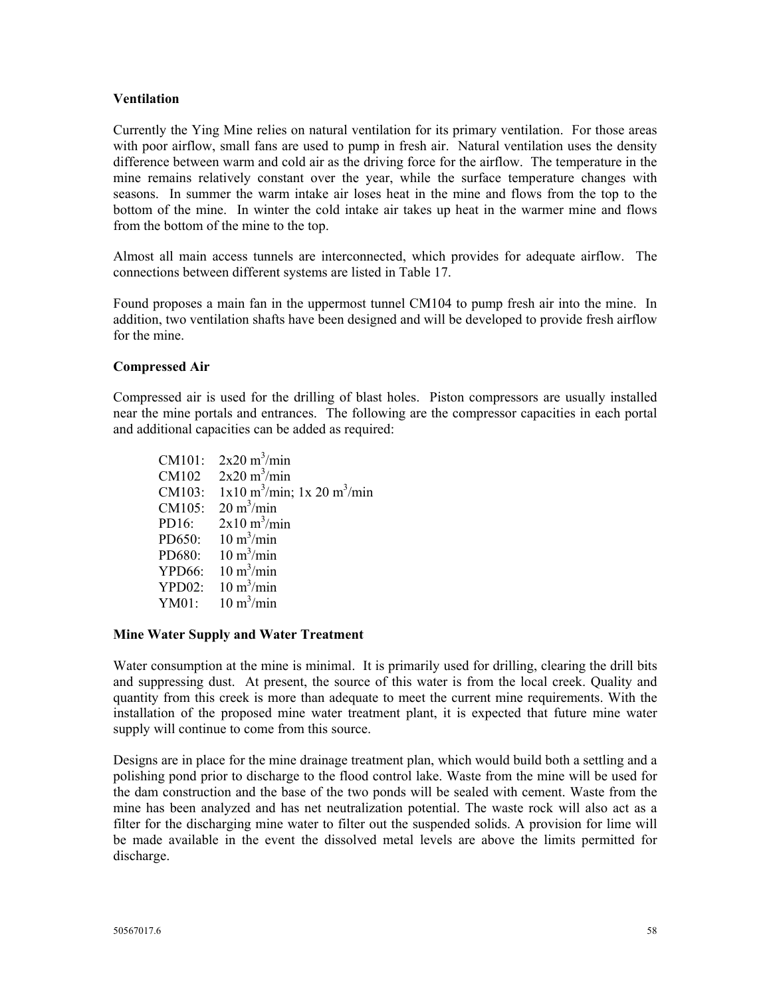#### **Ventilation**

Currently the Ying Mine relies on natural ventilation for its primary ventilation. For those areas with poor airflow, small fans are used to pump in fresh air. Natural ventilation uses the density difference between warm and cold air as the driving force for the airflow. The temperature in the mine remains relatively constant over the year, while the surface temperature changes with seasons. In summer the warm intake air loses heat in the mine and flows from the top to the bottom of the mine. In winter the cold intake air takes up heat in the warmer mine and flows from the bottom of the mine to the top.

Almost all main access tunnels are interconnected, which provides for adequate airflow. The connections between different systems are listed in Table 17.

Found proposes a main fan in the uppermost tunnel CM104 to pump fresh air into the mine. In addition, two ventilation shafts have been designed and will be developed to provide fresh airflow for the mine.

## **Compressed Air**

Compressed air is used for the drilling of blast holes. Piston compressors are usually installed near the mine portals and entrances. The following are the compressor capacities in each portal and additional capacities can be added as required:

CM101:  $2x20 \text{ m}^3/\text{min}$ CM102  $2x20 \text{ m}^3/\text{min}$ CM103:  $1x10 \text{ m}^3/\text{min}$ ;  $1x 20 \text{ m}^3/\text{min}$ CM105:  $20 \text{ m}^3/\text{min}$ PD16:  $2x10 \text{ m}^3/\text{min}$ PD650:  $10 \text{ m}^3/\text{min}$ PD680:  $10 \text{ m}^3/\text{min}$  $YPD66:$  $10 \text{ m}^3/\text{min}$  $YPD02$ :  $10 \text{ m}^3/\text{min}$  $YM01$  $10 \text{ m}^3/\text{min}$ 

#### **Mine Water Supply and Water Treatment**

Water consumption at the mine is minimal. It is primarily used for drilling, clearing the drill bits and suppressing dust. At present, the source of this water is from the local creek. Quality and quantity from this creek is more than adequate to meet the current mine requirements. With the installation of the proposed mine water treatment plant, it is expected that future mine water supply will continue to come from this source.

Designs are in place for the mine drainage treatment plan, which would build both a settling and a polishing pond prior to discharge to the flood control lake. Waste from the mine will be used for the dam construction and the base of the two ponds will be sealed with cement. Waste from the mine has been analyzed and has net neutralization potential. The waste rock will also act as a filter for the discharging mine water to filter out the suspended solids. A provision for lime will be made available in the event the dissolved metal levels are above the limits permitted for discharge.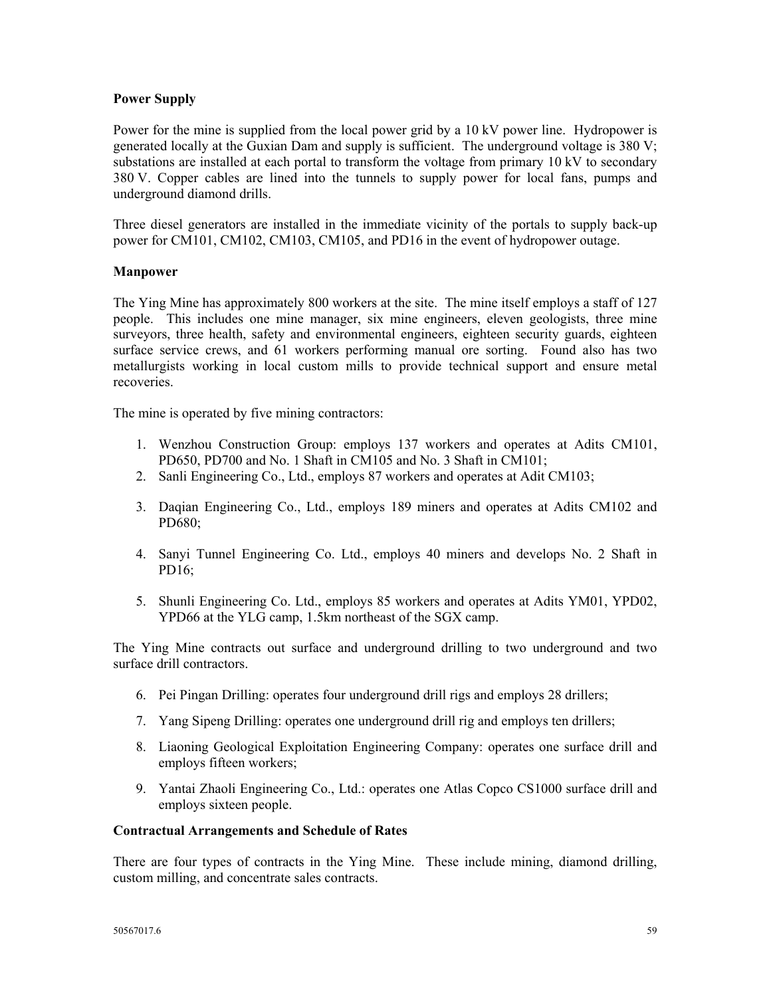## **Power Supply**

Power for the mine is supplied from the local power grid by a 10 kV power line. Hydropower is generated locally at the Guxian Dam and supply is sufficient. The underground voltage is 380 V; substations are installed at each portal to transform the voltage from primary 10 kV to secondary 380 V. Copper cables are lined into the tunnels to supply power for local fans, pumps and underground diamond drills.

Three diesel generators are installed in the immediate vicinity of the portals to supply back-up power for CM101, CM102, CM103, CM105, and PD16 in the event of hydropower outage.

## **Manpower**

The Ying Mine has approximately 800 workers at the site. The mine itself employs a staff of 127 people. This includes one mine manager, six mine engineers, eleven geologists, three mine surveyors, three health, safety and environmental engineers, eighteen security guards, eighteen surface service crews, and 61 workers performing manual ore sorting. Found also has two metallurgists working in local custom mills to provide technical support and ensure metal recoveries.

The mine is operated by five mining contractors:

- 1. Wenzhou Construction Group: employs 137 workers and operates at Adits CM101, PD650, PD700 and No. 1 Shaft in CM105 and No. 3 Shaft in CM101;
- 2. Sanli Engineering Co., Ltd., employs 87 workers and operates at Adit CM103;
- 3. Daqian Engineering Co., Ltd., employs 189 miners and operates at Adits CM102 and PD680;
- 4. Sanyi Tunnel Engineering Co. Ltd., employs 40 miners and develops No. 2 Shaft in PD16;
- 5. Shunli Engineering Co. Ltd., employs 85 workers and operates at Adits YM01, YPD02, YPD66 at the YLG camp, 1.5km northeast of the SGX camp.

The Ying Mine contracts out surface and underground drilling to two underground and two surface drill contractors.

- 6. Pei Pingan Drilling: operates four underground drill rigs and employs 28 drillers;
- 7. Yang Sipeng Drilling: operates one underground drill rig and employs ten drillers;
- 8. Liaoning Geological Exploitation Engineering Company: operates one surface drill and employs fifteen workers;
- 9. Yantai Zhaoli Engineering Co., Ltd.: operates one Atlas Copco CS1000 surface drill and employs sixteen people.

#### **Contractual Arrangements and Schedule of Rates**

There are four types of contracts in the Ying Mine. These include mining, diamond drilling, custom milling, and concentrate sales contracts.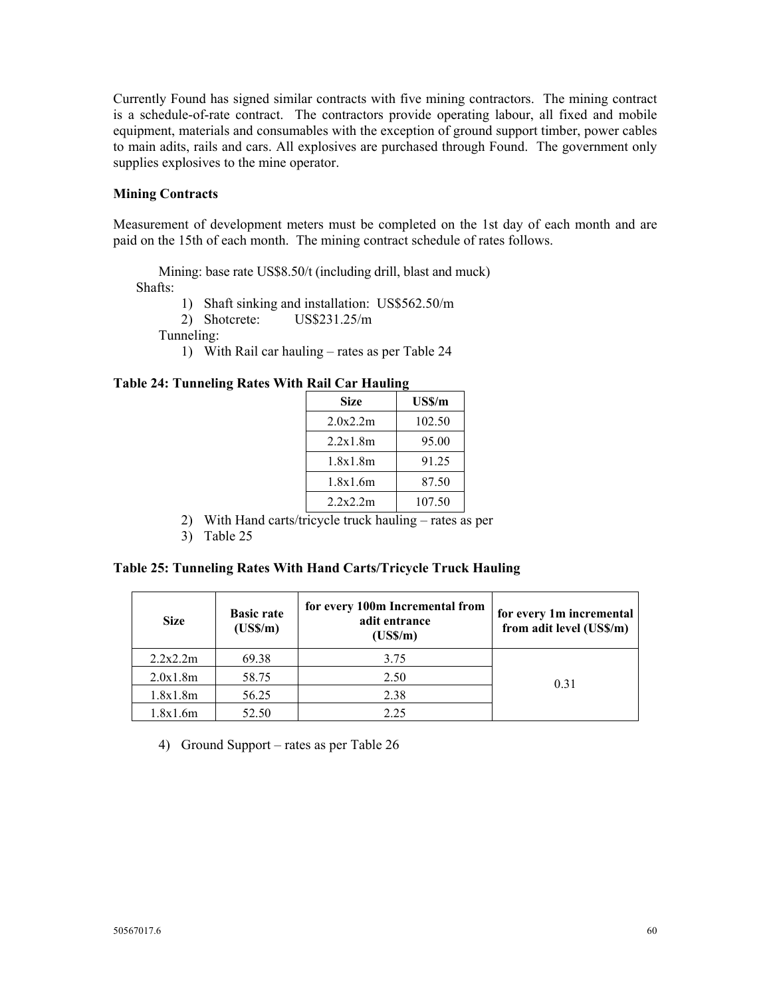Currently Found has signed similar contracts with five mining contractors. The mining contract is a schedule-of-rate contract. The contractors provide operating labour, all fixed and mobile equipment, materials and consumables with the exception of ground support timber, power cables to main adits, rails and cars. All explosives are purchased through Found. The government only supplies explosives to the mine operator.

#### **Mining Contracts**

Measurement of development meters must be completed on the 1st day of each month and are paid on the 15th of each month. The mining contract schedule of rates follows.

 Mining: base rate US\$8.50/t (including drill, blast and muck) Shafts:

1) Shaft sinking and installation: US\$562.50/m 2) Shotcrete: US\$231.25/m

Tunneling:

1) With Rail car hauling – rates as per Table 24

#### **Table 24: Tunneling Rates With Rail Car Hauling**

| <b>Size</b> | US\$/m |
|-------------|--------|
| 2.0x2.2m    | 102.50 |
| 2.2x1.8m    | 95.00  |
| 1.8x1.8m    | 91 25  |
| 1.8x1.6m    | 87.50  |
| 2.2x2.2m    | 107.50 |

- 2) With Hand carts/tricycle truck hauling rates as per
- 3) Table 25

#### **Table 25: Tunneling Rates With Hand Carts/Tricycle Truck Hauling**

| <b>Size</b>       | <b>Basic rate</b><br>$(US\,/m)$ | for every 100m Incremental from<br>adit entrance<br>$(US\,/m)$ | for every 1m incremental<br>from adit level (US\$/m) |
|-------------------|---------------------------------|----------------------------------------------------------------|------------------------------------------------------|
| 2.2x2.2m          | 69.38                           | 3.75                                                           |                                                      |
| 2.0x1.8m          | 58.75                           | 2.50                                                           | 0.31                                                 |
| 56.25<br>1.8x1.8m |                                 | 2.38                                                           |                                                      |
| 1.8x1.6m          | 52.50                           | 2.25                                                           |                                                      |

4) Ground Support – rates as per Table 26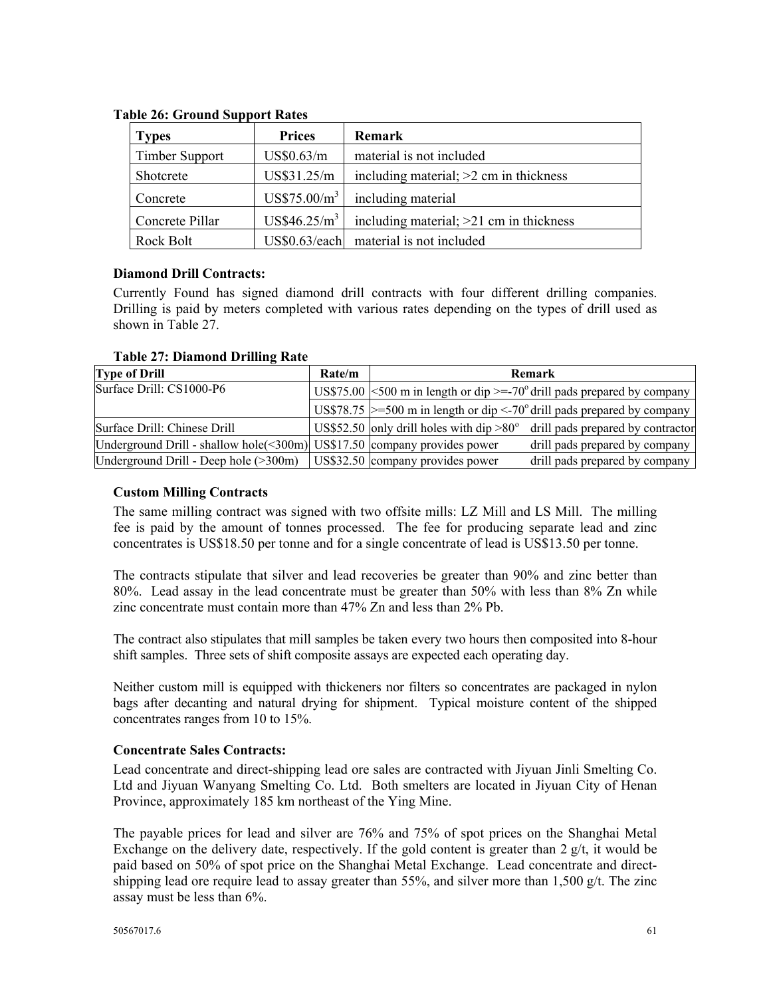| <b>Types</b>          | <b>Prices</b>            | Remark                                    |
|-----------------------|--------------------------|-------------------------------------------|
| <b>Timber Support</b> | US\$0.63/m               | material is not included                  |
| Shotcrete             | US\$31.25/m              | including material; $>2$ cm in thickness  |
| Concrete              | US\$75.00/m <sup>3</sup> | including material                        |
| Concrete Pillar       | US\$46.25/m <sup>3</sup> | including material; $>21$ cm in thickness |
| Rock Bolt             |                          | $US$0.63/each$ material is not included   |

# **Table 26: Ground Support Rates**

## **Diamond Drill Contracts:**

Currently Found has signed diamond drill contracts with four different drilling companies. Drilling is paid by meters completed with various rates depending on the types of drill used as shown in Table 27.

| <b>Type of Drill</b>                                                                    | Rate/m |                                  | Remark                                                                              |
|-----------------------------------------------------------------------------------------|--------|----------------------------------|-------------------------------------------------------------------------------------|
| Surface Drill: CS1000-P6                                                                |        |                                  | US\$75.00 $\leq$ 500 m in length or dip $\geq$ =-70° drill pads prepared by company |
|                                                                                         |        |                                  | US\$78.75 $\ge$ =500 m in length or dip <-70° drill pads prepared by company        |
| Surface Drill: Chinese Drill                                                            |        |                                  | US\$52.50 only drill holes with dip $>80^\circ$ drill pads prepared by contractor   |
| Underground Drill - shallow hole $(\leq 300 \text{m})$ US\$17.50 company provides power |        |                                  | drill pads prepared by company                                                      |
| Underground Drill - Deep hole (>300m)                                                   |        | US\$32.50 company provides power | drill pads prepared by company                                                      |

## **Custom Milling Contracts**

The same milling contract was signed with two offsite mills: LZ Mill and LS Mill. The milling fee is paid by the amount of tonnes processed. The fee for producing separate lead and zinc concentrates is US\$18.50 per tonne and for a single concentrate of lead is US\$13.50 per tonne.

The contracts stipulate that silver and lead recoveries be greater than 90% and zinc better than 80%. Lead assay in the lead concentrate must be greater than 50% with less than 8% Zn while zinc concentrate must contain more than 47% Zn and less than 2% Pb.

The contract also stipulates that mill samples be taken every two hours then composited into 8-hour shift samples. Three sets of shift composite assays are expected each operating day.

Neither custom mill is equipped with thickeners nor filters so concentrates are packaged in nylon bags after decanting and natural drying for shipment. Typical moisture content of the shipped concentrates ranges from 10 to 15%.

## **Concentrate Sales Contracts:**

Lead concentrate and direct-shipping lead ore sales are contracted with Jiyuan Jinli Smelting Co. Ltd and Jiyuan Wanyang Smelting Co. Ltd. Both smelters are located in Jiyuan City of Henan Province, approximately 185 km northeast of the Ying Mine.

The payable prices for lead and silver are 76% and 75% of spot prices on the Shanghai Metal Exchange on the delivery date, respectively. If the gold content is greater than  $2 \frac{g}{t}$ , it would be paid based on 50% of spot price on the Shanghai Metal Exchange. Lead concentrate and directshipping lead ore require lead to assay greater than 55%, and silver more than 1,500 g/t. The zinc assay must be less than 6%.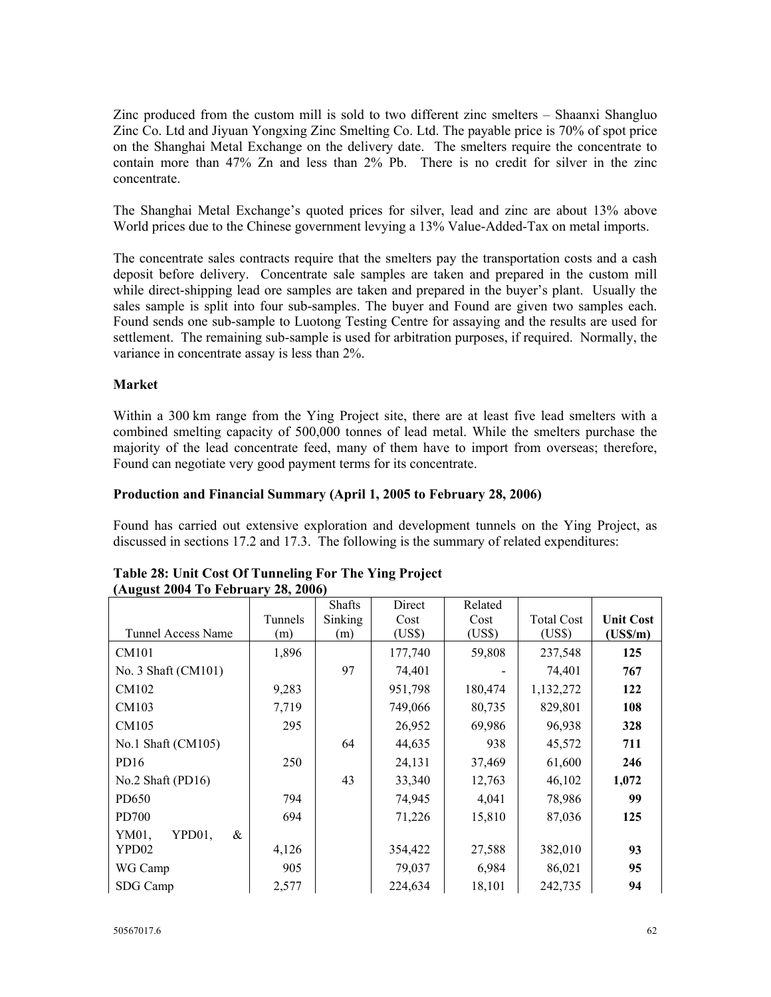Zinc produced from the custom mill is sold to two different zinc smelters – Shaanxi Shangluo Zinc Co. Ltd and Jiyuan Yongxing Zinc Smelting Co. Ltd. The payable price is 70% of spot price on the Shanghai Metal Exchange on the delivery date. The smelters require the concentrate to contain more than 47% Zn and less than 2% Pb. There is no credit for silver in the zinc concentrate.

The Shanghai Metal Exchange's quoted prices for silver, lead and zinc are about 13% above World prices due to the Chinese government levying a 13% Value-Added-Tax on metal imports.

The concentrate sales contracts require that the smelters pay the transportation costs and a cash deposit before delivery. Concentrate sale samples are taken and prepared in the custom mill while direct-shipping lead ore samples are taken and prepared in the buyer's plant. Usually the sales sample is split into four sub-samples. The buyer and Found are given two samples each. Found sends one sub-sample to Luotong Testing Centre for assaying and the results are used for settlement. The remaining sub-sample is used for arbitration purposes, if required. Normally, the variance in concentrate assay is less than 2%.

## **Market**

Within a 300 km range from the Ying Project site, there are at least five lead smelters with a combined smelting capacity of 500,000 tonnes of lead metal. While the smelters purchase the majority of the lead concentrate feed, many of them have to import from overseas; therefore, Found can negotiate very good payment terms for its concentrate.

## **Production and Financial Summary (April 1, 2005 to February 28, 2006)**

Found has carried out extensive exploration and development tunnels on the Ying Project, as discussed in sections 17.2 and 17.3. The following is the summary of related expenditures:

| (280, 200, 101, 001, 001, 20, 2000) |         |               |         |         |                   |                     |
|-------------------------------------|---------|---------------|---------|---------|-------------------|---------------------|
|                                     |         | <b>Shafts</b> | Direct  | Related |                   |                     |
|                                     | Tunnels | Sinking       | Cost    | Cost    | <b>Total Cost</b> | <b>Unit Cost</b>    |
| <b>Tunnel Access Name</b>           | (m)     | (m)           | (US\$)  | (US\$)  | (US\$)            | $(US\mathcal{S}/m)$ |
| CM101                               | 1,896   |               | 177,740 | 59,808  | 237,548           | 125                 |
| No. 3 Shaft (CM101)                 |         | 97            | 74,401  |         | 74,401            | 767                 |
| CM102                               | 9,283   |               | 951,798 | 180,474 | 1,132,272         | 122                 |
| CM103                               | 7,719   |               | 749,066 | 80,735  | 829,801           | 108                 |
| CM105                               | 295     |               | 26,952  | 69,986  | 96,938            | 328                 |
| No.1 Shaft (CM105)                  |         | 64            | 44,635  | 938     | 45,572            | 711                 |
| PD16                                | 250     |               | 24,131  | 37,469  | 61,600            | 246                 |
| No.2 Shaft (PD16)                   |         | 43            | 33,340  | 12,763  | 46,102            | 1,072               |
| PD650                               | 794     |               | 74,945  | 4,041   | 78,986            | 99                  |
| PD700                               | 694     |               | 71,226  | 15,810  | 87,036            | 125                 |
| &<br>YM01,<br>YPD01,                |         |               |         |         |                   |                     |
| YPD02                               | 4,126   |               | 354,422 | 27,588  | 382,010           | 93                  |
| WG Camp                             | 905     |               | 79,037  | 6,984   | 86,021            | 95                  |
| SDG Camp                            | 2,577   |               | 224,634 | 18,101  | 242,735           | 94                  |

#### **Table 28: Unit Cost Of Tunneling For The Ying Project (August 2004 To February 28, 2006)**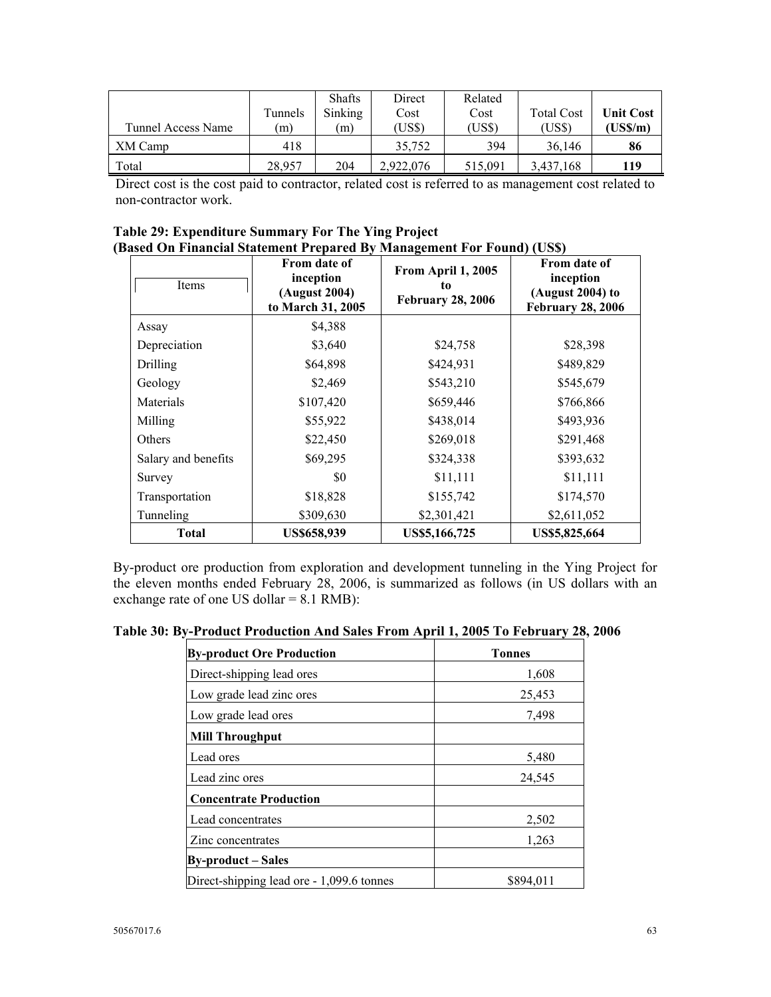| Tunnel Access Name | Tunnels<br>(m) | <b>Shafts</b><br>Sinking<br>(m) | Direct<br>Cost<br>(US\$) | Related<br>Cost<br>(US\$) | <b>Total Cost</b><br>(US\$) | <b>Unit Cost</b><br>$(US\mathcal{S}/m)$ |
|--------------------|----------------|---------------------------------|--------------------------|---------------------------|-----------------------------|-----------------------------------------|
| XM Camp            | 418            |                                 | 35.752                   | 394                       | 36.146                      | 86                                      |
| Total              | 28.957         | 204                             | 2.922.076                | 515.091                   | 3,437,168                   | 119                                     |

Direct cost is the cost paid to contractor, related cost is referred to as management cost related to non-contractor work.

| Table 29: Expenditure Summary For The Ying Project                    |  |
|-----------------------------------------------------------------------|--|
| (Based On Financial Statement Prepared By Management For Found) (USS) |  |

| Items               | From date of<br>inception<br>(August 2004)<br>to March 31, 2005 | From April 1, 2005<br>to.<br><b>February 28, 2006</b> | From date of<br>inception<br>(August 2004) to<br><b>February 28, 2006</b> |
|---------------------|-----------------------------------------------------------------|-------------------------------------------------------|---------------------------------------------------------------------------|
| Assay               | \$4,388                                                         |                                                       |                                                                           |
| Depreciation        | \$3,640                                                         | \$24,758                                              | \$28,398                                                                  |
| <b>Drilling</b>     | \$64,898                                                        | \$424,931                                             | \$489,829                                                                 |
| Geology             | \$2,469                                                         | \$543,210                                             | \$545,679                                                                 |
| Materials           | \$107,420                                                       | \$659,446                                             | \$766,866                                                                 |
| Milling             | \$55,922                                                        | \$438,014                                             | \$493,936                                                                 |
| Others              | \$22,450                                                        | \$269,018                                             | \$291,468                                                                 |
| Salary and benefits | \$69,295                                                        | \$324,338                                             | \$393,632                                                                 |
| Survey              | \$0                                                             | \$11,111                                              | \$11,111                                                                  |
| Transportation      | \$18,828                                                        | \$155,742                                             | \$174,570                                                                 |
| Tunneling           | \$309,630                                                       | \$2,301,421                                           | \$2,611,052                                                               |
| Total               | <b>US\$658,939</b>                                              | US\$5,166,725                                         | US\$5,825,664                                                             |

By-product ore production from exploration and development tunneling in the Ying Project for the eleven months ended February 28, 2006, is summarized as follows (in US dollars with an exchange rate of one US dollar  $= 8.1$  RMB):

**Table 30: By-Product Production And Sales From April 1, 2005 To February 28, 2006** 

| <b>By-product Ore Production</b>          | <b>Tonnes</b> |  |  |
|-------------------------------------------|---------------|--|--|
| Direct-shipping lead ores                 | 1,608         |  |  |
| Low grade lead zinc ores                  | 25,453        |  |  |
| Low grade lead ores                       | 7,498         |  |  |
| <b>Mill Throughput</b>                    |               |  |  |
| Lead ores                                 | 5,480         |  |  |
| Lead zinc ores                            | 24,545        |  |  |
| <b>Concentrate Production</b>             |               |  |  |
| Lead concentrates                         | 2,502         |  |  |
| Zinc concentrates                         | 1,263         |  |  |
| <b>By-product – Sales</b>                 |               |  |  |
| Direct-shipping lead ore - 1,099.6 tonnes | \$894,011     |  |  |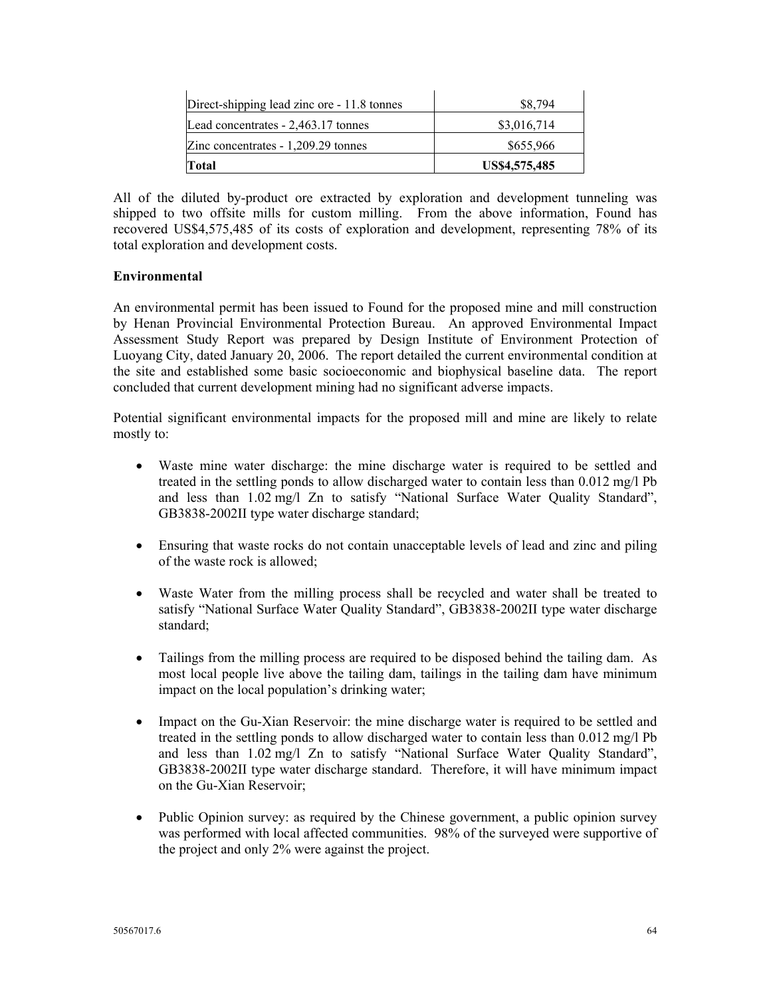| Direct-shipping lead zinc ore - 11.8 tonnes | \$8,794       |
|---------------------------------------------|---------------|
| Lead concentrates - 2,463.17 tonnes         | \$3,016,714   |
| Zinc concentrates $-1,209.29$ tonnes        | \$655,966     |
| Total                                       | US\$4,575,485 |

All of the diluted by-product ore extracted by exploration and development tunneling was shipped to two offsite mills for custom milling. From the above information, Found has recovered US\$4,575,485 of its costs of exploration and development, representing 78% of its total exploration and development costs.

## **Environmental**

An environmental permit has been issued to Found for the proposed mine and mill construction by Henan Provincial Environmental Protection Bureau. An approved Environmental Impact Assessment Study Report was prepared by Design Institute of Environment Protection of Luoyang City, dated January 20, 2006. The report detailed the current environmental condition at the site and established some basic socioeconomic and biophysical baseline data. The report concluded that current development mining had no significant adverse impacts.

Potential significant environmental impacts for the proposed mill and mine are likely to relate mostly to:

- Waste mine water discharge: the mine discharge water is required to be settled and treated in the settling ponds to allow discharged water to contain less than 0.012 mg/l Pb and less than 1.02 mg/l Zn to satisfy "National Surface Water Quality Standard", GB3838-2002II type water discharge standard;
- Ensuring that waste rocks do not contain unacceptable levels of lead and zinc and piling of the waste rock is allowed;
- Waste Water from the milling process shall be recycled and water shall be treated to satisfy "National Surface Water Quality Standard", GB3838-2002II type water discharge standard;
- Tailings from the milling process are required to be disposed behind the tailing dam. As most local people live above the tailing dam, tailings in the tailing dam have minimum impact on the local population's drinking water;
- Impact on the Gu-Xian Reservoir: the mine discharge water is required to be settled and treated in the settling ponds to allow discharged water to contain less than 0.012 mg/l Pb and less than 1.02 mg/l Zn to satisfy "National Surface Water Quality Standard", GB3838-2002II type water discharge standard. Therefore, it will have minimum impact on the Gu-Xian Reservoir;
- Public Opinion survey: as required by the Chinese government, a public opinion survey was performed with local affected communities. 98% of the surveyed were supportive of the project and only 2% were against the project.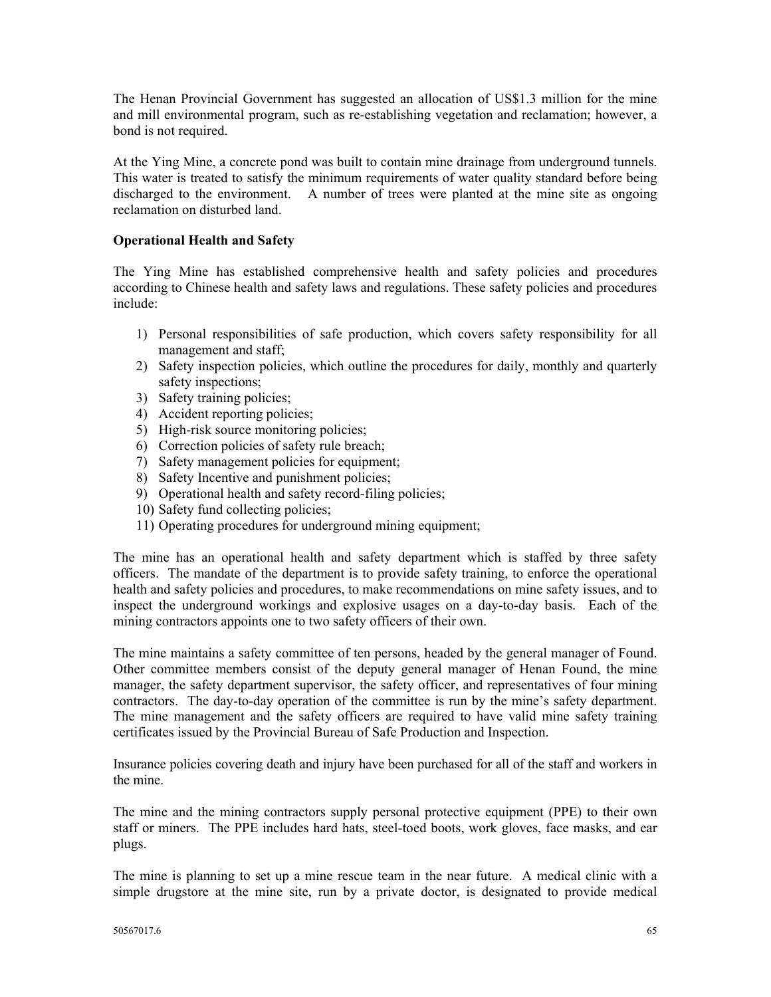The Henan Provincial Government has suggested an allocation of US\$1.3 million for the mine and mill environmental program, such as re-establishing vegetation and reclamation; however, a bond is not required.

At the Ying Mine, a concrete pond was built to contain mine drainage from underground tunnels. This water is treated to satisfy the minimum requirements of water quality standard before being discharged to the environment. A number of trees were planted at the mine site as ongoing reclamation on disturbed land.

## **Operational Health and Safety**

The Ying Mine has established comprehensive health and safety policies and procedures according to Chinese health and safety laws and regulations. These safety policies and procedures include:

- 1) Personal responsibilities of safe production, which covers safety responsibility for all management and staff;
- 2) Safety inspection policies, which outline the procedures for daily, monthly and quarterly safety inspections;
- 3) Safety training policies;
- 4) Accident reporting policies;
- 5) High-risk source monitoring policies;
- 6) Correction policies of safety rule breach;
- 7) Safety management policies for equipment;
- 8) Safety Incentive and punishment policies;
- 9) Operational health and safety record-filing policies;
- 10) Safety fund collecting policies;
- 11) Operating procedures for underground mining equipment;

The mine has an operational health and safety department which is staffed by three safety officers. The mandate of the department is to provide safety training, to enforce the operational health and safety policies and procedures, to make recommendations on mine safety issues, and to inspect the underground workings and explosive usages on a day-to-day basis. Each of the mining contractors appoints one to two safety officers of their own.

The mine maintains a safety committee of ten persons, headed by the general manager of Found. Other committee members consist of the deputy general manager of Henan Found, the mine manager, the safety department supervisor, the safety officer, and representatives of four mining contractors. The day-to-day operation of the committee is run by the mine's safety department. The mine management and the safety officers are required to have valid mine safety training certificates issued by the Provincial Bureau of Safe Production and Inspection.

Insurance policies covering death and injury have been purchased for all of the staff and workers in the mine.

The mine and the mining contractors supply personal protective equipment (PPE) to their own staff or miners. The PPE includes hard hats, steel-toed boots, work gloves, face masks, and ear plugs.

The mine is planning to set up a mine rescue team in the near future. A medical clinic with a simple drugstore at the mine site, run by a private doctor, is designated to provide medical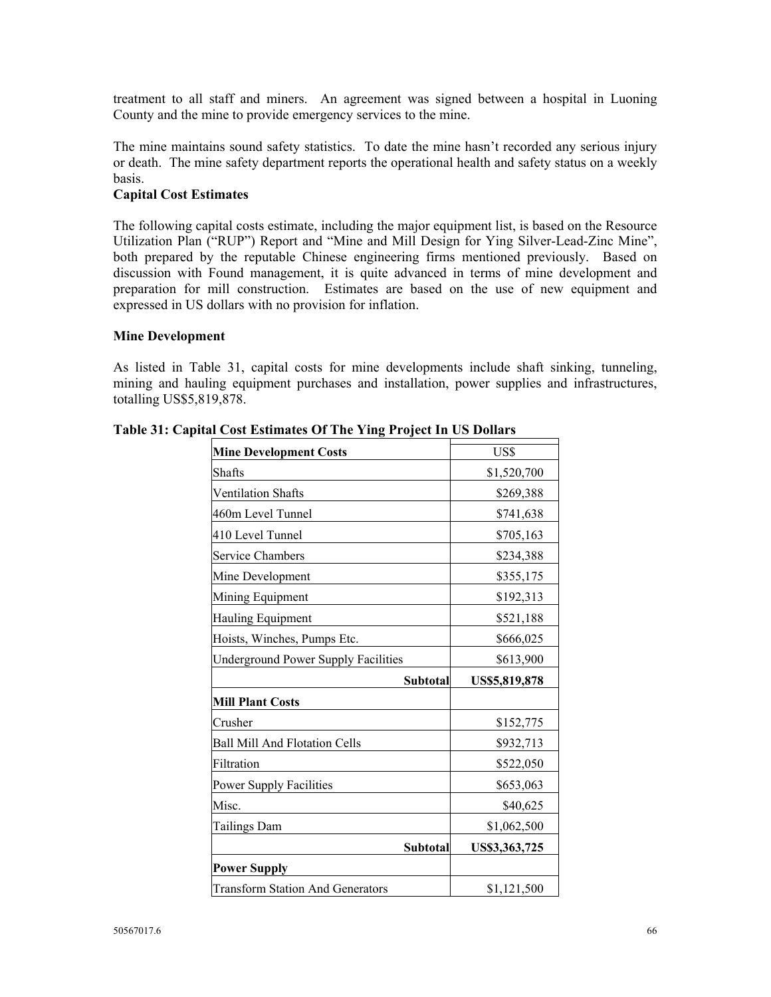treatment to all staff and miners. An agreement was signed between a hospital in Luoning County and the mine to provide emergency services to the mine.

The mine maintains sound safety statistics. To date the mine hasn't recorded any serious injury or death. The mine safety department reports the operational health and safety status on a weekly basis.

#### **Capital Cost Estimates**

The following capital costs estimate, including the major equipment list, is based on the Resource Utilization Plan ("RUP") Report and "Mine and Mill Design for Ying Silver-Lead-Zinc Mine", both prepared by the reputable Chinese engineering firms mentioned previously. Based on discussion with Found management, it is quite advanced in terms of mine development and preparation for mill construction. Estimates are based on the use of new equipment and expressed in US dollars with no provision for inflation.

#### **Mine Development**

As listed in Table 31, capital costs for mine developments include shaft sinking, tunneling, mining and hauling equipment purchases and installation, power supplies and infrastructures, totalling US\$5,819,878.

| <b>Mine Development Costs</b>              | US\$          |
|--------------------------------------------|---------------|
| Shafts                                     | \$1,520,700   |
| <b>Ventilation Shafts</b>                  | \$269,388     |
| 460m Level Tunnel                          | \$741,638     |
| 410 Level Tunnel                           | \$705,163     |
| <b>Service Chambers</b>                    | \$234,388     |
| Mine Development                           | \$355,175     |
| Mining Equipment                           | \$192,313     |
| Hauling Equipment                          | \$521,188     |
| Hoists, Winches, Pumps Etc.                | \$666,025     |
| <b>Underground Power Supply Facilities</b> | \$613,900     |
| Subtotal                                   | US\$5,819,878 |
| <b>Mill Plant Costs</b>                    |               |
| Crusher                                    | \$152,775     |
| <b>Ball Mill And Flotation Cells</b>       | \$932,713     |
| Filtration                                 | \$522,050     |
| <b>Power Supply Facilities</b>             | \$653,063     |
| Misc.                                      | \$40,625      |
| <b>Tailings Dam</b>                        | \$1,062,500   |
| Subtotal                                   | US\$3,363,725 |
| <b>Power Supply</b>                        |               |
|                                            |               |

**Table 31: Capital Cost Estimates Of The Ying Project In US Dollars**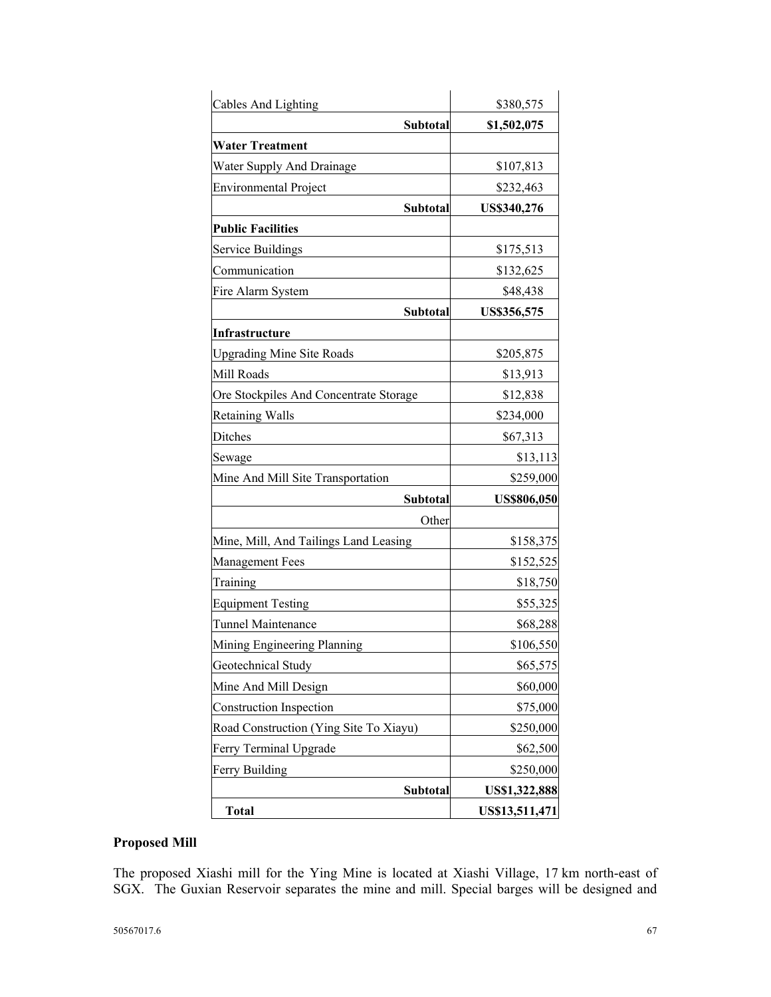| Cables And Lighting                    | \$380,575          |
|----------------------------------------|--------------------|
| Subtotal                               | \$1,502,075        |
| <b>Water Treatment</b>                 |                    |
| Water Supply And Drainage              | \$107,813          |
| <b>Environmental Project</b>           | \$232,463          |
| Subtotal                               | US\$340,276        |
| <b>Public Facilities</b>               |                    |
| <b>Service Buildings</b>               | \$175,513          |
| Communication                          | \$132,625          |
| Fire Alarm System                      | \$48,438           |
| Subtotal                               | US\$356,575        |
| Infrastructure                         |                    |
| <b>Upgrading Mine Site Roads</b>       | \$205,875          |
| Mill Roads                             | \$13,913           |
| Ore Stockpiles And Concentrate Storage | \$12,838           |
| <b>Retaining Walls</b>                 | \$234,000          |
| Ditches                                | \$67,313           |
| Sewage                                 | \$13,113           |
| Mine And Mill Site Transportation      | \$259,000          |
| Subtotal                               | <b>US\$806,050</b> |
| Other                                  |                    |
| Mine, Mill, And Tailings Land Leasing  | \$158,375          |
| <b>Management Fees</b>                 | \$152,525          |
| Training                               | \$18,750           |
| <b>Equipment Testing</b>               | \$55,325           |
| Tunnel Maintenance                     | \$68,288           |
| Mining Engineering Planning            | \$106,550          |
| Geotechnical Study                     | \$65,575           |
| Mine And Mill Design                   | \$60,000           |
| <b>Construction Inspection</b>         | \$75,000           |
| Road Construction (Ying Site To Xiayu) | \$250,000          |
| Ferry Terminal Upgrade                 | \$62,500           |
| Ferry Building                         | \$250,000          |
| Subtotal                               | US\$1,322,888      |
| <b>Total</b>                           | US\$13,511,471     |

# **Proposed Mill**

The proposed Xiashi mill for the Ying Mine is located at Xiashi Village, 17 km north-east of SGX. The Guxian Reservoir separates the mine and mill. Special barges will be designed and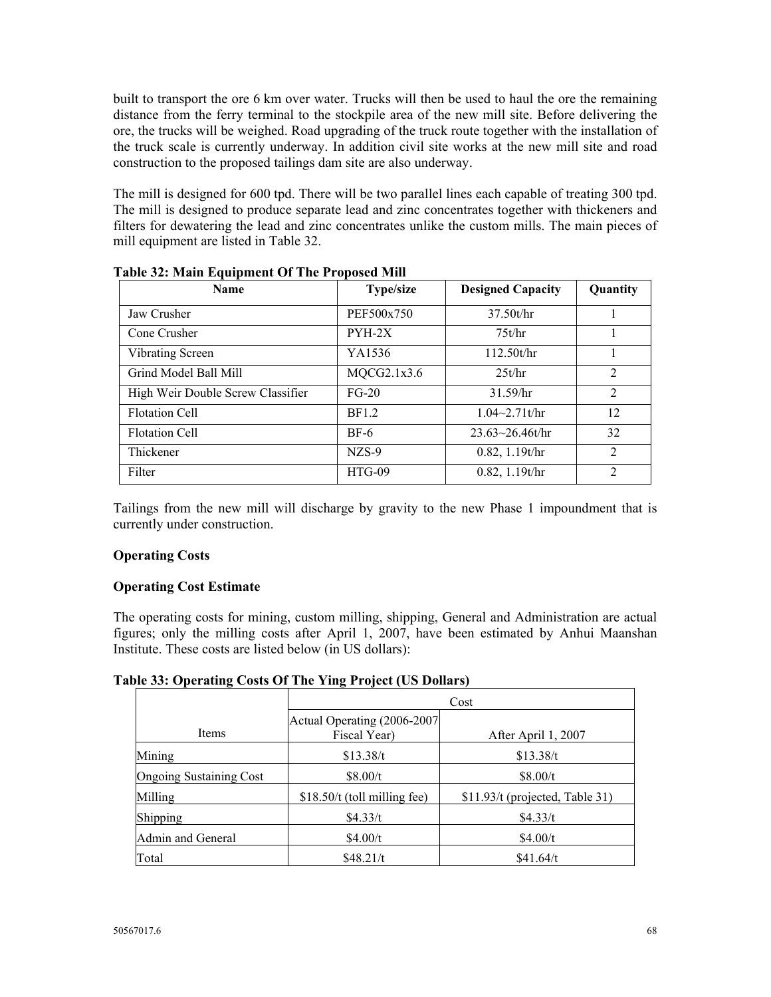built to transport the ore 6 km over water. Trucks will then be used to haul the ore the remaining distance from the ferry terminal to the stockpile area of the new mill site. Before delivering the ore, the trucks will be weighed. Road upgrading of the truck route together with the installation of the truck scale is currently underway. In addition civil site works at the new mill site and road construction to the proposed tailings dam site are also underway.

The mill is designed for 600 tpd. There will be two parallel lines each capable of treating 300 tpd. The mill is designed to produce separate lead and zinc concentrates together with thickeners and filters for dewatering the lead and zinc concentrates unlike the custom mills. The main pieces of mill equipment are listed in Table 32.

| <b>Name</b>                       | <b>Type/size</b> | <b>Designed Capacity</b> | Quantity       |
|-----------------------------------|------------------|--------------------------|----------------|
| Jaw Crusher                       | PEF500x750       | 37.50t/hr                |                |
| Cone Crusher                      | $PYH-2X$         | 75t/hr                   |                |
| Vibrating Screen                  | YA1536           | 112.50t/hr               |                |
| Grind Model Ball Mill             | MQCG2.1x3.6      | 25t/hr                   | $\overline{2}$ |
| High Weir Double Screw Classifier | $FG-20$          | 31.59/hr                 | $\overline{2}$ |
| <b>Flotation Cell</b>             | <b>BF1.2</b>     | $1.04 - 2.71t/hr$        | 12             |
| <b>Flotation Cell</b>             | $BF-6$           | $23.63 \times 26.46t/hr$ | 32             |
| Thickener                         | $NZS-9$          | $0.82$ , 1.19t/hr        | $\overline{2}$ |
| Filter                            | $HTG-09$         | 0.82, 1.19t/hr           | $\overline{c}$ |

**Table 32: Main Equipment Of The Proposed Mill** 

Tailings from the new mill will discharge by gravity to the new Phase 1 impoundment that is currently under construction.

## **Operating Costs**

## **Operating Cost Estimate**

The operating costs for mining, custom milling, shipping, General and Administration are actual figures; only the milling costs after April 1, 2007, have been estimated by Anhui Maanshan Institute. These costs are listed below (in US dollars):

## **Table 33: Operating Costs Of The Ying Project (US Dollars)**

|                                | Cost                                         |                                 |  |  |  |
|--------------------------------|----------------------------------------------|---------------------------------|--|--|--|
| Items                          | Actual Operating (2006-2007)<br>Fiscal Year) | After April 1, 2007             |  |  |  |
| Mining                         | \$13.38/t                                    | \$13.38/t                       |  |  |  |
| <b>Ongoing Sustaining Cost</b> | \$8.00/t                                     | \$8.00/t                        |  |  |  |
| Milling                        | $$18.50/t$ (toll milling fee)                | \$11.93/t (projected, Table 31) |  |  |  |
| Shipping                       | \$4.33/t                                     | \$4.33/t                        |  |  |  |
| Admin and General              | \$4.00/t                                     | \$4.00/t                        |  |  |  |
| Total                          | \$48.21/t                                    | \$41.64/t                       |  |  |  |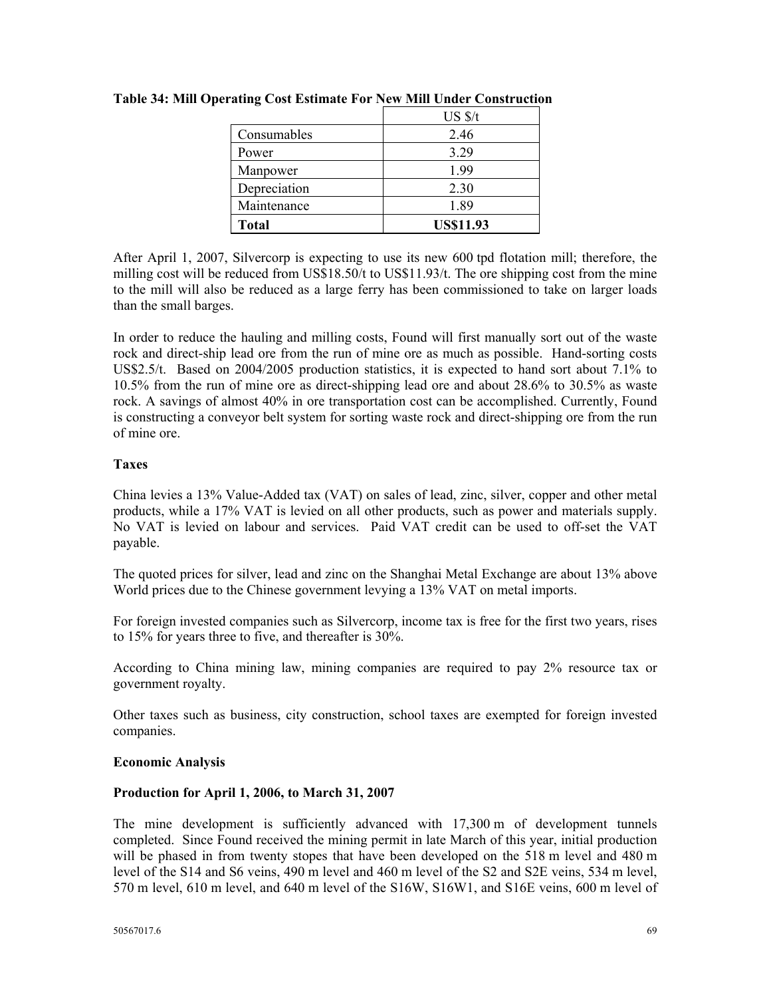|              | $US \frac{s}{t}$ |
|--------------|------------------|
| Consumables  | 2.46             |
| Power        | 3.29             |
| Manpower     | 1.99             |
| Depreciation | 2.30             |
| Maintenance  | 189              |
| <b>Total</b> | <b>US\$11.93</b> |

**Table 34: Mill Operating Cost Estimate For New Mill Under Construction** 

After April 1, 2007, Silvercorp is expecting to use its new 600 tpd flotation mill; therefore, the milling cost will be reduced from US\$18.50/t to US\$11.93/t. The ore shipping cost from the mine to the mill will also be reduced as a large ferry has been commissioned to take on larger loads than the small barges.

In order to reduce the hauling and milling costs, Found will first manually sort out of the waste rock and direct-ship lead ore from the run of mine ore as much as possible. Hand-sorting costs US\$2.5/t. Based on 2004/2005 production statistics, it is expected to hand sort about 7.1% to 10.5% from the run of mine ore as direct-shipping lead ore and about 28.6% to 30.5% as waste rock. A savings of almost 40% in ore transportation cost can be accomplished. Currently, Found is constructing a conveyor belt system for sorting waste rock and direct-shipping ore from the run of mine ore.

## **Taxes**

China levies a 13% Value-Added tax (VAT) on sales of lead, zinc, silver, copper and other metal products, while a 17% VAT is levied on all other products, such as power and materials supply. No VAT is levied on labour and services. Paid VAT credit can be used to off-set the VAT payable.

The quoted prices for silver, lead and zinc on the Shanghai Metal Exchange are about 13% above World prices due to the Chinese government levying a 13% VAT on metal imports.

For foreign invested companies such as Silvercorp, income tax is free for the first two years, rises to 15% for years three to five, and thereafter is 30%.

According to China mining law, mining companies are required to pay 2% resource tax or government royalty.

Other taxes such as business, city construction, school taxes are exempted for foreign invested companies.

## **Economic Analysis**

## **Production for April 1, 2006, to March 31, 2007**

The mine development is sufficiently advanced with 17,300 m of development tunnels completed. Since Found received the mining permit in late March of this year, initial production will be phased in from twenty stopes that have been developed on the 518 m level and 480 m level of the S14 and S6 veins, 490 m level and 460 m level of the S2 and S2E veins, 534 m level, 570 m level, 610 m level, and 640 m level of the S16W, S16W1, and S16E veins, 600 m level of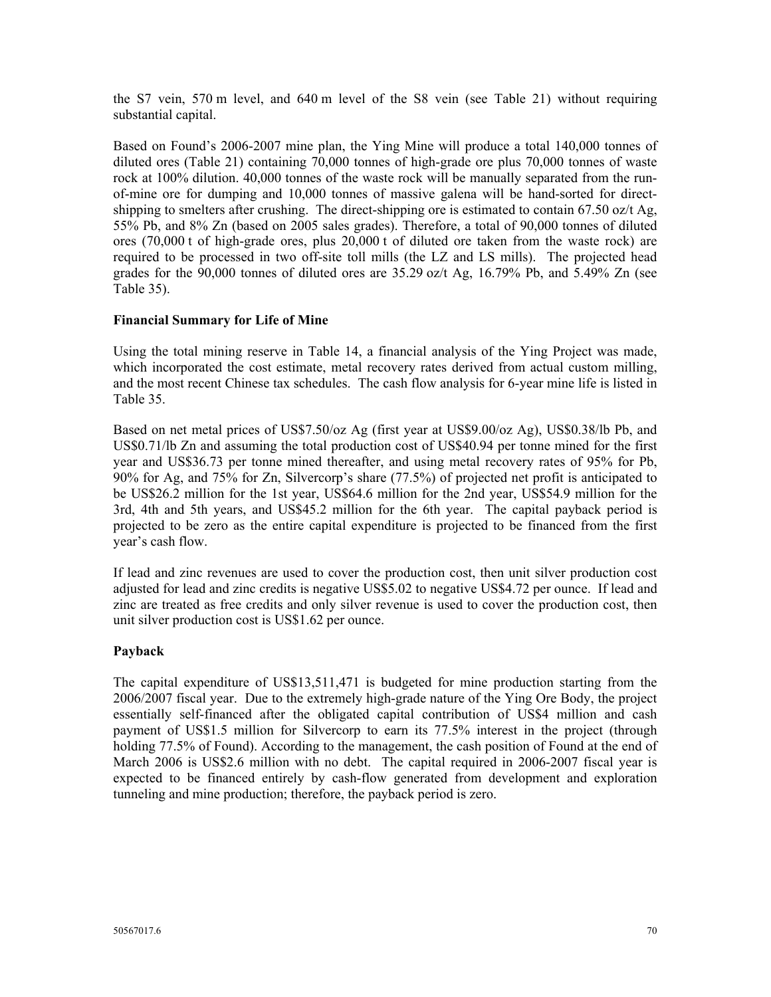the S7 vein, 570 m level, and 640 m level of the S8 vein (see Table 21) without requiring substantial capital.

Based on Found's 2006-2007 mine plan, the Ying Mine will produce a total 140,000 tonnes of diluted ores (Table 21) containing 70,000 tonnes of high-grade ore plus 70,000 tonnes of waste rock at 100% dilution. 40,000 tonnes of the waste rock will be manually separated from the runof-mine ore for dumping and 10,000 tonnes of massive galena will be hand-sorted for directshipping to smelters after crushing. The direct-shipping ore is estimated to contain 67.50 oz/t Ag, 55% Pb, and 8% Zn (based on 2005 sales grades). Therefore, a total of 90,000 tonnes of diluted ores (70,000 t of high-grade ores, plus 20,000 t of diluted ore taken from the waste rock) are required to be processed in two off-site toll mills (the LZ and LS mills). The projected head grades for the 90,000 tonnes of diluted ores are  $35.29$  oz/t Ag, 16.79% Pb, and  $5.49\%$  Zn (see Table 35).

#### **Financial Summary for Life of Mine**

Using the total mining reserve in Table 14, a financial analysis of the Ying Project was made, which incorporated the cost estimate, metal recovery rates derived from actual custom milling, and the most recent Chinese tax schedules. The cash flow analysis for 6-year mine life is listed in Table 35.

Based on net metal prices of US\$7.50/oz Ag (first year at US\$9.00/oz Ag), US\$0.38/lb Pb, and US\$0.71/lb Zn and assuming the total production cost of US\$40.94 per tonne mined for the first year and US\$36.73 per tonne mined thereafter, and using metal recovery rates of 95% for Pb, 90% for Ag, and 75% for Zn, Silvercorp's share (77.5%) of projected net profit is anticipated to be US\$26.2 million for the 1st year, US\$64.6 million for the 2nd year, US\$54.9 million for the 3rd, 4th and 5th years, and US\$45.2 million for the 6th year. The capital payback period is projected to be zero as the entire capital expenditure is projected to be financed from the first year's cash flow.

If lead and zinc revenues are used to cover the production cost, then unit silver production cost adjusted for lead and zinc credits is negative US\$5.02 to negative US\$4.72 per ounce. If lead and zinc are treated as free credits and only silver revenue is used to cover the production cost, then unit silver production cost is US\$1.62 per ounce.

#### **Payback**

The capital expenditure of US\$13,511,471 is budgeted for mine production starting from the 2006/2007 fiscal year. Due to the extremely high-grade nature of the Ying Ore Body, the project essentially self-financed after the obligated capital contribution of US\$4 million and cash payment of US\$1.5 million for Silvercorp to earn its 77.5% interest in the project (through holding 77.5% of Found). According to the management, the cash position of Found at the end of March 2006 is US\$2.6 million with no debt. The capital required in 2006-2007 fiscal year is expected to be financed entirely by cash-flow generated from development and exploration tunneling and mine production; therefore, the payback period is zero.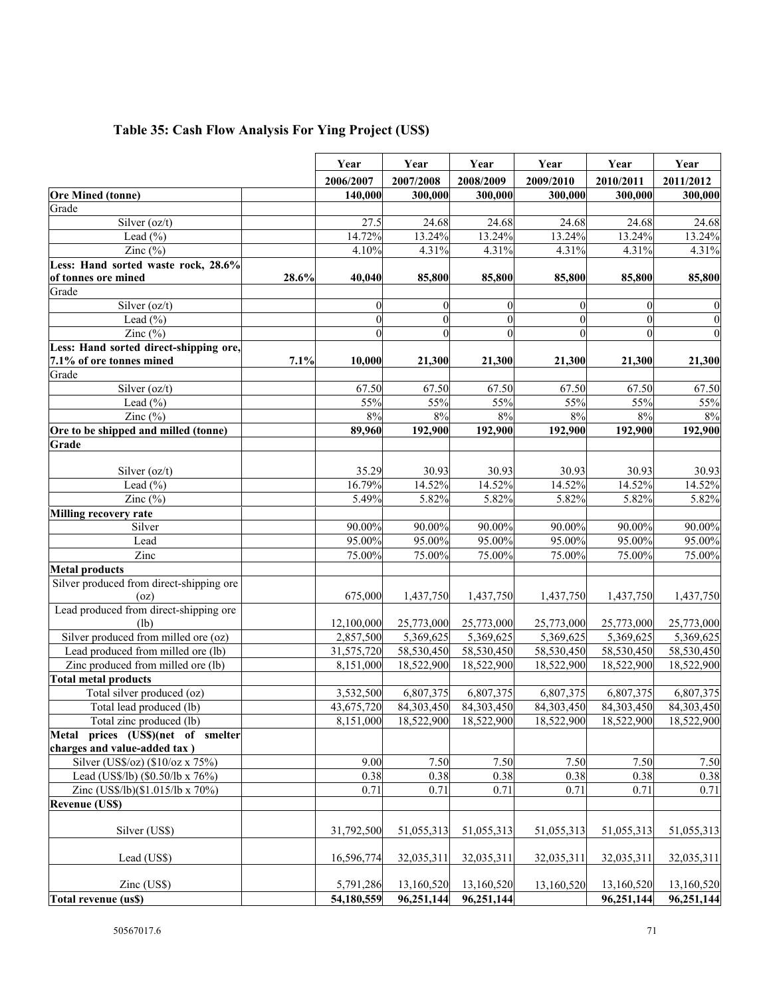# **Table 35: Cash Flow Analysis For Ying Project (US\$)**

|                                          |       | Year             | Year             | Year               | Year                   | Year           | Year             |
|------------------------------------------|-------|------------------|------------------|--------------------|------------------------|----------------|------------------|
|                                          |       | 2006/2007        | 2007/2008        | 2008/2009          | 2009/2010              | 2010/2011      | 2011/2012        |
| <b>Ore Mined (tonne)</b>                 |       | 140,000          | 300,000          | 300,000            | 300,000                | 300,000        | 300,000          |
| Grade                                    |       |                  |                  |                    |                        |                |                  |
| Silver (oz/t)                            |       | 27.5             | 24.68            | 24.68              | 24.68                  | 24.68          | 24.68            |
| Lead $(\% )$                             |       | 14.72%           | 13.24%           | 13.24%             | 13.24%                 | 13.24%         | 13.24%           |
| Zinc $(\%)$                              |       | 4.10%            | 4.31%            | 4.31%              | 4.31%                  | 4.31%          | 4.31%            |
| Less: Hand sorted waste rock, 28.6%      |       |                  |                  |                    |                        |                |                  |
| of tonnes ore mined                      | 28.6% | 40,040           | 85,800           | 85,800             | 85,800                 | 85,800         | 85,800           |
| Grade                                    |       |                  |                  |                    |                        |                |                  |
| Silver (oz/t)                            |       | $\mathbf{0}$     | $\mathbf{0}$     | $\boldsymbol{0}$   | $\theta$               | $\theta$       | $\boldsymbol{0}$ |
| Lead $(\% )$                             |       | $\boldsymbol{0}$ | $\boldsymbol{0}$ | $\overline{0}$     | $\theta$               | $\theta$       | $\boldsymbol{0}$ |
| Zinc $(\% )$                             |       | $\mathbf{0}$     | $\mathbf{0}$     | $\overline{0}$     | $\theta$               | $\overline{0}$ | $\boldsymbol{0}$ |
| Less: Hand sorted direct-shipping ore,   |       |                  |                  |                    |                        |                |                  |
| 7.1% of ore tonnes mined                 | 7.1%  | 10,000           | 21,300           | 21,300             | 21,300                 | 21,300         | 21,300           |
| Grade                                    |       |                  |                  |                    |                        |                |                  |
| Silver (oz/t)                            |       | 67.50            | 67.50            | 67.50              | 67.50                  | 67.50          | 67.50            |
| Lead $(\% )$                             |       | 55%              | 55%              | 55%                | 55%                    | 55%            | 55%              |
| Zinc $(\%)$                              |       | 8%               | 8%               | 8%                 | $8\%$                  | 8%             | 8%               |
| Ore to be shipped and milled (tonne)     |       | 89,960           | 192,900          | 192,900            | 192,900                | 192,900        | 192,900          |
| Grade                                    |       |                  |                  |                    |                        |                |                  |
|                                          |       |                  |                  |                    |                        |                |                  |
| Silver $(oz/t)$                          |       | 35.29            | 30.93            | 30.93              | 30.93                  | 30.93          | 30.93            |
| Lead $(\% )$                             |       | 16.79%           | 14.52%           | 14.52%             | 14.52%                 | 14.52%         | 14.52%           |
| Zinc $(\%)$                              |       | 5.49%            | 5.82%            | $\frac{1}{5.82\%}$ | 5.82%                  | 5.82%          | 5.82%            |
| Milling recovery rate                    |       |                  |                  |                    |                        |                |                  |
| Silver                                   |       | 90.00%           | 90.00%           | 90.00%             | 90.00%                 | 90.00%         | 90.00%           |
| Lead                                     |       | 95.00%           | 95.00%           | 95.00%             | 95.00%                 | 95.00%         | 95.00%           |
| Zinc                                     |       | 75.00%           | 75.00%           | 75.00%             | 75.00%                 | 75.00%         | 75.00%           |
| <b>Metal products</b>                    |       |                  |                  |                    |                        |                |                  |
| Silver produced from direct-shipping ore |       |                  |                  |                    |                        |                |                  |
| (oz)                                     |       | 675,000          | 1,437,750        | 1,437,750          | 1,437,750              | 1,437,750      | 1,437,750        |
| Lead produced from direct-shipping ore   |       |                  |                  |                    |                        |                |                  |
| (lb)                                     |       | 12,100,000       | 25,773,000       | 25,773,000         | 25,773,000             | 25,773,000     | 25,773,000       |
| Silver produced from milled ore (oz)     |       | 2,857,500        | 5,369,625        | 5,369,625          | $\overline{5,369,625}$ | 5,369,625      | 5,369,625        |
| Lead produced from milled ore (lb)       |       | 31,575,720       | 58,530,450       | 58,530,450         | 58,530,450             | 58,530,450     | 58,530,450       |
| Zinc produced from milled ore (lb)       |       | 8,151,000        | 18,522,900       | 18,522,900         | 18,522,900             | 18,522,900     | 18,522,900       |
| <b>Total metal products</b>              |       |                  |                  |                    |                        |                |                  |
| Total silver produced (oz)               |       | 3,532,500        | 6,807,375        | 6,807,375          | 6,807,375              | 6,807,375      | 6,807,375        |
| Total lead produced (lb)                 |       | 43,675,720       | 84,303,450       | 84,303,450         | 84,303,450             | 84,303,450     | 84,303,450       |
| Total zinc produced (lb)                 |       | 8,151,000        | 18,522,900       | 18,522,900         | 18,522,900             | 18,522,900     | 18,522,900       |
| Metal prices (US\$)(net of smelter       |       |                  |                  |                    |                        |                |                  |
| charges and value-added tax)             |       |                  |                  |                    |                        |                |                  |
| Silver (US\$/oz) (\$10/oz x 75%)         |       | 9.00             | 7.50             | 7.50               | 7.50                   | 7.50           | 7.50             |
| Lead (US\$/lb) (\$0.50/lb x 76%)         |       | 0.38             | 0.38             | 0.38               | 0.38                   | 0.38           | 0.38             |
| Zinc (US\$/lb)(\$1.015/lb x 70%)         |       | 0.71             | 0.71             | 0.71               | 0.71                   | 0.71           | 0.71             |
| <b>Revenue (US\$)</b>                    |       |                  |                  |                    |                        |                |                  |
|                                          |       |                  |                  |                    |                        |                |                  |
| Silver (US\$)                            |       | 31,792,500       | 51,055,313       | 51,055,313         | 51,055,313             | 51,055,313     | 51,055,313       |
|                                          |       |                  |                  |                    |                        |                |                  |
| Lead (US\$)                              |       | 16.596.774       | 32,035,311       | 32,035,311         | 32,035,311             | 32,035,311     | 32,035,311       |
|                                          |       |                  |                  |                    |                        |                |                  |
| Zinc (US\$)                              |       | 5,791,286        | 13,160,520       | 13,160,520         | 13,160,520             | 13,160,520     | 13,160,520       |
| Total revenue (us\$)                     |       | 54,180,559       | 96,251,144       | 96,251,144         |                        | 96,251,144     | 96,251,144       |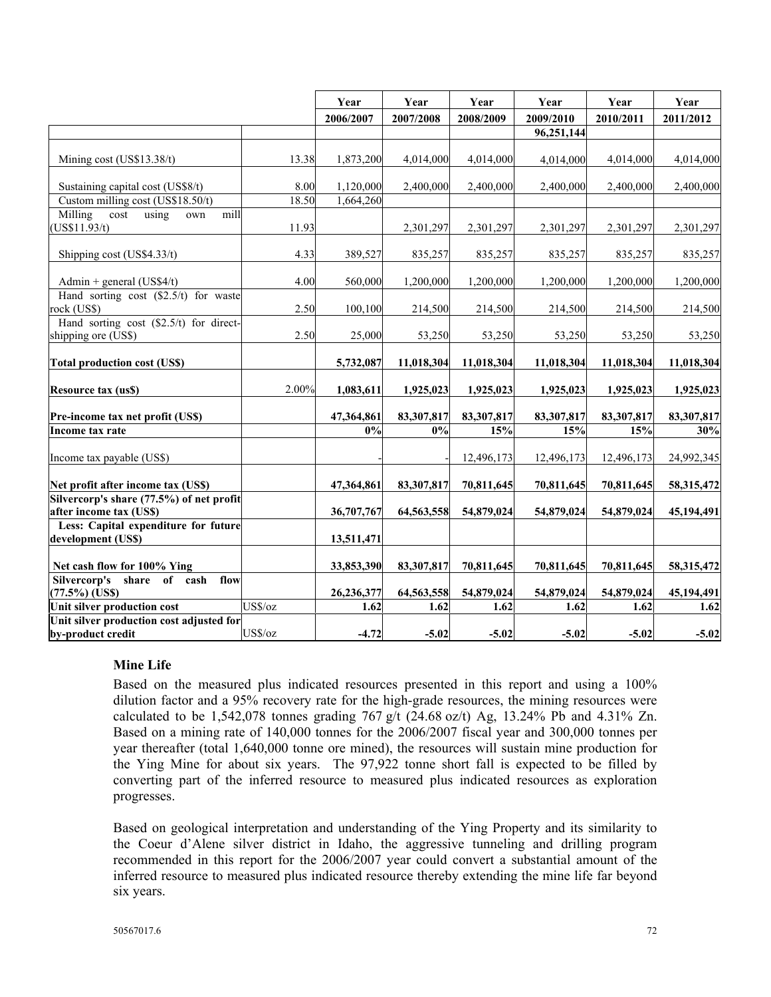|                                           |         | Year       | Year       | Year       | Year       | Year       | Year       |
|-------------------------------------------|---------|------------|------------|------------|------------|------------|------------|
|                                           |         | 2006/2007  | 2007/2008  | 2008/2009  | 2009/2010  | 2010/2011  | 2011/2012  |
|                                           |         |            |            |            | 96,251,144 |            |            |
|                                           |         |            |            |            |            |            |            |
| Mining cost (US\$13.38/t)                 | 13.38   | 1,873,200  | 4,014,000  | 4,014,000  | 4,014,000  | 4,014,000  | 4,014,000  |
|                                           |         |            |            |            |            |            |            |
| Sustaining capital cost (US\$8/t)         | 8.00    | 1,120,000  | 2,400,000  | 2,400,000  | 2,400,000  | 2,400,000  | 2,400,000  |
| Custom milling cost (US\$18.50/t)         | 18.50   | 1,664,260  |            |            |            |            |            |
| Milling<br>cost<br>using<br>mill<br>own   |         |            |            |            |            |            |            |
| US\$11.93/t)                              | 11.93   |            | 2,301,297  | 2,301,297  | 2,301,297  | 2,301,297  | 2,301,297  |
| Shipping cost (US\$4.33/t)                | 4.33    | 389,527    | 835,257    | 835,257    | 835,257    | 835,257    | 835,257    |
|                                           |         |            |            |            |            |            |            |
| Admin + general $(US$4/t)$                | 4.00    | 560,000    | 1,200,000  | 1,200,000  | 1,200,000  | 1,200,000  | 1,200,000  |
| Hand sorting cost $(\$2.5/t)$ for waste   |         |            |            |            |            |            |            |
| rock (US\$)                               | 2.50    | 100,100    | 214,500    | 214,500    | 214,500    | 214,500    | 214,500    |
| Hand sorting cost $(\$2.5/t)$ for direct- |         |            |            |            |            |            |            |
| shipping ore (US\$)                       | 2.50    | 25,000     | 53,250     | 53,250     | 53,250     | 53,250     | 53,250     |
|                                           |         |            |            |            |            |            |            |
| <b>Total production cost (US\$)</b>       |         | 5,732,087  | 11,018,304 | 11,018,304 | 11,018,304 | 11,018,304 | 11,018,304 |
|                                           | 2.00%   | 1,083,611  | 1,925,023  |            |            |            |            |
| <b>Resource tax (us\$)</b>                |         |            |            | 1,925,023  | 1,925,023  | 1,925,023  | 1,925,023  |
| Pre-income tax net profit (US\$)          |         | 47,364,861 | 83,307,817 | 83,307,817 | 83,307,817 | 83,307,817 | 83,307,817 |
| Income tax rate                           |         | 0%         | 0%         | 15%        | 15%        | 15%        | 30%        |
|                                           |         |            |            |            |            |            |            |
| Income tax payable (US\$)                 |         |            |            | 12,496,173 | 12,496,173 | 12,496,173 | 24,992,345 |
|                                           |         |            |            |            |            |            |            |
| Net profit after income tax (US\$)        |         | 47,364,861 | 83,307,817 | 70,811,645 | 70,811,645 | 70,811,645 | 58,315,472 |
| Silvercorp's share (77.5%) of net profit  |         |            |            |            |            |            |            |
| after income tax (US\$)                   |         | 36,707,767 | 64,563,558 | 54,879,024 | 54,879,024 | 54,879,024 | 45,194,491 |
| Less: Capital expenditure for future      |         |            |            |            |            |            |            |
| development (US\$)                        |         | 13,511,471 |            |            |            |            |            |
| Net cash flow for 100% Ying               |         | 33,853,390 | 83,307,817 | 70,811,645 | 70,811,645 | 70,811,645 | 58,315,472 |
| Silvercorp's share of cash<br>flow        |         |            |            |            |            |            |            |
| $(77.5%)$ (US\$)                          |         | 26,236,377 | 64,563,558 | 54,879,024 | 54,879,024 | 54,879,024 | 45,194,491 |
| Unit silver production cost               | US\$/oz | 1.62       | 1.62       | 1.62       | 1.62       | 1.62       | 1.62       |
| Unit silver production cost adjusted for  |         |            |            |            |            |            |            |
| by-product credit                         | US\$/oz | $-4.72$    | $-5.02$    | $-5.02$    | $-5.02$    | $-5.02$    | $-5.02$    |

## **Mine Life**

Based on the measured plus indicated resources presented in this report and using a 100% dilution factor and a 95% recovery rate for the high-grade resources, the mining resources were calculated to be 1,542,078 tonnes grading 767 g/t (24.68 oz/t) Ag, 13.24% Pb and 4.31% Zn. Based on a mining rate of 140,000 tonnes for the 2006/2007 fiscal year and 300,000 tonnes per year thereafter (total 1,640,000 tonne ore mined), the resources will sustain mine production for the Ying Mine for about six years. The 97,922 tonne short fall is expected to be filled by converting part of the inferred resource to measured plus indicated resources as exploration progresses.

Based on geological interpretation and understanding of the Ying Property and its similarity to the Coeur d'Alene silver district in Idaho, the aggressive tunneling and drilling program recommended in this report for the 2006/2007 year could convert a substantial amount of the inferred resource to measured plus indicated resource thereby extending the mine life far beyond six years.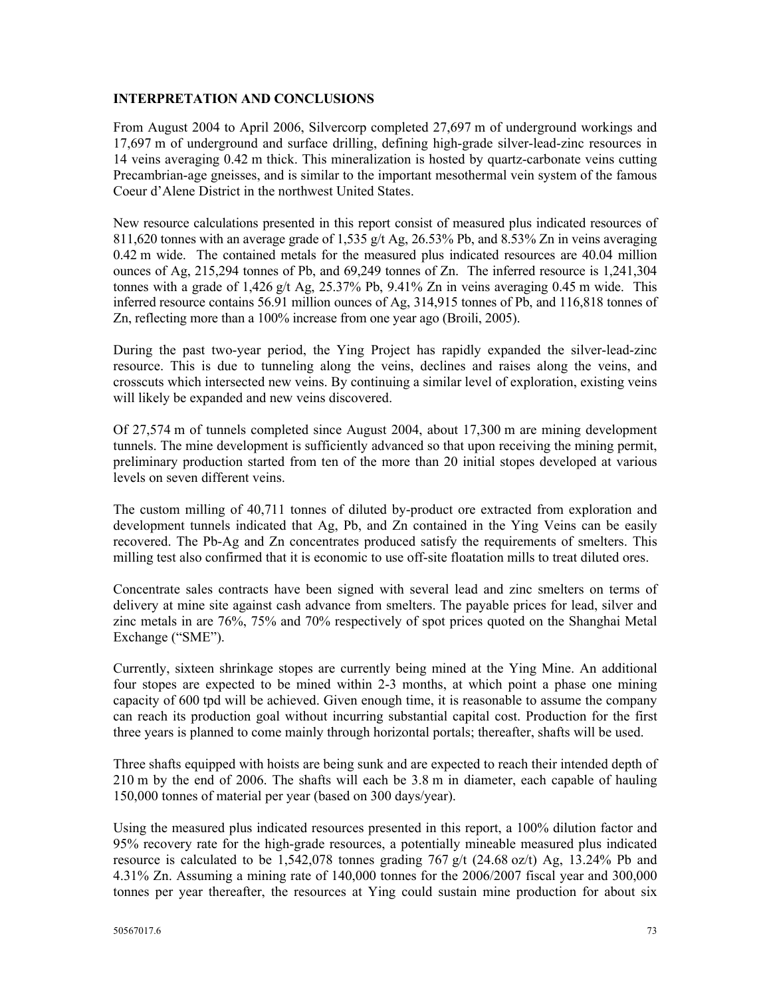#### **INTERPRETATION AND CONCLUSIONS**

From August 2004 to April 2006, Silvercorp completed 27,697 m of underground workings and 17,697 m of underground and surface drilling, defining high-grade silver-lead-zinc resources in 14 veins averaging 0.42 m thick. This mineralization is hosted by quartz-carbonate veins cutting Precambrian-age gneisses, and is similar to the important mesothermal vein system of the famous Coeur d'Alene District in the northwest United States.

New resource calculations presented in this report consist of measured plus indicated resources of 811,620 tonnes with an average grade of 1,535 g/t Ag, 26.53% Pb, and 8.53% Zn in veins averaging 0.42 m wide. The contained metals for the measured plus indicated resources are 40.04 million ounces of Ag, 215,294 tonnes of Pb, and 69,249 tonnes of Zn. The inferred resource is 1,241,304 tonnes with a grade of 1,426 g/t Ag, 25.37% Pb, 9.41% Zn in veins averaging 0.45 m wide. This inferred resource contains 56.91 million ounces of Ag, 314,915 tonnes of Pb, and 116,818 tonnes of Zn, reflecting more than a 100% increase from one year ago (Broili, 2005).

During the past two-year period, the Ying Project has rapidly expanded the silver-lead-zinc resource. This is due to tunneling along the veins, declines and raises along the veins, and crosscuts which intersected new veins. By continuing a similar level of exploration, existing veins will likely be expanded and new veins discovered.

Of 27,574 m of tunnels completed since August 2004, about 17,300 m are mining development tunnels. The mine development is sufficiently advanced so that upon receiving the mining permit, preliminary production started from ten of the more than 20 initial stopes developed at various levels on seven different veins.

The custom milling of 40,711 tonnes of diluted by-product ore extracted from exploration and development tunnels indicated that Ag, Pb, and Zn contained in the Ying Veins can be easily recovered. The Pb-Ag and Zn concentrates produced satisfy the requirements of smelters. This milling test also confirmed that it is economic to use off-site floatation mills to treat diluted ores.

Concentrate sales contracts have been signed with several lead and zinc smelters on terms of delivery at mine site against cash advance from smelters. The payable prices for lead, silver and zinc metals in are 76%, 75% and 70% respectively of spot prices quoted on the Shanghai Metal Exchange ("SME").

Currently, sixteen shrinkage stopes are currently being mined at the Ying Mine. An additional four stopes are expected to be mined within 2-3 months, at which point a phase one mining capacity of 600 tpd will be achieved. Given enough time, it is reasonable to assume the company can reach its production goal without incurring substantial capital cost. Production for the first three years is planned to come mainly through horizontal portals; thereafter, shafts will be used.

Three shafts equipped with hoists are being sunk and are expected to reach their intended depth of 210 m by the end of 2006. The shafts will each be 3.8 m in diameter, each capable of hauling 150,000 tonnes of material per year (based on 300 days/year).

Using the measured plus indicated resources presented in this report, a 100% dilution factor and 95% recovery rate for the high-grade resources, a potentially mineable measured plus indicated resource is calculated to be 1,542,078 tonnes grading 767 g/t (24.68 oz/t) Ag, 13.24% Pb and 4.31% Zn. Assuming a mining rate of 140,000 tonnes for the 2006/2007 fiscal year and 300,000 tonnes per year thereafter, the resources at Ying could sustain mine production for about six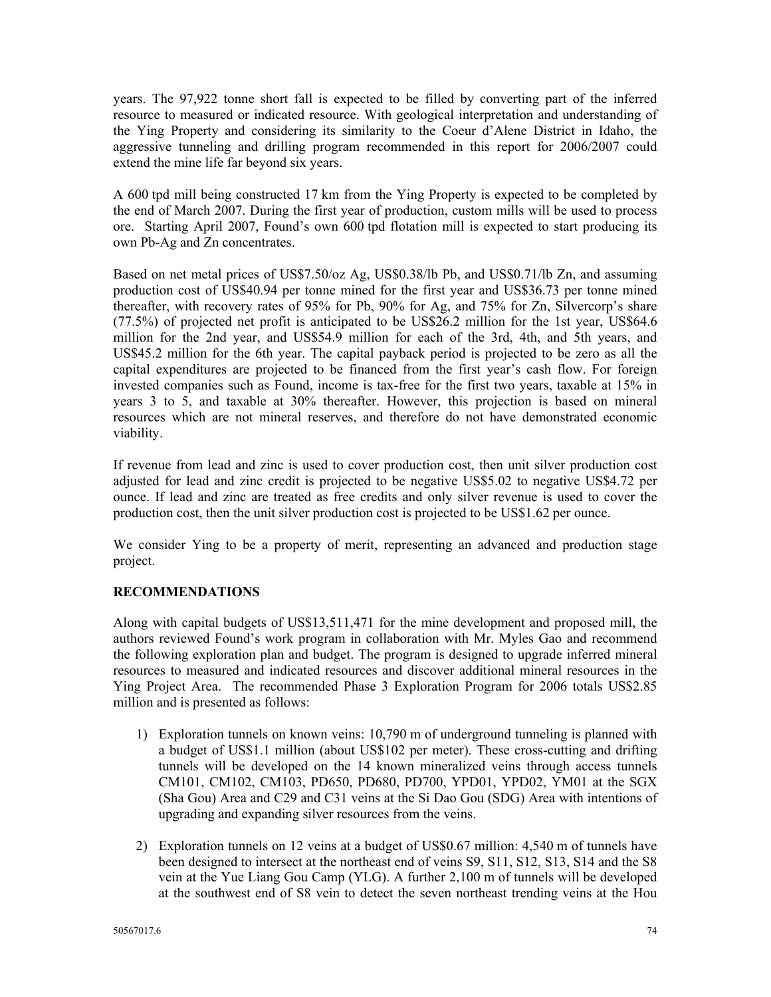years. The 97,922 tonne short fall is expected to be filled by converting part of the inferred resource to measured or indicated resource. With geological interpretation and understanding of the Ying Property and considering its similarity to the Coeur d'Alene District in Idaho, the aggressive tunneling and drilling program recommended in this report for 2006/2007 could extend the mine life far beyond six years.

A 600 tpd mill being constructed 17 km from the Ying Property is expected to be completed by the end of March 2007. During the first year of production, custom mills will be used to process ore. Starting April 2007, Found's own 600 tpd flotation mill is expected to start producing its own Pb-Ag and Zn concentrates.

Based on net metal prices of US\$7.50/oz Ag, US\$0.38/lb Pb, and US\$0.71/lb Zn, and assuming production cost of US\$40.94 per tonne mined for the first year and US\$36.73 per tonne mined thereafter, with recovery rates of 95% for Pb, 90% for Ag, and 75% for Zn, Silvercorp's share (77.5%) of projected net profit is anticipated to be US\$26.2 million for the 1st year, US\$64.6 million for the 2nd year, and US\$54.9 million for each of the 3rd, 4th, and 5th years, and US\$45.2 million for the 6th year. The capital payback period is projected to be zero as all the capital expenditures are projected to be financed from the first year's cash flow. For foreign invested companies such as Found, income is tax-free for the first two years, taxable at 15% in years 3 to 5, and taxable at 30% thereafter. However, this projection is based on mineral resources which are not mineral reserves, and therefore do not have demonstrated economic viability.

If revenue from lead and zinc is used to cover production cost, then unit silver production cost adjusted for lead and zinc credit is projected to be negative US\$5.02 to negative US\$4.72 per ounce. If lead and zinc are treated as free credits and only silver revenue is used to cover the production cost, then the unit silver production cost is projected to be US\$1.62 per ounce.

We consider Ying to be a property of merit, representing an advanced and production stage project.

# **RECOMMENDATIONS**

Along with capital budgets of US\$13,511,471 for the mine development and proposed mill, the authors reviewed Found's work program in collaboration with Mr. Myles Gao and recommend the following exploration plan and budget. The program is designed to upgrade inferred mineral resources to measured and indicated resources and discover additional mineral resources in the Ying Project Area. The recommended Phase 3 Exploration Program for 2006 totals US\$2.85 million and is presented as follows:

- 1) Exploration tunnels on known veins: 10,790 m of underground tunneling is planned with a budget of US\$1.1 million (about US\$102 per meter). These cross-cutting and drifting tunnels will be developed on the 14 known mineralized veins through access tunnels CM101, CM102, CM103, PD650, PD680, PD700, YPD01, YPD02, YM01 at the SGX (Sha Gou) Area and C29 and C31 veins at the Si Dao Gou (SDG) Area with intentions of upgrading and expanding silver resources from the veins.
- 2) Exploration tunnels on 12 veins at a budget of US\$0.67 million: 4,540 m of tunnels have been designed to intersect at the northeast end of veins S9, S11, S12, S13, S14 and the S8 vein at the Yue Liang Gou Camp (YLG). A further 2,100 m of tunnels will be developed at the southwest end of S8 vein to detect the seven northeast trending veins at the Hou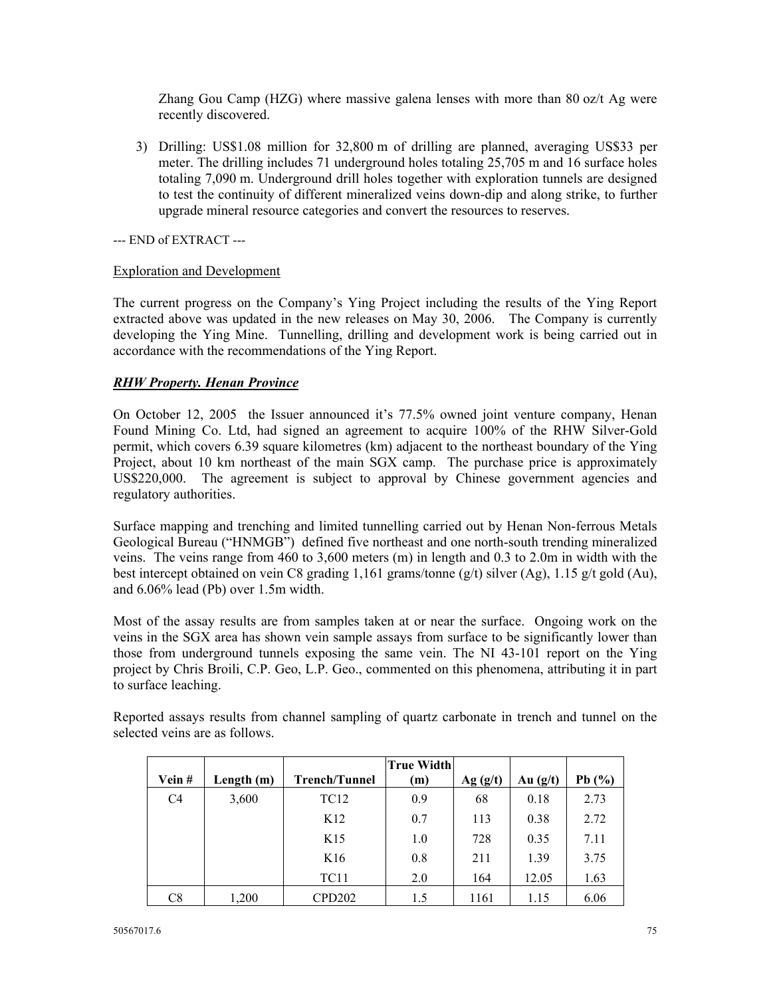Zhang Gou Camp (HZG) where massive galena lenses with more than 80 oz/t Ag were recently discovered.

3) Drilling: US\$1.08 million for 32,800 m of drilling are planned, averaging US\$33 per meter. The drilling includes 71 underground holes totaling 25,705 m and 16 surface holes totaling 7,090 m. Underground drill holes together with exploration tunnels are designed to test the continuity of different mineralized veins down-dip and along strike, to further upgrade mineral resource categories and convert the resources to reserves.

--- END of EXTRACT ---

#### Exploration and Development

The current progress on the Company's Ying Project including the results of the Ying Report extracted above was updated in the new releases on May 30, 2006. The Company is currently developing the Ying Mine. Tunnelling, drilling and development work is being carried out in accordance with the recommendations of the Ying Report.

#### *RHW Property. Henan Province*

On October 12, 2005 the Issuer announced it's 77.5% owned joint venture company, Henan Found Mining Co. Ltd, had signed an agreement to acquire 100% of the RHW Silver-Gold permit, which covers 6.39 square kilometres (km) adjacent to the northeast boundary of the Ying Project, about 10 km northeast of the main SGX camp. The purchase price is approximately US\$220,000. The agreement is subject to approval by Chinese government agencies and regulatory authorities.

Surface mapping and trenching and limited tunnelling carried out by Henan Non-ferrous Metals Geological Bureau ("HNMGB") defined five northeast and one north-south trending mineralized veins. The veins range from 460 to 3,600 meters (m) in length and 0.3 to 2.0m in width with the best intercept obtained on vein C8 grading 1,161 grams/tonne (g/t) silver (Ag), 1.15 g/t gold (Au), and 6.06% lead (Pb) over 1.5m width.

Most of the assay results are from samples taken at or near the surface. Ongoing work on the veins in the SGX area has shown vein sample assays from surface to be significantly lower than those from underground tunnels exposing the same vein. The NI 43-101 report on the Ying project by Chris Broili, C.P. Geo, L.P. Geo., commented on this phenomena, attributing it in part to surface leaching.

|                |              |                      | <b>True Widthl</b> |         |            |           |
|----------------|--------------|----------------------|--------------------|---------|------------|-----------|
| Vein#          | Length $(m)$ | <b>Trench/Tunnel</b> | (m)                | Ag(g/t) | Au $(g/t)$ | Pb $(\%)$ |
| C <sub>4</sub> | 3,600        | <b>TC12</b>          | 0.9                | 68      | 0.18       | 2.73      |
|                |              | K <sub>12</sub>      | 0.7                | 113     | 0.38       | 2.72      |
|                |              | K <sub>15</sub>      | 1.0                | 728     | 0.35       | 7.11      |
|                |              | K <sub>16</sub>      | 0.8                | 211     | 1.39       | 3.75      |
|                |              | TC <sub>11</sub>     | 2.0                | 164     | 12.05      | 1.63      |
| C8             | 1,200        | CPD202               | 1.5                | 1161    | 1.15       | 6.06      |

Reported assays results from channel sampling of quartz carbonate in trench and tunnel on the selected veins are as follows.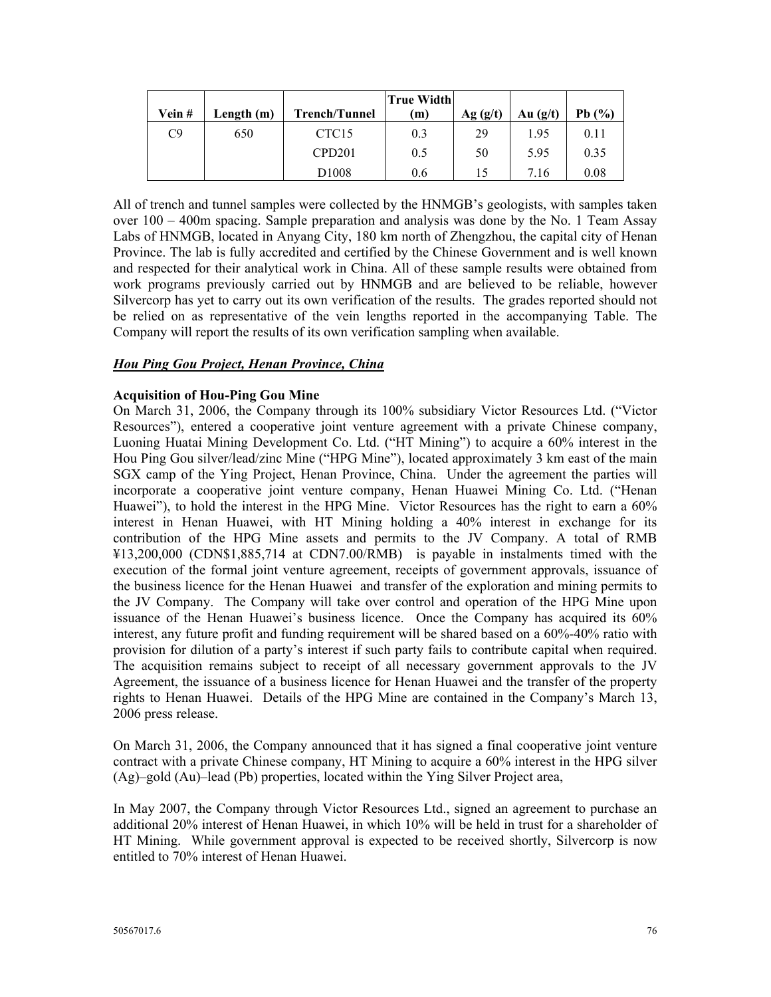| Vein# | Length $(m)$ | <b>Trench/Tunnel</b> | True Width<br>(m) | Ag (g/t) | Au $(g/t)$ | Pb $(%$ |
|-------|--------------|----------------------|-------------------|----------|------------|---------|
| C9    | 650          | CTC <sub>15</sub>    | 0.3               | 29       | 1.95       | 0.11    |
|       |              | CPD <sub>201</sub>   | 0.5               | 50       | 5.95       | 0.35    |
|       |              | D <sub>1008</sub>    | 0.6               |          | 7.16       | 0.08    |

All of trench and tunnel samples were collected by the HNMGB's geologists, with samples taken over 100 – 400m spacing. Sample preparation and analysis was done by the No. 1 Team Assay Labs of HNMGB, located in Anyang City, 180 km north of Zhengzhou, the capital city of Henan Province. The lab is fully accredited and certified by the Chinese Government and is well known and respected for their analytical work in China. All of these sample results were obtained from work programs previously carried out by HNMGB and are believed to be reliable, however Silvercorp has yet to carry out its own verification of the results. The grades reported should not be relied on as representative of the vein lengths reported in the accompanying Table. The Company will report the results of its own verification sampling when available.

## *Hou Ping Gou Project, Henan Province, China*

### **Acquisition of Hou-Ping Gou Mine**

On March 31, 2006, the Company through its 100% subsidiary Victor Resources Ltd. ("Victor Resources"), entered a cooperative joint venture agreement with a private Chinese company, Luoning Huatai Mining Development Co. Ltd. ("HT Mining") to acquire a 60% interest in the Hou Ping Gou silver/lead/zinc Mine ("HPG Mine"), located approximately 3 km east of the main SGX camp of the Ying Project, Henan Province, China. Under the agreement the parties will incorporate a cooperative joint venture company, Henan Huawei Mining Co. Ltd. ("Henan Huawei"), to hold the interest in the HPG Mine. Victor Resources has the right to earn a 60% interest in Henan Huawei, with HT Mining holding a 40% interest in exchange for its contribution of the HPG Mine assets and permits to the JV Company. A total of RMB ¥13,200,000 (CDN\$1,885,714 at CDN7.00/RMB) is payable in instalments timed with the execution of the formal joint venture agreement, receipts of government approvals, issuance of the business licence for the Henan Huawei and transfer of the exploration and mining permits to the JV Company. The Company will take over control and operation of the HPG Mine upon issuance of the Henan Huawei's business licence. Once the Company has acquired its 60% interest, any future profit and funding requirement will be shared based on a 60%-40% ratio with provision for dilution of a party's interest if such party fails to contribute capital when required. The acquisition remains subject to receipt of all necessary government approvals to the JV Agreement, the issuance of a business licence for Henan Huawei and the transfer of the property rights to Henan Huawei. Details of the HPG Mine are contained in the Company's March 13, 2006 press release.

On March 31, 2006, the Company announced that it has signed a final cooperative joint venture contract with a private Chinese company, HT Mining to acquire a 60% interest in the HPG silver (Ag)–gold (Au)–lead (Pb) properties, located within the Ying Silver Project area,

In May 2007, the Company through Victor Resources Ltd., signed an agreement to purchase an additional 20% interest of Henan Huawei, in which 10% will be held in trust for a shareholder of HT Mining. While government approval is expected to be received shortly, Silvercorp is now entitled to 70% interest of Henan Huawei.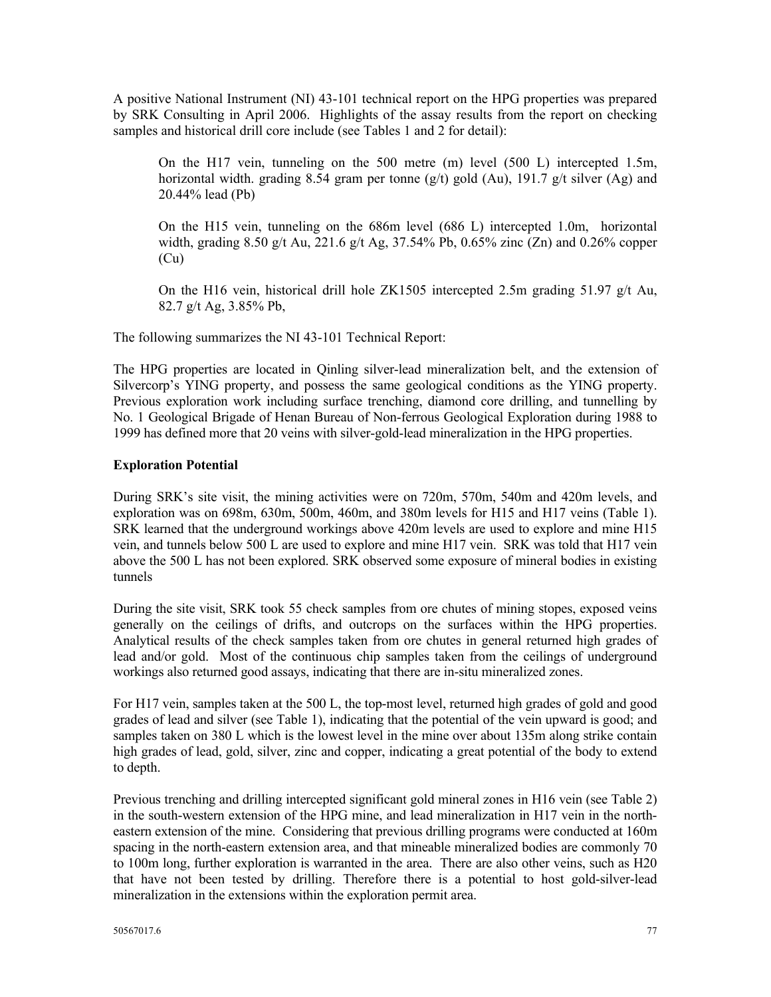A positive National Instrument (NI) 43-101 technical report on the HPG properties was prepared by SRK Consulting in April 2006. Highlights of the assay results from the report on checking samples and historical drill core include (see Tables 1 and 2 for detail):

On the H17 vein, tunneling on the 500 metre (m) level (500 L) intercepted 1.5m, horizontal width. grading 8.54 gram per tonne (g/t) gold (Au), 191.7 g/t silver (Ag) and 20.44% lead (Pb)

On the H15 vein, tunneling on the 686m level (686 L) intercepted 1.0m, horizontal width, grading 8.50 g/t Au, 221.6 g/t Ag, 37.54% Pb, 0.65% zinc (Zn) and 0.26% copper (Cu)

On the H16 vein, historical drill hole ZK1505 intercepted 2.5m grading 51.97 g/t Au, 82.7 g/t Ag, 3.85% Pb,

The following summarizes the NI 43-101 Technical Report:

The HPG properties are located in Qinling silver-lead mineralization belt, and the extension of Silvercorp's YING property, and possess the same geological conditions as the YING property. Previous exploration work including surface trenching, diamond core drilling, and tunnelling by No. 1 Geological Brigade of Henan Bureau of Non-ferrous Geological Exploration during 1988 to 1999 has defined more that 20 veins with silver-gold-lead mineralization in the HPG properties.

#### **Exploration Potential**

During SRK's site visit, the mining activities were on 720m, 570m, 540m and 420m levels, and exploration was on 698m, 630m, 500m, 460m, and 380m levels for H15 and H17 veins (Table 1). SRK learned that the underground workings above 420m levels are used to explore and mine H15 vein, and tunnels below 500 L are used to explore and mine H17 vein. SRK was told that H17 vein above the 500 L has not been explored. SRK observed some exposure of mineral bodies in existing tunnels

During the site visit, SRK took 55 check samples from ore chutes of mining stopes, exposed veins generally on the ceilings of drifts, and outcrops on the surfaces within the HPG properties. Analytical results of the check samples taken from ore chutes in general returned high grades of lead and/or gold. Most of the continuous chip samples taken from the ceilings of underground workings also returned good assays, indicating that there are in-situ mineralized zones.

For H17 vein, samples taken at the 500 L, the top-most level, returned high grades of gold and good grades of lead and silver (see Table 1), indicating that the potential of the vein upward is good; and samples taken on 380 L which is the lowest level in the mine over about 135m along strike contain high grades of lead, gold, silver, zinc and copper, indicating a great potential of the body to extend to depth.

Previous trenching and drilling intercepted significant gold mineral zones in H16 vein (see Table 2) in the south-western extension of the HPG mine, and lead mineralization in H17 vein in the northeastern extension of the mine. Considering that previous drilling programs were conducted at 160m spacing in the north-eastern extension area, and that mineable mineralized bodies are commonly 70 to 100m long, further exploration is warranted in the area. There are also other veins, such as H20 that have not been tested by drilling. Therefore there is a potential to host gold-silver-lead mineralization in the extensions within the exploration permit area.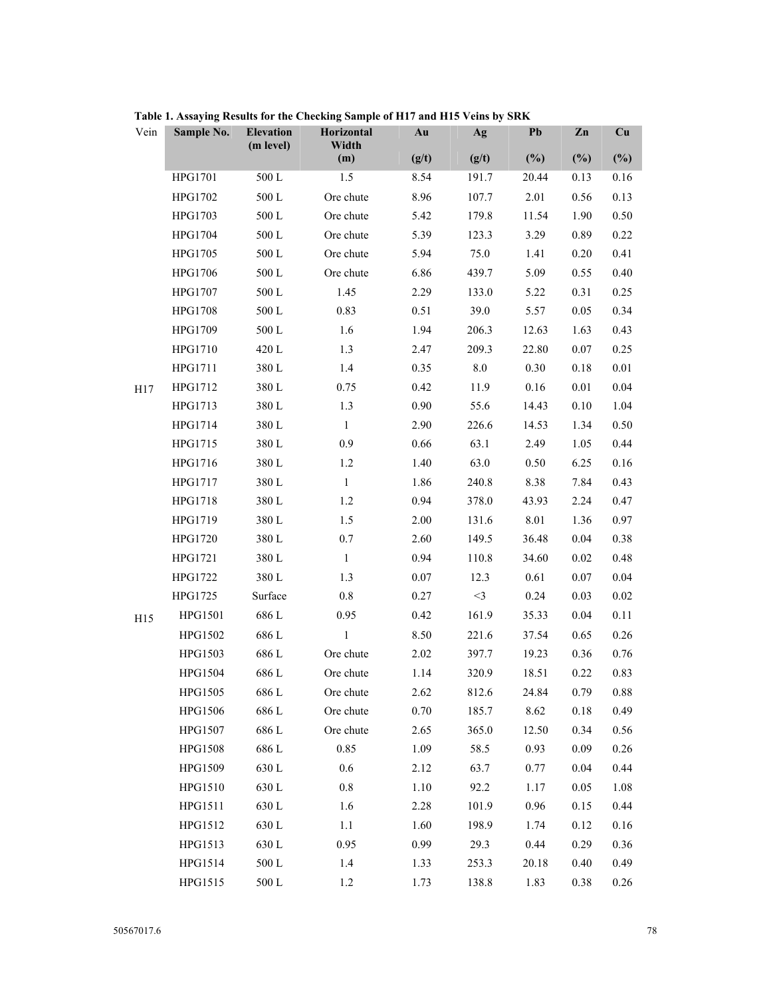| Vein | Sample No.     | <b>Elevation</b><br>(m level) | Horizontal<br>Width | Au    | Ag      | Pb     | Zn       | Cu       |
|------|----------------|-------------------------------|---------------------|-------|---------|--------|----------|----------|
|      |                |                               | (m)                 | (g/t) | (g/t)   | $(\%)$ | $(\%)$   | $(\%)$   |
|      | HPG1701        | $500\ {\rm L}$                | 1.5                 | 8.54  | 191.7   | 20.44  | 0.13     | 0.16     |
|      | HPG1702        | $500\ {\rm L}$                | Ore chute           | 8.96  | 107.7   | 2.01   | 0.56     | 0.13     |
|      | HPG1703        | 500 L                         | Ore chute           | 5.42  | 179.8   | 11.54  | 1.90     | 0.50     |
|      | HPG1704        | $500\ {\rm L}$                | Ore chute           | 5.39  | 123.3   | 3.29   | 0.89     | 0.22     |
|      | HPG1705        | 500 L                         | Ore chute           | 5.94  | 75.0    | 1.41   | 0.20     | 0.41     |
|      | <b>HPG1706</b> | $500\ {\rm L}$                | Ore chute           | 6.86  | 439.7   | 5.09   | 0.55     | 0.40     |
|      | HPG1707        | 500L                          | 1.45                | 2.29  | 133.0   | 5.22   | 0.31     | 0.25     |
|      | <b>HPG1708</b> | $500\ {\rm L}$                | 0.83                | 0.51  | 39.0    | 5.57   | 0.05     | 0.34     |
|      | HPG1709        | 500 L                         | 1.6                 | 1.94  | 206.3   | 12.63  | 1.63     | 0.43     |
|      | HPG1710        | 420 L                         | 1.3                 | 2.47  | 209.3   | 22.80  | $0.07\,$ | 0.25     |
|      | HPG1711        | 380 L                         | 1.4                 | 0.35  | $8.0\,$ | 0.30   | 0.18     | $0.01\,$ |
| H17  | HPG1712        | 380 L                         | 0.75                | 0.42  | 11.9    | 0.16   | 0.01     | 0.04     |
|      | HPG1713        | 380 L                         | 1.3                 | 0.90  | 55.6    | 14.43  | 0.10     | 1.04     |
|      | HPG1714        | 380 L                         | $\mathbf{1}$        | 2.90  | 226.6   | 14.53  | 1.34     | 0.50     |
|      | HPG1715        | 380L                          | 0.9                 | 0.66  | 63.1    | 2.49   | 1.05     | 0.44     |
|      | HPG1716        | 380 L                         | 1.2                 | 1.40  | 63.0    | 0.50   | 6.25     | 0.16     |
|      | HPG1717        | 380 L                         | 1                   | 1.86  | 240.8   | 8.38   | 7.84     | 0.43     |
|      | HPG1718        | 380L                          | 1.2                 | 0.94  | 378.0   | 43.93  | 2.24     | 0.47     |
|      | HPG1719        | 380L                          | 1.5                 | 2.00  | 131.6   | 8.01   | 1.36     | 0.97     |
|      | HPG1720        | 380 L                         | 0.7                 | 2.60  | 149.5   | 36.48  | 0.04     | 0.38     |
|      | HPG1721        | 380L                          | 1                   | 0.94  | 110.8   | 34.60  | 0.02     | 0.48     |
|      | HPG1722        | 380 L                         | 1.3                 | 0.07  | 12.3    | 0.61   | 0.07     | 0.04     |
|      | HPG1725        | Surface                       | 0.8                 | 0.27  | $<$ 3   | 0.24   | 0.03     | $0.02\,$ |
| H15  | HPG1501        | 686 L                         | 0.95                | 0.42  | 161.9   | 35.33  | 0.04     | 0.11     |
|      | HPG1502        | 686 L                         | $\mathbf{1}$        | 8.50  | 221.6   | 37.54  | 0.65     | 0.26     |
|      | HPG1503        | 686 L                         | Ore chute           | 2.02  | 397.7   | 19.23  | 0.36     | 0.76     |
|      | HPG1504        | 686 L                         | Ore chute           | 1.14  | 320.9   | 18.51  | 0.22     | 0.83     |
|      | HPG1505        | 686 L                         | Ore chute           | 2.62  | 812.6   | 24.84  | 0.79     | 0.88     |
|      | <b>HPG1506</b> | 686L                          | Ore chute           | 0.70  | 185.7   | 8.62   | 0.18     | 0.49     |
|      | HPG1507        | 686 L                         | Ore chute           | 2.65  | 365.0   | 12.50  | 0.34     | 0.56     |
|      | <b>HPG1508</b> | 686 L                         | 0.85                | 1.09  | 58.5    | 0.93   | 0.09     | 0.26     |
|      | HPG1509        | 630L                          | 0.6                 | 2.12  | 63.7    | 0.77   | 0.04     | 0.44     |
|      | HPG1510        | 630L                          | $0.8\,$             | 1.10  | 92.2    | 1.17   | 0.05     | 1.08     |
|      | HPG1511        | 630L                          | 1.6                 | 2.28  | 101.9   | 0.96   | 0.15     | 0.44     |
|      | HPG1512        | 630L                          | $1.1\,$             | 1.60  | 198.9   | 1.74   | 0.12     | 0.16     |
|      | HPG1513        | 630L                          | 0.95                | 0.99  | 29.3    | 0.44   | 0.29     | 0.36     |
|      | HPG1514        | $500\,\mathrm{L}$             | 1.4                 | 1.33  | 253.3   | 20.18  | 0.40     | 0.49     |
|      | HPG1515        | $500\ {\rm L}$                | 1.2                 | 1.73  | 138.8   | 1.83   | 0.38     | 0.26     |

**Table 1. Assaying Results for the Checking Sample of H17 and H15 Veins by SRK**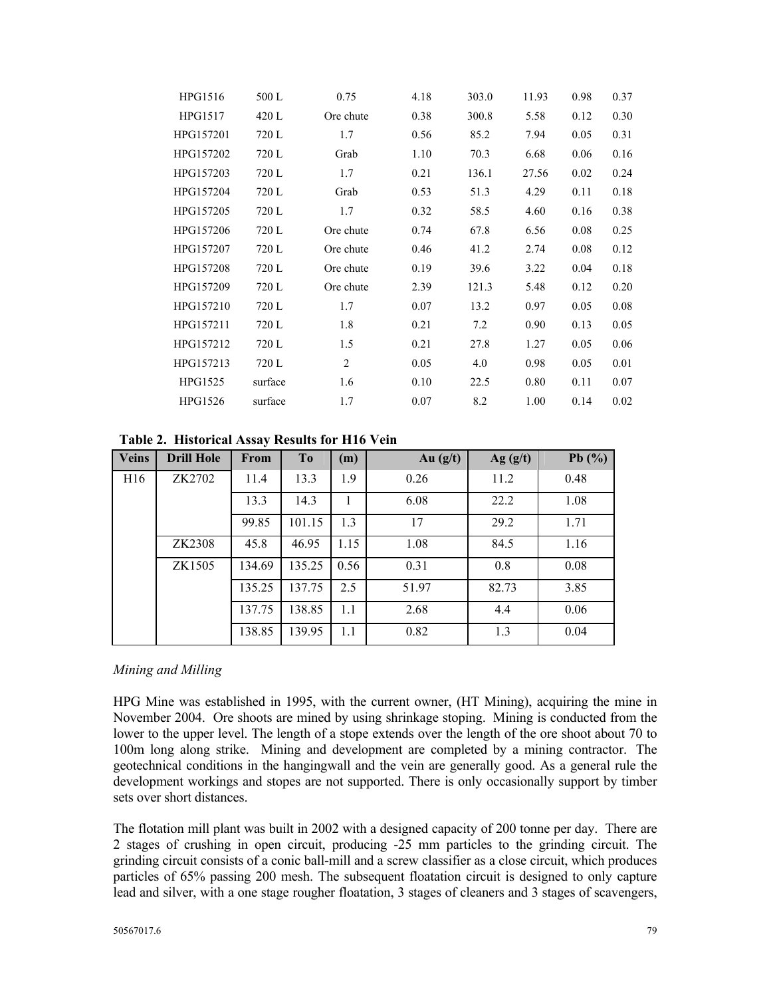| HPG1516   | 500 L   | 0.75           | 4.18 | 303.0 | 11.93 | 0.98 | 0.37 |
|-----------|---------|----------------|------|-------|-------|------|------|
| HPG1517   | 420 L   | Ore chute      | 0.38 | 300.8 | 5.58  | 0.12 | 0.30 |
| HPG157201 | 720 L   | 1.7            | 0.56 | 85.2  | 7.94  | 0.05 | 0.31 |
| HPG157202 | 720 L   | Grab           | 1.10 | 70.3  | 6.68  | 0.06 | 0.16 |
| HPG157203 | 720 L   | 1.7            | 0.21 | 136.1 | 27.56 | 0.02 | 0.24 |
| HPG157204 | 720 L   | Grab           | 0.53 | 51.3  | 4.29  | 0.11 | 0.18 |
| HPG157205 | 720 L   | 1.7            | 0.32 | 58.5  | 4.60  | 0.16 | 0.38 |
| HPG157206 | 720 L   | Ore chute      | 0.74 | 67.8  | 6.56  | 0.08 | 0.25 |
| HPG157207 | 720 L   | Ore chute      | 0.46 | 41.2  | 2.74  | 0.08 | 0.12 |
| HPG157208 | 720 L   | Ore chute      | 0.19 | 39.6  | 3.22  | 0.04 | 0.18 |
| HPG157209 | 720 L   | Ore chute      | 2.39 | 121.3 | 5.48  | 0.12 | 0.20 |
| HPG157210 | 720 L   | 1.7            | 0.07 | 13.2  | 0.97  | 0.05 | 0.08 |
| HPG157211 | 720 L   | 1.8            | 0.21 | 7.2   | 0.90  | 0.13 | 0.05 |
| HPG157212 | 720 L   | 1.5            | 0.21 | 27.8  | 1.27  | 0.05 | 0.06 |
| HPG157213 | 720 L   | $\overline{2}$ | 0.05 | 4.0   | 0.98  | 0.05 | 0.01 |
| HPG1525   | surface | 1.6            | 0.10 | 22.5  | 0.80  | 0.11 | 0.07 |
| HPG1526   | surface | 1.7            | 0.07 | 8.2   | 1.00  | 0.14 | 0.02 |

**Table 2. Historical Assay Results for H16 Vein** 

| <b>Veins</b>    | <b>Drill Hole</b> | <b>From</b> | T <sub>o</sub> | (m)  | Au $(g/t)$ | Ag( g/t) | Pb $(\%)$ |
|-----------------|-------------------|-------------|----------------|------|------------|----------|-----------|
| H <sub>16</sub> | ZK2702            | 11.4        | 13.3           | 1.9  | 0.26       | 11.2     | 0.48      |
|                 |                   | 13.3        | 14.3           |      | 6.08       | 22.2     | 1.08      |
|                 |                   | 99.85       | 101.15         | 1.3  | 17         | 29.2     | 1.71      |
|                 | ZK2308            | 45.8        | 46.95          | 1.15 | 1.08       | 84.5     | 1.16      |
|                 | ZK1505            | 134.69      | 135.25         | 0.56 | 0.31       | 0.8      | 0.08      |
|                 |                   | 135.25      | 137.75         | 2.5  | 51.97      | 82.73    | 3.85      |
|                 |                   | 137.75      | 138.85         | 1.1  | 2.68       | 4.4      | 0.06      |
|                 |                   | 138.85      | 139.95         | 1.1  | 0.82       | 1.3      | 0.04      |

### *Mining and Milling*

HPG Mine was established in 1995, with the current owner, (HT Mining), acquiring the mine in November 2004. Ore shoots are mined by using shrinkage stoping. Mining is conducted from the lower to the upper level. The length of a stope extends over the length of the ore shoot about 70 to 100m long along strike. Mining and development are completed by a mining contractor. The geotechnical conditions in the hangingwall and the vein are generally good. As a general rule the development workings and stopes are not supported. There is only occasionally support by timber sets over short distances.

The flotation mill plant was built in 2002 with a designed capacity of 200 tonne per day. There are 2 stages of crushing in open circuit, producing -25 mm particles to the grinding circuit. The grinding circuit consists of a conic ball-mill and a screw classifier as a close circuit, which produces particles of 65% passing 200 mesh. The subsequent floatation circuit is designed to only capture lead and silver, with a one stage rougher floatation, 3 stages of cleaners and 3 stages of scavengers,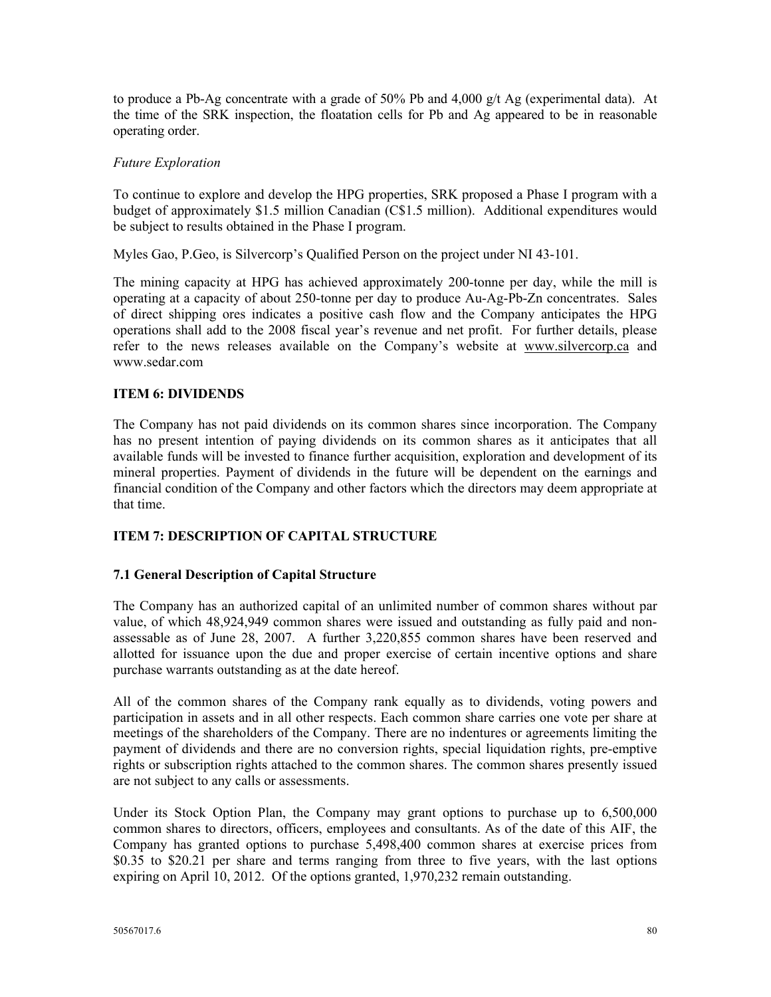to produce a Pb-Ag concentrate with a grade of 50% Pb and 4,000 g/t Ag (experimental data). At the time of the SRK inspection, the floatation cells for Pb and Ag appeared to be in reasonable operating order.

### *Future Exploration*

To continue to explore and develop the HPG properties, SRK proposed a Phase I program with a budget of approximately \$1.5 million Canadian (C\$1.5 million). Additional expenditures would be subject to results obtained in the Phase I program.

Myles Gao, P.Geo, is Silvercorp's Qualified Person on the project under NI 43-101.

The mining capacity at HPG has achieved approximately 200-tonne per day, while the mill is operating at a capacity of about 250-tonne per day to produce Au-Ag-Pb-Zn concentrates. Sales of direct shipping ores indicates a positive cash flow and the Company anticipates the HPG operations shall add to the 2008 fiscal year's revenue and net profit. For further details, please refer to the news releases available on the Company's website at www.silvercorp.ca and www.sedar.com

## **ITEM 6: DIVIDENDS**

The Company has not paid dividends on its common shares since incorporation. The Company has no present intention of paying dividends on its common shares as it anticipates that all available funds will be invested to finance further acquisition, exploration and development of its mineral properties. Payment of dividends in the future will be dependent on the earnings and financial condition of the Company and other factors which the directors may deem appropriate at that time.

# **ITEM 7: DESCRIPTION OF CAPITAL STRUCTURE**

### **7.1 General Description of Capital Structure**

The Company has an authorized capital of an unlimited number of common shares without par value, of which 48,924,949 common shares were issued and outstanding as fully paid and nonassessable as of June 28, 2007. A further 3,220,855 common shares have been reserved and allotted for issuance upon the due and proper exercise of certain incentive options and share purchase warrants outstanding as at the date hereof.

All of the common shares of the Company rank equally as to dividends, voting powers and participation in assets and in all other respects. Each common share carries one vote per share at meetings of the shareholders of the Company. There are no indentures or agreements limiting the payment of dividends and there are no conversion rights, special liquidation rights, pre-emptive rights or subscription rights attached to the common shares. The common shares presently issued are not subject to any calls or assessments.

Under its Stock Option Plan, the Company may grant options to purchase up to 6,500,000 common shares to directors, officers, employees and consultants. As of the date of this AIF, the Company has granted options to purchase 5,498,400 common shares at exercise prices from  $$0.35$  to  $$20.21$  per share and terms ranging from three to five years, with the last options expiring on April 10, 2012. Of the options granted, 1,970,232 remain outstanding.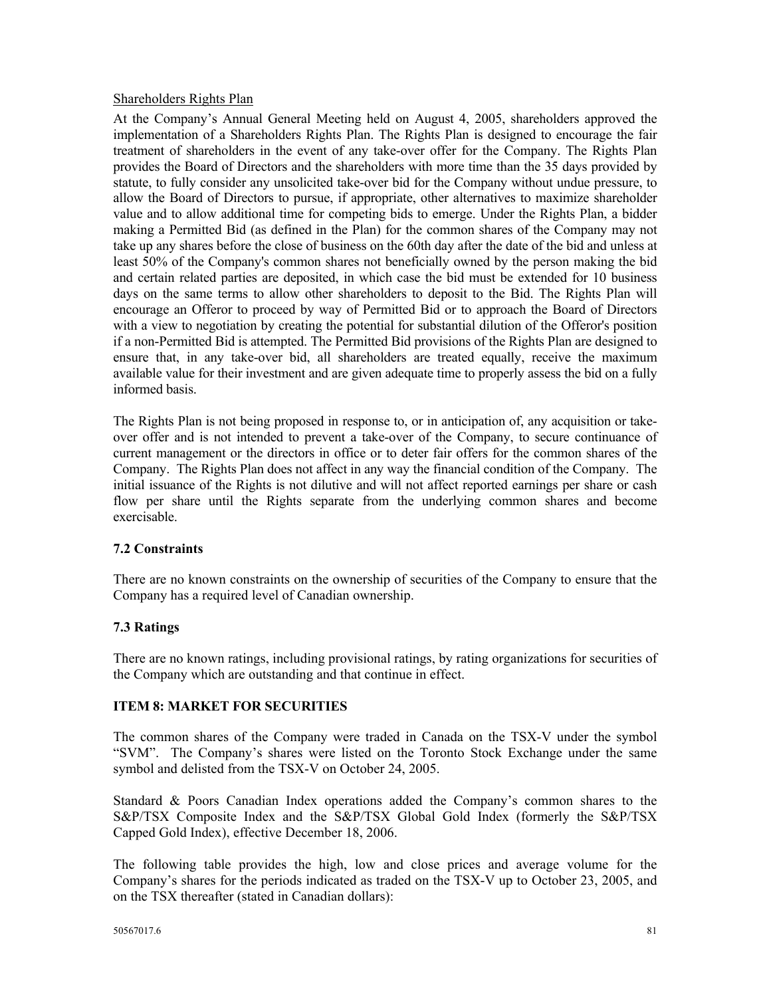#### Shareholders Rights Plan

At the Company's Annual General Meeting held on August 4, 2005, shareholders approved the implementation of a Shareholders Rights Plan. The Rights Plan is designed to encourage the fair treatment of shareholders in the event of any take-over offer for the Company. The Rights Plan provides the Board of Directors and the shareholders with more time than the 35 days provided by statute, to fully consider any unsolicited take-over bid for the Company without undue pressure, to allow the Board of Directors to pursue, if appropriate, other alternatives to maximize shareholder value and to allow additional time for competing bids to emerge. Under the Rights Plan, a bidder making a Permitted Bid (as defined in the Plan) for the common shares of the Company may not take up any shares before the close of business on the 60th day after the date of the bid and unless at least 50% of the Company's common shares not beneficially owned by the person making the bid and certain related parties are deposited, in which case the bid must be extended for 10 business days on the same terms to allow other shareholders to deposit to the Bid. The Rights Plan will encourage an Offeror to proceed by way of Permitted Bid or to approach the Board of Directors with a view to negotiation by creating the potential for substantial dilution of the Offeror's position if a non-Permitted Bid is attempted. The Permitted Bid provisions of the Rights Plan are designed to ensure that, in any take-over bid, all shareholders are treated equally, receive the maximum available value for their investment and are given adequate time to properly assess the bid on a fully informed basis.

The Rights Plan is not being proposed in response to, or in anticipation of, any acquisition or takeover offer and is not intended to prevent a take-over of the Company, to secure continuance of current management or the directors in office or to deter fair offers for the common shares of the Company. The Rights Plan does not affect in any way the financial condition of the Company. The initial issuance of the Rights is not dilutive and will not affect reported earnings per share or cash flow per share until the Rights separate from the underlying common shares and become exercisable.

### **7.2 Constraints**

There are no known constraints on the ownership of securities of the Company to ensure that the Company has a required level of Canadian ownership.

### **7.3 Ratings**

There are no known ratings, including provisional ratings, by rating organizations for securities of the Company which are outstanding and that continue in effect.

### **ITEM 8: MARKET FOR SECURITIES**

The common shares of the Company were traded in Canada on the TSX-V under the symbol "SVM". The Company's shares were listed on the Toronto Stock Exchange under the same symbol and delisted from the TSX-V on October 24, 2005.

Standard & Poors Canadian Index operations added the Company's common shares to the S&P/TSX Composite Index and the S&P/TSX Global Gold Index (formerly the S&P/TSX Capped Gold Index), effective December 18, 2006.

The following table provides the high, low and close prices and average volume for the Company's shares for the periods indicated as traded on the TSX-V up to October 23, 2005, and on the TSX thereafter (stated in Canadian dollars):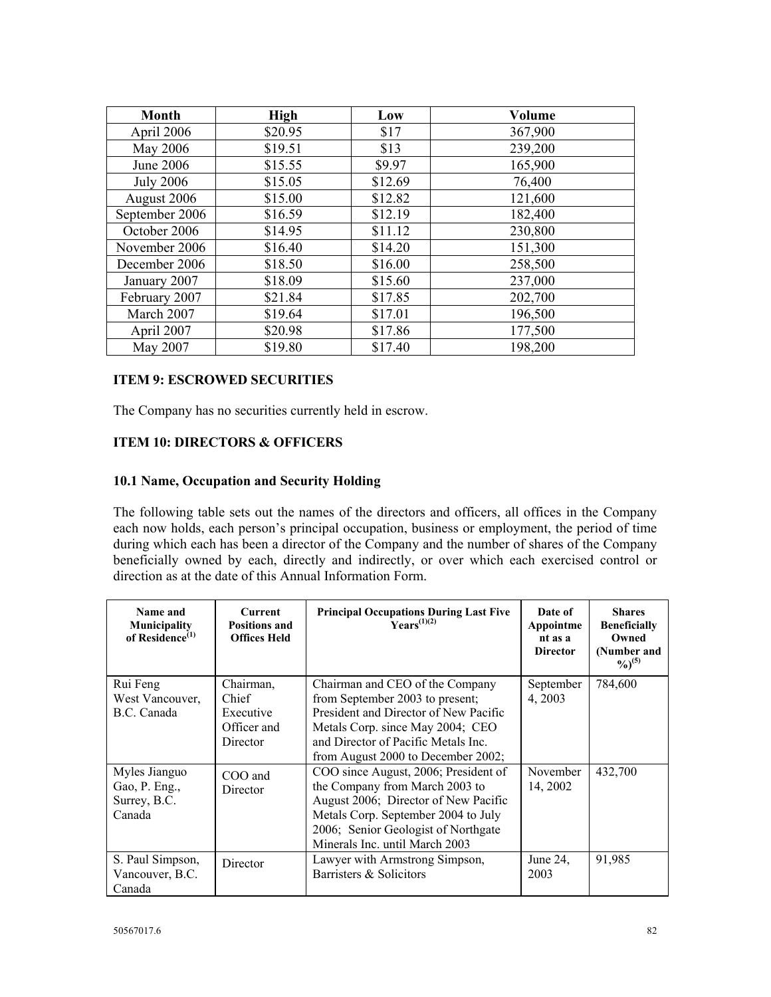| <b>Month</b>     | <b>High</b> | Low     | <b>Volume</b> |
|------------------|-------------|---------|---------------|
| April 2006       | \$20.95     | \$17    | 367,900       |
| May 2006         | \$19.51     | \$13    | 239,200       |
| June 2006        | \$15.55     | \$9.97  | 165,900       |
| <b>July 2006</b> | \$15.05     | \$12.69 | 76,400        |
| August 2006      | \$15.00     | \$12.82 | 121,600       |
| September 2006   | \$16.59     | \$12.19 | 182,400       |
| October 2006     | \$14.95     | \$11.12 | 230,800       |
| November 2006    | \$16.40     | \$14.20 | 151,300       |
| December 2006    | \$18.50     | \$16.00 | 258,500       |
| January 2007     | \$18.09     | \$15.60 | 237,000       |
| February 2007    | \$21.84     | \$17.85 | 202,700       |
| March 2007       | \$19.64     | \$17.01 | 196,500       |
| April 2007       | \$20.98     | \$17.86 | 177,500       |
| May 2007         | \$19.80     | \$17.40 | 198,200       |

#### **ITEM 9: ESCROWED SECURITIES**

The Company has no securities currently held in escrow.

### **ITEM 10: DIRECTORS & OFFICERS**

#### **10.1 Name, Occupation and Security Holding**

The following table sets out the names of the directors and officers, all offices in the Company each now holds, each person's principal occupation, business or employment, the period of time during which each has been a director of the Company and the number of shares of the Company beneficially owned by each, directly and indirectly, or over which each exercised control or direction as at the date of this Annual Information Form.

| Name and<br>Municipality<br>of Residence $^{(1)}$        | <b>Current</b><br><b>Positions and</b><br><b>Offices Held</b> | <b>Principal Occupations During Last Five</b><br>$\mathbf{V}\text{ears}^{(1)(2)}$                                                                                                                                              | Date of<br>Appointme<br>nt as a<br><b>Director</b> | <b>Shares</b><br><b>Beneficially</b><br>Owned<br>(Number and<br>$\frac{9}{6}$ <sup>(5)</sup> |
|----------------------------------------------------------|---------------------------------------------------------------|--------------------------------------------------------------------------------------------------------------------------------------------------------------------------------------------------------------------------------|----------------------------------------------------|----------------------------------------------------------------------------------------------|
| Rui Feng<br>West Vancouver,<br>B.C. Canada               | Chairman,<br>Chief<br>Executive<br>Officer and<br>Director    | Chairman and CEO of the Company<br>from September 2003 to present;<br>President and Director of New Pacific<br>Metals Corp. since May 2004; CEO<br>and Director of Pacific Metals Inc.<br>from August 2000 to December 2002;   | September<br>4, 2003                               | 784,600                                                                                      |
| Myles Jianguo<br>Gao, P. Eng.,<br>Surrey, B.C.<br>Canada | COO and<br>Director                                           | COO since August, 2006; President of<br>the Company from March 2003 to<br>August 2006; Director of New Pacific<br>Metals Corp. September 2004 to July<br>2006; Senior Geologist of Northgate<br>Minerals Inc. until March 2003 | November<br>14, 2002                               | 432,700                                                                                      |
| S. Paul Simpson,<br>Vancouver, B.C.<br>Canada            | Director                                                      | Lawyer with Armstrong Simpson,<br>Barristers & Solicitors                                                                                                                                                                      | June 24,<br>2003                                   | 91,985                                                                                       |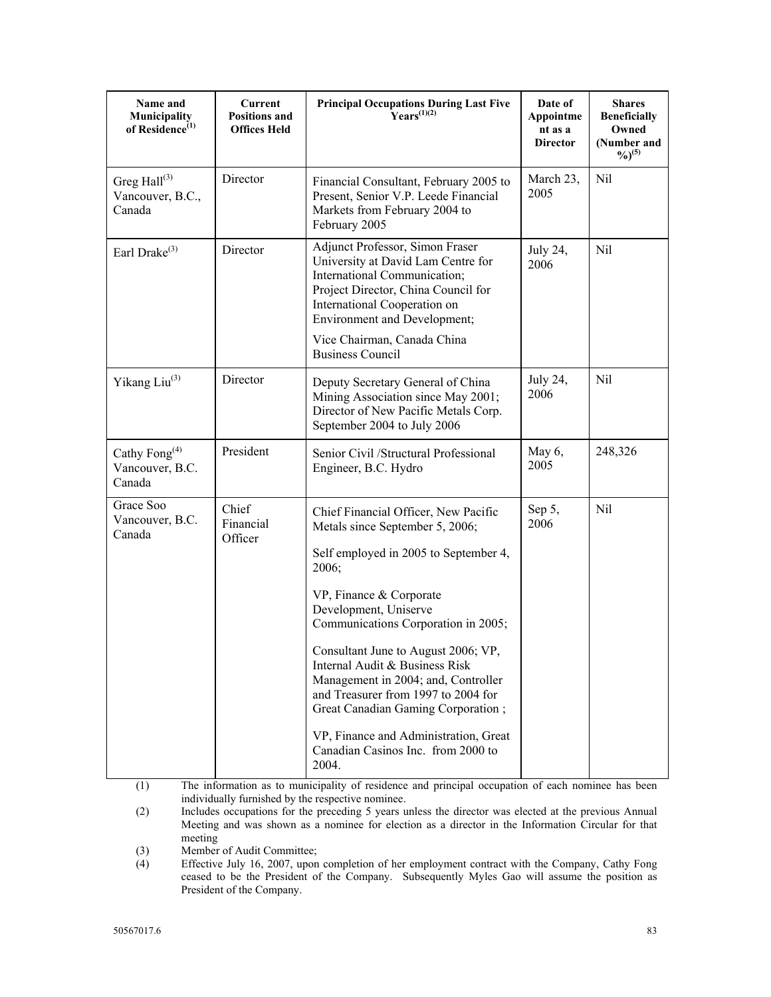| Name and<br>Municipality<br>of Residence <sup>(1)</sup> | Current<br><b>Positions and</b><br><b>Offices Held</b> | <b>Principal Occupations During Last Five</b><br>$Years^{(1)(2)}$                                                                                                                                                                                                                                                                                                                                                                                                                                         | Date of<br>Appointme<br>nt as a<br><b>Director</b> | <b>Shares</b><br><b>Beneficially</b><br>Owned<br>(Number and<br>$\frac{9}{6}$ <sup>(5)</sup> |
|---------------------------------------------------------|--------------------------------------------------------|-----------------------------------------------------------------------------------------------------------------------------------------------------------------------------------------------------------------------------------------------------------------------------------------------------------------------------------------------------------------------------------------------------------------------------------------------------------------------------------------------------------|----------------------------------------------------|----------------------------------------------------------------------------------------------|
| Greg Hall <sup>(3)</sup><br>Vancouver, B.C.,<br>Canada  | Director                                               | Financial Consultant, February 2005 to<br>Present, Senior V.P. Leede Financial<br>Markets from February 2004 to<br>February 2005                                                                                                                                                                                                                                                                                                                                                                          | March 23,<br>2005                                  | Nil                                                                                          |
| Earl Drake <sup>(3)</sup>                               | Director                                               | Adjunct Professor, Simon Fraser<br>University at David Lam Centre for<br>International Communication;<br>Project Director, China Council for<br>International Cooperation on<br>Environment and Development;<br>Vice Chairman, Canada China<br><b>Business Council</b>                                                                                                                                                                                                                                    | July 24,<br>2006                                   | Nil                                                                                          |
| Yikang Liu <sup>(3)</sup>                               | Director                                               | Deputy Secretary General of China<br>Mining Association since May 2001;<br>Director of New Pacific Metals Corp.<br>September 2004 to July 2006                                                                                                                                                                                                                                                                                                                                                            | July 24,<br>2006                                   | Nil                                                                                          |
| Cathy Fong <sup>(4)</sup><br>Vancouver, B.C.<br>Canada  | President                                              | Senior Civil /Structural Professional<br>Engineer, B.C. Hydro                                                                                                                                                                                                                                                                                                                                                                                                                                             | May 6,<br>2005                                     | 248,326                                                                                      |
| Grace Soo<br>Vancouver, B.C.<br>Canada                  | Chief<br>Financial<br>Officer                          | Chief Financial Officer, New Pacific<br>Metals since September 5, 2006;<br>Self employed in 2005 to September 4,<br>2006;<br>VP, Finance & Corporate<br>Development, Uniserve<br>Communications Corporation in 2005;<br>Consultant June to August 2006; VP,<br>Internal Audit & Business Risk<br>Management in 2004; and, Controller<br>and Treasurer from 1997 to 2004 for<br>Great Canadian Gaming Corporation;<br>VP, Finance and Administration, Great<br>Canadian Casinos Inc. from 2000 to<br>2004. | Sep 5,<br>2006                                     | Nil                                                                                          |

(1) The information as to municipality of residence and principal occupation of each nominee has been individually furnished by the respective nominee.

(2) Includes occupations for the preceding 5 years unless the director was elected at the previous Annual Meeting and was shown as a nominee for election as a director in the Information Circular for that meeting

(3) Member of Audit Committee;<br>(4) Effective July 16, 2007, upon Effective July 16, 2007, upon completion of her employment contract with the Company, Cathy Fong ceased to be the President of the Company. Subsequently Myles Gao will assume the position as President of the Company.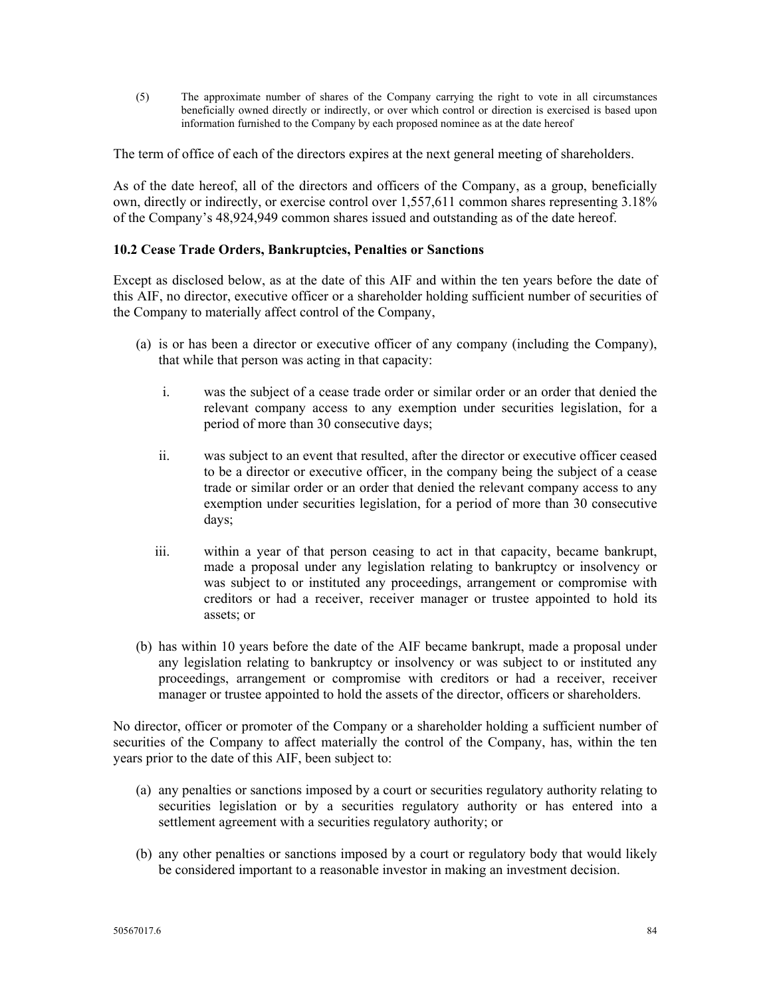(5) The approximate number of shares of the Company carrying the right to vote in all circumstances beneficially owned directly or indirectly, or over which control or direction is exercised is based upon information furnished to the Company by each proposed nominee as at the date hereof

The term of office of each of the directors expires at the next general meeting of shareholders.

As of the date hereof, all of the directors and officers of the Company, as a group, beneficially own, directly or indirectly, or exercise control over 1,557,611 common shares representing 3.18% of the Company's 48,924,949 common shares issued and outstanding as of the date hereof.

### **10.2 Cease Trade Orders, Bankruptcies, Penalties or Sanctions**

Except as disclosed below, as at the date of this AIF and within the ten years before the date of this AIF, no director, executive officer or a shareholder holding sufficient number of securities of the Company to materially affect control of the Company,

- (a) is or has been a director or executive officer of any company (including the Company), that while that person was acting in that capacity:
	- i. was the subject of a cease trade order or similar order or an order that denied the relevant company access to any exemption under securities legislation, for a period of more than 30 consecutive days;
	- ii. was subject to an event that resulted, after the director or executive officer ceased to be a director or executive officer, in the company being the subject of a cease trade or similar order or an order that denied the relevant company access to any exemption under securities legislation, for a period of more than 30 consecutive days;
	- iii. within a year of that person ceasing to act in that capacity, became bankrupt, made a proposal under any legislation relating to bankruptcy or insolvency or was subject to or instituted any proceedings, arrangement or compromise with creditors or had a receiver, receiver manager or trustee appointed to hold its assets; or
- (b) has within 10 years before the date of the AIF became bankrupt, made a proposal under any legislation relating to bankruptcy or insolvency or was subject to or instituted any proceedings, arrangement or compromise with creditors or had a receiver, receiver manager or trustee appointed to hold the assets of the director, officers or shareholders.

No director, officer or promoter of the Company or a shareholder holding a sufficient number of securities of the Company to affect materially the control of the Company, has, within the ten years prior to the date of this AIF, been subject to:

- (a) any penalties or sanctions imposed by a court or securities regulatory authority relating to securities legislation or by a securities regulatory authority or has entered into a settlement agreement with a securities regulatory authority; or
- (b) any other penalties or sanctions imposed by a court or regulatory body that would likely be considered important to a reasonable investor in making an investment decision.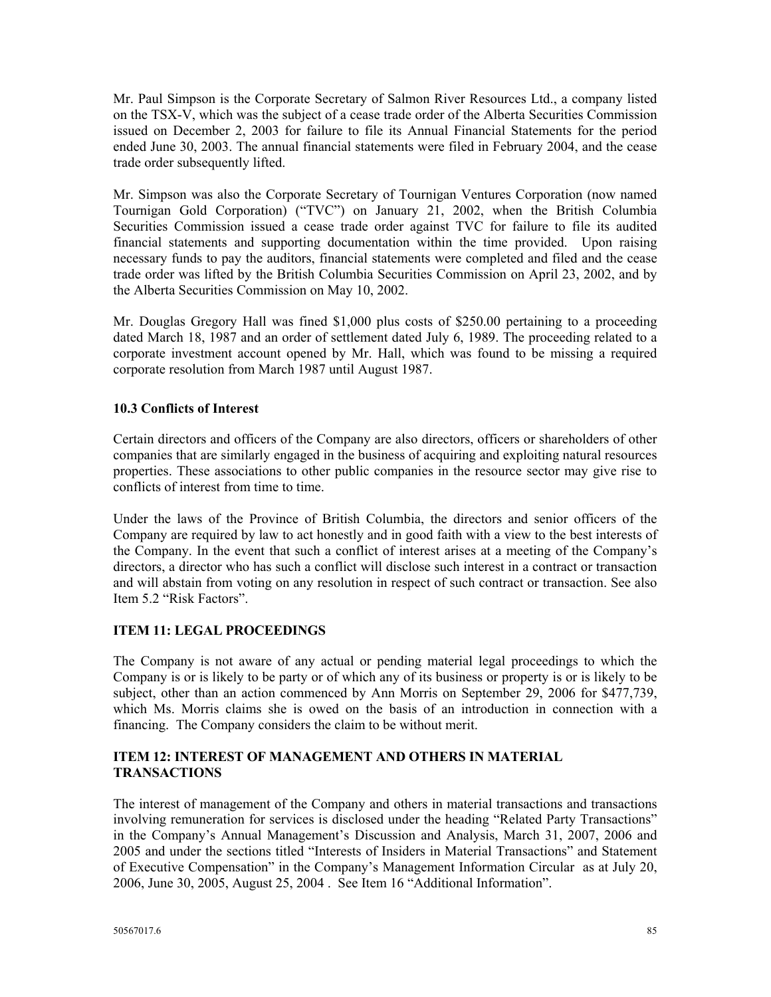Mr. Paul Simpson is the Corporate Secretary of Salmon River Resources Ltd., a company listed on the TSX-V, which was the subject of a cease trade order of the Alberta Securities Commission issued on December 2, 2003 for failure to file its Annual Financial Statements for the period ended June 30, 2003. The annual financial statements were filed in February 2004, and the cease trade order subsequently lifted.

Mr. Simpson was also the Corporate Secretary of Tournigan Ventures Corporation (now named Tournigan Gold Corporation) ("TVC") on January 21, 2002, when the British Columbia Securities Commission issued a cease trade order against TVC for failure to file its audited financial statements and supporting documentation within the time provided. Upon raising necessary funds to pay the auditors, financial statements were completed and filed and the cease trade order was lifted by the British Columbia Securities Commission on April 23, 2002, and by the Alberta Securities Commission on May 10, 2002.

Mr. Douglas Gregory Hall was fined \$1,000 plus costs of \$250.00 pertaining to a proceeding dated March 18, 1987 and an order of settlement dated July 6, 1989. The proceeding related to a corporate investment account opened by Mr. Hall, which was found to be missing a required corporate resolution from March 1987 until August 1987.

## **10.3 Conflicts of Interest**

Certain directors and officers of the Company are also directors, officers or shareholders of other companies that are similarly engaged in the business of acquiring and exploiting natural resources properties. These associations to other public companies in the resource sector may give rise to conflicts of interest from time to time.

Under the laws of the Province of British Columbia, the directors and senior officers of the Company are required by law to act honestly and in good faith with a view to the best interests of the Company. In the event that such a conflict of interest arises at a meeting of the Company's directors, a director who has such a conflict will disclose such interest in a contract or transaction and will abstain from voting on any resolution in respect of such contract or transaction. See also Item 5.2 "Risk Factors".

### **ITEM 11: LEGAL PROCEEDINGS**

The Company is not aware of any actual or pending material legal proceedings to which the Company is or is likely to be party or of which any of its business or property is or is likely to be subject, other than an action commenced by Ann Morris on September 29, 2006 for \$477,739, which Ms. Morris claims she is owed on the basis of an introduction in connection with a financing. The Company considers the claim to be without merit.

### **ITEM 12: INTEREST OF MANAGEMENT AND OTHERS IN MATERIAL TRANSACTIONS**

The interest of management of the Company and others in material transactions and transactions involving remuneration for services is disclosed under the heading "Related Party Transactions" in the Company's Annual Management's Discussion and Analysis, March 31, 2007, 2006 and 2005 and under the sections titled "Interests of Insiders in Material Transactions" and Statement of Executive Compensation" in the Company's Management Information Circular as at July 20, 2006, June 30, 2005, August 25, 2004 . See Item 16 "Additional Information".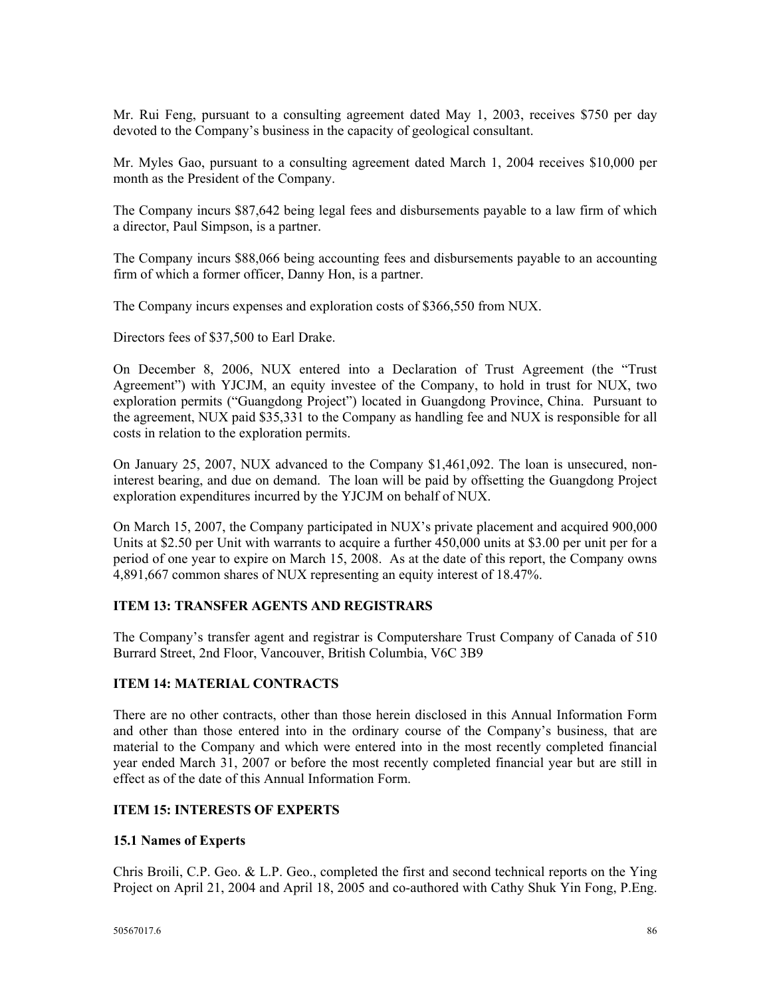Mr. Rui Feng, pursuant to a consulting agreement dated May 1, 2003, receives \$750 per day devoted to the Company's business in the capacity of geological consultant.

Mr. Myles Gao, pursuant to a consulting agreement dated March 1, 2004 receives \$10,000 per month as the President of the Company.

The Company incurs \$87,642 being legal fees and disbursements payable to a law firm of which a director, Paul Simpson, is a partner.

The Company incurs \$88,066 being accounting fees and disbursements payable to an accounting firm of which a former officer, Danny Hon, is a partner.

The Company incurs expenses and exploration costs of \$366,550 from NUX.

Directors fees of \$37,500 to Earl Drake.

On December 8, 2006, NUX entered into a Declaration of Trust Agreement (the "Trust Agreement") with YJCJM, an equity investee of the Company, to hold in trust for NUX, two exploration permits ("Guangdong Project") located in Guangdong Province, China. Pursuant to the agreement, NUX paid \$35,331 to the Company as handling fee and NUX is responsible for all costs in relation to the exploration permits.

On January 25, 2007, NUX advanced to the Company \$1,461,092. The loan is unsecured, noninterest bearing, and due on demand. The loan will be paid by offsetting the Guangdong Project exploration expenditures incurred by the YJCJM on behalf of NUX.

On March 15, 2007, the Company participated in NUX's private placement and acquired 900,000 Units at \$2.50 per Unit with warrants to acquire a further 450,000 units at \$3.00 per unit per for a period of one year to expire on March 15, 2008. As at the date of this report, the Company owns 4,891,667 common shares of NUX representing an equity interest of 18.47%.

#### **ITEM 13: TRANSFER AGENTS AND REGISTRARS**

The Company's transfer agent and registrar is Computershare Trust Company of Canada of 510 Burrard Street, 2nd Floor, Vancouver, British Columbia, V6C 3B9

#### **ITEM 14: MATERIAL CONTRACTS**

There are no other contracts, other than those herein disclosed in this Annual Information Form and other than those entered into in the ordinary course of the Company's business, that are material to the Company and which were entered into in the most recently completed financial year ended March 31, 2007 or before the most recently completed financial year but are still in effect as of the date of this Annual Information Form.

### **ITEM 15: INTERESTS OF EXPERTS**

#### **15.1 Names of Experts**

Chris Broili, C.P. Geo. & L.P. Geo., completed the first and second technical reports on the Ying Project on April 21, 2004 and April 18, 2005 and co-authored with Cathy Shuk Yin Fong, P.Eng.